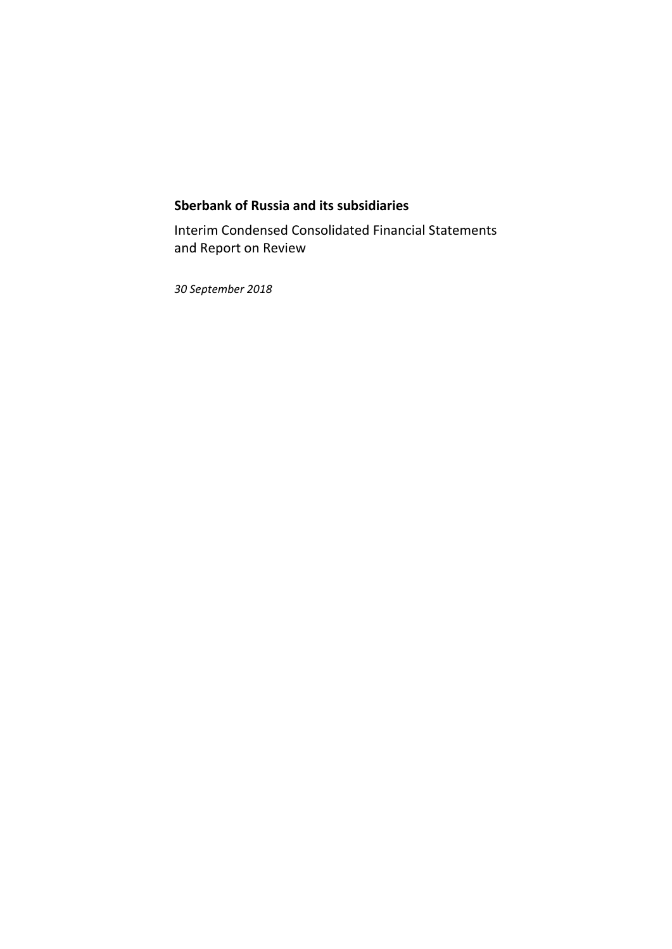### **Sberbank of Russia and its subsidiaries**

Interim Condensed Consolidated Financial Statements and Report on Review

*30 September 2018*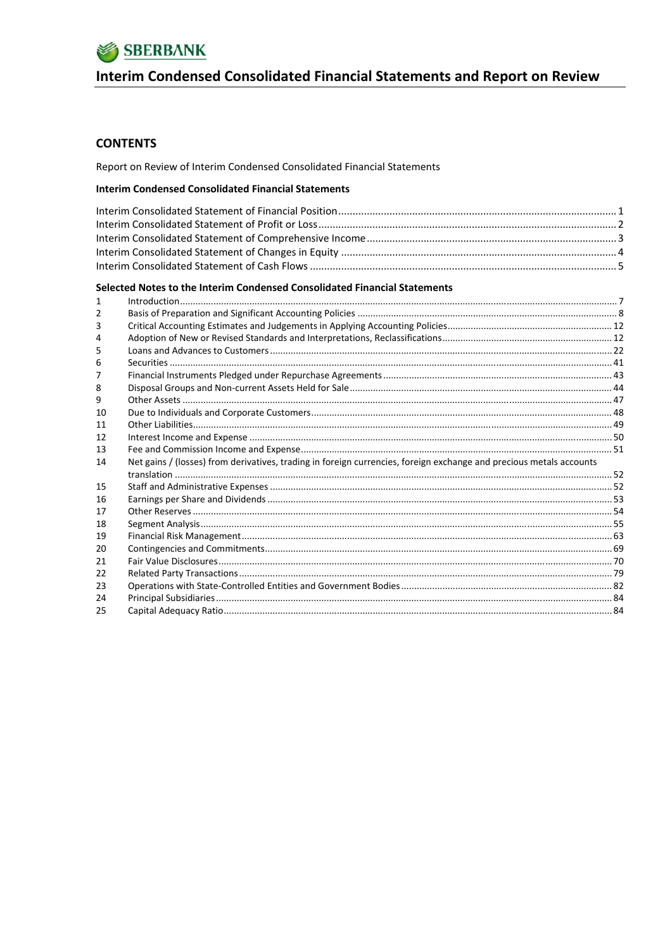

# Interim Condensed Consolidated Financial Statements and Report on Review

### **CONTENTS**

Report on Review of Interim Condensed Consolidated Financial Statements

#### **Interim Condensed Consolidated Financial Statements**

#### Selected Notes to the Interim Condensed Consolidated Financial Statements

| 1  |                                                                                                                     |  |
|----|---------------------------------------------------------------------------------------------------------------------|--|
| 2  |                                                                                                                     |  |
| 3  |                                                                                                                     |  |
| 4  |                                                                                                                     |  |
| 5  |                                                                                                                     |  |
| 6  |                                                                                                                     |  |
| 7  |                                                                                                                     |  |
| 8  |                                                                                                                     |  |
| 9  |                                                                                                                     |  |
| 10 |                                                                                                                     |  |
| 11 |                                                                                                                     |  |
| 12 |                                                                                                                     |  |
| 13 |                                                                                                                     |  |
| 14 | Net gains / (losses) from derivatives, trading in foreign currencies, foreign exchange and precious metals accounts |  |
|    |                                                                                                                     |  |
| 15 |                                                                                                                     |  |
| 16 |                                                                                                                     |  |
| 17 |                                                                                                                     |  |
| 18 |                                                                                                                     |  |
| 19 |                                                                                                                     |  |
| 20 |                                                                                                                     |  |
| 21 |                                                                                                                     |  |
| 22 |                                                                                                                     |  |
| 23 |                                                                                                                     |  |
| 24 |                                                                                                                     |  |
| 25 |                                                                                                                     |  |
|    |                                                                                                                     |  |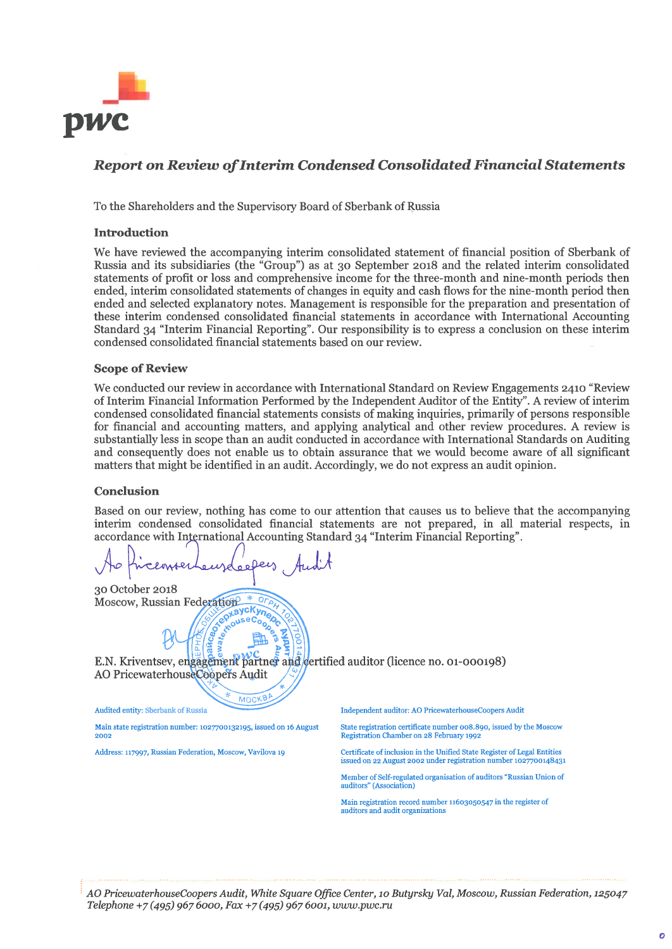

### **Report on Review of Interim Condensed Consolidated Financial Statements**

To the Shareholders and the Supervisory Board of Sberbank of Russia

#### **Introduction**

We have reviewed the accompanying interim consolidated statement of financial position of Sberbank of Russia and its subsidiaries (the "Group") as at 30 September 2018 and the related interim consolidated statements of profit or loss and comprehensive income for the three-month and nine-month periods then ended, interim consolidated statements of changes in equity and cash flows for the nine-month period then ended and selected explanatory notes. Management is responsible for the preparation and presentation of these interim condensed consolidated financial statements in accordance with International Accounting Standard 34 "Interim Financial Reporting". Our responsibility is to express a conclusion on these interim condensed consolidated financial statements based on our review.

#### **Scope of Review**

We conducted our review in accordance with International Standard on Review Engagements 2410 "Review of Interim Financial Information Performed by the Independent Auditor of the Entity". A review of interim condensed consolidated financial statements consists of making inquiries, primarily of persons responsible for financial and accounting matters, and applying analytical and other review procedures. A review is substantially less in scope than an audit conducted in accordance with International Standards on Auditing and consequently does not enable us to obtain assurance that we would become aware of all significant matters that might be identified in an audit. Accordingly, we do not express an audit opinion.

#### **Conclusion**

Based on our review, nothing has come to our attention that causes us to believe that the accompanying interim condensed consolidated financial statements are not prepared, in all material respects, in accordance with International Accounting Standard 34 "Interim Financial Reporting".

30 October 2018 Moscow, Russian Federation

E.N. Kriventsev, engagement partner and dertified auditor (licence no. 01-000198) AO PricewaterhouseCoopers Audit

ച

epxayckyne oused

**MOCKB** 

Audited entity: Sberbank of Russia

Main state registration number: 1027700132195, issued on 16 August 2002

Address: 117997, Russian Federation, Moscow, Vavilova 19

Independent auditor: AO PricewaterhouseCoopers Audit

State registration certificate number 008.890, issued by the Moscow Registration Chamber on 28 February 1992

Certificate of inclusion in the Unified State Register of Legal Entities issued on 22 August 2002 under registration number 1027700148431

Member of Self-regulated organisation of auditors "Russian Union of auditors" (Association)

Main registration record number 11603050547 in the register of auditors and audit organizations

AO PricewaterhouseCoopers Audit, White Square Office Center, 10 Butyrsky Val, Moscow, Russian Federation, 125047 Telephone +7 (495) 967 6000, Fax +7 (495) 967 6001, www.pwc.ru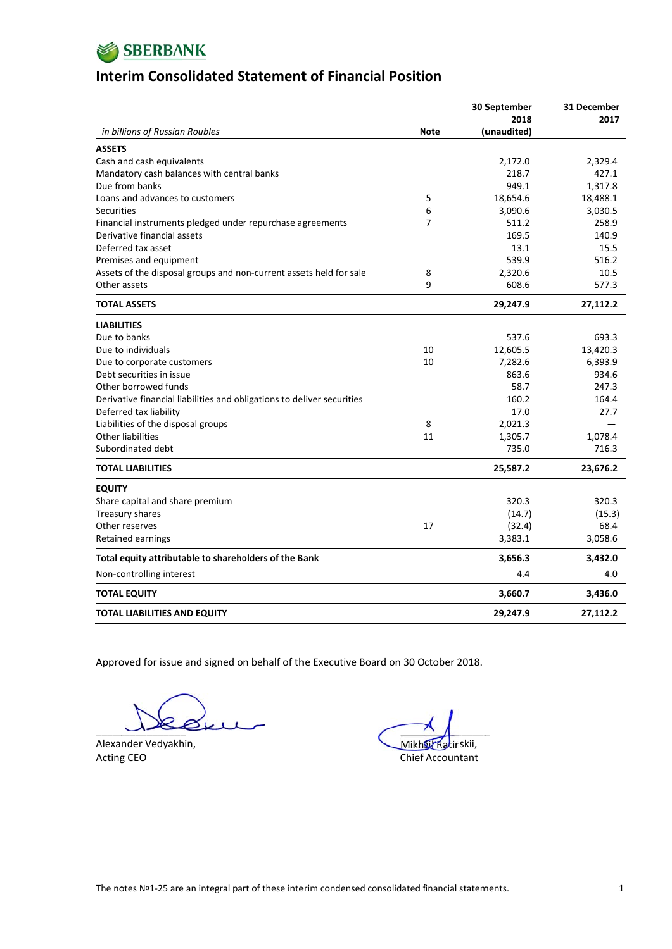

### **lnterim Consolidated Statement of Financial Position**

|                                                                        |                | 30 September<br>2018 | 31 December<br>2017 |
|------------------------------------------------------------------------|----------------|----------------------|---------------------|
| in billions of Russian Roubles                                         | <b>Note</b>    | (unaudited)          |                     |
| <b>ASSETS</b>                                                          |                |                      |                     |
| Cash and cash equivalents                                              |                | 2,172.0              | 2,329.4             |
| Mandatory cash balances with central banks                             |                | 218.7                | 427.1               |
| Due from banks                                                         |                | 949.1                | 1,317.8             |
| Loans and advances to customers                                        | 5              | 18,654.6             | 18,488.1            |
| Securities                                                             | 6              | 3,090.6              | 3,030.5             |
| Financial instruments pledged under repurchase agreements              | $\overline{7}$ | 511.2                | 258.9               |
| Derivative financial assets                                            |                | 169.5                | 140.9               |
| Deferred tax asset                                                     |                | 13.1                 | 15.5                |
| Premises and equipment                                                 |                | 539.9                | 516.2               |
| Assets of the disposal groups and non-current assets held for sale     | 8              | 2,320.6              | 10.5                |
| Other assets                                                           | 9              | 608.6                | 577.3               |
| <b>TOTAL ASSETS</b>                                                    |                | 29,247.9             | 27,112.2            |
| <b>LIABILITIES</b>                                                     |                |                      |                     |
| Due to banks                                                           |                | 537.6                | 693.3               |
| Due to individuals                                                     | 10             | 12,605.5             | 13,420.3            |
| Due to corporate customers                                             | 10             | 7,282.6              | 6,393.9             |
| Debt securities in issue                                               |                | 863.6                | 934.6               |
| Other borrowed funds                                                   |                | 58.7                 | 247.3               |
| Derivative financial liabilities and obligations to deliver securities |                | 160.2                | 164.4               |
| Deferred tax liability                                                 |                | 17.0                 | 27.7                |
| Liabilities of the disposal groups                                     | 8              | 2,021.3              |                     |
| <b>Other liabilities</b>                                               | 11             | 1,305.7              | 1,078.4             |
| Subordinated debt                                                      |                | 735.0                | 716.3               |
| <b>TOTAL LIABILITIES</b>                                               |                | 25,587.2             | 23,676.2            |
| <b>EQUITY</b>                                                          |                |                      |                     |
| Share capital and share premium                                        |                | 320.3                | 320.3               |
| Treasury shares                                                        |                | (14.7)               | (15.3)              |
| Other reserves                                                         | 17             | (32.4)               | 68.4                |
| Retained earnings                                                      |                | 3,383.1              | 3,058.6             |
| Total equity attributable to shareholders of the Bank                  |                | 3,656.3              | 3,432.0             |
| Non-controlling interest                                               |                | 4.4                  | 4.0                 |
| <b>TOTAL EQUITY</b>                                                    |                | 3,660.7              | 3,436.0             |
| <b>TOTAL LIABILITIES AND EQUITY</b>                                    |                | 29,247.9             | 27,112.2            |

Approved for issue and signed on behalf of the Executive Board on 30 October 2018.

 $\overline{\phantom{a}}$  $\sqrt{2}$ 

Alexander Vedyakhin, Acting g CEO

 $\overline{\phantom{a}}$ Mikh**si<sup>k</sup> Rat**inskii, Chief Accountant  $\sim$   $\Lambda$ \_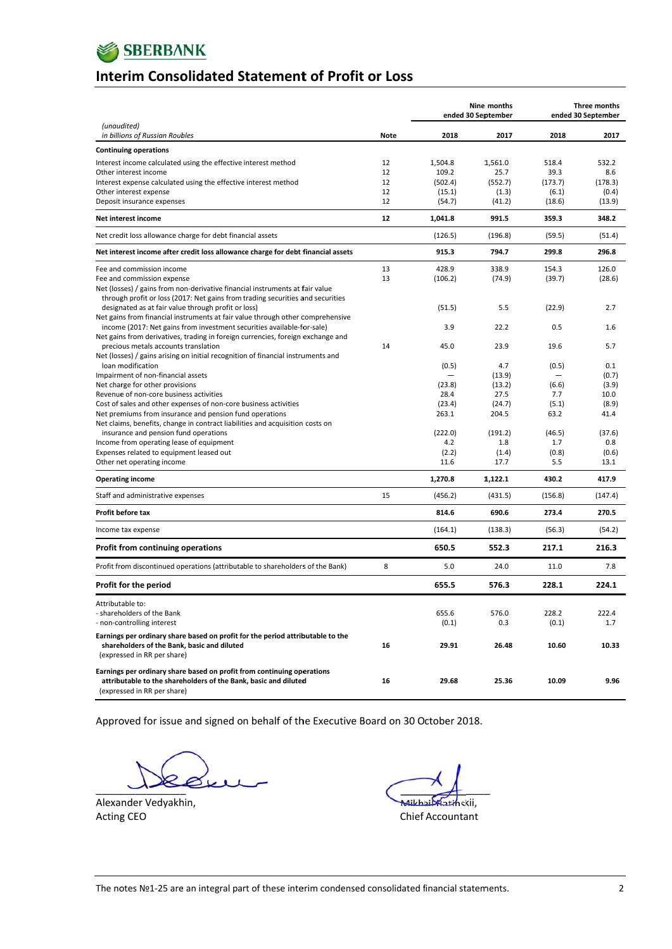

### **lnterim Consolidated Statement of Profit or Loss**

|                                                                                                                                                                          |      | Nine months<br>ended 30 September |         | Three months<br>ended 30 September |         |
|--------------------------------------------------------------------------------------------------------------------------------------------------------------------------|------|-----------------------------------|---------|------------------------------------|---------|
| (unaudited)<br>in billions of Russian Roubles                                                                                                                            | Note | 2018                              | 2017    | 2018                               | 2017    |
| <b>Continuing operations</b>                                                                                                                                             |      |                                   |         |                                    |         |
| Interest income calculated using the effective interest method                                                                                                           | 12   | 1,504.8                           | 1.561.0 | 518.4                              | 532.2   |
| Other interest income                                                                                                                                                    | 12   | 109.2                             | 25.7    | 39.3                               | 8.6     |
| Interest expense calculated using the effective interest method                                                                                                          | 12   | (502.4)                           | (552.7) | (173.7)                            | (178.3) |
| Other interest expense                                                                                                                                                   | 12   | (15.1)                            | (1.3)   | (6.1)                              | (0.4)   |
| Deposit insurance expenses                                                                                                                                               | 12   | (54.7)                            | (41.2)  | (18.6)                             | (13.9)  |
| Net interest income                                                                                                                                                      | 12   | 1,041.8                           | 991.5   | 359.3                              | 348.2   |
| Net credit loss allowance charge for debt financial assets                                                                                                               |      | (126.5)                           | (196.8) | (59.5)                             | (51.4)  |
| Net interest income after credit loss allowance charge for debt financial assets                                                                                         |      | 915.3                             | 794.7   | 299.8                              | 296.8   |
| Fee and commission income                                                                                                                                                | 13   | 428.9                             | 338.9   | 154.3                              | 126.0   |
| Fee and commission expense                                                                                                                                               | 13   | (106.2)                           | (74.9)  | (39.7)                             | (28.6)  |
| Net (losses) / gains from non-derivative financial instruments at fair value                                                                                             |      |                                   |         |                                    |         |
| through profit or loss (2017: Net gains from trading securities and securities                                                                                           |      |                                   |         |                                    |         |
| designated as at fair value through profit or loss)                                                                                                                      |      | (51.5)                            | 5.5     | (22.9)                             | 2.7     |
| Net gains from financial instruments at fair value through other comprehensive                                                                                           |      |                                   |         |                                    |         |
| income (2017: Net gains from investment securities available-for-sale)                                                                                                   |      | 3.9                               | 22.2    | 0.5                                | 1.6     |
| Net gains from derivatives, trading in foreign currencies, foreign exchange and                                                                                          | 14   | 45.0                              | 23.9    | 19.6                               | 5.7     |
| precious metals accounts translation<br>Net (losses) / gains arising on initial recognition of financial instruments and                                                 |      |                                   |         |                                    |         |
| loan modification                                                                                                                                                        |      | (0.5)                             | 4.7     | (0.5)                              | 0.1     |
| Impairment of non-financial assets                                                                                                                                       |      |                                   | (13.9)  |                                    | (0.7)   |
| Net charge for other provisions                                                                                                                                          |      | (23.8)                            | (13.2)  | (6.6)                              | (3.9)   |
| Revenue of non-core business activities                                                                                                                                  |      | 28.4                              | 27.5    | 7.7                                | 10.0    |
| Cost of sales and other expenses of non-core business activities                                                                                                         |      | (23.4)                            | (24.7)  | (5.1)                              | (8.9)   |
| Net premiums from insurance and pension fund operations                                                                                                                  |      | 263.1                             | 204.5   | 63.2                               | 41.4    |
| Net claims, benefits, change in contract liabilities and acquisition costs on                                                                                            |      |                                   |         |                                    |         |
| insurance and pension fund operations                                                                                                                                    |      | (222.0)                           | (191.2) | (46.5)                             | (37.6)  |
| Income from operating lease of equipment                                                                                                                                 |      | 4.2                               | 1.8     | 1.7                                | 0.8     |
| Expenses related to equipment leased out                                                                                                                                 |      | (2.2)                             | (1.4)   | (0.8)                              | (0.6)   |
| Other net operating income                                                                                                                                               |      | 11.6                              | 17.7    | 5.5                                | 13.1    |
| <b>Operating income</b>                                                                                                                                                  |      | 1,270.8                           | 1,122.1 | 430.2                              | 417.9   |
| Staff and administrative expenses                                                                                                                                        | 15   | (456.2)                           | (431.5) | (156.8)                            | (147.4) |
| Profit before tax                                                                                                                                                        |      | 814.6                             | 690.6   | 273.4                              | 270.5   |
| Income tax expense                                                                                                                                                       |      | (164.1)                           | (138.3) | (56.3)                             | (54.2)  |
| <b>Profit from continuing operations</b>                                                                                                                                 |      | 650.5                             | 552.3   | 217.1                              | 216.3   |
| Profit from discontinued operations (attributable to shareholders of the Bank)                                                                                           | 8    | 5.0                               | 24.0    | 11.0                               | 7.8     |
| Profit for the period                                                                                                                                                    |      | 655.5                             | 576.3   | 228.1                              | 224.1   |
| Attributable to:                                                                                                                                                         |      |                                   |         |                                    |         |
| - shareholders of the Bank                                                                                                                                               |      | 655.6                             | 576.0   | 228.2                              | 222.4   |
| - non-controlling interest                                                                                                                                               |      | (0.1)                             | 0.3     | (0.1)                              | 1.7     |
| Earnings per ordinary share based on profit for the period attributable to the                                                                                           |      |                                   |         |                                    |         |
| shareholders of the Bank, basic and diluted                                                                                                                              | 16   | 29.91                             | 26.48   | 10.60                              | 10.33   |
| (expressed in RR per share)                                                                                                                                              |      |                                   |         |                                    |         |
|                                                                                                                                                                          |      |                                   |         |                                    |         |
| Earnings per ordinary share based on profit from continuing operations<br>attributable to the shareholders of the Bank, basic and diluted<br>(expressed in RR per share) | 16   | 29.68                             | 25.36   | 10.09                              | 9.96    |

Approved for issue and signed on behalf of the Executive Board on 30 October 2018.

 $\mathbf{r}$  $\sim$  1  $\overline{\phantom{a}}$  $\sim$ 

Alexander Vedyakhin, Acting g CEO

\_\_\_\_\_ <del>Mikhai Katin</del>skii, Chief Accountant  $\rightarrow$  $\overline{a}$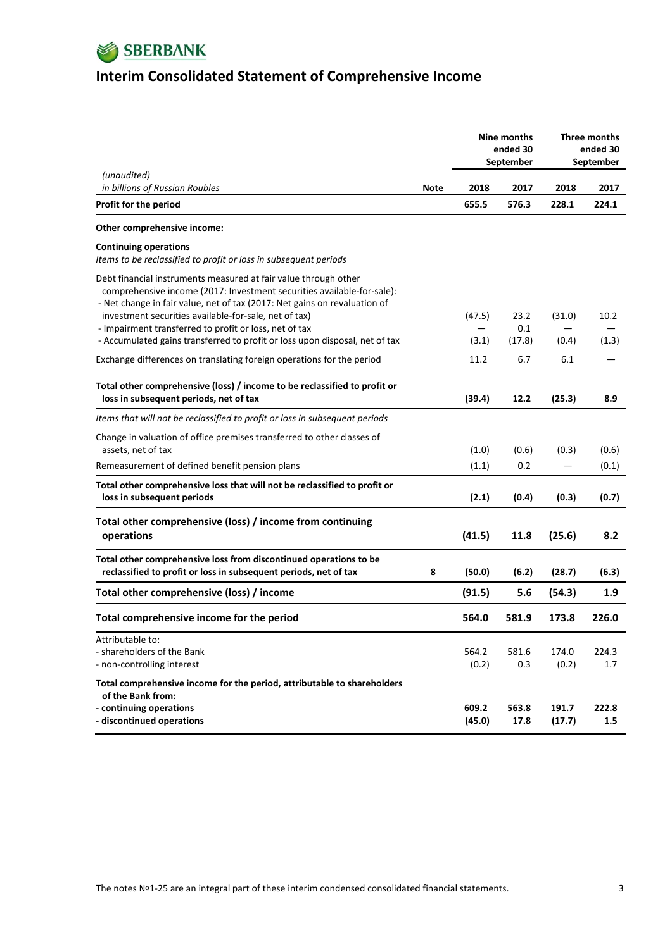

# **Interim Consolidated Statement of Comprehensive Income**

|                                                                                                                                                                                                                        |      |                 | Nine months<br>ended 30 | Three months<br>ended 30 |                  |
|------------------------------------------------------------------------------------------------------------------------------------------------------------------------------------------------------------------------|------|-----------------|-------------------------|--------------------------|------------------|
| (unaudited)                                                                                                                                                                                                            |      |                 | September               |                          | September        |
| in billions of Russian Roubles                                                                                                                                                                                         | Note | 2018            | 2017                    | 2018                     | 2017             |
| Profit for the period                                                                                                                                                                                                  |      | 655.5           | 576.3                   | 228.1                    | 224.1            |
| Other comprehensive income:                                                                                                                                                                                            |      |                 |                         |                          |                  |
| <b>Continuing operations</b><br>Items to be reclassified to profit or loss in subsequent periods                                                                                                                       |      |                 |                         |                          |                  |
| Debt financial instruments measured at fair value through other<br>comprehensive income (2017: Investment securities available-for-sale):<br>- Net change in fair value, net of tax (2017: Net gains on revaluation of |      |                 |                         |                          |                  |
| investment securities available-for-sale, net of tax)<br>- Impairment transferred to profit or loss, net of tax                                                                                                        |      | (47.5)          | 23.2<br>0.1             | (31.0)                   | 10.2             |
| - Accumulated gains transferred to profit or loss upon disposal, net of tax                                                                                                                                            |      | (3.1)           | (17.8)                  | (0.4)                    | (1.3)            |
| Exchange differences on translating foreign operations for the period                                                                                                                                                  |      | 11.2            | 6.7                     | 6.1                      |                  |
| Total other comprehensive (loss) / income to be reclassified to profit or<br>loss in subsequent periods, net of tax                                                                                                    |      | (39.4)          | 12.2                    | (25.3)                   | 8.9              |
| Items that will not be reclassified to profit or loss in subsequent periods                                                                                                                                            |      |                 |                         |                          |                  |
| Change in valuation of office premises transferred to other classes of<br>assets, net of tax                                                                                                                           |      | (1.0)           | (0.6)                   | (0.3)                    | (0.6)            |
| Remeasurement of defined benefit pension plans                                                                                                                                                                         |      | (1.1)           | 0.2                     |                          | (0.1)            |
| Total other comprehensive loss that will not be reclassified to profit or<br>loss in subsequent periods                                                                                                                |      | (2.1)           | (0.4)                   | (0.3)                    | (0.7)            |
| Total other comprehensive (loss) / income from continuing<br>operations                                                                                                                                                |      | (41.5)          | 11.8                    | (25.6)                   | 8.2              |
| Total other comprehensive loss from discontinued operations to be<br>reclassified to profit or loss in subsequent periods, net of tax                                                                                  | 8    | (50.0)          | (6.2)                   | (28.7)                   | (6.3)            |
| Total other comprehensive (loss) / income                                                                                                                                                                              |      | (91.5)          | 5.6                     | (54.3)                   | 1.9 <sub>2</sub> |
| Total comprehensive income for the period                                                                                                                                                                              |      | 564.0           | 581.9                   | 173.8                    | 226.0            |
| Attributable to:<br>- shareholders of the Bank<br>- non-controlling interest                                                                                                                                           |      | 564.2<br>(0.2)  | 581.6<br>0.3            | 174.0<br>(0.2)           | 224.3<br>1.7     |
| Total comprehensive income for the period, attributable to shareholders<br>of the Bank from:<br>- continuing operations<br>- discontinued operations                                                                   |      | 609.2<br>(45.0) | 563.8<br>17.8           | 191.7<br>(17.7)          | 222.8<br>1.5     |

The notes №1‐25 are an integral part of these interim condensed consolidated financial statements. 3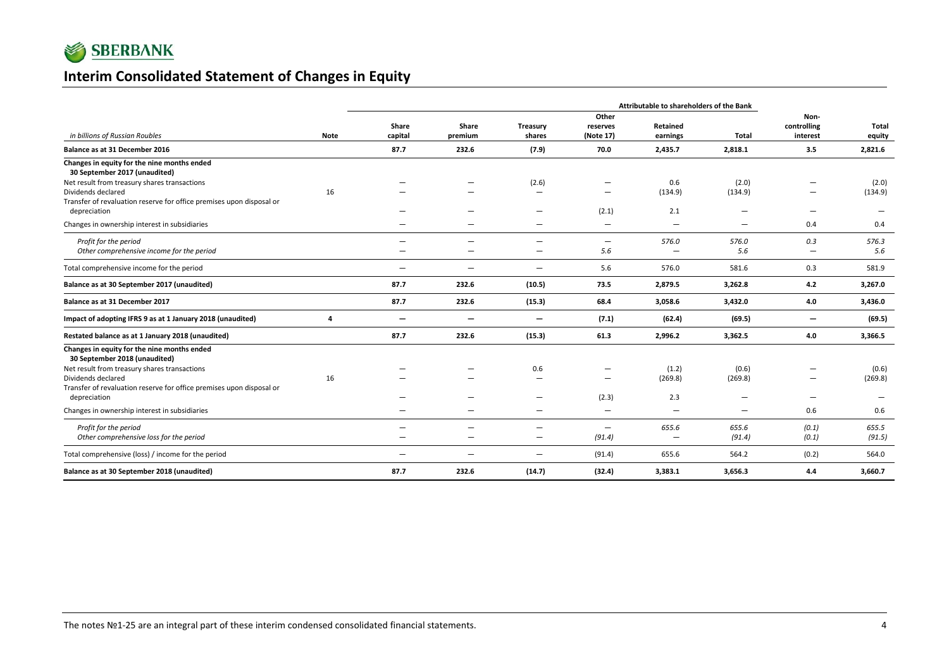

### **Interim Consolidated Statement of Changes in Equity**

|                                                                                            |             | Attributable to shareholders of the Bank |                          |                          |                                 |                                   |              |                                 |                 |
|--------------------------------------------------------------------------------------------|-------------|------------------------------------------|--------------------------|--------------------------|---------------------------------|-----------------------------------|--------------|---------------------------------|-----------------|
| in billions of Russian Roubles                                                             | <b>Note</b> | Share<br>capital                         | Share<br>premium         | Treasury<br>shares       | Other<br>reserves<br>(Note 17)  | Retained<br>earnings              | Total        | Non-<br>controlling<br>interest | Total<br>equity |
| Balance as at 31 December 2016                                                             |             | 87.7                                     | 232.6                    | (7.9)                    | 70.0                            | 2,435.7                           | 2,818.1      | 3.5                             | 2,821.6         |
| Changes in equity for the nine months ended<br>30 September 2017 (unaudited)               |             |                                          |                          |                          |                                 |                                   |              |                                 |                 |
| Net result from treasury shares transactions                                               |             |                                          |                          | (2.6)                    |                                 | 0.6                               | (2.0)        |                                 | (2.0)           |
| Dividends declared<br>Transfer of revaluation reserve for office premises upon disposal or | 16          |                                          |                          | -                        | -                               | (134.9)                           | (134.9)      | $\overline{\phantom{0}}$        | (134.9)         |
| depreciation                                                                               |             |                                          |                          |                          | (2.1)                           | 2.1                               |              | $\overline{\phantom{0}}$        |                 |
| Changes in ownership interest in subsidiaries                                              |             |                                          |                          |                          | -                               | $\overline{\phantom{0}}$          |              | 0.4                             | 0.4             |
| Profit for the period<br>Other comprehensive income for the period                         |             | $\overline{\phantom{0}}$                 | $\overline{\phantom{0}}$ | -                        | $\overline{\phantom{0}}$<br>5.6 | 576.0<br>$\overline{\phantom{0}}$ | 576.0<br>5.6 | 0.3<br>$\qquad \qquad -$        | 576.3<br>5.6    |
| Total comprehensive income for the period                                                  |             |                                          | $\overline{\phantom{0}}$ | $\qquad \qquad =$        | 5.6                             | 576.0                             | 581.6        | 0.3                             | 581.9           |
| Balance as at 30 September 2017 (unaudited)                                                |             | 87.7                                     | 232.6                    | (10.5)                   | 73.5                            | 2,879.5                           | 3,262.8      | 4.2                             | 3,267.0         |
| Balance as at 31 December 2017                                                             |             | 87.7                                     | 232.6                    | (15.3)                   | 68.4                            | 3,058.6                           | 3,432.0      | 4.0                             | 3,436.0         |
| Impact of adopting IFRS 9 as at 1 January 2018 (unaudited)                                 | 4           | $\overline{\phantom{0}}$                 | $\overline{\phantom{m}}$ | $\qquad \qquad -$        | (7.1)                           | (62.4)                            | (69.5)       | $\overline{\phantom{m}}$        | (69.5)          |
| Restated balance as at 1 January 2018 (unaudited)                                          |             | 87.7                                     | 232.6                    | (15.3)                   | 61.3                            | 2,996.2                           | 3,362.5      | 4.0                             | 3,366.5         |
| Changes in equity for the nine months ended<br>30 September 2018 (unaudited)               |             |                                          |                          |                          |                                 |                                   |              |                                 |                 |
| Net result from treasury shares transactions                                               |             |                                          |                          | 0.6                      | -                               | (1.2)                             | (0.6)        | $\overline{\phantom{m}}$        | (0.6)           |
| Dividends declared                                                                         | 16          |                                          |                          |                          | -                               | (269.8)                           | (269.8)      | $\qquad \qquad \longleftarrow$  | (269.8)         |
| Transfer of revaluation reserve for office premises upon disposal or<br>depreciation       |             |                                          |                          | $\overline{\phantom{0}}$ | (2.3)                           | 2.3                               |              | $\overline{\phantom{0}}$        |                 |
| Changes in ownership interest in subsidiaries                                              |             |                                          |                          |                          | —                               | $\overline{\phantom{0}}$          | -            | 0.6                             | 0.6             |
| Profit for the period                                                                      |             | -                                        |                          |                          | $\overline{\phantom{m}}$        | 655.6                             | 655.6        | (0.1)                           | 655.5           |
| Other comprehensive loss for the period                                                    |             |                                          |                          | $\overline{\phantom{0}}$ | (91.4)                          | $\overline{\phantom{a}}$          | (91.4)       | (0.1)                           | (91.5)          |
| Total comprehensive (loss) / income for the period                                         |             | $\overline{\phantom{0}}$                 |                          | $\overline{\phantom{0}}$ | (91.4)                          | 655.6                             | 564.2        | (0.2)                           | 564.0           |
| Balance as at 30 September 2018 (unaudited)                                                |             | 87.7                                     | 232.6                    | (14.7)                   | (32.4)                          | 3,383.1                           | 3,656.3      | 4.4                             | 3,660.7         |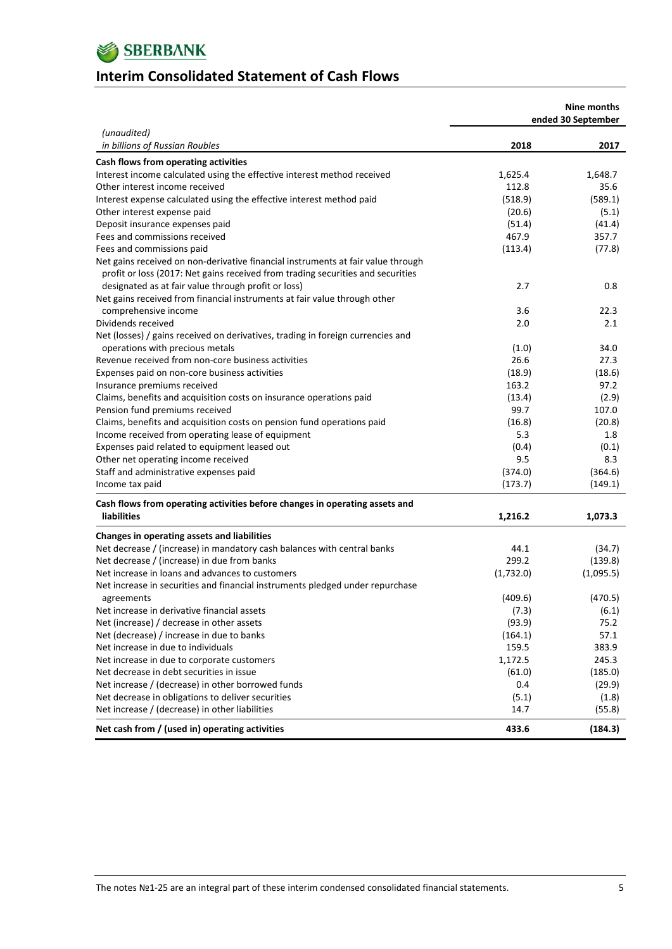

### **Interim Consolidated Statement of Cash Flows**

|                                                                                  |           | Nine months<br>ended 30 September |
|----------------------------------------------------------------------------------|-----------|-----------------------------------|
| (unaudited)<br>in billions of Russian Roubles                                    | 2018      | 2017                              |
| Cash flows from operating activities                                             |           |                                   |
| Interest income calculated using the effective interest method received          | 1,625.4   | 1,648.7                           |
| Other interest income received                                                   | 112.8     | 35.6                              |
| Interest expense calculated using the effective interest method paid             | (518.9)   | (589.1)                           |
| Other interest expense paid                                                      | (20.6)    | (5.1)                             |
| Deposit insurance expenses paid                                                  | (51.4)    | (41.4)                            |
| Fees and commissions received                                                    | 467.9     | 357.7                             |
| Fees and commissions paid                                                        | (113.4)   | (77.8)                            |
| Net gains received on non-derivative financial instruments at fair value through |           |                                   |
| profit or loss (2017: Net gains received from trading securities and securities  |           |                                   |
| designated as at fair value through profit or loss)                              | 2.7       | 0.8                               |
| Net gains received from financial instruments at fair value through other        |           |                                   |
| comprehensive income                                                             | 3.6       | 22.3                              |
| Dividends received                                                               | 2.0       | 2.1                               |
| Net (losses) / gains received on derivatives, trading in foreign currencies and  |           |                                   |
| operations with precious metals                                                  | (1.0)     | 34.0                              |
| Revenue received from non-core business activities                               | 26.6      | 27.3                              |
| Expenses paid on non-core business activities                                    | (18.9)    | (18.6)                            |
| Insurance premiums received                                                      | 163.2     | 97.2                              |
| Claims, benefits and acquisition costs on insurance operations paid              | (13.4)    | (2.9)                             |
| Pension fund premiums received                                                   | 99.7      | 107.0                             |
| Claims, benefits and acquisition costs on pension fund operations paid           | (16.8)    | (20.8)                            |
| Income received from operating lease of equipment                                | 5.3       | 1.8                               |
| Expenses paid related to equipment leased out                                    | (0.4)     | (0.1)                             |
| Other net operating income received                                              | 9.5       | 8.3                               |
| Staff and administrative expenses paid                                           | (374.0)   | (364.6)                           |
| Income tax paid                                                                  | (173.7)   | (149.1)                           |
|                                                                                  |           |                                   |
| Cash flows from operating activities before changes in operating assets and      |           |                                   |
| <b>liabilities</b>                                                               | 1,216.2   | 1,073.3                           |
| Changes in operating assets and liabilities                                      |           |                                   |
| Net decrease / (increase) in mandatory cash balances with central banks          | 44.1      | (34.7)                            |
| Net decrease / (increase) in due from banks                                      | 299.2     | (139.8)                           |
| Net increase in loans and advances to customers                                  | (1,732.0) | (1,095.5)                         |
| Net increase in securities and financial instruments pledged under repurchase    |           |                                   |
| agreements                                                                       | (409.6)   | (470.5)                           |
| Net increase in derivative financial assets                                      | (7.3)     | (6.1)                             |
| Net (increase) / decrease in other assets                                        | (93.9)    | 75.2                              |
| Net (decrease) / increase in due to banks                                        | (164.1)   | 57.1                              |
| Net increase in due to individuals                                               | 159.5     | 383.9                             |
| Net increase in due to corporate customers                                       | 1,172.5   | 245.3                             |
| Net decrease in debt securities in issue                                         | (61.0)    | (185.0)                           |
| Net increase / (decrease) in other borrowed funds                                | 0.4       | (29.9)                            |
| Net decrease in obligations to deliver securities                                | (5.1)     | (1.8)                             |
| Net increase / (decrease) in other liabilities                                   | 14.7      | (55.8)                            |
| Net cash from / (used in) operating activities                                   | 433.6     | (184.3)                           |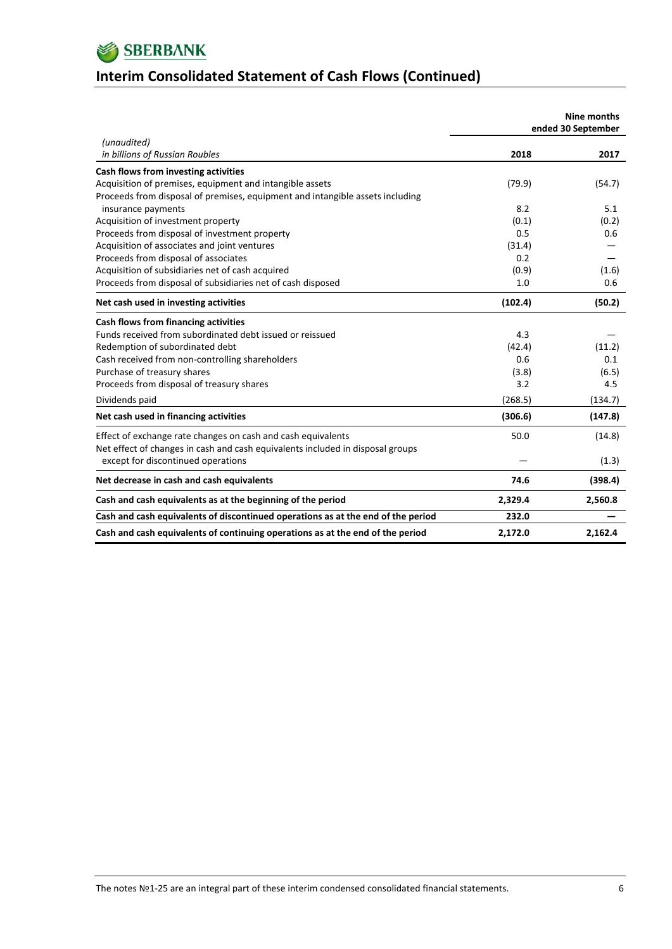

# **Interim Consolidated Statement of Cash Flows (Continued)**

|                                                                                  |              | Nine months<br>ended 30 September |
|----------------------------------------------------------------------------------|--------------|-----------------------------------|
| (unaudited)                                                                      |              |                                   |
| in billions of Russian Roubles                                                   | 2018         | 2017                              |
| Cash flows from investing activities                                             |              |                                   |
| Acquisition of premises, equipment and intangible assets                         | (79.9)       | (54.7)                            |
| Proceeds from disposal of premises, equipment and intangible assets including    |              |                                   |
| insurance payments                                                               | 8.2          | 5.1                               |
| Acquisition of investment property                                               | (0.1)<br>0.5 | (0.2)<br>0.6                      |
| Proceeds from disposal of investment property                                    |              |                                   |
| Acquisition of associates and joint ventures                                     | (31.4)       |                                   |
| Proceeds from disposal of associates                                             | 0.2          |                                   |
| Acquisition of subsidiaries net of cash acquired                                 | (0.9)<br>1.0 | (1.6)<br>0.6                      |
| Proceeds from disposal of subsidiaries net of cash disposed                      |              |                                   |
| Net cash used in investing activities                                            | (102.4)      | (50.2)                            |
| Cash flows from financing activities                                             |              |                                   |
| Funds received from subordinated debt issued or reissued                         | 4.3          |                                   |
| Redemption of subordinated debt                                                  | (42.4)       | (11.2)                            |
| Cash received from non-controlling shareholders                                  | 0.6          | 0.1                               |
| Purchase of treasury shares                                                      | (3.8)        | (6.5)                             |
| Proceeds from disposal of treasury shares                                        | 3.2          | 4.5                               |
| Dividends paid                                                                   | (268.5)      | (134.7)                           |
| Net cash used in financing activities                                            | (306.6)      | (147.8)                           |
| Effect of exchange rate changes on cash and cash equivalents                     | 50.0         | (14.8)                            |
| Net effect of changes in cash and cash equivalents included in disposal groups   |              |                                   |
| except for discontinued operations                                               |              | (1.3)                             |
| Net decrease in cash and cash equivalents                                        | 74.6         | (398.4)                           |
| Cash and cash equivalents as at the beginning of the period                      | 2,329.4      | 2,560.8                           |
| Cash and cash equivalents of discontinued operations as at the end of the period | 232.0        |                                   |
| Cash and cash equivalents of continuing operations as at the end of the period   | 2,172.0      | 2,162.4                           |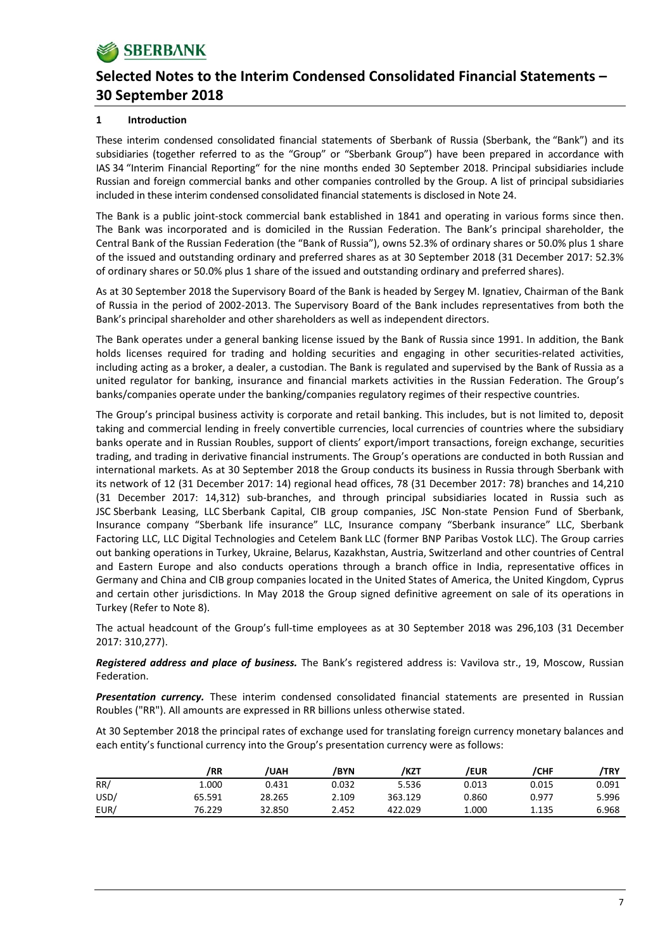### **1 Introduction**

These interim condensed consolidated financial statements of Sberbank of Russia (Sberbank, the "Bank") and its subsidiaries (together referred to as the "Group" or "Sberbank Group") have been prepared in accordance with IAS 34 "Interim Financial Reporting" for the nine months ended 30 September 2018. Principal subsidiaries include Russian and foreign commercial banks and other companies controlled by the Group. A list of principal subsidiaries included in these interim condensed consolidated financial statements is disclosed in Note 24.

The Bank is a public joint‐stock commercial bank established in 1841 and operating in various forms since then. The Bank was incorporated and is domiciled in the Russian Federation. The Bank's principal shareholder, the Central Bank of the Russian Federation (the "Bank of Russia"), owns 52.3% of ordinary shares or 50.0% plus 1 share of the issued and outstanding ordinary and preferred shares as at 30 September 2018 (31 December 2017: 52.3% of ordinary shares or 50.0% plus 1 share of the issued and outstanding ordinary and preferred shares).

As at 30 September 2018 the Supervisory Board of the Bank is headed by Sergey M. Ignatiev, Chairman of the Bank of Russia in the period of 2002‐2013. The Supervisory Board of the Bank includes representatives from both the Bank's principal shareholder and other shareholders as well as independent directors.

The Bank operates under a general banking license issued by the Bank of Russia since 1991. In addition, the Bank holds licenses required for trading and holding securities and engaging in other securities‐related activities, including acting as a broker, a dealer, a custodian. The Bank is regulated and supervised by the Bank of Russia as a united regulator for banking, insurance and financial markets activities in the Russian Federation. The Group's banks/companies operate under the banking/companies regulatory regimes of their respective countries.

The Group's principal business activity is corporate and retail banking. This includes, but is not limited to, deposit taking and commercial lending in freely convertible currencies, local currencies of countries where the subsidiary banks operate and in Russian Roubles, support of clients' export/import transactions, foreign exchange, securities trading, and trading in derivative financial instruments. The Group's operations are conducted in both Russian and international markets. As at 30 September 2018 the Group conducts its business in Russia through Sberbank with its network of 12 (31 December 2017: 14) regional head offices, 78 (31 December 2017: 78) branches and 14,210 (31 December 2017: 14,312) sub‐branches, and through principal subsidiaries located in Russia such as JSC Sberbank Leasing, LLC Sberbank Capital, CIB group companies, JSC Non-state Pension Fund of Sberbank, Insurance company "Sberbank life insurance" LLC, Insurance company "Sberbank insurance" LLC, Sberbank Factoring LLC, LLC Digital Technologies and Cetelem Bank LLC (former BNP Paribas Vostok LLC). The Group carries out banking operations in Turkey, Ukraine, Belarus, Kazakhstan, Austria, Switzerland and other countries of Central and Eastern Europe and also conducts operations through a branch office in India, representative offices in Germany and China and CIB group companies located in the United States of America, the United Kingdom, Cyprus and certain other jurisdictions. In May 2018 the Group signed definitive agreement on sale of its operations in Turkey (Refer to Note 8).

The actual headcount of the Group's full‐time employees as at 30 September 2018 was 296,103 (31 December 2017: 310,277).

*Registered address and place of business.* The Bank's registered address is: Vavilova str., 19, Moscow, Russian Federation.

*Presentation currency.* These interim condensed consolidated financial statements are presented in Russian Roubles ("RR"). All amounts are expressed in RR billions unless otherwise stated.

At 30 September 2018 the principal rates of exchange used for translating foreign currency monetary balances and each entity's functional currency into the Group's presentation currency were as follows:

|      | /RR    | <b>UAH</b> | /BYN  | /kzt    | /EUR  | /СНF  | /TRY  |
|------|--------|------------|-------|---------|-------|-------|-------|
| RR/  | 1.000  | 0.431      | 0.032 | 5.536   | 0.013 | 0.015 | 0.091 |
| USD/ | 65.591 | 28.265     | 2.109 | 363.129 | 0.860 | 0.977 | 5.996 |
| EUR/ | 76.229 | 32.850     | 2.452 | 422.029 | 1.000 | 1.135 | 6.968 |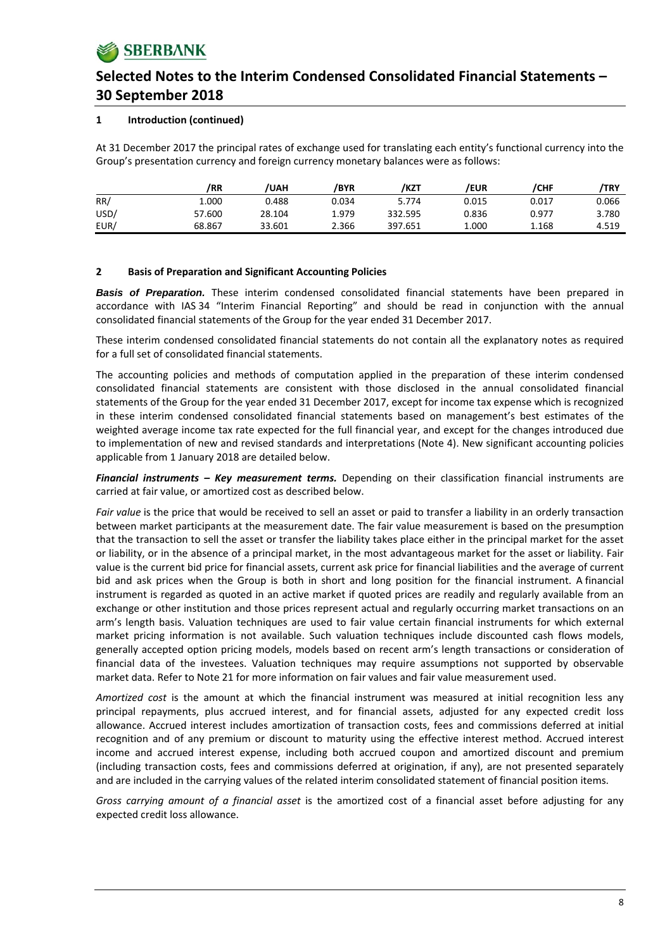### **1 Introduction (continued)**

At 31 December 2017 the principal rates of exchange used for translating each entity's functional currency into the Group's presentation currency and foreign currency monetary balances were as follows:

|      | /RR    | <b>/UAH</b> | /BYR  | /KZT    | /EUR  | /CHF  | /TRY  |
|------|--------|-------------|-------|---------|-------|-------|-------|
| RR/  | 1.000  | 0.488       | 0.034 | 5.774   | 0.015 | 0.017 | 0.066 |
| USD/ | 57.600 | 28.104      | 1.979 | 332.595 | 0.836 | 0.977 | 3.780 |
| EUR/ | 68.867 | 33.601      | 2.366 | 397.651 | 1.000 | 1.168 | 4.519 |

### **2 Basis of Preparation and Significant Accounting Policies**

*Basis of Preparation.* These interim condensed consolidated financial statements have been prepared in accordance with IAS 34 "Interim Financial Reporting" and should be read in conjunction with the annual consolidated financial statements of the Group for the year ended 31 December 2017.

These interim condensed consolidated financial statements do not contain all the explanatory notes as required for a full set of consolidated financial statements.

The accounting policies and methods of computation applied in the preparation of these interim condensed consolidated financial statements are consistent with those disclosed in the annual consolidated financial statements of the Group for the year ended 31 December 2017, except for income tax expense which is recognized in these interim condensed consolidated financial statements based on management's best estimates of the weighted average income tax rate expected for the full financial year, and except for the changes introduced due to implementation of new and revised standards and interpretations (Note 4). New significant accounting policies applicable from 1 January 2018 are detailed below.

*Financial instruments – Key measurement terms.* Depending on their classification financial instruments are carried at fair value, or amortized cost as described below.

*Fair value* is the price that would be received to sell an asset or paid to transfer a liability in an orderly transaction between market participants at the measurement date. The fair value measurement is based on the presumption that the transaction to sell the asset or transfer the liability takes place either in the principal market for the asset or liability, or in the absence of a principal market, in the most advantageous market for the asset or liability. Fair value is the current bid price for financial assets, current ask price for financial liabilities and the average of current bid and ask prices when the Group is both in short and long position for the financial instrument. A financial instrument is regarded as quoted in an active market if quoted prices are readily and regularly available from an exchange or other institution and those prices represent actual and regularly occurring market transactions on an arm's length basis. Valuation techniques are used to fair value certain financial instruments for which external market pricing information is not available. Such valuation techniques include discounted cash flows models, generally accepted option pricing models, models based on recent arm's length transactions or consideration of financial data of the investees. Valuation techniques may require assumptions not supported by observable market data. Refer to Note 21 for more information on fair values and fair value measurement used.

*Amortized cost* is the amount at which the financial instrument was measured at initial recognition less any principal repayments, plus accrued interest, and for financial assets, adjusted for any expected credit loss allowance. Accrued interest includes amortization of transaction costs, fees and commissions deferred at initial recognition and of any premium or discount to maturity using the effective interest method. Accrued interest income and accrued interest expense, including both accrued coupon and amortized discount and premium (including transaction costs, fees and commissions deferred at origination, if any), are not presented separately and are included in the carrying values of the related interim consolidated statement of financial position items.

*Gross carrying amount of a financial asset* is the amortized cost of a financial asset before adjusting for any expected credit loss allowance.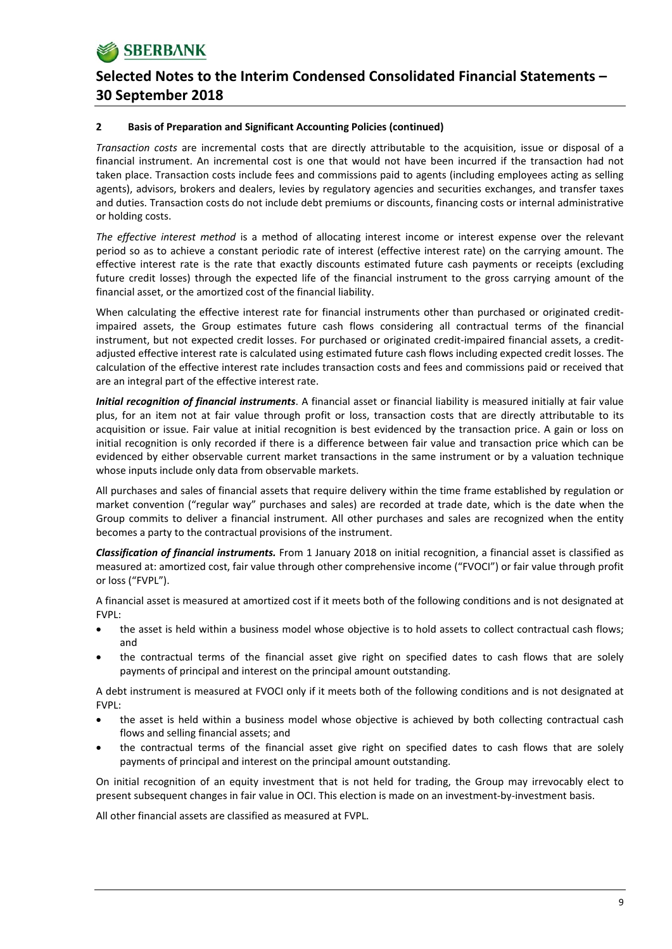#### **2 Basis of Preparation and Significant Accounting Policies (continued)**

*Transaction costs* are incremental costs that are directly attributable to the acquisition, issue or disposal of a financial instrument. An incremental cost is one that would not have been incurred if the transaction had not taken place. Transaction costs include fees and commissions paid to agents (including employees acting as selling agents), advisors, brokers and dealers, levies by regulatory agencies and securities exchanges, and transfer taxes and duties. Transaction costs do not include debt premiums or discounts, financing costs or internal administrative or holding costs.

*The effective interest method* is a method of allocating interest income or interest expense over the relevant period so as to achieve a constant periodic rate of interest (effective interest rate) on the carrying amount. The effective interest rate is the rate that exactly discounts estimated future cash payments or receipts (excluding future credit losses) through the expected life of the financial instrument to the gross carrying amount of the financial asset, or the amortized cost of the financial liability.

When calculating the effective interest rate for financial instruments other than purchased or originated creditimpaired assets, the Group estimates future cash flows considering all contractual terms of the financial instrument, but not expected credit losses. For purchased or originated credit‐impaired financial assets, a credit‐ adjusted effective interest rate is calculated using estimated future cash flows including expected credit losses. The calculation of the effective interest rate includes transaction costs and fees and commissions paid or received that are an integral part of the effective interest rate.

*Initial recognition of financial instruments*. A financial asset or financial liability is measured initially at fair value plus, for an item not at fair value through profit or loss, transaction costs that are directly attributable to its acquisition or issue. Fair value at initial recognition is best evidenced by the transaction price. A gain or loss on initial recognition is only recorded if there is a difference between fair value and transaction price which can be evidenced by either observable current market transactions in the same instrument or by a valuation technique whose inputs include only data from observable markets.

All purchases and sales of financial assets that require delivery within the time frame established by regulation or market convention ("regular way" purchases and sales) are recorded at trade date, which is the date when the Group commits to deliver a financial instrument. All other purchases and sales are recognized when the entity becomes a party to the contractual provisions of the instrument.

*Classification of financial instruments.* From 1 January 2018 on initial recognition, a financial asset is classified as measured at: amortized cost, fair value through other comprehensive income ("FVOCI") or fair value through profit or loss ("FVPL").

A financial asset is measured at amortized cost if it meets both of the following conditions and is not designated at FVPL:

- the asset is held within a business model whose objective is to hold assets to collect contractual cash flows; and
- the contractual terms of the financial asset give right on specified dates to cash flows that are solely payments of principal and interest on the principal amount outstanding.

A debt instrument is measured at FVOCI only if it meets both of the following conditions and is not designated at FVPL:

- the asset is held within a business model whose objective is achieved by both collecting contractual cash flows and selling financial assets; and
- the contractual terms of the financial asset give right on specified dates to cash flows that are solely payments of principal and interest on the principal amount outstanding.

On initial recognition of an equity investment that is not held for trading, the Group may irrevocably elect to present subsequent changes in fair value in OCI. This election is made on an investment‐by‐investment basis.

All other financial assets are classified as measured at FVPL.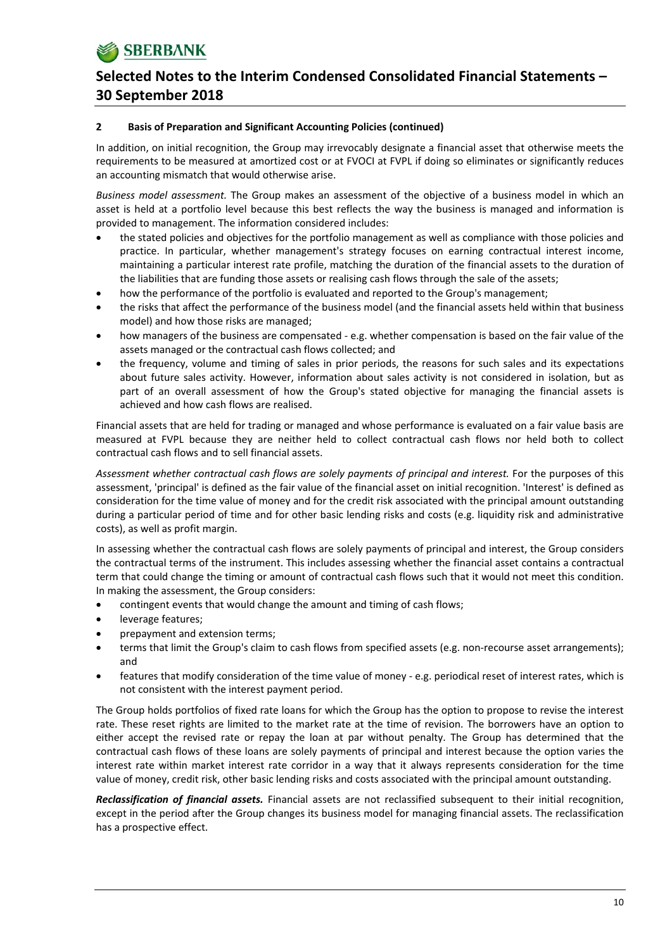#### **2 Basis of Preparation and Significant Accounting Policies (continued)**

In addition, on initial recognition, the Group may irrevocably designate a financial asset that otherwise meets the requirements to be measured at amortized cost or at FVOCI at FVPL if doing so eliminates or significantly reduces an accounting mismatch that would otherwise arise.

*Business model assessment.* The Group makes an assessment of the objective of a business model in which an asset is held at a portfolio level because this best reflects the way the business is managed and information is provided to management. The information considered includes:

- the stated policies and objectives for the portfolio management as well as compliance with those policies and practice. In particular, whether management's strategy focuses on earning contractual interest income, maintaining a particular interest rate profile, matching the duration of the financial assets to the duration of the liabilities that are funding those assets or realising cash flows through the sale of the assets;
- how the performance of the portfolio is evaluated and reported to the Group's management;
- the risks that affect the performance of the business model (and the financial assets held within that business model) and how those risks are managed;
- how managers of the business are compensated e.g. whether compensation is based on the fair value of the assets managed or the contractual cash flows collected; and
- the frequency, volume and timing of sales in prior periods, the reasons for such sales and its expectations about future sales activity. However, information about sales activity is not considered in isolation, but as part of an overall assessment of how the Group's stated objective for managing the financial assets is achieved and how cash flows are realised.

Financial assets that are held for trading or managed and whose performance is evaluated on a fair value basis are measured at FVPL because they are neither held to collect contractual cash flows nor held both to collect contractual cash flows and to sell financial assets.

*Assessment whether contractual cash flows are solely payments of principal and interest.* For the purposes of this assessment, 'principal' is defined as the fair value of the financial asset on initial recognition. 'Interest' is defined as consideration for the time value of money and for the credit risk associated with the principal amount outstanding during a particular period of time and for other basic lending risks and costs (e.g. liquidity risk and administrative costs), as well as profit margin.

In assessing whether the contractual cash flows are solely payments of principal and interest, the Group considers the contractual terms of the instrument. This includes assessing whether the financial asset contains a contractual term that could change the timing or amount of contractual cash flows such that it would not meet this condition. In making the assessment, the Group considers:

- contingent events that would change the amount and timing of cash flows;
- leverage features;
- prepayment and extension terms;
- terms that limit the Group's claim to cash flows from specified assets (e.g. non-recourse asset arrangements); and
- features that modify consideration of the time value of money ‐ e.g. periodical reset of interest rates, which is not consistent with the interest payment period.

The Group holds portfolios of fixed rate loans for which the Group has the option to propose to revise the interest rate. These reset rights are limited to the market rate at the time of revision. The borrowers have an option to either accept the revised rate or repay the loan at par without penalty. The Group has determined that the contractual cash flows of these loans are solely payments of principal and interest because the option varies the interest rate within market interest rate corridor in a way that it always represents consideration for the time value of money, credit risk, other basic lending risks and costs associated with the principal amount outstanding.

*Reclassification of financial assets.* Financial assets are not reclassified subsequent to their initial recognition, except in the period after the Group changes its business model for managing financial assets. The reclassification has a prospective effect.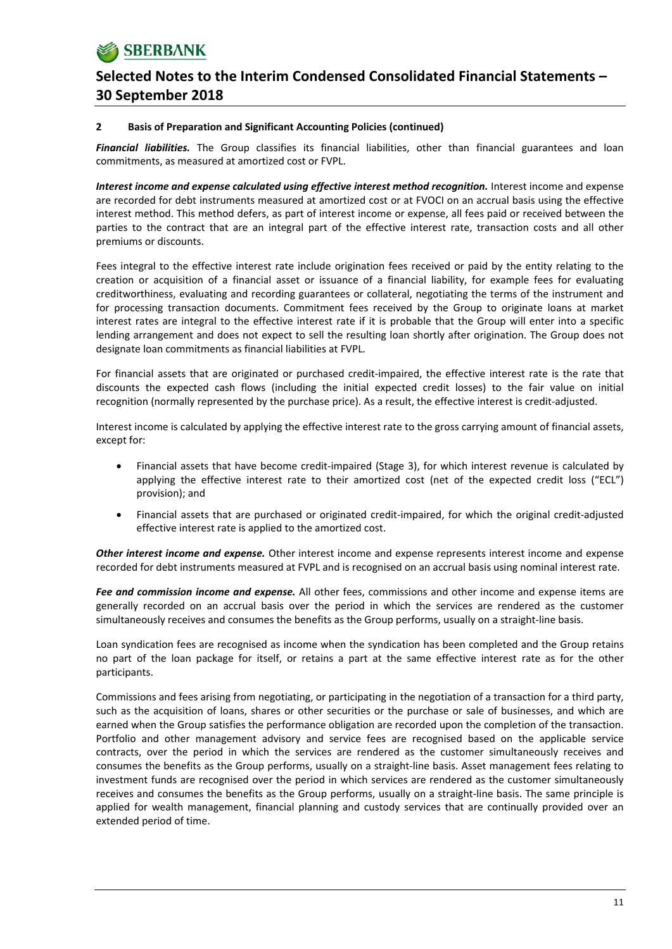#### **2 Basis of Preparation and Significant Accounting Policies (continued)**

*Financial liabilities.* The Group classifies its financial liabilities, other than financial guarantees and loan commitments, as measured at amortized cost or FVPL.

*Interest income and expense calculated using effective interest method recognition.* Interest income and expense are recorded for debt instruments measured at amortized cost or at FVOCI on an accrual basis using the effective interest method. This method defers, as part of interest income or expense, all fees paid or received between the parties to the contract that are an integral part of the effective interest rate, transaction costs and all other premiums or discounts.

Fees integral to the effective interest rate include origination fees received or paid by the entity relating to the creation or acquisition of a financial asset or issuance of a financial liability, for example fees for evaluating creditworthiness, evaluating and recording guarantees or collateral, negotiating the terms of the instrument and for processing transaction documents. Commitment fees received by the Group to originate loans at market interest rates are integral to the effective interest rate if it is probable that the Group will enter into a specific lending arrangement and does not expect to sell the resulting loan shortly after origination. The Group does not designate loan commitments as financial liabilities at FVPL.

For financial assets that are originated or purchased credit‐impaired, the effective interest rate is the rate that discounts the expected cash flows (including the initial expected credit losses) to the fair value on initial recognition (normally represented by the purchase price). As a result, the effective interest is credit‐adjusted.

Interest income is calculated by applying the effective interest rate to the gross carrying amount of financial assets, except for:

- Financial assets that have become credit‐impaired (Stage 3), for which interest revenue is calculated by applying the effective interest rate to their amortized cost (net of the expected credit loss ("ECL") provision); and
- Financial assets that are purchased or originated credit‐impaired, for which the original credit‐adjusted effective interest rate is applied to the amortized cost.

*Other interest income and expense.* Other interest income and expense represents interest income and expense recorded for debt instruments measured at FVPL and is recognised on an accrual basis using nominal interest rate.

*Fee and commission income and expense.* All other fees, commissions and other income and expense items are generally recorded on an accrual basis over the period in which the services are rendered as the customer simultaneously receives and consumes the benefits as the Group performs, usually on a straight-line basis.

Loan syndication fees are recognised as income when the syndication has been completed and the Group retains no part of the loan package for itself, or retains a part at the same effective interest rate as for the other participants.

Commissions and fees arising from negotiating, or participating in the negotiation of a transaction for a third party, such as the acquisition of loans, shares or other securities or the purchase or sale of businesses, and which are earned when the Group satisfies the performance obligation are recorded upon the completion of the transaction. Portfolio and other management advisory and service fees are recognised based on the applicable service contracts, over the period in which the services are rendered as the customer simultaneously receives and consumes the benefits as the Group performs, usually on a straight‐line basis. Asset management fees relating to investment funds are recognised over the period in which services are rendered as the customer simultaneously receives and consumes the benefits as the Group performs, usually on a straight‐line basis. The same principle is applied for wealth management, financial planning and custody services that are continually provided over an extended period of time.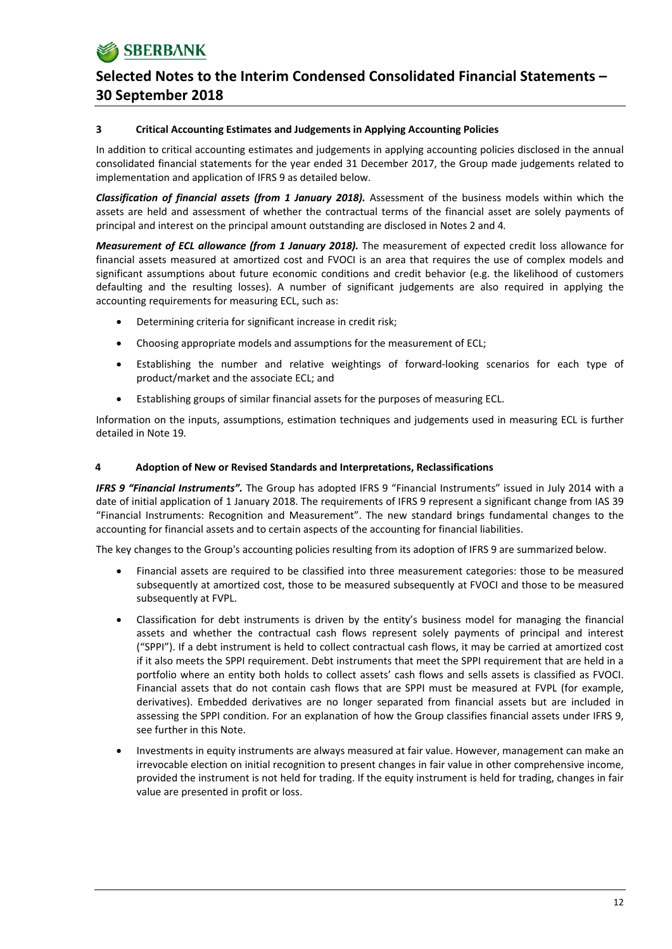#### **3 Critical Accounting Estimates and Judgements in Applying Accounting Policies**

In addition to critical accounting estimates and judgements in applying accounting policies disclosed in the annual consolidated financial statements for the year ended 31 December 2017, the Group made judgements related to implementation and application of IFRS 9 as detailed below.

*Classification of financial assets (from 1 January 2018).* Assessment of the business models within which the assets are held and assessment of whether the contractual terms of the financial asset are solely payments of principal and interest on the principal amount outstanding are disclosed in Notes 2 and 4*.*

*Measurement of ECL allowance (from 1 January 2018).* The measurement of expected credit loss allowance for financial assets measured at amortized cost and FVOCI is an area that requires the use of complex models and significant assumptions about future economic conditions and credit behavior (e.g. the likelihood of customers defaulting and the resulting losses). A number of significant judgements are also required in applying the accounting requirements for measuring ECL, such as:

- Determining criteria for significant increase in credit risk;
- Choosing appropriate models and assumptions for the measurement of ECL;
- Establishing the number and relative weightings of forward‐looking scenarios for each type of product/market and the associate ECL; and
- Establishing groups of similar financial assets for the purposes of measuring ECL.

Information on the inputs, assumptions, estimation techniques and judgements used in measuring ECL is further detailed in Note 19*.*

### **4 Adoption of New or Revised Standards and Interpretations, Reclassifications**

*IFRS 9 "Financial Instruments".* The Group has adopted IFRS 9 "Financial Instruments" issued in July 2014 with a date of initial application of 1 January 2018. The requirements of IFRS 9 represent a significant change from IAS 39 "Financial Instruments: Recognition and Measurement". The new standard brings fundamental changes to the accounting for financial assets and to certain aspects of the accounting for financial liabilities.

The key changes to the Group's accounting policies resulting from its adoption of IFRS 9 are summarized below.

- Financial assets are required to be classified into three measurement categories: those to be measured subsequently at amortized cost, those to be measured subsequently at FVOCI and those to be measured subsequently at FVPL.
- Classification for debt instruments is driven by the entity's business model for managing the financial assets and whether the contractual cash flows represent solely payments of principal and interest ("SPPI"). If a debt instrument is held to collect contractual cash flows, it may be carried at amortized cost if it also meets the SPPI requirement. Debt instruments that meet the SPPI requirement that are held in a portfolio where an entity both holds to collect assets' cash flows and sells assets is classified as FVOCI. Financial assets that do not contain cash flows that are SPPI must be measured at FVPL (for example, derivatives). Embedded derivatives are no longer separated from financial assets but are included in assessing the SPPI condition. For an explanation of how the Group classifies financial assets under IFRS 9, see further in this Note.
- Investments in equity instruments are always measured at fair value. However, management can make an irrevocable election on initial recognition to present changes in fair value in other comprehensive income, provided the instrument is not held for trading. If the equity instrument is held for trading, changes in fair value are presented in profit or loss.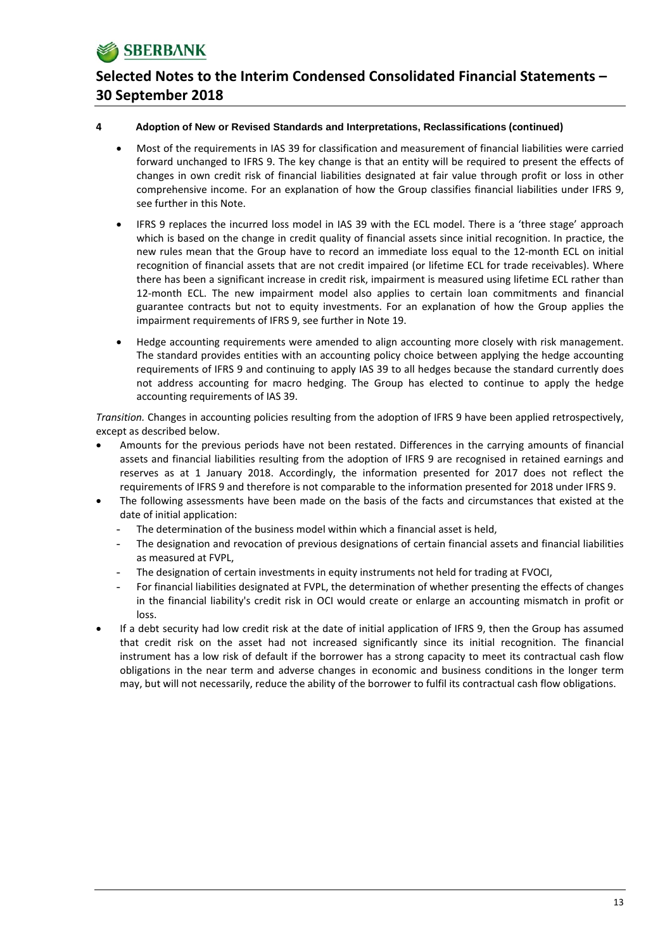#### **4 Adoption of New or Revised Standards and Interpretations, Reclassifications (continued)**

- Most of the requirements in IAS 39 for classification and measurement of financial liabilities were carried forward unchanged to IFRS 9. The key change is that an entity will be required to present the effects of changes in own credit risk of financial liabilities designated at fair value through profit or loss in other comprehensive income. For an explanation of how the Group classifies financial liabilities under IFRS 9, see further in this Note.
- IFRS 9 replaces the incurred loss model in IAS 39 with the ECL model. There is a 'three stage' approach which is based on the change in credit quality of financial assets since initial recognition. In practice, the new rules mean that the Group have to record an immediate loss equal to the 12‐month ECL on initial recognition of financial assets that are not credit impaired (or lifetime ECL for trade receivables). Where there has been a significant increase in credit risk, impairment is measured using lifetime ECL rather than 12-month ECL. The new impairment model also applies to certain loan commitments and financial guarantee contracts but not to equity investments. For an explanation of how the Group applies the impairment requirements of IFRS 9, see further in Note 19.
- Hedge accounting requirements were amended to align accounting more closely with risk management. The standard provides entities with an accounting policy choice between applying the hedge accounting requirements of IFRS 9 and continuing to apply IAS 39 to all hedges because the standard currently does not address accounting for macro hedging. The Group has elected to continue to apply the hedge accounting requirements of IAS 39.

*Transition.* Changes in accounting policies resulting from the adoption of IFRS 9 have been applied retrospectively, except as described below.

- Amounts for the previous periods have not been restated. Differences in the carrying amounts of financial assets and financial liabilities resulting from the adoption of IFRS 9 are recognised in retained earnings and reserves as at 1 January 2018. Accordingly, the information presented for 2017 does not reflect the requirements of IFRS 9 and therefore is not comparable to the information presented for 2018 under IFRS 9.
- The following assessments have been made on the basis of the facts and circumstances that existed at the date of initial application:
	- The determination of the business model within which a financial asset is held,
	- The designation and revocation of previous designations of certain financial assets and financial liabilities as measured at FVPL,
	- The designation of certain investments in equity instruments not held for trading at FVOCI,
	- For financial liabilities designated at FVPL, the determination of whether presenting the effects of changes in the financial liability's credit risk in OCI would create or enlarge an accounting mismatch in profit or loss.
- If a debt security had low credit risk at the date of initial application of IFRS 9, then the Group has assumed that credit risk on the asset had not increased significantly since its initial recognition. The financial instrument has a low risk of default if the borrower has a strong capacity to meet its contractual cash flow obligations in the near term and adverse changes in economic and business conditions in the longer term may, but will not necessarily, reduce the ability of the borrower to fulfil its contractual cash flow obligations.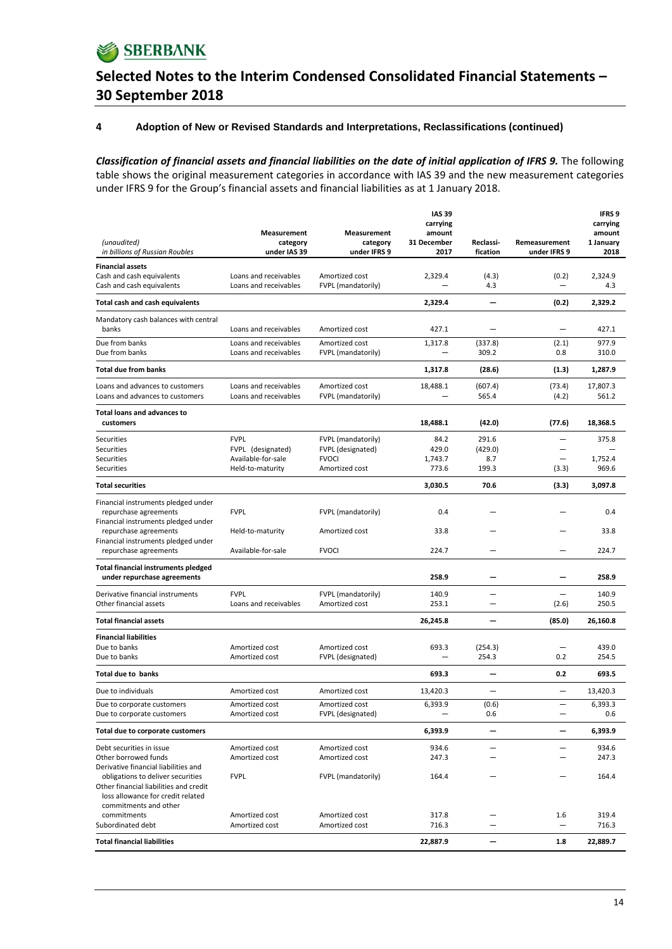

#### **4 Adoption of New or Revised Standards and Interpretations, Reclassifications (continued)**

Classification of financial assets and financial liabilities on the date of initial application of IFRS 9. The following table shows the original measurement categories in accordance with IAS 39 and the new measurement categories under IFRS 9 for the Group's financial assets and financial liabilities as at 1 January 2018.

|                                                                             |                                                |                                         | <b>IAS 39</b><br>carrying           |                          |                                                      | <b>IFRS 9</b><br>carrying |
|-----------------------------------------------------------------------------|------------------------------------------------|-----------------------------------------|-------------------------------------|--------------------------|------------------------------------------------------|---------------------------|
|                                                                             | Measurement                                    | Measurement                             | amount                              |                          |                                                      | amount                    |
| (unaudited)<br>in billions of Russian Roubles                               | category<br>under IAS 39                       | category<br>under IFRS 9                | 31 December<br>2017                 | Reclassi-<br>fication    | Remeasurement<br>under IFRS 9                        | 1 January<br>2018         |
| <b>Financial assets</b>                                                     |                                                |                                         |                                     |                          |                                                      |                           |
| Cash and cash equivalents                                                   | Loans and receivables                          | Amortized cost                          | 2,329.4                             | (4.3)                    | (0.2)                                                | 2,324.9                   |
| Cash and cash equivalents                                                   | Loans and receivables                          | FVPL (mandatorily)                      |                                     | 4.3                      |                                                      | 4.3                       |
| Total cash and cash equivalents                                             |                                                |                                         | 2,329.4                             |                          | (0.2)                                                | 2,329.2                   |
| Mandatory cash balances with central                                        |                                                |                                         |                                     |                          |                                                      |                           |
| banks                                                                       | Loans and receivables                          | Amortized cost                          | 427.1                               |                          |                                                      | 427.1                     |
| Due from banks<br>Due from banks                                            | Loans and receivables<br>Loans and receivables | Amortized cost<br>FVPL (mandatorily)    | 1,317.8<br>$\overline{\phantom{0}}$ | (337.8)<br>309.2         | (2.1)<br>0.8                                         | 977.9<br>310.0            |
|                                                                             |                                                |                                         |                                     |                          |                                                      |                           |
| <b>Total due from banks</b>                                                 |                                                |                                         | 1,317.8                             | (28.6)                   | (1.3)                                                | 1,287.9                   |
| Loans and advances to customers<br>Loans and advances to customers          | Loans and receivables<br>Loans and receivables | Amortized cost<br>FVPL (mandatorily)    | 18,488.1                            | (607.4)<br>565.4         | (73.4)<br>(4.2)                                      | 17,807.3<br>561.2         |
| <b>Total loans and advances to</b><br>customers                             |                                                |                                         | 18,488.1                            | (42.0)                   | (77.6)                                               | 18,368.5                  |
|                                                                             |                                                |                                         |                                     |                          |                                                      |                           |
| <b>Securities</b><br><b>Securities</b>                                      | <b>FVPL</b><br>FVPL (designated)               | FVPL (mandatorily)<br>FVPL (designated) | 84.2<br>429.0                       | 291.6<br>(429.0)         | $\overline{\phantom{0}}$<br>$\overline{\phantom{0}}$ | 375.8                     |
| <b>Securities</b>                                                           | Available-for-sale                             | <b>FVOCI</b>                            | 1,743.7                             | 8.7                      | $\overline{\phantom{0}}$                             | 1,752.4                   |
| <b>Securities</b>                                                           | Held-to-maturity                               | Amortized cost                          | 773.6                               | 199.3                    | (3.3)                                                | 969.6                     |
| <b>Total securities</b>                                                     |                                                |                                         | 3,030.5                             | 70.6                     | (3.3)                                                | 3,097.8                   |
| Financial instruments pledged under                                         |                                                |                                         |                                     |                          |                                                      |                           |
| repurchase agreements                                                       | <b>FVPL</b>                                    | FVPL (mandatorily)                      | 0.4                                 |                          |                                                      | 0.4                       |
| Financial instruments pledged under<br>repurchase agreements                | Held-to-maturity                               | Amortized cost                          | 33.8                                |                          |                                                      | 33.8                      |
| Financial instruments pledged under                                         |                                                |                                         |                                     |                          |                                                      |                           |
| repurchase agreements                                                       | Available-for-sale                             | <b>FVOCI</b>                            | 224.7                               | -                        | -                                                    | 224.7                     |
| <b>Total financial instruments pledged</b><br>under repurchase agreements   |                                                |                                         | 258.9                               | -                        |                                                      | 258.9                     |
| Derivative financial instruments                                            | <b>FVPL</b>                                    | FVPL (mandatorily)                      | 140.9                               |                          |                                                      | 140.9                     |
| Other financial assets                                                      | Loans and receivables                          | Amortized cost                          | 253.1                               | -                        | (2.6)                                                | 250.5                     |
| <b>Total financial assets</b>                                               |                                                |                                         | 26,245.8                            |                          | (85.0)                                               | 26,160.8                  |
| <b>Financial liabilities</b>                                                |                                                |                                         |                                     |                          |                                                      |                           |
| Due to banks<br>Due to banks                                                | Amortized cost<br>Amortized cost               | Amortized cost<br>FVPL (designated)     | 693.3<br>$\overline{\phantom{0}}$   | (254.3)<br>254.3         | 0.2                                                  | 439.0<br>254.5            |
|                                                                             |                                                |                                         |                                     |                          |                                                      |                           |
| <b>Total due to banks</b>                                                   |                                                |                                         | 693.3                               | $\overline{\phantom{0}}$ | 0.2                                                  | 693.5                     |
| Due to individuals                                                          | Amortized cost                                 | Amortized cost                          | 13,420.3                            | $\overline{\phantom{0}}$ | —                                                    | 13,420.3                  |
| Due to corporate customers<br>Due to corporate customers                    | Amortized cost<br>Amortized cost               | Amortized cost<br>FVPL (designated)     | 6,393.9                             | (0.6)<br>0.6             | $\equiv$                                             | 6,393.3<br>0.6            |
|                                                                             |                                                |                                         |                                     |                          |                                                      |                           |
| Total due to corporate customers                                            |                                                |                                         | 6,393.9                             | —                        | —                                                    | 6,393.9                   |
| Debt securities in issue<br>Other borrowed funds                            | Amortized cost<br>Amortized cost               | Amortized cost<br>Amortized cost        | 934.6<br>247.3                      | $\overline{\phantom{0}}$ | —                                                    | 934.6<br>247.3            |
| Derivative financial liabilities and                                        |                                                |                                         |                                     |                          |                                                      |                           |
| obligations to deliver securities                                           | <b>FVPL</b>                                    | FVPL (mandatorily)                      | 164.4                               |                          |                                                      | 164.4                     |
| Other financial liabilities and credit<br>loss allowance for credit related |                                                |                                         |                                     |                          |                                                      |                           |
| commitments and other<br>commitments                                        | Amortized cost                                 | Amortized cost                          | 317.8                               |                          | 1.6                                                  | 319.4                     |
| Subordinated debt                                                           | Amortized cost                                 | Amortized cost                          | 716.3                               |                          | $\overline{\phantom{0}}$                             | 716.3                     |
| <b>Total financial liabilities</b>                                          |                                                |                                         | 22,887.9                            | —                        | 1.8                                                  | 22,889.7                  |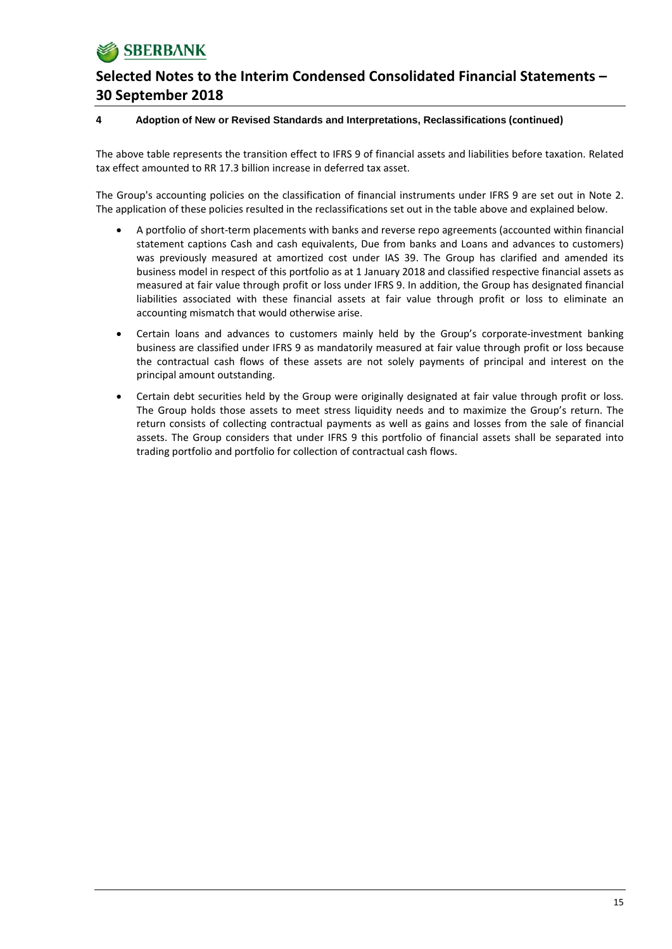

#### **4 Adoption of New or Revised Standards and Interpretations, Reclassifications (continued)**

The above table represents the transition effect to IFRS 9 of financial assets and liabilities before taxation. Related tax effect amounted to RR 17.3 billion increase in deferred tax asset.

The Group's accounting policies on the classification of financial instruments under IFRS 9 are set out in Note 2. The application of these policies resulted in the reclassifications set out in the table above and explained below.

- A portfolio of short‐term placements with banks and reverse repo agreements (accounted within financial statement captions Cash and cash equivalents, Due from banks and Loans and advances to customers) was previously measured at amortized cost under IAS 39. The Group has clarified and amended its business model in respect of this portfolio as at 1 January 2018 and classified respective financial assets as measured at fair value through profit or loss under IFRS 9. In addition, the Group has designated financial liabilities associated with these financial assets at fair value through profit or loss to eliminate an accounting mismatch that would otherwise arise.
- Certain loans and advances to customers mainly held by the Group's corporate‐investment banking business are classified under IFRS 9 as mandatorily measured at fair value through profit or loss because the contractual cash flows of these assets are not solely payments of principal and interest on the principal amount outstanding.
- Certain debt securities held by the Group were originally designated at fair value through profit or loss. The Group holds those assets to meet stress liquidity needs and to maximize the Group's return. The return consists of collecting contractual payments as well as gains and losses from the sale of financial assets. The Group considers that under IFRS 9 this portfolio of financial assets shall be separated into trading portfolio and portfolio for collection of contractual cash flows.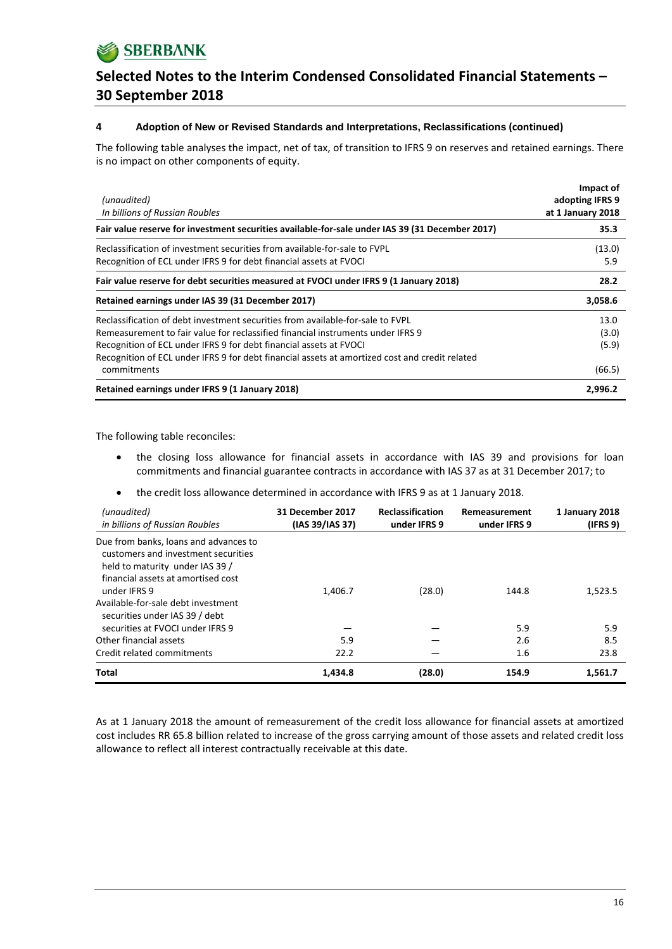### **4 Adoption of New or Revised Standards and Interpretations, Reclassifications (continued)**

The following table analyses the impact, net of tax, of transition to IFRS 9 on reserves and retained earnings. There is no impact on other components of equity.

| (unaudited)<br>In billions of Russian Roubles                                                                                                                                                                                                                                                                                                            | Impact of<br>adopting IFRS 9<br>at 1 January 2018 |
|----------------------------------------------------------------------------------------------------------------------------------------------------------------------------------------------------------------------------------------------------------------------------------------------------------------------------------------------------------|---------------------------------------------------|
| Fair value reserve for investment securities available-for-sale under IAS 39 (31 December 2017)                                                                                                                                                                                                                                                          | 35.3                                              |
| Reclassification of investment securities from available-for-sale to FVPL<br>Recognition of ECL under IFRS 9 for debt financial assets at FVOCI                                                                                                                                                                                                          | (13.0)<br>5.9                                     |
| Fair value reserve for debt securities measured at FVOCI under IFRS 9 (1 January 2018)                                                                                                                                                                                                                                                                   | 28.2                                              |
| Retained earnings under IAS 39 (31 December 2017)                                                                                                                                                                                                                                                                                                        | 3,058.6                                           |
| Reclassification of debt investment securities from available-for-sale to FVPL<br>Remeasurement to fair value for reclassified financial instruments under IFRS 9<br>Recognition of ECL under IFRS 9 for debt financial assets at FVOCI<br>Recognition of ECL under IFRS 9 for debt financial assets at amortized cost and credit related<br>commitments | 13.0<br>(3.0)<br>(5.9)<br>(66.5)                  |
| Retained earnings under IFRS 9 (1 January 2018)                                                                                                                                                                                                                                                                                                          | 2,996.2                                           |

The following table reconciles:

- the closing loss allowance for financial assets in accordance with IAS 39 and provisions for loan commitments and financial guarantee contracts in accordance with IAS 37 as at 31 December 2017; to
- the credit loss allowance determined in accordance with IFRS 9 as at 1 January 2018.

| (unaudited)<br>in billions of Russian Roubles                                                                                                                                                                                                 | 31 December 2017<br>(IAS 39/IAS 37) | <b>Reclassification</b><br>under IFRS 9 | Remeasurement<br>under IFRS 9 | 1 January 2018<br>(IFRS 9) |
|-----------------------------------------------------------------------------------------------------------------------------------------------------------------------------------------------------------------------------------------------|-------------------------------------|-----------------------------------------|-------------------------------|----------------------------|
| Due from banks, loans and advances to<br>customers and investment securities<br>held to maturity under IAS 39 /<br>financial assets at amortised cost<br>under IFRS 9<br>Available-for-sale debt investment<br>securities under IAS 39 / debt | 1,406.7                             | (28.0)                                  | 144.8                         | 1,523.5                    |
| securities at FVOCI under IFRS 9                                                                                                                                                                                                              |                                     |                                         | 5.9                           | 5.9                        |
| Other financial assets                                                                                                                                                                                                                        | 5.9                                 |                                         | 2.6                           | 8.5                        |
| Credit related commitments                                                                                                                                                                                                                    | 22.2                                |                                         | 1.6                           | 23.8                       |
| <b>Total</b>                                                                                                                                                                                                                                  | 1,434.8                             | (28.0)                                  | 154.9                         | 1,561.7                    |

As at 1 January 2018 the amount of remeasurement of the credit loss allowance for financial assets at amortized cost includes RR 65.8 billion related to increase of the gross carrying amount of those assets and related credit loss allowance to reflect all interest contractually receivable at this date.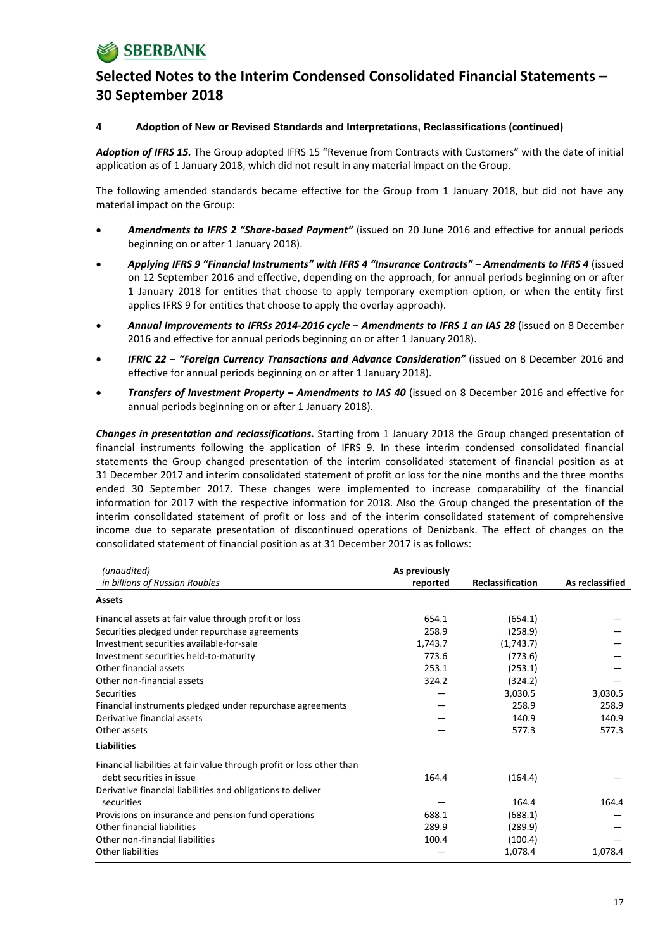### **4 Adoption of New or Revised Standards and Interpretations, Reclassifications (continued)**

*Adoption of IFRS 15.* The Group adopted IFRS 15 "Revenue from Contracts with Customers" with the date of initial application as of 1 January 2018, which did not result in any material impact on the Group.

The following amended standards became effective for the Group from 1 January 2018, but did not have any material impact on the Group:

- *Amendments to IFRS 2 "Share‐based Payment"* (issued on 20 June 2016 and effective for annual periods beginning on or after 1 January 2018).
- *Applying IFRS 9 "Financial Instruments" with IFRS 4 "Insurance Contracts" ‒ Amendments to IFRS 4* (issued on 12 September 2016 and effective, depending on the approach, for annual periods beginning on or after 1 January 2018 for entities that choose to apply temporary exemption option, or when the entity first applies IFRS 9 for entities that choose to apply the overlay approach).
- *Annual Improvements to IFRSs 2014‐2016 cycle ‒ Amendments to IFRS 1 an IAS 28* (issued on 8 December 2016 and effective for annual periods beginning on or after 1 January 2018).
- *IFRIC 22 ‒ "Foreign Currency Transactions and Advance Consideration"* (issued on 8 December 2016 and effective for annual periods beginning on or after 1 January 2018).
- *Transfers of Investment Property ‒ Amendments to IAS 40* (issued on 8 December 2016 and effective for annual periods beginning on or after 1 January 2018).

*Changes in presentation and reclassifications.* Starting from 1 January 2018 the Group changed presentation of financial instruments following the application of IFRS 9. In these interim condensed consolidated financial statements the Group changed presentation of the interim consolidated statement of financial position as at 31 December 2017 and interim consolidated statement of profit or loss for the nine months and the three months ended 30 September 2017. These changes were implemented to increase comparability of the financial information for 2017 with the respective information for 2018. Also the Group changed the presentation of the interim consolidated statement of profit or loss and of the interim consolidated statement of comprehensive income due to separate presentation of discontinued operations of Denizbank. The effect of changes on the consolidated statement of financial position as at 31 December 2017 is as follows:

| (unaudited)                                                           | As previously |                  |                 |
|-----------------------------------------------------------------------|---------------|------------------|-----------------|
| in billions of Russian Roubles                                        | reported      | Reclassification | As reclassified |
| <b>Assets</b>                                                         |               |                  |                 |
| Financial assets at fair value through profit or loss                 | 654.1         | (654.1)          |                 |
| Securities pledged under repurchase agreements                        | 258.9         | (258.9)          |                 |
| Investment securities available-for-sale                              | 1,743.7       | (1,743.7)        |                 |
| Investment securities held-to-maturity                                | 773.6         | (773.6)          |                 |
| Other financial assets                                                | 253.1         | (253.1)          |                 |
| Other non-financial assets                                            | 324.2         | (324.2)          |                 |
| Securities                                                            |               | 3,030.5          | 3,030.5         |
| Financial instruments pledged under repurchase agreements             |               | 258.9            | 258.9           |
| Derivative financial assets                                           |               | 140.9            | 140.9           |
| Other assets                                                          |               | 577.3            | 577.3           |
| <b>Liabilities</b>                                                    |               |                  |                 |
| Financial liabilities at fair value through profit or loss other than |               |                  |                 |
| debt securities in issue                                              | 164.4         | (164.4)          |                 |
| Derivative financial liabilities and obligations to deliver           |               |                  |                 |
| securities                                                            |               | 164.4            | 164.4           |
| Provisions on insurance and pension fund operations                   | 688.1         | (688.1)          |                 |
| Other financial liabilities                                           | 289.9         | (289.9)          |                 |
| Other non-financial liabilities                                       | 100.4         | (100.4)          |                 |
| <b>Other liabilities</b>                                              |               | 1,078.4          | 1,078.4         |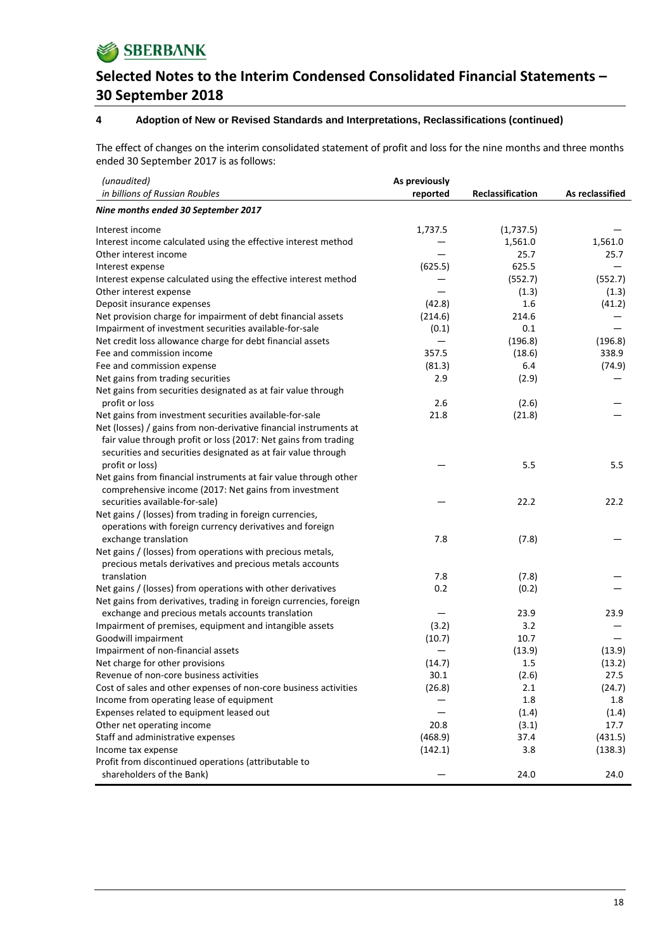

#### **4 Adoption of New or Revised Standards and Interpretations, Reclassifications (continued)**

The effect of changes on the interim consolidated statement of profit and loss for the nine months and three months ended 30 September 2017 is as follows:

| (unaudited)                                                        | As previously |                  |                 |
|--------------------------------------------------------------------|---------------|------------------|-----------------|
| in billions of Russian Roubles                                     | reported      | Reclassification | As reclassified |
| Nine months ended 30 September 2017                                |               |                  |                 |
| Interest income                                                    | 1,737.5       | (1,737.5)        |                 |
| Interest income calculated using the effective interest method     |               | 1,561.0          | 1,561.0         |
| Other interest income                                              |               | 25.7             | 25.7            |
| Interest expense                                                   | (625.5)       | 625.5            |                 |
| Interest expense calculated using the effective interest method    |               | (552.7)          | (552.7)         |
| Other interest expense                                             |               | (1.3)            | (1.3)           |
| Deposit insurance expenses                                         | (42.8)        | 1.6              | (41.2)          |
| Net provision charge for impairment of debt financial assets       | (214.6)       | 214.6            |                 |
| Impairment of investment securities available-for-sale             | (0.1)         | 0.1              |                 |
| Net credit loss allowance charge for debt financial assets         |               | (196.8)          | (196.8)         |
| Fee and commission income                                          | 357.5         | (18.6)           | 338.9           |
| Fee and commission expense                                         | (81.3)        | 6.4              | (74.9)          |
| Net gains from trading securities                                  | 2.9           | (2.9)            |                 |
| Net gains from securities designated as at fair value through      |               |                  |                 |
| profit or loss                                                     | 2.6           | (2.6)            |                 |
| Net gains from investment securities available-for-sale            | 21.8          | (21.8)           |                 |
| Net (losses) / gains from non-derivative financial instruments at  |               |                  |                 |
| fair value through profit or loss (2017: Net gains from trading    |               |                  |                 |
| securities and securities designated as at fair value through      |               |                  |                 |
| profit or loss)                                                    |               | 5.5              | 5.5             |
| Net gains from financial instruments at fair value through other   |               |                  |                 |
| comprehensive income (2017: Net gains from investment              |               |                  |                 |
| securities available-for-sale)                                     |               | 22.2             | 22.2            |
| Net gains / (losses) from trading in foreign currencies,           |               |                  |                 |
| operations with foreign currency derivatives and foreign           |               |                  |                 |
| exchange translation                                               | 7.8           | (7.8)            |                 |
| Net gains / (losses) from operations with precious metals,         |               |                  |                 |
| precious metals derivatives and precious metals accounts           |               |                  |                 |
| translation                                                        | 7.8           | (7.8)            |                 |
| Net gains / (losses) from operations with other derivatives        | 0.2           | (0.2)            |                 |
| Net gains from derivatives, trading in foreign currencies, foreign |               |                  |                 |
| exchange and precious metals accounts translation                  |               | 23.9             | 23.9            |
| Impairment of premises, equipment and intangible assets            | (3.2)         | 3.2              |                 |
| Goodwill impairment                                                | (10.7)        | 10.7             |                 |
| Impairment of non-financial assets                                 |               | (13.9)           | (13.9)          |
| Net charge for other provisions                                    | (14.7)        | 1.5              | (13.2)          |
| Revenue of non-core business activities                            | 30.1          | (2.6)            | 27.5            |
| Cost of sales and other expenses of non-core business activities   | (26.8)        | 2.1              | (24.7)          |
| Income from operating lease of equipment                           |               | 1.8              | 1.8             |
| Expenses related to equipment leased out                           |               | (1.4)            | (1.4)           |
| Other net operating income                                         | 20.8          | (3.1)            | 17.7            |
| Staff and administrative expenses                                  | (468.9)       | 37.4             | (431.5)         |
| Income tax expense                                                 | (142.1)       | 3.8              | (138.3)         |
| Profit from discontinued operations (attributable to               |               |                  |                 |
| shareholders of the Bank)                                          |               | 24.0             | 24.0            |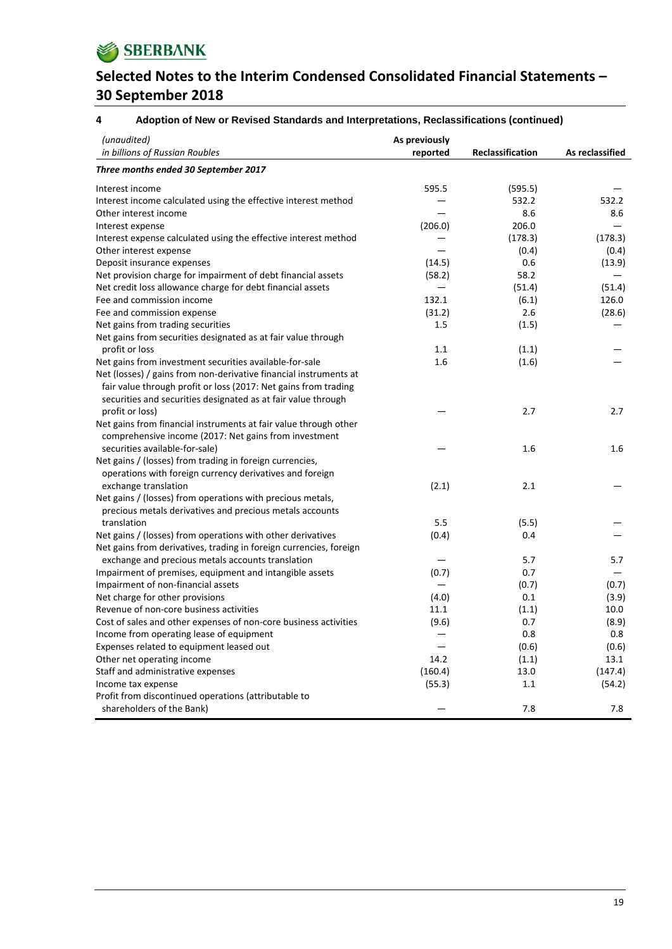

#### **4 Adoption of New or Revised Standards and Interpretations, Reclassifications (continued)**

| (unaudited)<br>in billions of Russian Roubles                      | As previously<br>reported | <b>Reclassification</b> | As reclassified |
|--------------------------------------------------------------------|---------------------------|-------------------------|-----------------|
| Three months ended 30 September 2017                               |                           |                         |                 |
| Interest income                                                    | 595.5                     | (595.5)                 |                 |
| Interest income calculated using the effective interest method     |                           | 532.2                   | 532.2           |
| Other interest income                                              |                           | 8.6                     | 8.6             |
| Interest expense                                                   | (206.0)                   | 206.0                   |                 |
| Interest expense calculated using the effective interest method    |                           | (178.3)                 | (178.3)         |
| Other interest expense                                             |                           | (0.4)                   | (0.4)           |
| Deposit insurance expenses                                         | (14.5)                    | 0.6                     | (13.9)          |
| Net provision charge for impairment of debt financial assets       | (58.2)                    | 58.2                    |                 |
| Net credit loss allowance charge for debt financial assets         |                           | (51.4)                  | (51.4)          |
| Fee and commission income                                          | 132.1                     | (6.1)                   | 126.0           |
| Fee and commission expense                                         | (31.2)                    | 2.6                     | (28.6)          |
| Net gains from trading securities                                  | 1.5                       | (1.5)                   |                 |
| Net gains from securities designated as at fair value through      |                           |                         |                 |
| profit or loss                                                     | 1.1                       | (1.1)                   |                 |
| Net gains from investment securities available-for-sale            | 1.6                       | (1.6)                   |                 |
| Net (losses) / gains from non-derivative financial instruments at  |                           |                         |                 |
| fair value through profit or loss (2017: Net gains from trading    |                           |                         |                 |
| securities and securities designated as at fair value through      |                           |                         |                 |
| profit or loss)                                                    |                           | 2.7                     | 2.7             |
| Net gains from financial instruments at fair value through other   |                           |                         |                 |
| comprehensive income (2017: Net gains from investment              |                           |                         |                 |
| securities available-for-sale)                                     |                           | 1.6                     | 1.6             |
| Net gains / (losses) from trading in foreign currencies,           |                           |                         |                 |
| operations with foreign currency derivatives and foreign           |                           |                         |                 |
| exchange translation                                               | (2.1)                     | 2.1                     |                 |
| Net gains / (losses) from operations with precious metals,         |                           |                         |                 |
| precious metals derivatives and precious metals accounts           |                           |                         |                 |
| translation                                                        | 5.5                       | (5.5)                   |                 |
| Net gains / (losses) from operations with other derivatives        | (0.4)                     | 0.4                     |                 |
| Net gains from derivatives, trading in foreign currencies, foreign |                           |                         |                 |
| exchange and precious metals accounts translation                  |                           | 5.7                     | 5.7             |
| Impairment of premises, equipment and intangible assets            | (0.7)                     | 0.7                     |                 |
| Impairment of non-financial assets                                 |                           | (0.7)                   | (0.7)           |
| Net charge for other provisions                                    | (4.0)                     | 0.1                     | (3.9)           |
| Revenue of non-core business activities                            | 11.1                      | (1.1)                   | 10.0            |
| Cost of sales and other expenses of non-core business activities   | (9.6)                     | 0.7                     | (8.9)           |
| Income from operating lease of equipment                           | —                         | 0.8                     | 0.8             |
| Expenses related to equipment leased out                           |                           | (0.6)                   | (0.6)           |
| Other net operating income                                         | 14.2                      | (1.1)                   | 13.1            |
| Staff and administrative expenses                                  | (160.4)                   | 13.0                    | (147.4)         |
| Income tax expense                                                 | (55.3)                    | 1.1                     | (54.2)          |
| Profit from discontinued operations (attributable to               |                           |                         |                 |
| shareholders of the Bank)                                          |                           | 7.8                     | 7.8             |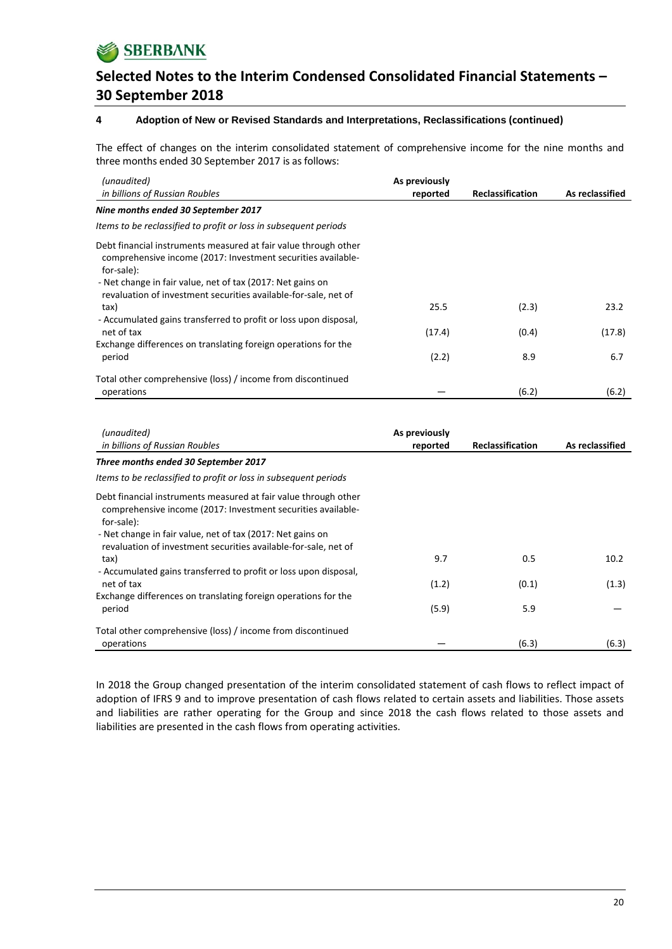**SBERBANK** 

### **Selected Notes to the Interim Condensed Consolidated Financial Statements – 30 September 2018**

#### **4 Adoption of New or Revised Standards and Interpretations, Reclassifications (continued)**

The effect of changes on the interim consolidated statement of comprehensive income for the nine months and three months ended 30 September 2017 is as follows:

| (unaudited)<br>in billions of Russian Roubles                                                                                                                                                                                                                                  | As previously<br>reported | <b>Reclassification</b> | As reclassified |
|--------------------------------------------------------------------------------------------------------------------------------------------------------------------------------------------------------------------------------------------------------------------------------|---------------------------|-------------------------|-----------------|
| Nine months ended 30 September 2017                                                                                                                                                                                                                                            |                           |                         |                 |
| Items to be reclassified to profit or loss in subsequent periods                                                                                                                                                                                                               |                           |                         |                 |
| Debt financial instruments measured at fair value through other<br>comprehensive income (2017: Investment securities available-<br>for-sale):<br>- Net change in fair value, net of tax (2017: Net gains on<br>revaluation of investment securities available-for-sale, net of |                           |                         |                 |
| tax)                                                                                                                                                                                                                                                                           | 25.5                      | (2.3)                   | 23.2            |
| - Accumulated gains transferred to profit or loss upon disposal,<br>net of tax<br>Exchange differences on translating foreign operations for the                                                                                                                               | (17.4)                    | (0.4)                   | (17.8)          |
| period                                                                                                                                                                                                                                                                         | (2.2)                     | 8.9                     | 6.7             |
| Total other comprehensive (loss) / income from discontinued<br>operations                                                                                                                                                                                                      |                           | (6.2)                   | (6.2)           |

| (unaudited)<br>in billions of Russian Roubles                                                                                                                                                                                                                                                                                                                                                                                                        | As previously<br>reported | <b>Reclassification</b> | As reclassified |
|------------------------------------------------------------------------------------------------------------------------------------------------------------------------------------------------------------------------------------------------------------------------------------------------------------------------------------------------------------------------------------------------------------------------------------------------------|---------------------------|-------------------------|-----------------|
| Three months ended 30 September 2017                                                                                                                                                                                                                                                                                                                                                                                                                 |                           |                         |                 |
| Items to be reclassified to profit or loss in subsequent periods                                                                                                                                                                                                                                                                                                                                                                                     |                           |                         |                 |
| Debt financial instruments measured at fair value through other<br>comprehensive income (2017: Investment securities available-<br>for-sale):<br>- Net change in fair value, net of tax (2017: Net gains on<br>revaluation of investment securities available-for-sale, net of<br>tax)<br>- Accumulated gains transferred to profit or loss upon disposal,<br>net of tax<br>Exchange differences on translating foreign operations for the<br>period | 9.7<br>(1.2)<br>(5.9)     | 0.5<br>(0.1)<br>5.9     | 10.2<br>(1.3)   |
| Total other comprehensive (loss) / income from discontinued<br>operations                                                                                                                                                                                                                                                                                                                                                                            |                           | (6.3)                   | (6.3)           |

In 2018 the Group changed presentation of the interim consolidated statement of cash flows to reflect impact of adoption of IFRS 9 and to improve presentation of cash flows related to certain assets and liabilities. Those assets and liabilities are rather operating for the Group and since 2018 the cash flows related to those assets and liabilities are presented in the cash flows from operating activities.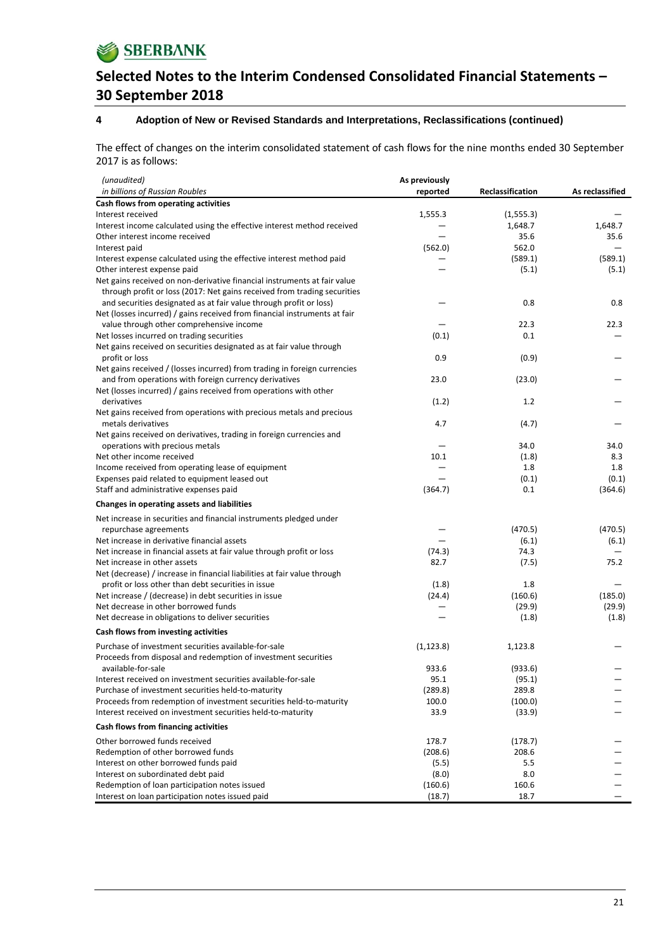**SBERBANK** 

# **Selected Notes to the Interim Condensed Consolidated Financial Statements – 30 September 2018**

#### **4 Adoption of New or Revised Standards and Interpretations, Reclassifications (continued)**

The effect of changes on the interim consolidated statement of cash flows for the nine months ended 30 September 2017 is as follows:

| (unaudited)                                                                                         | As previously |                  |                 |
|-----------------------------------------------------------------------------------------------------|---------------|------------------|-----------------|
| in billions of Russian Roubles                                                                      | reported      | Reclassification | As reclassified |
| Cash flows from operating activities                                                                |               |                  |                 |
| Interest received                                                                                   | 1,555.3       | (1,555.3)        |                 |
| Interest income calculated using the effective interest method received                             |               | 1,648.7          | 1,648.7         |
| Other interest income received                                                                      |               | 35.6<br>562.0    | 35.6            |
| Interest paid                                                                                       | (562.0)       | (589.1)          | (589.1)         |
| Interest expense calculated using the effective interest method paid<br>Other interest expense paid |               | (5.1)            | (5.1)           |
| Net gains received on non-derivative financial instruments at fair value                            |               |                  |                 |
| through profit or loss (2017: Net gains received from trading securities                            |               |                  |                 |
| and securities designated as at fair value through profit or loss)                                  |               | 0.8              | 0.8             |
| Net (losses incurred) / gains received from financial instruments at fair                           |               |                  |                 |
| value through other comprehensive income                                                            |               | 22.3             | 22.3            |
| Net losses incurred on trading securities                                                           | (0.1)         | 0.1              |                 |
| Net gains received on securities designated as at fair value through                                |               |                  |                 |
| profit or loss                                                                                      | 0.9           | (0.9)            |                 |
| Net gains received / (losses incurred) from trading in foreign currencies                           |               |                  |                 |
| and from operations with foreign currency derivatives                                               | 23.0          | (23.0)           |                 |
| Net (losses incurred) / gains received from operations with other                                   |               |                  |                 |
| derivatives                                                                                         | (1.2)         | 1.2              |                 |
| Net gains received from operations with precious metals and precious                                |               |                  |                 |
| metals derivatives                                                                                  | 4.7           | (4.7)            |                 |
| Net gains received on derivatives, trading in foreign currencies and                                |               |                  |                 |
| operations with precious metals                                                                     |               | 34.0             | 34.0            |
| Net other income received                                                                           | 10.1          | (1.8)            | 8.3             |
| Income received from operating lease of equipment                                                   |               | 1.8              | 1.8             |
| Expenses paid related to equipment leased out                                                       |               | (0.1)            | (0.1)           |
| Staff and administrative expenses paid                                                              | (364.7)       | 0.1              | (364.6)         |
| Changes in operating assets and liabilities                                                         |               |                  |                 |
| Net increase in securities and financial instruments pledged under                                  |               |                  |                 |
| repurchase agreements                                                                               |               | (470.5)          | (470.5)         |
| Net increase in derivative financial assets                                                         |               | (6.1)            | (6.1)           |
| Net increase in financial assets at fair value through profit or loss                               | (74.3)        | 74.3             |                 |
| Net increase in other assets                                                                        | 82.7          | (7.5)            | 75.2            |
| Net (decrease) / increase in financial liabilities at fair value through                            |               |                  |                 |
| profit or loss other than debt securities in issue                                                  | (1.8)         | 1.8              |                 |
| Net increase / (decrease) in debt securities in issue                                               | (24.4)        | (160.6)          | (185.0)         |
| Net decrease in other borrowed funds                                                                |               | (29.9)           | (29.9)          |
| Net decrease in obligations to deliver securities                                                   |               | (1.8)            | (1.8)           |
| Cash flows from investing activities                                                                |               |                  |                 |
| Purchase of investment securities available-for-sale                                                | (1, 123.8)    | 1,123.8          |                 |
| Proceeds from disposal and redemption of investment securities                                      |               |                  |                 |
| available-for-sale                                                                                  | 933.6         | (933.6)          |                 |
| Interest received on investment securities available-for-sale                                       | 95.1          | (95.1)           |                 |
| Purchase of investment securities held-to-maturity                                                  | (289.8)       | 289.8            |                 |
| Proceeds from redemption of investment securities held-to-maturity                                  | 100.0         | (100.0)          |                 |
| Interest received on investment securities held-to-maturity                                         | 33.9          | (33.9)           |                 |
| Cash flows from financing activities                                                                |               |                  |                 |
| Other borrowed funds received                                                                       | 178.7         | (178.7)          |                 |
| Redemption of other borrowed funds                                                                  | (208.6)       | 208.6            |                 |
| Interest on other borrowed funds paid                                                               | (5.5)         | 5.5              |                 |
| Interest on subordinated debt paid                                                                  | (8.0)         | 8.0              |                 |
| Redemption of loan participation notes issued                                                       | (160.6)       | 160.6            |                 |
| Interest on loan participation notes issued paid                                                    | (18.7)        | 18.7             |                 |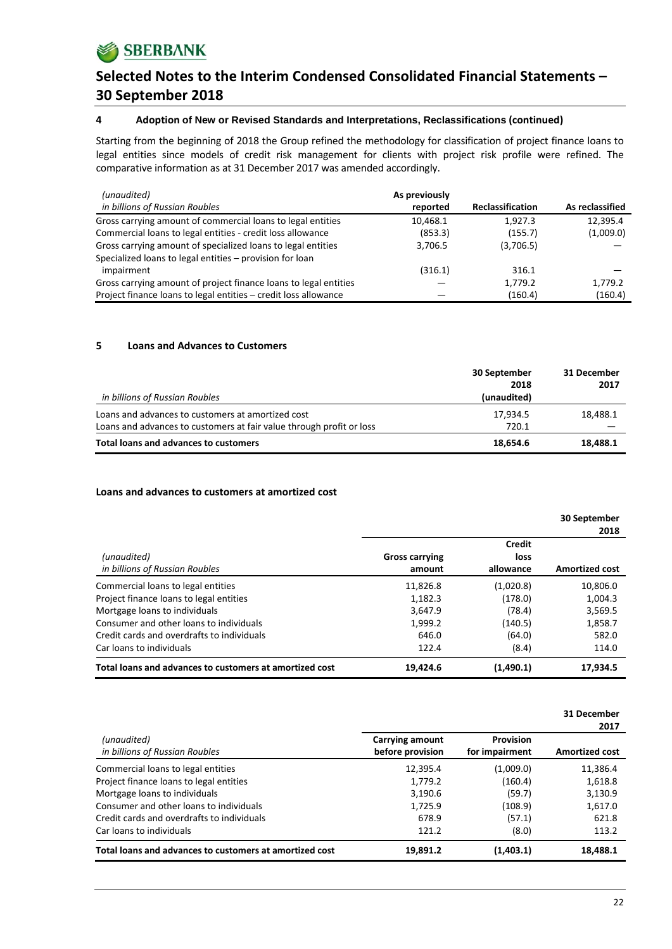### **4 Adoption of New or Revised Standards and Interpretations, Reclassifications (continued)**

Starting from the beginning of 2018 the Group refined the methodology for classification of project finance loans to legal entities since models of credit risk management for clients with project risk profile were refined. The comparative information as at 31 December 2017 was amended accordingly.

| (unaudited)                                                      | As previously |                         |                 |
|------------------------------------------------------------------|---------------|-------------------------|-----------------|
| in billions of Russian Roubles                                   | reported      | <b>Reclassification</b> | As reclassified |
| Gross carrying amount of commercial loans to legal entities      | 10,468.1      | 1.927.3                 | 12,395.4        |
| Commercial loans to legal entities - credit loss allowance       | (853.3)       | (155.7)                 | (1,009.0)       |
| Gross carrying amount of specialized loans to legal entities     | 3,706.5       | (3,706.5)               |                 |
| Specialized loans to legal entities - provision for loan         |               |                         |                 |
| impairment                                                       | (316.1)       | 316.1                   |                 |
| Gross carrying amount of project finance loans to legal entities |               | 1,779.2                 | 1,779.2         |
| Project finance loans to legal entities - credit loss allowance  |               | (160.4)                 | (160.4)         |

### **5 Loans and Advances to Customers**

| in billions of Russian Roubles                                       | 30 September<br>2018<br>(unaudited) | 31 December<br>2017 |
|----------------------------------------------------------------------|-------------------------------------|---------------------|
| Loans and advances to customers at amortized cost                    | 17,934.5                            | 18,488.1            |
| Loans and advances to customers at fair value through profit or loss | 720.1                               |                     |
| <b>Total loans and advances to customers</b>                         | 18,654.6                            | 18,488.1            |

### **Loans and advances to customers at amortized cost**

|                                                         |                                 |                             | 30 September<br>2018  |
|---------------------------------------------------------|---------------------------------|-----------------------------|-----------------------|
| (unaudited)<br>in billions of Russian Roubles           | <b>Gross carrying</b><br>amount | Credit<br>loss<br>allowance | <b>Amortized cost</b> |
| Commercial loans to legal entities                      | 11,826.8                        | (1,020.8)                   | 10,806.0              |
| Project finance loans to legal entities                 | 1,182.3                         | (178.0)                     | 1,004.3               |
| Mortgage loans to individuals                           | 3,647.9                         | (78.4)                      | 3,569.5               |
| Consumer and other loans to individuals                 | 1,999.2                         | (140.5)                     | 1,858.7               |
| Credit cards and overdrafts to individuals              | 646.0                           | (64.0)                      | 582.0                 |
| Car loans to individuals                                | 122.4                           | (8.4)                       | 114.0                 |
| Total loans and advances to customers at amortized cost | 19,424.6                        | (1,490.1)                   | 17.934.5              |

|                                                         |                                     |                             | 31 December<br>2017   |
|---------------------------------------------------------|-------------------------------------|-----------------------------|-----------------------|
| (unaudited)<br>in billions of Russian Roubles           | Carrying amount<br>before provision | Provision<br>for impairment | <b>Amortized cost</b> |
| Commercial loans to legal entities                      | 12,395.4                            | (1,009.0)                   | 11,386.4              |
| Project finance loans to legal entities                 | 1,779.2                             | (160.4)                     | 1,618.8               |
| Mortgage loans to individuals                           | 3,190.6                             | (59.7)                      | 3,130.9               |
| Consumer and other loans to individuals                 | 1,725.9                             | (108.9)                     | 1,617.0               |
| Credit cards and overdrafts to individuals              | 678.9                               | (57.1)                      | 621.8                 |
| Car loans to individuals                                | 121.2                               | (8.0)                       | 113.2                 |
| Total loans and advances to customers at amortized cost | 19,891.2                            | (1,403.1)                   | 18,488.1              |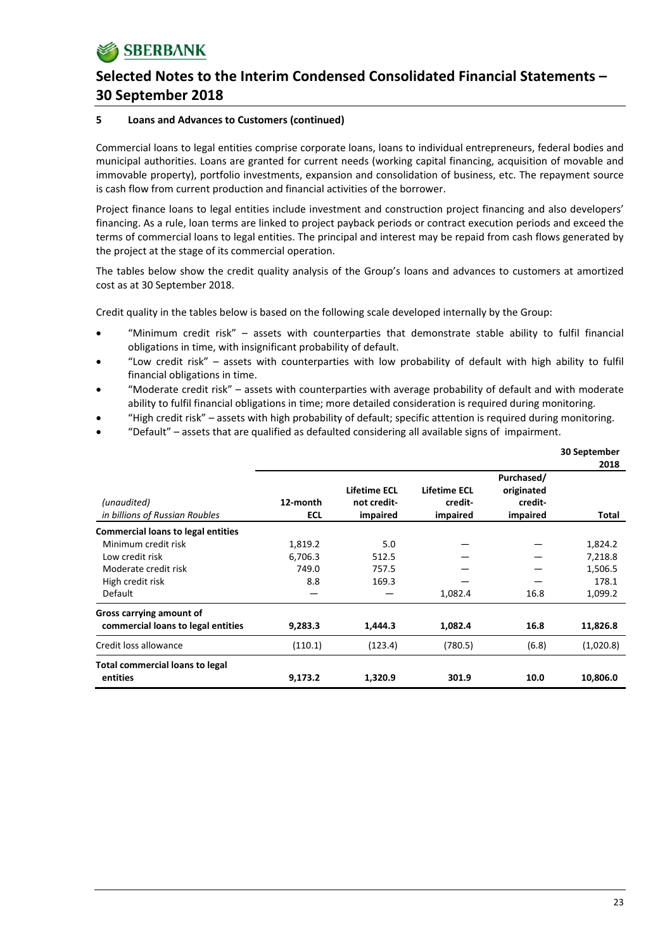#### **5 Loans and Advances to Customers (continued)**

Commercial loans to legal entities comprise corporate loans, loans to individual entrepreneurs, federal bodies and municipal authorities. Loans are granted for current needs (working capital financing, acquisition of movable and immovable property), portfolio investments, expansion and consolidation of business, etc. The repayment source is cash flow from current production and financial activities of the borrower.

Project finance loans to legal entities include investment and construction project financing and also developers' financing. As a rule, loan terms are linked to project payback periods or contract execution periods and exceed the terms of commercial loans to legal entities. The principal and interest may be repaid from cash flows generated by the project at the stage of its commercial operation.

The tables below show the credit quality analysis of the Group's loans and advances to customers at amortized cost as at 30 September 2018.

Credit quality in the tables below is based on the following scale developed internally by the Group:

- "Minimum credit risk" assets with counterparties that demonstrate stable ability to fulfil financial obligations in time, with insignificant probability of default.
- "Low credit risk" assets with counterparties with low probability of default with high ability to fulfil financial obligations in time.
- "Moderate credit risk" assets with counterparties with average probability of default and with moderate ability to fulfil financial obligations in time; more detailed consideration is required during monitoring.
- "High credit risk" assets with high probability of default; specific attention is required during monitoring.
- "Default" assets that are qualified as defaulted considering all available signs of impairment.

|                                               |                 |                                         |                                     |                                                 | 30 September |
|-----------------------------------------------|-----------------|-----------------------------------------|-------------------------------------|-------------------------------------------------|--------------|
|                                               |                 |                                         |                                     |                                                 | 2018         |
| (unaudited)<br>in billions of Russian Roubles | 12-month<br>ECL | Lifetime ECL<br>not credit-<br>impaired | Lifetime ECL<br>credit-<br>impaired | Purchased/<br>originated<br>credit-<br>impaired | Total        |
| <b>Commercial loans to legal entities</b>     |                 |                                         |                                     |                                                 |              |
| Minimum credit risk                           | 1,819.2         | 5.0                                     |                                     |                                                 | 1,824.2      |
| Low credit risk                               | 6,706.3         | 512.5                                   |                                     |                                                 | 7,218.8      |
| Moderate credit risk                          | 749.0           | 757.5                                   |                                     |                                                 | 1,506.5      |
| High credit risk                              | 8.8             | 169.3                                   |                                     |                                                 | 178.1        |
| Default                                       |                 |                                         | 1,082.4                             | 16.8                                            | 1,099.2      |
| Gross carrying amount of                      |                 |                                         |                                     |                                                 |              |
| commercial loans to legal entities            | 9,283.3         | 1,444.3                                 | 1,082.4                             | 16.8                                            | 11,826.8     |
| Credit loss allowance                         | (110.1)         | (123.4)                                 | (780.5)                             | (6.8)                                           | (1,020.8)    |
| <b>Total commercial loans to legal</b>        |                 |                                         |                                     |                                                 |              |
| entities                                      | 9,173.2         | 1,320.9                                 | 301.9                               | 10.0                                            | 10,806.0     |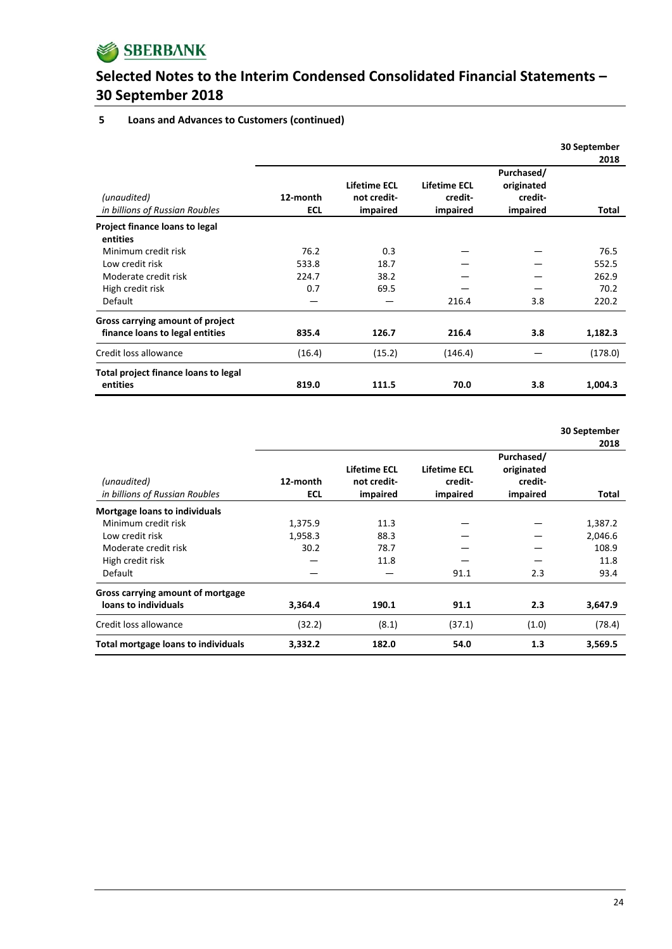

### **5 Loans and Advances to Customers (continued)**

|                                               |                 |                                         |                                            |                                                 | 30 September |
|-----------------------------------------------|-----------------|-----------------------------------------|--------------------------------------------|-------------------------------------------------|--------------|
|                                               |                 |                                         |                                            |                                                 | 2018         |
| (unaudited)<br>in billions of Russian Roubles | 12-month<br>ECL | Lifetime ECL<br>not credit-<br>impaired | <b>Lifetime ECL</b><br>credit-<br>impaired | Purchased/<br>originated<br>credit-<br>impaired | Total        |
| Project finance loans to legal                |                 |                                         |                                            |                                                 |              |
| entities                                      |                 |                                         |                                            |                                                 |              |
| Minimum credit risk                           | 76.2            | 0.3                                     |                                            |                                                 | 76.5         |
| Low credit risk                               | 533.8           | 18.7                                    |                                            |                                                 | 552.5        |
| Moderate credit risk                          | 224.7           | 38.2                                    |                                            |                                                 | 262.9        |
| High credit risk                              | 0.7             | 69.5                                    |                                            |                                                 | 70.2         |
| <b>Default</b>                                |                 |                                         | 216.4                                      | 3.8                                             | 220.2        |
| Gross carrying amount of project              |                 |                                         |                                            |                                                 |              |
| finance loans to legal entities               | 835.4           | 126.7                                   | 216.4                                      | 3.8                                             | 1,182.3      |
| Credit loss allowance                         | (16.4)          | (15.2)                                  | (146.4)                                    |                                                 | (178.0)      |
| Total project finance loans to legal          |                 |                                         |                                            |                                                 |              |
| entities                                      | 819.0           | 111.5                                   | 70.0                                       | 3.8                                             | 1,004.3      |

**30 September**

|                                               |                 |                                         |                                     |                                                 | 2018    |
|-----------------------------------------------|-----------------|-----------------------------------------|-------------------------------------|-------------------------------------------------|---------|
| (unaudited)<br>in billions of Russian Roubles | 12-month<br>ECL | Lifetime ECL<br>not credit-<br>impaired | Lifetime ECL<br>credit-<br>impaired | Purchased/<br>originated<br>credit-<br>impaired | Total   |
| <b>Mortgage loans to individuals</b>          |                 |                                         |                                     |                                                 |         |
| Minimum credit risk                           | 1,375.9         | 11.3                                    |                                     |                                                 | 1,387.2 |
| Low credit risk                               | 1,958.3         | 88.3                                    |                                     |                                                 | 2,046.6 |
| Moderate credit risk                          | 30.2            | 78.7                                    |                                     |                                                 | 108.9   |
| High credit risk                              |                 | 11.8                                    |                                     |                                                 | 11.8    |
| Default                                       |                 |                                         | 91.1                                | 2.3                                             | 93.4    |
| Gross carrying amount of mortgage             |                 |                                         |                                     |                                                 |         |
| loans to individuals                          | 3,364.4         | 190.1                                   | 91.1                                | 2.3                                             | 3,647.9 |
| Credit loss allowance                         | (32.2)          | (8.1)                                   | (37.1)                              | (1.0)                                           | (78.4)  |
| Total mortgage loans to individuals           | 3,332.2         | 182.0                                   | 54.0                                | 1.3                                             | 3,569.5 |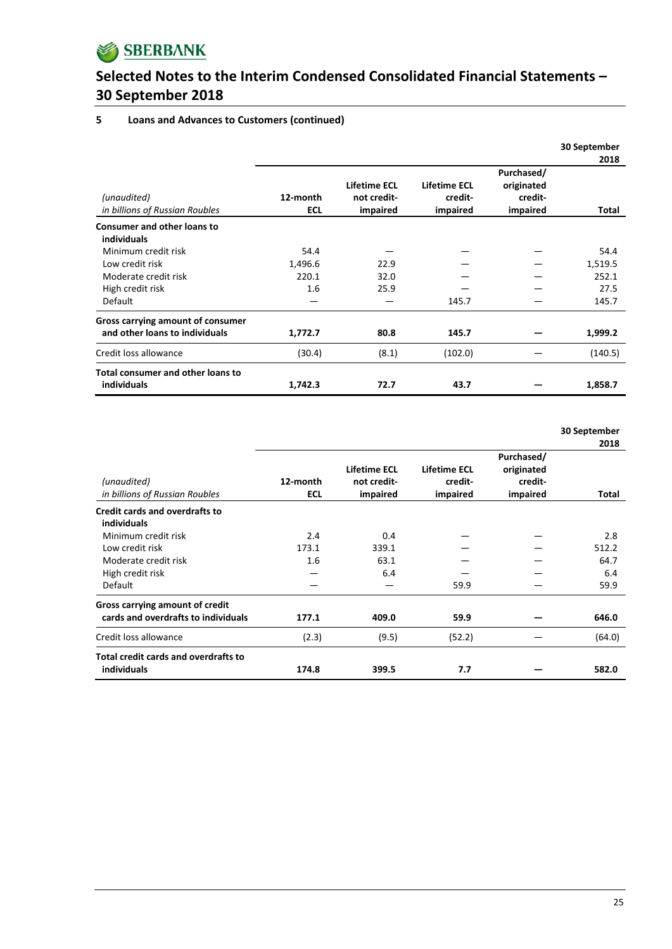

#### **5 Loans and Advances to Customers (continued)**

|                                               |                        |                                         |                                            |                                                 | 30 September |
|-----------------------------------------------|------------------------|-----------------------------------------|--------------------------------------------|-------------------------------------------------|--------------|
|                                               |                        |                                         |                                            |                                                 | 2018         |
| (unaudited)<br>in billions of Russian Roubles | 12-month<br><b>ECL</b> | Lifetime ECL<br>not credit-<br>impaired | <b>Lifetime ECL</b><br>credit-<br>impaired | Purchased/<br>originated<br>credit-<br>impaired | Total        |
| <b>Consumer and other loans to</b>            |                        |                                         |                                            |                                                 |              |
| individuals                                   |                        |                                         |                                            |                                                 |              |
| Minimum credit risk                           | 54.4                   |                                         |                                            |                                                 | 54.4         |
| Low credit risk                               | 1,496.6                | 22.9                                    |                                            |                                                 | 1,519.5      |
| Moderate credit risk                          | 220.1                  | 32.0                                    |                                            |                                                 | 252.1        |
| High credit risk                              | 1.6                    | 25.9                                    |                                            |                                                 | 27.5         |
| <b>Default</b>                                |                        |                                         | 145.7                                      |                                                 | 145.7        |
| Gross carrying amount of consumer             |                        |                                         |                                            |                                                 |              |
| and other loans to individuals                | 1,772.7                | 80.8                                    | 145.7                                      |                                                 | 1,999.2      |
| Credit loss allowance                         | (30.4)                 | (8.1)                                   | (102.0)                                    |                                                 | (140.5)      |
| <b>Total consumer and other loans to</b>      |                        |                                         |                                            |                                                 |              |
| individuals                                   | 1,742.3                | 72.7                                    | 43.7                                       |                                                 | 1,858.7      |

**30 September**

|                                               |                        |                                         |                                     |                                                 | 2018   |
|-----------------------------------------------|------------------------|-----------------------------------------|-------------------------------------|-------------------------------------------------|--------|
| (unaudited)<br>in billions of Russian Roubles | 12-month<br><b>ECL</b> | Lifetime ECL<br>not credit-<br>impaired | Lifetime ECL<br>credit-<br>impaired | Purchased/<br>originated<br>credit-<br>impaired | Total  |
| Credit cards and overdrafts to                |                        |                                         |                                     |                                                 |        |
| individuals                                   |                        |                                         |                                     |                                                 |        |
| Minimum credit risk                           | 2.4                    | 0.4                                     |                                     |                                                 | 2.8    |
| Low credit risk                               | 173.1                  | 339.1                                   |                                     |                                                 | 512.2  |
| Moderate credit risk                          | 1.6                    | 63.1                                    |                                     |                                                 | 64.7   |
| High credit risk                              |                        | 6.4                                     |                                     |                                                 | 6.4    |
| Default                                       |                        |                                         | 59.9                                |                                                 | 59.9   |
| Gross carrying amount of credit               |                        |                                         |                                     |                                                 |        |
| cards and overdrafts to individuals           | 177.1                  | 409.0                                   | 59.9                                |                                                 | 646.0  |
| Credit loss allowance                         | (2.3)                  | (9.5)                                   | (52.2)                              |                                                 | (64.0) |
| Total credit cards and overdrafts to          |                        |                                         |                                     |                                                 |        |
| individuals                                   | 174.8                  | 399.5                                   | 7.7                                 |                                                 | 582.0  |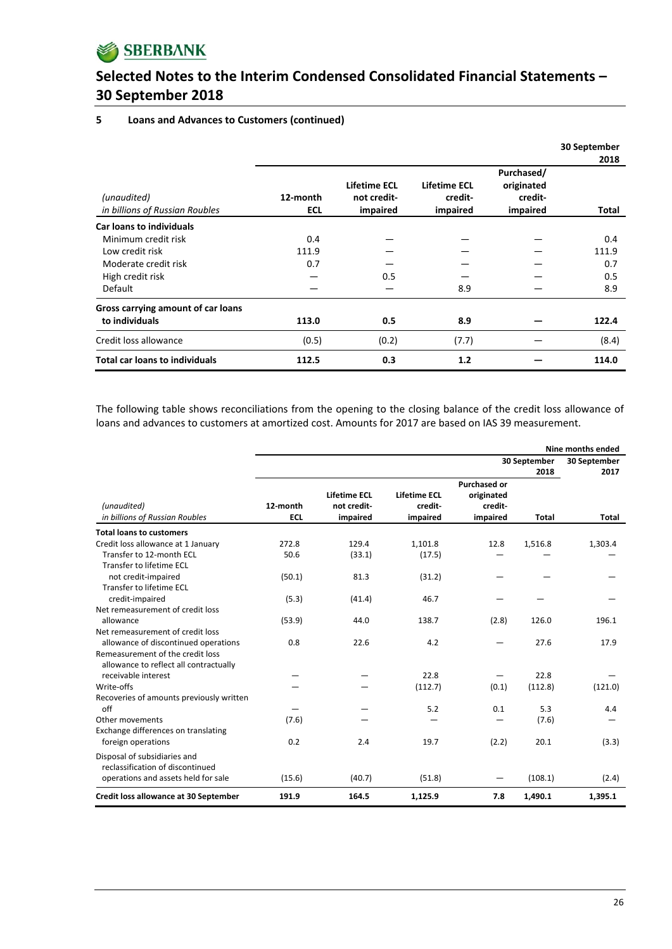

#### **5 Loans and Advances to Customers (continued)**

|                                               |                 |                                         |                                     |                                                 | 30 September  |
|-----------------------------------------------|-----------------|-----------------------------------------|-------------------------------------|-------------------------------------------------|---------------|
| (unaudited)<br>in billions of Russian Roubles | 12-month<br>ECL | Lifetime ECL<br>not credit-<br>impaired | Lifetime ECL<br>credit-<br>impaired | Purchased/<br>originated<br>credit-<br>impaired | 2018<br>Total |
| <b>Car loans to individuals</b>               |                 |                                         |                                     |                                                 |               |
| Minimum credit risk                           | 0.4             |                                         |                                     |                                                 | 0.4           |
| Low credit risk                               | 111.9           |                                         |                                     |                                                 | 111.9         |
| Moderate credit risk                          | 0.7             |                                         |                                     |                                                 | 0.7           |
| High credit risk                              |                 | 0.5                                     |                                     |                                                 | 0.5           |
| Default                                       |                 |                                         | 8.9                                 |                                                 | 8.9           |
| Gross carrying amount of car loans            |                 |                                         |                                     |                                                 |               |
| to individuals                                | 113.0           | 0.5                                     | 8.9                                 |                                                 | 122.4         |
| Credit loss allowance                         | (0.5)           | (0.2)                                   | (7.7)                               |                                                 | (8.4)         |
| <b>Total car loans to individuals</b>         | 112.5           | 0.3                                     | 1.2                                 |                                                 | 114.0         |

The following table shows reconciliations from the opening to the closing balance of the credit loss allowance of loans and advances to customers at amortized cost. Amounts for 2017 are based on IAS 39 measurement.

|                                                                            |                        |                                                | Nine months ended                          |                                                          |                      |                      |
|----------------------------------------------------------------------------|------------------------|------------------------------------------------|--------------------------------------------|----------------------------------------------------------|----------------------|----------------------|
|                                                                            |                        |                                                |                                            |                                                          | 30 September<br>2018 | 30 September<br>2017 |
| (unaudited)<br>in billions of Russian Roubles                              | 12-month<br><b>ECL</b> | <b>Lifetime ECL</b><br>not credit-<br>impaired | <b>Lifetime ECL</b><br>credit-<br>impaired | <b>Purchased or</b><br>originated<br>credit-<br>impaired | <b>Total</b>         | Total                |
| <b>Total loans to customers</b>                                            |                        |                                                |                                            |                                                          |                      |                      |
| Credit loss allowance at 1 January                                         | 272.8                  | 129.4                                          | 1,101.8                                    | 12.8                                                     | 1,516.8              | 1,303.4              |
| Transfer to 12-month ECL<br>Transfer to lifetime ECL                       | 50.6                   | (33.1)                                         | (17.5)                                     |                                                          |                      |                      |
| not credit-impaired<br>Transfer to lifetime ECL                            | (50.1)                 | 81.3                                           | (31.2)                                     |                                                          |                      |                      |
| credit-impaired                                                            | (5.3)                  | (41.4)                                         | 46.7                                       |                                                          |                      |                      |
| Net remeasurement of credit loss                                           |                        |                                                |                                            |                                                          |                      |                      |
| allowance                                                                  | (53.9)                 | 44.0                                           | 138.7                                      | (2.8)                                                    | 126.0                | 196.1                |
| Net remeasurement of credit loss                                           |                        |                                                |                                            |                                                          |                      |                      |
| allowance of discontinued operations                                       | 0.8                    | 22.6                                           | 4.2                                        |                                                          | 27.6                 | 17.9                 |
| Remeasurement of the credit loss<br>allowance to reflect all contractually |                        |                                                |                                            |                                                          |                      |                      |
| receivable interest                                                        |                        |                                                | 22.8                                       |                                                          | 22.8                 |                      |
| Write-offs                                                                 |                        |                                                | (112.7)                                    | (0.1)                                                    | (112.8)              | (121.0)              |
| Recoveries of amounts previously written<br>$\int$                         |                        |                                                | 5.2                                        | 0.1                                                      | 5.3                  | 4.4                  |
| Other movements                                                            | (7.6)                  |                                                |                                            |                                                          | (7.6)                |                      |
| Exchange differences on translating                                        |                        |                                                |                                            |                                                          |                      |                      |
| foreign operations                                                         | 0.2                    | 2.4                                            | 19.7                                       | (2.2)                                                    | 20.1                 | (3.3)                |
| Disposal of subsidiaries and<br>reclassification of discontinued           |                        |                                                |                                            |                                                          |                      |                      |
| operations and assets held for sale                                        | (15.6)                 | (40.7)                                         | (51.8)                                     |                                                          | (108.1)              | (2.4)                |
| Credit loss allowance at 30 September                                      | 191.9                  | 164.5                                          | 1,125.9                                    | 7.8                                                      | 1,490.1              | 1,395.1              |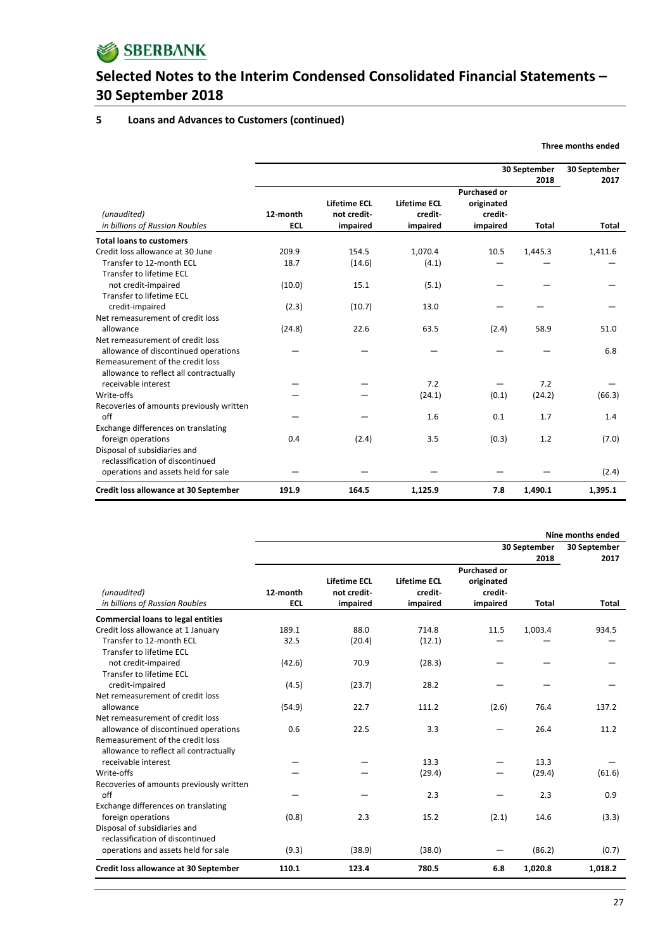

#### **5 Loans and Advances to Customers (continued)**

|                                                                            |                        |                                                |                                            |                                                          | 30 September<br>30 September<br>2018<br>2017 |              |  |  |
|----------------------------------------------------------------------------|------------------------|------------------------------------------------|--------------------------------------------|----------------------------------------------------------|----------------------------------------------|--------------|--|--|
| (unaudited)<br>in billions of Russian Roubles                              | 12-month<br><b>ECL</b> | <b>Lifetime ECL</b><br>not credit-<br>impaired | <b>Lifetime ECL</b><br>credit-<br>impaired | <b>Purchased or</b><br>originated<br>credit-<br>impaired | <b>Total</b>                                 | <b>Total</b> |  |  |
| <b>Total loans to customers</b>                                            |                        |                                                |                                            |                                                          |                                              |              |  |  |
| Credit loss allowance at 30 June                                           | 209.9                  | 154.5                                          | 1,070.4                                    | 10.5                                                     | 1,445.3                                      | 1,411.6      |  |  |
| Transfer to 12-month ECL<br>Transfer to lifetime ECL                       | 18.7                   | (14.6)                                         | (4.1)                                      |                                                          |                                              |              |  |  |
| not credit-impaired                                                        | (10.0)                 | 15.1                                           | (5.1)                                      |                                                          |                                              |              |  |  |
| Transfer to lifetime ECL<br>credit-impaired                                | (2.3)                  | (10.7)                                         | 13.0                                       |                                                          |                                              |              |  |  |
| Net remeasurement of credit loss                                           |                        |                                                |                                            |                                                          |                                              |              |  |  |
| allowance                                                                  | (24.8)                 | 22.6                                           | 63.5                                       | (2.4)                                                    | 58.9                                         | 51.0         |  |  |
| Net remeasurement of credit loss<br>allowance of discontinued operations   |                        |                                                |                                            |                                                          |                                              | 6.8          |  |  |
| Remeasurement of the credit loss<br>allowance to reflect all contractually |                        |                                                |                                            |                                                          |                                              |              |  |  |
| receivable interest                                                        |                        |                                                | 7.2                                        |                                                          | 7.2                                          |              |  |  |
| Write-offs                                                                 |                        |                                                | (24.1)                                     | (0.1)                                                    | (24.2)                                       | (66.3)       |  |  |
| Recoveries of amounts previously written<br>off                            |                        |                                                | 1.6                                        | 0.1                                                      | 1.7                                          | 1.4          |  |  |
| Exchange differences on translating                                        |                        |                                                |                                            |                                                          |                                              |              |  |  |
| foreign operations                                                         | 0.4                    | (2.4)                                          | 3.5                                        | (0.3)                                                    | 1.2                                          | (7.0)        |  |  |
| Disposal of subsidiaries and<br>reclassification of discontinued           |                        |                                                |                                            |                                                          |                                              |              |  |  |
| operations and assets held for sale                                        |                        |                                                |                                            |                                                          |                                              | (2.4)        |  |  |
| Credit loss allowance at 30 September                                      | 191.9                  | 164.5                                          | 1,125.9                                    | 7.8                                                      | 1,490.1                                      | 1,395.1      |  |  |

|                                                                                                   |                        | Nine months ended                              |                                            |                                                          |                      |              |  |
|---------------------------------------------------------------------------------------------------|------------------------|------------------------------------------------|--------------------------------------------|----------------------------------------------------------|----------------------|--------------|--|
|                                                                                                   |                        |                                                |                                            | 30 September                                             | 30 September<br>2017 |              |  |
| (unaudited)<br>in billions of Russian Roubles                                                     | 12-month<br><b>ECL</b> | <b>Lifetime ECL</b><br>not credit-<br>impaired | <b>Lifetime ECL</b><br>credit-<br>impaired | <b>Purchased or</b><br>originated<br>credit-<br>impaired | 2018<br><b>Total</b> | <b>Total</b> |  |
| <b>Commercial loans to legal entities</b>                                                         |                        |                                                |                                            |                                                          |                      |              |  |
| Credit loss allowance at 1 January<br>Transfer to 12-month ECL<br>Transfer to lifetime ECL        | 189.1<br>32.5          | 88.0<br>(20.4)                                 | 714.8<br>(12.1)                            | 11.5                                                     | 1,003.4              | 934.5        |  |
| not credit-impaired<br>Transfer to lifetime ECL                                                   | (42.6)                 | 70.9                                           | (28.3)                                     |                                                          |                      |              |  |
| credit-impaired<br>Net remeasurement of credit loss<br>allowance                                  | (4.5)<br>(54.9)        | (23.7)<br>22.7                                 | 28.2<br>111.2                              | (2.6)                                                    | 76.4                 | 137.2        |  |
| Net remeasurement of credit loss<br>allowance of discontinued operations                          | 0.6                    | 22.5                                           | 3.3                                        |                                                          | 26.4                 | 11.2         |  |
| Remeasurement of the credit loss<br>allowance to reflect all contractually<br>receivable interest |                        |                                                | 13.3                                       |                                                          | 13.3                 |              |  |
| Write-offs<br>Recoveries of amounts previously written                                            |                        |                                                | (29.4)                                     |                                                          | (29.4)               | (61.6)       |  |
| off                                                                                               |                        |                                                | 2.3                                        |                                                          | 2.3                  | 0.9          |  |
| Exchange differences on translating<br>foreign operations<br>Disposal of subsidiaries and         | (0.8)                  | 2.3                                            | 15.2                                       | (2.1)                                                    | 14.6                 | (3.3)        |  |
| reclassification of discontinued<br>operations and assets held for sale                           | (9.3)                  | (38.9)                                         | (38.0)                                     |                                                          | (86.2)               | (0.7)        |  |
| Credit loss allowance at 30 September                                                             | 110.1                  | 123.4                                          | 780.5                                      | 6.8                                                      | 1,020.8              | 1,018.2      |  |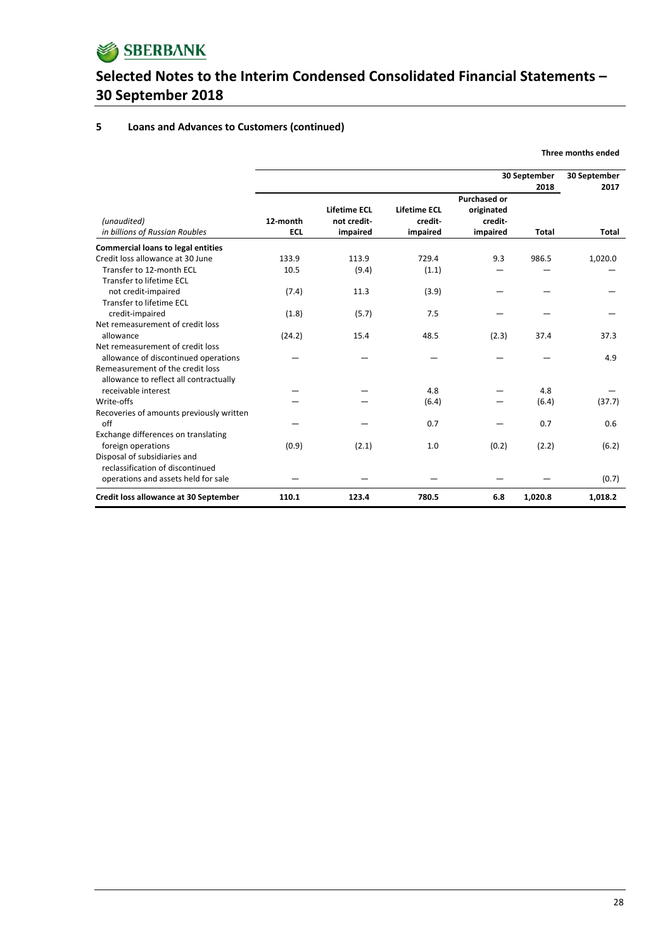

### **5 Loans and Advances to Customers (continued)**

|                                                                            |                        |                                                |                                            | 30 September                                             | 30 September<br>2017 |              |
|----------------------------------------------------------------------------|------------------------|------------------------------------------------|--------------------------------------------|----------------------------------------------------------|----------------------|--------------|
| (unaudited)<br>in billions of Russian Roubles                              | 12-month<br><b>ECL</b> | <b>Lifetime ECL</b><br>not credit-<br>impaired | <b>Lifetime ECL</b><br>credit-<br>impaired | <b>Purchased or</b><br>originated<br>credit-<br>impaired | <b>Total</b>         | <b>Total</b> |
| <b>Commercial loans to legal entities</b>                                  |                        |                                                |                                            |                                                          |                      |              |
| Credit loss allowance at 30 June                                           | 133.9                  | 113.9                                          | 729.4                                      | 9.3                                                      | 986.5                | 1,020.0      |
| Transfer to 12-month ECL                                                   | 10.5                   | (9.4)                                          | (1.1)                                      |                                                          |                      |              |
| Transfer to lifetime ECL                                                   |                        |                                                |                                            |                                                          |                      |              |
| not credit-impaired                                                        | (7.4)                  | 11.3                                           | (3.9)                                      |                                                          |                      |              |
| Transfer to lifetime ECL                                                   |                        |                                                |                                            |                                                          |                      |              |
| credit-impaired                                                            | (1.8)                  | (5.7)                                          | 7.5                                        |                                                          |                      |              |
| Net remeasurement of credit loss                                           |                        |                                                |                                            |                                                          |                      |              |
| allowance                                                                  | (24.2)                 | 15.4                                           | 48.5                                       | (2.3)                                                    | 37.4                 | 37.3         |
| Net remeasurement of credit loss                                           |                        |                                                |                                            |                                                          |                      |              |
| allowance of discontinued operations                                       |                        |                                                |                                            |                                                          |                      | 4.9          |
| Remeasurement of the credit loss<br>allowance to reflect all contractually |                        |                                                |                                            |                                                          |                      |              |
| receivable interest                                                        |                        |                                                | 4.8                                        |                                                          | 4.8                  |              |
| Write-offs                                                                 |                        |                                                | (6.4)                                      |                                                          | (6.4)                | (37.7)       |
| Recoveries of amounts previously written                                   |                        |                                                |                                            |                                                          |                      |              |
| off                                                                        |                        |                                                | 0.7                                        |                                                          | 0.7                  | 0.6          |
| Exchange differences on translating                                        |                        |                                                |                                            |                                                          |                      |              |
| foreign operations                                                         | (0.9)                  | (2.1)                                          | 1.0                                        | (0.2)                                                    | (2.2)                | (6.2)        |
| Disposal of subsidiaries and                                               |                        |                                                |                                            |                                                          |                      |              |
| reclassification of discontinued                                           |                        |                                                |                                            |                                                          |                      |              |
| operations and assets held for sale                                        |                        |                                                |                                            |                                                          |                      | (0.7)        |
| Credit loss allowance at 30 September                                      | 110.1                  | 123.4                                          | 780.5                                      | 6.8                                                      | 1,020.8              | 1,018.2      |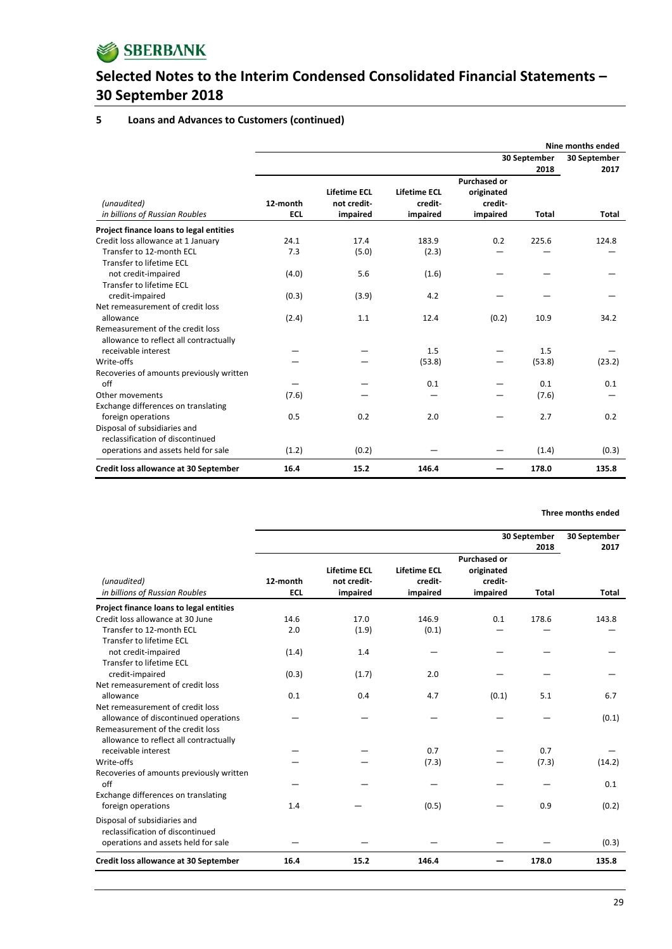

#### **5 Loans and Advances to Customers (continued)**

|                                                                            |                        |                                                |                                            | Nine months ended                 |                                      |              |  |  |
|----------------------------------------------------------------------------|------------------------|------------------------------------------------|--------------------------------------------|-----------------------------------|--------------------------------------|--------------|--|--|
|                                                                            |                        |                                                |                                            |                                   | 30 September<br>30 September<br>2018 |              |  |  |
|                                                                            |                        |                                                |                                            | <b>Purchased or</b>               |                                      | 2017         |  |  |
| (unaudited)<br>in billions of Russian Roubles                              | 12-month<br><b>ECL</b> | <b>Lifetime ECL</b><br>not credit-<br>impaired | <b>Lifetime ECL</b><br>credit-<br>impaired | originated<br>credit-<br>impaired | <b>Total</b>                         | <b>Total</b> |  |  |
| Project finance loans to legal entities                                    |                        |                                                |                                            |                                   |                                      |              |  |  |
| Credit loss allowance at 1 January                                         | 24.1                   | 17.4                                           | 183.9                                      | 0.2                               | 225.6                                | 124.8        |  |  |
| Transfer to 12-month ECL<br>Transfer to lifetime ECL                       | 7.3                    | (5.0)                                          | (2.3)                                      |                                   |                                      |              |  |  |
| not credit-impaired<br>Transfer to lifetime ECL                            | (4.0)                  | 5.6                                            | (1.6)                                      |                                   |                                      |              |  |  |
| credit-impaired                                                            | (0.3)                  | (3.9)                                          | 4.2                                        |                                   |                                      |              |  |  |
| Net remeasurement of credit loss                                           |                        |                                                |                                            |                                   |                                      |              |  |  |
| allowance                                                                  | (2.4)                  | 1.1                                            | 12.4                                       | (0.2)                             | 10.9                                 | 34.2         |  |  |
| Remeasurement of the credit loss<br>allowance to reflect all contractually |                        |                                                |                                            |                                   |                                      |              |  |  |
| receivable interest                                                        |                        |                                                | 1.5                                        |                                   | 1.5                                  |              |  |  |
| Write-offs                                                                 |                        |                                                | (53.8)                                     |                                   | (53.8)                               | (23.2)       |  |  |
| Recoveries of amounts previously written                                   |                        |                                                |                                            |                                   |                                      |              |  |  |
| $\int$ ff                                                                  |                        |                                                | 0.1                                        |                                   | 0.1                                  | 0.1          |  |  |
| Other movements                                                            | (7.6)                  |                                                |                                            |                                   | (7.6)                                |              |  |  |
| Exchange differences on translating                                        |                        |                                                |                                            |                                   |                                      |              |  |  |
| foreign operations                                                         | 0.5                    | 0.2                                            | 2.0                                        |                                   | 2.7                                  | 0.2          |  |  |
| Disposal of subsidiaries and<br>reclassification of discontinued           |                        |                                                |                                            |                                   |                                      |              |  |  |
| operations and assets held for sale                                        | (1.2)                  | (0.2)                                          |                                            |                                   | (1.4)                                | (0.3)        |  |  |
| Credit loss allowance at 30 September                                      | 16.4                   | 15.2                                           | 146.4                                      |                                   | 178.0                                | 135.8        |  |  |

|                                               |                        |                                                |                                            |                                                          | 30 September<br>30 September<br>2018<br>2017 |              |  |
|-----------------------------------------------|------------------------|------------------------------------------------|--------------------------------------------|----------------------------------------------------------|----------------------------------------------|--------------|--|
| (unaudited)<br>in billions of Russian Roubles | 12-month<br><b>ECL</b> | <b>Lifetime ECL</b><br>not credit-<br>impaired | <b>Lifetime ECL</b><br>credit-<br>impaired | <b>Purchased or</b><br>originated<br>credit-<br>impaired | <b>Total</b>                                 | <b>Total</b> |  |
| Project finance loans to legal entities       |                        |                                                |                                            |                                                          |                                              |              |  |
| Credit loss allowance at 30 June              | 14.6                   | 17.0                                           | 146.9                                      | 0.1                                                      | 178.6                                        | 143.8        |  |
| Transfer to 12-month ECL                      | 2.0                    | (1.9)                                          | (0.1)                                      |                                                          |                                              |              |  |
| Transfer to lifetime ECL                      |                        |                                                |                                            |                                                          |                                              |              |  |
| not credit-impaired                           | (1.4)                  | 1.4                                            |                                            |                                                          |                                              |              |  |
| Transfer to lifetime ECL                      |                        |                                                |                                            |                                                          |                                              |              |  |
| credit-impaired                               | (0.3)                  | (1.7)                                          | 2.0                                        |                                                          |                                              |              |  |
| Net remeasurement of credit loss              |                        |                                                |                                            |                                                          |                                              |              |  |
| allowance                                     | 0.1                    | 0.4                                            | 4.7                                        | (0.1)                                                    | 5.1                                          | 6.7          |  |
| Net remeasurement of credit loss              |                        |                                                |                                            |                                                          |                                              |              |  |
| allowance of discontinued operations          |                        |                                                |                                            |                                                          |                                              | (0.1)        |  |
| Remeasurement of the credit loss              |                        |                                                |                                            |                                                          |                                              |              |  |
| allowance to reflect all contractually        |                        |                                                |                                            |                                                          |                                              |              |  |
| receivable interest                           |                        |                                                | 0.7                                        |                                                          | 0.7                                          |              |  |
| Write-offs                                    |                        |                                                | (7.3)                                      |                                                          | (7.3)                                        | (14.2)       |  |
| Recoveries of amounts previously written      |                        |                                                |                                            |                                                          |                                              |              |  |
| off                                           |                        |                                                |                                            |                                                          |                                              | 0.1          |  |
| Exchange differences on translating           |                        |                                                |                                            |                                                          |                                              |              |  |
| foreign operations                            | 1.4                    |                                                | (0.5)                                      |                                                          | 0.9                                          | (0.2)        |  |
| Disposal of subsidiaries and                  |                        |                                                |                                            |                                                          |                                              |              |  |
| reclassification of discontinued              |                        |                                                |                                            |                                                          |                                              |              |  |
| operations and assets held for sale           |                        |                                                |                                            |                                                          |                                              | (0.3)        |  |
| Credit loss allowance at 30 September         | 16.4                   | 15.2                                           | 146.4                                      |                                                          | 178.0                                        | 135.8        |  |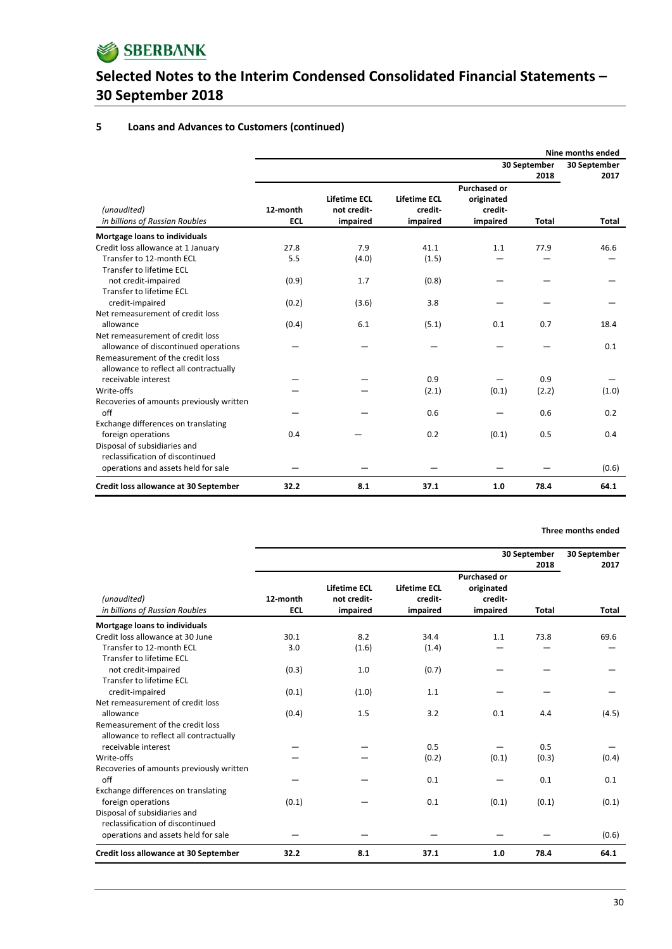

### **5 Loans and Advances to Customers (continued)**

|                                                                            |                        |                                                |                                     | Nine months ended                                        |                      |                      |  |  |
|----------------------------------------------------------------------------|------------------------|------------------------------------------------|-------------------------------------|----------------------------------------------------------|----------------------|----------------------|--|--|
|                                                                            |                        |                                                |                                     |                                                          | 30 September<br>2018 | 30 September<br>2017 |  |  |
| (unaudited)<br>in billions of Russian Roubles                              | 12-month<br><b>ECL</b> | <b>Lifetime ECL</b><br>not credit-<br>impaired | Lifetime ECL<br>credit-<br>impaired | <b>Purchased or</b><br>originated<br>credit-<br>impaired | <b>Total</b>         | <b>Total</b>         |  |  |
| Mortgage loans to individuals                                              |                        |                                                |                                     |                                                          |                      |                      |  |  |
| Credit loss allowance at 1 January                                         | 27.8                   | 7.9                                            | 41.1                                | 1.1                                                      | 77.9                 | 46.6                 |  |  |
| Transfer to 12-month ECL                                                   | 5.5                    | (4.0)                                          | (1.5)                               |                                                          |                      |                      |  |  |
| Transfer to lifetime ECL                                                   |                        |                                                |                                     |                                                          |                      |                      |  |  |
| not credit-impaired                                                        | (0.9)                  | 1.7                                            | (0.8)                               |                                                          |                      |                      |  |  |
| Transfer to lifetime ECL                                                   |                        |                                                |                                     |                                                          |                      |                      |  |  |
| credit-impaired                                                            | (0.2)                  | (3.6)                                          | 3.8                                 |                                                          |                      |                      |  |  |
| Net remeasurement of credit loss                                           |                        |                                                |                                     |                                                          |                      |                      |  |  |
| allowance                                                                  | (0.4)                  | 6.1                                            | (5.1)                               | 0.1                                                      | 0.7                  | 18.4                 |  |  |
| Net remeasurement of credit loss                                           |                        |                                                |                                     |                                                          |                      |                      |  |  |
| allowance of discontinued operations                                       |                        |                                                |                                     |                                                          |                      | 0.1                  |  |  |
| Remeasurement of the credit loss<br>allowance to reflect all contractually |                        |                                                |                                     |                                                          |                      |                      |  |  |
| receivable interest                                                        |                        |                                                | 0.9                                 |                                                          | 0.9                  |                      |  |  |
| Write-offs                                                                 |                        |                                                | (2.1)                               | (0.1)                                                    | (2.2)                | (1.0)                |  |  |
| Recoveries of amounts previously written<br>off                            |                        |                                                | 0.6                                 |                                                          | 0.6                  | 0.2                  |  |  |
| Exchange differences on translating                                        |                        |                                                |                                     |                                                          |                      |                      |  |  |
| foreign operations                                                         | 0.4                    |                                                | 0.2                                 | (0.1)                                                    | 0.5                  | 0.4                  |  |  |
| Disposal of subsidiaries and                                               |                        |                                                |                                     |                                                          |                      |                      |  |  |
| reclassification of discontinued                                           |                        |                                                |                                     |                                                          |                      |                      |  |  |
| operations and assets held for sale                                        |                        |                                                |                                     |                                                          |                      | (0.6)                |  |  |
| Credit loss allowance at 30 September                                      | 32.2                   | 8.1                                            | 37.1                                | 1.0                                                      | 78.4                 | 64.1                 |  |  |

|                                                                            | 30 September           |                                         |                                            |                                   |              |              |  |  |
|----------------------------------------------------------------------------|------------------------|-----------------------------------------|--------------------------------------------|-----------------------------------|--------------|--------------|--|--|
|                                                                            |                        | 30 September<br>2018                    |                                            |                                   |              |              |  |  |
|                                                                            |                        |                                         |                                            | <b>Purchased or</b>               |              | 2017         |  |  |
| (unaudited)<br>in billions of Russian Roubles                              | 12-month<br><b>ECL</b> | Lifetime ECL<br>not credit-<br>impaired | <b>Lifetime ECL</b><br>credit-<br>impaired | originated<br>credit-<br>impaired | <b>Total</b> | <b>Total</b> |  |  |
| Mortgage loans to individuals                                              |                        |                                         |                                            |                                   |              |              |  |  |
| Credit loss allowance at 30 June                                           | 30.1                   | 8.2                                     | 34.4                                       | 1.1                               | 73.8         | 69.6         |  |  |
| Transfer to 12-month ECL                                                   | 3.0                    | (1.6)                                   | (1.4)                                      |                                   |              |              |  |  |
| Transfer to lifetime ECL                                                   |                        |                                         |                                            |                                   |              |              |  |  |
| not credit-impaired                                                        | (0.3)                  | 1.0                                     | (0.7)                                      |                                   |              |              |  |  |
| Transfer to lifetime ECL                                                   |                        |                                         |                                            |                                   |              |              |  |  |
| credit-impaired                                                            | (0.1)                  | (1.0)                                   | 1.1                                        |                                   |              |              |  |  |
| Net remeasurement of credit loss                                           |                        |                                         |                                            |                                   |              |              |  |  |
| allowance                                                                  | (0.4)                  | 1.5                                     | 3.2                                        | 0.1                               | 4.4          | (4.5)        |  |  |
| Remeasurement of the credit loss<br>allowance to reflect all contractually |                        |                                         |                                            |                                   |              |              |  |  |
| receivable interest                                                        |                        |                                         | 0.5                                        |                                   | 0.5          |              |  |  |
| Write-offs                                                                 |                        |                                         | (0.2)                                      | (0.1)                             | (0.3)        | (0.4)        |  |  |
| Recoveries of amounts previously written                                   |                        |                                         |                                            |                                   |              |              |  |  |
| off                                                                        |                        |                                         | 0.1                                        |                                   | 0.1          | 0.1          |  |  |
| Exchange differences on translating                                        |                        |                                         |                                            |                                   |              |              |  |  |
| foreign operations                                                         | (0.1)                  |                                         | 0.1                                        | (0.1)                             | (0.1)        | (0.1)        |  |  |
| Disposal of subsidiaries and<br>reclassification of discontinued           |                        |                                         |                                            |                                   |              |              |  |  |
| operations and assets held for sale                                        |                        |                                         |                                            |                                   |              | (0.6)        |  |  |
| Credit loss allowance at 30 September                                      | 32.2                   | 8.1                                     | 37.1                                       | 1.0                               | 78.4         | 64.1         |  |  |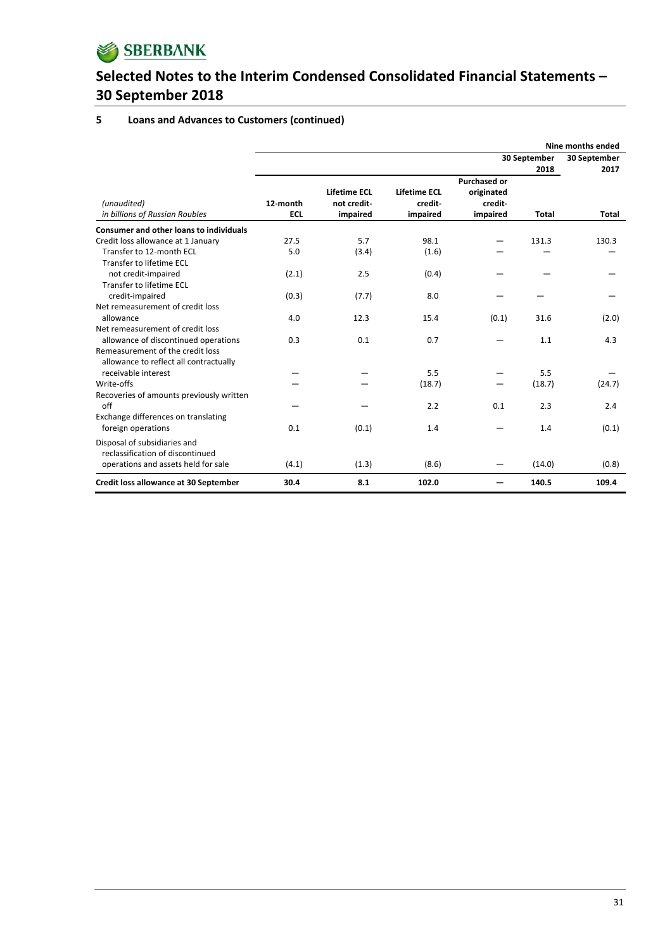

### **5 Loans and Advances to Customers (continued)**

|                                                | Nine months ended      |                                         |                                            |                                                          |                      |              |  |  |
|------------------------------------------------|------------------------|-----------------------------------------|--------------------------------------------|----------------------------------------------------------|----------------------|--------------|--|--|
|                                                |                        |                                         |                                            | 30 September<br>2018                                     | 30 September<br>2017 |              |  |  |
| (unaudited)<br>in billions of Russian Roubles  | 12-month<br><b>ECL</b> | Lifetime ECL<br>not credit-<br>impaired | <b>Lifetime ECL</b><br>credit-<br>impaired | <b>Purchased or</b><br>originated<br>credit-<br>impaired | <b>Total</b>         | <b>Total</b> |  |  |
| <b>Consumer and other loans to individuals</b> |                        |                                         |                                            |                                                          |                      |              |  |  |
| Credit loss allowance at 1 January             | 27.5                   | 5.7                                     | 98.1                                       |                                                          | 131.3                | 130.3        |  |  |
| Transfer to 12-month ECL                       | 5.0                    | (3.4)                                   | (1.6)                                      |                                                          |                      |              |  |  |
| Transfer to lifetime ECL                       |                        |                                         |                                            |                                                          |                      |              |  |  |
| not credit-impaired                            | (2.1)                  | 2.5                                     | (0.4)                                      |                                                          |                      |              |  |  |
| Transfer to lifetime ECL                       |                        |                                         |                                            |                                                          |                      |              |  |  |
| credit-impaired                                | (0.3)                  | (7.7)                                   | 8.0                                        |                                                          |                      |              |  |  |
| Net remeasurement of credit loss               |                        |                                         |                                            |                                                          |                      |              |  |  |
| allowance                                      | 4.0                    | 12.3                                    | 15.4                                       | (0.1)                                                    | 31.6                 | (2.0)        |  |  |
| Net remeasurement of credit loss               |                        |                                         |                                            |                                                          |                      |              |  |  |
| allowance of discontinued operations           | 0.3                    | 0.1                                     | 0.7                                        |                                                          | 1.1                  | 4.3          |  |  |
| Remeasurement of the credit loss               |                        |                                         |                                            |                                                          |                      |              |  |  |
| allowance to reflect all contractually         |                        |                                         |                                            |                                                          |                      |              |  |  |
| receivable interest                            |                        |                                         | 5.5                                        |                                                          | 5.5                  |              |  |  |
| Write-offs                                     |                        |                                         | (18.7)                                     |                                                          | (18.7)               | (24.7)       |  |  |
| Recoveries of amounts previously written       |                        |                                         |                                            |                                                          |                      |              |  |  |
| off                                            |                        |                                         | 2.2                                        | 0.1                                                      | 2.3                  | 2.4          |  |  |
| Exchange differences on translating            | 0.1                    |                                         |                                            |                                                          | 1.4                  |              |  |  |
| foreign operations                             |                        | (0.1)                                   | 1.4                                        |                                                          |                      | (0.1)        |  |  |
| Disposal of subsidiaries and                   |                        |                                         |                                            |                                                          |                      |              |  |  |
| reclassification of discontinued               |                        |                                         |                                            |                                                          |                      |              |  |  |
| operations and assets held for sale            | (4.1)                  | (1.3)                                   | (8.6)                                      |                                                          | (14.0)               | (0.8)        |  |  |
| Credit loss allowance at 30 September          | 30.4                   | 8.1                                     | 102.0                                      |                                                          | 140.5                | 109.4        |  |  |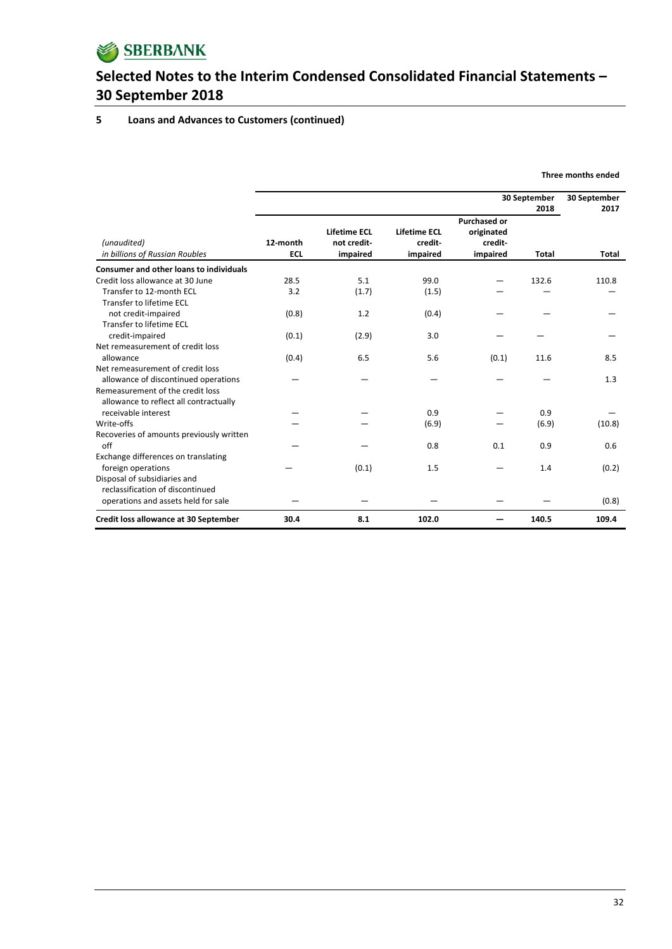

#### **5 Loans and Advances to Customers (continued)**

|                                                 |                        | 30 September<br>2018                    |                                            |                                                          |              | 30 September<br>2017 |
|-------------------------------------------------|------------------------|-----------------------------------------|--------------------------------------------|----------------------------------------------------------|--------------|----------------------|
| (unaudited)<br>in billions of Russian Roubles   | 12-month<br><b>ECL</b> | Lifetime ECL<br>not credit-<br>impaired | <b>Lifetime ECL</b><br>credit-<br>impaired | <b>Purchased or</b><br>originated<br>credit-<br>impaired | <b>Total</b> | <b>Total</b>         |
| <b>Consumer and other loans to individuals</b>  |                        |                                         |                                            |                                                          |              |                      |
| Credit loss allowance at 30 June                | 28.5                   | 5.1                                     | 99.0                                       |                                                          | 132.6        | 110.8                |
| Transfer to 12-month ECL                        | 3.2                    | (1.7)                                   | (1.5)                                      |                                                          |              |                      |
| Transfer to lifetime ECL                        |                        |                                         |                                            |                                                          |              |                      |
| not credit-impaired                             | (0.8)                  | 1.2                                     | (0.4)                                      |                                                          |              |                      |
| Transfer to lifetime ECL                        |                        |                                         |                                            |                                                          |              |                      |
| credit-impaired                                 | (0.1)                  | (2.9)                                   | 3.0                                        |                                                          |              |                      |
| Net remeasurement of credit loss                |                        |                                         |                                            |                                                          |              |                      |
| allowance                                       | (0.4)                  | 6.5                                     | 5.6                                        | (0.1)                                                    | 11.6         | 8.5                  |
| Net remeasurement of credit loss                |                        |                                         |                                            |                                                          |              |                      |
| allowance of discontinued operations            |                        |                                         |                                            |                                                          |              | 1.3                  |
| Remeasurement of the credit loss                |                        |                                         |                                            |                                                          |              |                      |
| allowance to reflect all contractually          |                        |                                         |                                            |                                                          |              |                      |
| receivable interest                             |                        |                                         | 0.9                                        |                                                          | 0.9          |                      |
| Write-offs                                      |                        |                                         | (6.9)                                      |                                                          | (6.9)        | (10.8)               |
| Recoveries of amounts previously written<br>off |                        |                                         | 0.8                                        | 0.1                                                      | 0.9          | 0.6                  |
| Exchange differences on translating             |                        |                                         |                                            |                                                          |              |                      |
| foreign operations                              |                        | (0.1)                                   | 1.5                                        |                                                          | 1.4          | (0.2)                |
| Disposal of subsidiaries and                    |                        |                                         |                                            |                                                          |              |                      |
| reclassification of discontinued                |                        |                                         |                                            |                                                          |              |                      |
| operations and assets held for sale             |                        |                                         |                                            |                                                          |              | (0.8)                |
| Credit loss allowance at 30 September           | 30.4                   | 8.1                                     | 102.0                                      |                                                          | 140.5        | 109.4                |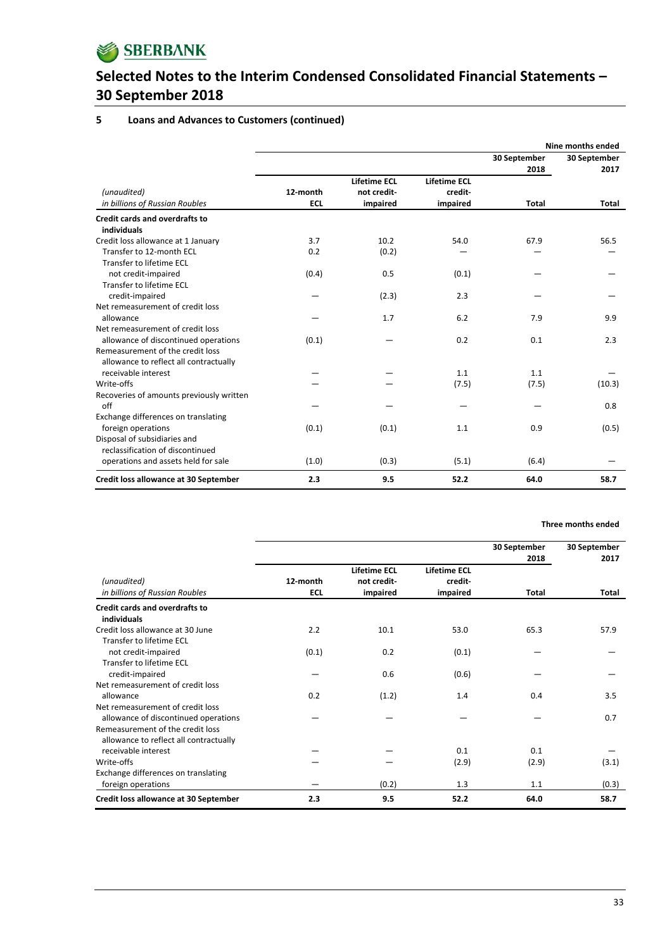

#### **5 Loans and Advances to Customers (continued)**

|                                                                            |            |                     |                     |              | Nine months ended |
|----------------------------------------------------------------------------|------------|---------------------|---------------------|--------------|-------------------|
|                                                                            |            |                     |                     | 30 September | 30 September      |
|                                                                            |            |                     |                     | 2018         | 2017              |
|                                                                            |            | <b>Lifetime ECL</b> | <b>Lifetime ECL</b> |              |                   |
| (unaudited)                                                                | 12-month   | not credit-         | credit-             |              |                   |
| in billions of Russian Roubles                                             | <b>ECL</b> | impaired            | impaired            | Total        | Total             |
| <b>Credit cards and overdrafts to</b><br>individuals                       |            |                     |                     |              |                   |
| Credit loss allowance at 1 January                                         | 3.7        | 10.2                | 54.0                | 67.9         | 56.5              |
| Transfer to 12-month ECL                                                   | 0.2        | (0.2)               |                     |              |                   |
| Transfer to lifetime ECL                                                   |            |                     |                     |              |                   |
| not credit-impaired                                                        | (0.4)      | 0.5                 | (0.1)               |              |                   |
| Transfer to lifetime ECL                                                   |            |                     |                     |              |                   |
| credit-impaired                                                            |            | (2.3)               | 2.3                 |              |                   |
| Net remeasurement of credit loss                                           |            |                     |                     |              |                   |
| allowance                                                                  |            | 1.7                 | 6.2                 | 7.9          | 9.9               |
| Net remeasurement of credit loss                                           |            |                     |                     |              |                   |
| allowance of discontinued operations                                       | (0.1)      |                     | 0.2                 | 0.1          | 2.3               |
| Remeasurement of the credit loss<br>allowance to reflect all contractually |            |                     |                     |              |                   |
| receivable interest                                                        |            |                     | 1.1                 | 1.1          |                   |
| Write-offs                                                                 |            |                     | (7.5)               | (7.5)        | (10.3)            |
| Recoveries of amounts previously written                                   |            |                     |                     |              |                   |
| off                                                                        |            |                     |                     |              | 0.8               |
| Exchange differences on translating                                        |            |                     |                     |              |                   |
| foreign operations                                                         | (0.1)      | (0.1)               | 1.1                 | 0.9          | (0.5)             |
| Disposal of subsidiaries and                                               |            |                     |                     |              |                   |
| reclassification of discontinued                                           |            |                     |                     |              |                   |
| operations and assets held for sale                                        | (1.0)      | (0.3)               | (5.1)               | (6.4)        |                   |
| Credit loss allowance at 30 September                                      | 2.3        | 9.5                 | 52.2                | 64.0         | 58.7              |

|                                                                                                                    |                        |                                         |                                            | 30 September<br>2018 | 30 September<br>2017 |
|--------------------------------------------------------------------------------------------------------------------|------------------------|-----------------------------------------|--------------------------------------------|----------------------|----------------------|
| (unaudited)<br>in billions of Russian Roubles                                                                      | 12-month<br><b>ECL</b> | Lifetime ECL<br>not credit-<br>impaired | <b>Lifetime ECL</b><br>credit-<br>impaired | Total                | Total                |
| Credit cards and overdrafts to<br>individuals                                                                      |                        |                                         |                                            |                      |                      |
| Credit loss allowance at 30 June<br>Transfer to lifetime ECL                                                       | 2.2                    | 10.1                                    | 53.0                                       | 65.3                 | 57.9                 |
| not credit-impaired<br>Transfer to lifetime ECL                                                                    | (0.1)                  | 0.2                                     | (0.1)                                      |                      |                      |
| credit-impaired<br>Net remeasurement of credit loss                                                                |                        | 0.6                                     | (0.6)                                      |                      |                      |
| allowance<br>Net remeasurement of credit loss                                                                      | 0.2                    | (1.2)                                   | 1.4                                        | 0.4                  | 3.5                  |
| allowance of discontinued operations<br>Remeasurement of the credit loss<br>allowance to reflect all contractually |                        |                                         |                                            |                      | 0.7                  |
| receivable interest                                                                                                |                        |                                         | 0.1                                        | 0.1                  |                      |
| Write-offs<br>Exchange differences on translating                                                                  |                        |                                         | (2.9)                                      | (2.9)                | (3.1)                |
| foreign operations                                                                                                 |                        | (0.2)                                   | 1.3                                        | 1.1                  | (0.3)                |
| Credit loss allowance at 30 September                                                                              | 2.3                    | 9.5                                     | 52.2                                       | 64.0                 | 58.7                 |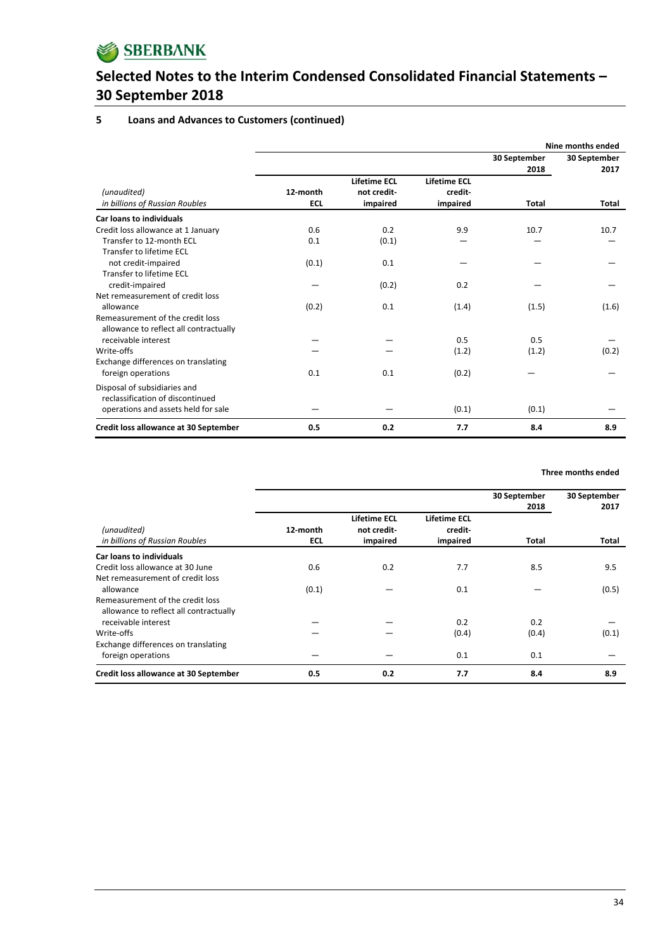

## **5 Loans and Advances to Customers (continued)**

|                                                                            |                        |                                                |                                            |                      | Nine months ended    |
|----------------------------------------------------------------------------|------------------------|------------------------------------------------|--------------------------------------------|----------------------|----------------------|
|                                                                            |                        |                                                |                                            | 30 September<br>2018 | 30 September<br>2017 |
| (unaudited)<br>in billions of Russian Roubles                              | 12-month<br><b>ECL</b> | <b>Lifetime ECL</b><br>not credit-<br>impaired | <b>Lifetime ECL</b><br>credit-<br>impaired | Total                | Total                |
| Car loans to individuals                                                   |                        |                                                |                                            |                      |                      |
| Credit loss allowance at 1 January                                         | 0.6                    | 0.2                                            | 9.9                                        | 10.7                 | 10.7                 |
| Transfer to 12-month ECL<br>Transfer to lifetime ECL                       | 0.1                    | (0.1)                                          |                                            |                      |                      |
| not credit-impaired<br>Transfer to lifetime ECL                            | (0.1)                  | 0.1                                            |                                            |                      |                      |
| credit-impaired<br>Net remeasurement of credit loss                        |                        | (0.2)                                          | 0.2                                        |                      |                      |
| allowance                                                                  | (0.2)                  | 0.1                                            | (1.4)                                      | (1.5)                | (1.6)                |
| Remeasurement of the credit loss<br>allowance to reflect all contractually |                        |                                                |                                            |                      |                      |
| receivable interest                                                        |                        |                                                | 0.5                                        | 0.5                  |                      |
| Write-offs<br>Exchange differences on translating                          |                        |                                                | (1.2)                                      | (1.2)                | (0.2)                |
| foreign operations                                                         | 0.1                    | 0.1                                            | (0.2)                                      |                      |                      |
| Disposal of subsidiaries and<br>reclassification of discontinued           |                        |                                                |                                            |                      |                      |
| operations and assets held for sale                                        |                        |                                                | (0.1)                                      | (0.1)                |                      |
| Credit loss allowance at 30 September                                      | 0.5                    | 0.2                                            | 7.7                                        | 8.4                  | 8.9                  |

#### **Three months ended**

|                                                                            |                                                                          |     |                                            | 30 September<br>2018 | 30 September<br>2017 |  |
|----------------------------------------------------------------------------|--------------------------------------------------------------------------|-----|--------------------------------------------|----------------------|----------------------|--|
| (unaudited)<br>in billions of Russian Roubles                              | <b>Lifetime ECL</b><br>12-month<br>not credit-<br><b>ECL</b><br>impaired |     | <b>Lifetime ECL</b><br>credit-<br>impaired | Total                | Total                |  |
| <b>Car loans to individuals</b>                                            |                                                                          |     |                                            |                      |                      |  |
| Credit loss allowance at 30 June                                           | 0.6                                                                      | 0.2 | 7.7                                        | 8.5                  | 9.5                  |  |
| Net remeasurement of credit loss                                           |                                                                          |     |                                            |                      |                      |  |
| allowance                                                                  | (0.1)                                                                    |     | 0.1                                        |                      | (0.5)                |  |
| Remeasurement of the credit loss<br>allowance to reflect all contractually |                                                                          |     |                                            |                      |                      |  |
| receivable interest                                                        |                                                                          |     | 0.2                                        | 0.2                  |                      |  |
| Write-offs                                                                 |                                                                          |     | (0.4)                                      | (0.4)                | (0.1)                |  |
| Exchange differences on translating<br>foreign operations                  |                                                                          |     | 0.1                                        | 0.1                  |                      |  |
| Credit loss allowance at 30 September                                      | 0.5                                                                      | 0.2 | 7.7                                        | 8.4                  | 8.9                  |  |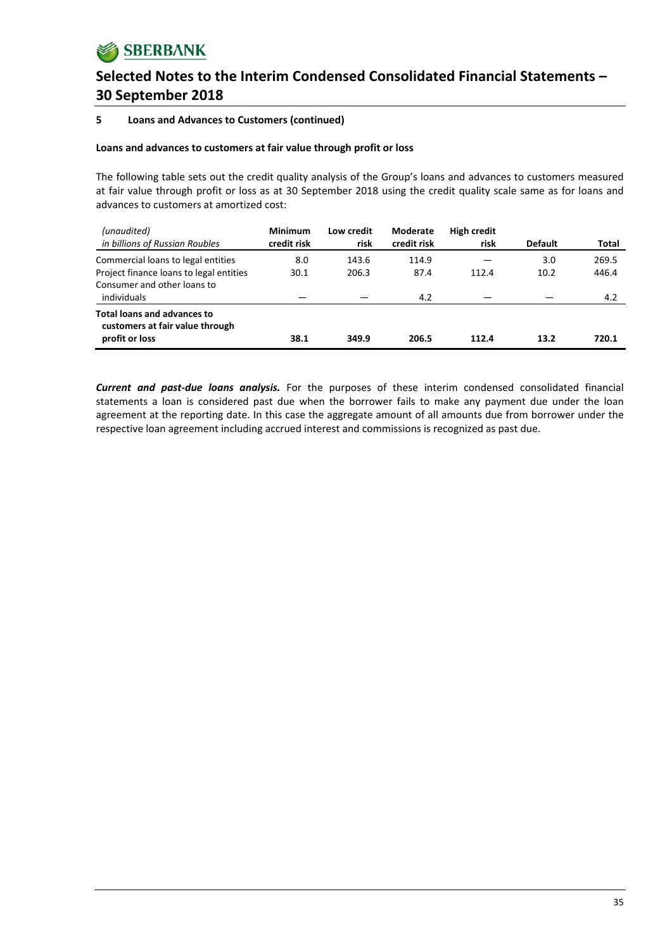## **5 Loans and Advances to Customers (continued)**

## **Loans and advances to customers at fair value through profit or loss**

The following table sets out the credit quality analysis of the Group's loans and advances to customers measured at fair value through profit or loss as at 30 September 2018 using the credit quality scale same as for loans and advances to customers at amortized cost:

| (unaudited)<br>in billions of Russian Roubles                                           | <b>Minimum</b><br>credit risk | Low credit<br>risk | <b>Moderate</b><br>credit risk | <b>High credit</b><br>risk | <b>Default</b> | Total |
|-----------------------------------------------------------------------------------------|-------------------------------|--------------------|--------------------------------|----------------------------|----------------|-------|
| Commercial loans to legal entities                                                      | 8.0                           | 143.6              | 114.9                          |                            | 3.0            | 269.5 |
| Project finance loans to legal entities                                                 | 30.1                          | 206.3              | 87.4                           | 112.4                      | 10.2           | 446.4 |
| Consumer and other loans to<br>individuals                                              |                               |                    | 4.2                            |                            |                | 4.2   |
| <b>Total loans and advances to</b><br>customers at fair value through<br>profit or loss | 38.1                          | 349.9              | 206.5                          | 112.4                      | 13.2           | 720.1 |

*Current and past‐due loans analysis.* For the purposes of these interim condensed consolidated financial statements a loan is considered past due when the borrower fails to make any payment due under the loan agreement at the reporting date. In this case the aggregate amount of all amounts due from borrower under the respective loan agreement including accrued interest and commissions is recognized as past due.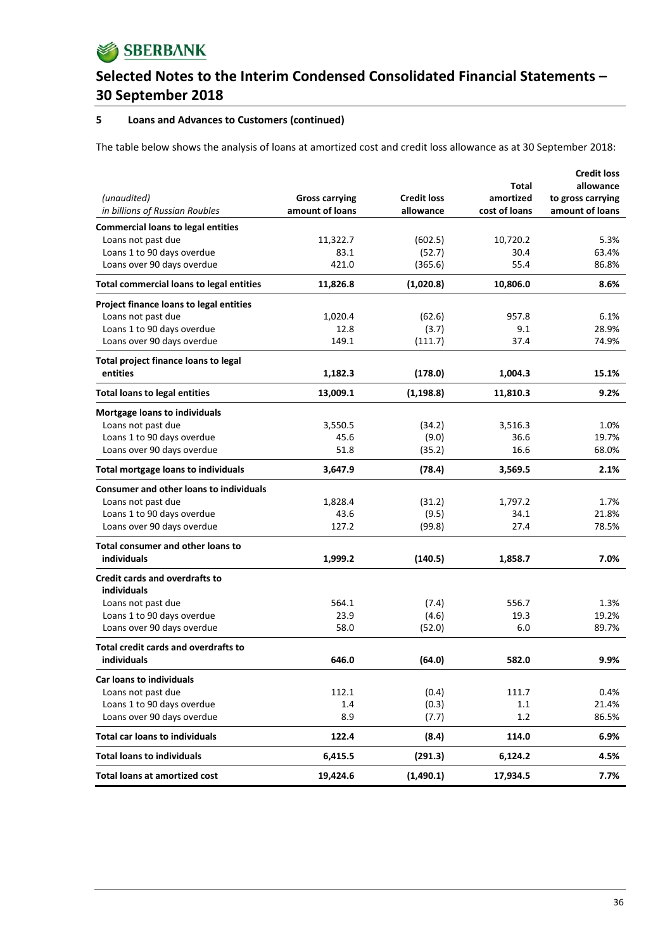

## **5 Loans and Advances to Customers (continued)**

The table below shows the analysis of loans at amortized cost and credit loss allowance as at 30 September 2018:

|                                                 |                       |                    |               | <b>Credit loss</b> |
|-------------------------------------------------|-----------------------|--------------------|---------------|--------------------|
|                                                 |                       |                    | Total         | allowance          |
| (unaudited)                                     | <b>Gross carrying</b> | <b>Credit loss</b> | amortized     | to gross carrying  |
| in billions of Russian Roubles                  | amount of loans       | allowance          | cost of loans | amount of loans    |
| <b>Commercial loans to legal entities</b>       |                       |                    |               |                    |
| Loans not past due                              | 11,322.7              | (602.5)            | 10,720.2      | 5.3%               |
| Loans 1 to 90 days overdue                      | 83.1                  | (52.7)             | 30.4          | 63.4%              |
| Loans over 90 days overdue                      | 421.0                 | (365.6)            | 55.4          | 86.8%              |
| <b>Total commercial loans to legal entities</b> | 11,826.8              | (1,020.8)          | 10,806.0      | 8.6%               |
| Project finance loans to legal entities         |                       |                    |               |                    |
| Loans not past due                              | 1,020.4               | (62.6)             | 957.8         | 6.1%               |
| Loans 1 to 90 days overdue                      | 12.8                  | (3.7)              | 9.1           | 28.9%              |
| Loans over 90 days overdue                      | 149.1                 | (111.7)            | 37.4          | 74.9%              |
| Total project finance loans to legal            |                       |                    |               |                    |
| entities                                        | 1,182.3               | (178.0)            | 1,004.3       | 15.1%              |
| <b>Total loans to legal entities</b>            | 13,009.1              | (1, 198.8)         | 11,810.3      | 9.2%               |
| Mortgage loans to individuals                   |                       |                    |               |                    |
| Loans not past due                              | 3,550.5               | (34.2)             | 3,516.3       | 1.0%               |
| Loans 1 to 90 days overdue                      | 45.6                  | (9.0)              | 36.6          | 19.7%              |
| Loans over 90 days overdue                      | 51.8                  | (35.2)             | 16.6          | 68.0%              |
| <b>Total mortgage loans to individuals</b>      | 3,647.9               | (78.4)             | 3,569.5       | 2.1%               |
| <b>Consumer and other loans to individuals</b>  |                       |                    |               |                    |
| Loans not past due                              | 1,828.4               | (31.2)             | 1,797.2       | 1.7%               |
| Loans 1 to 90 days overdue                      | 43.6                  | (9.5)              | 34.1          | 21.8%              |
| Loans over 90 days overdue                      | 127.2                 | (99.8)             | 27.4          | 78.5%              |
| <b>Total consumer and other loans to</b>        |                       |                    |               |                    |
| individuals                                     | 1,999.2               | (140.5)            | 1,858.7       | 7.0%               |
| <b>Credit cards and overdrafts to</b>           |                       |                    |               |                    |
| individuals                                     |                       |                    |               |                    |
| Loans not past due                              | 564.1                 | (7.4)              | 556.7         | 1.3%               |
| Loans 1 to 90 days overdue                      | 23.9                  | (4.6)              | 19.3          | 19.2%              |
| Loans over 90 days overdue                      | 58.0                  | (52.0)             | 6.0           | 89.7%              |
| Total credit cards and overdrafts to            |                       |                    |               |                    |
| individuals                                     | 646.0                 | (64.0)             | 582.0         | 9.9%               |
| Car loans to individuals                        |                       |                    |               |                    |
| Loans not past due                              | 112.1                 | (0.4)              | 111.7         | 0.4%               |
| Loans 1 to 90 days overdue                      | 1.4                   | (0.3)              | 1.1           | 21.4%              |
| Loans over 90 days overdue                      | 8.9                   | (7.7)              | 1.2           | 86.5%              |
| <b>Total car loans to individuals</b>           | 122.4                 | (8.4)              | 114.0         | 6.9%               |
| <b>Total loans to individuals</b>               | 6,415.5               | (291.3)            | 6,124.2       | 4.5%               |
| <b>Total loans at amortized cost</b>            | 19,424.6              | (1,490.1)          | 17,934.5      | 7.7%               |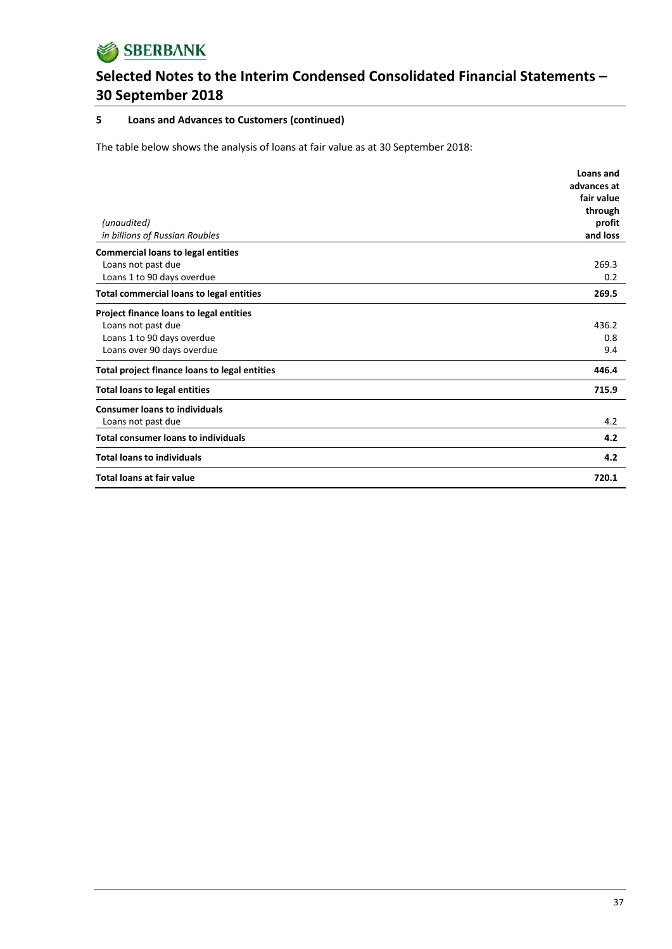

### **5 Loans and Advances to Customers (continued)**

The table below shows the analysis of loans at fair value as at 30 September 2018:

|                                                 | Loans and   |
|-------------------------------------------------|-------------|
|                                                 | advances at |
|                                                 | fair value  |
|                                                 | through     |
| (unaudited)                                     | profit      |
| in billions of Russian Roubles                  | and loss    |
| <b>Commercial loans to legal entities</b>       |             |
| Loans not past due                              | 269.3       |
| Loans 1 to 90 days overdue                      | 0.2         |
| <b>Total commercial loans to legal entities</b> | 269.5       |
| Project finance loans to legal entities         |             |
| Loans not past due                              | 436.2       |
| Loans 1 to 90 days overdue                      | 0.8         |
| Loans over 90 days overdue                      | 9.4         |
| Total project finance loans to legal entities   | 446.4       |
| <b>Total loans to legal entities</b>            | 715.9       |
| <b>Consumer loans to individuals</b>            |             |
| Loans not past due                              | 4.2         |
| <b>Total consumer loans to individuals</b>      | 4.2         |
| <b>Total loans to individuals</b>               | 4.2         |
| <b>Total loans at fair value</b>                | 720.1       |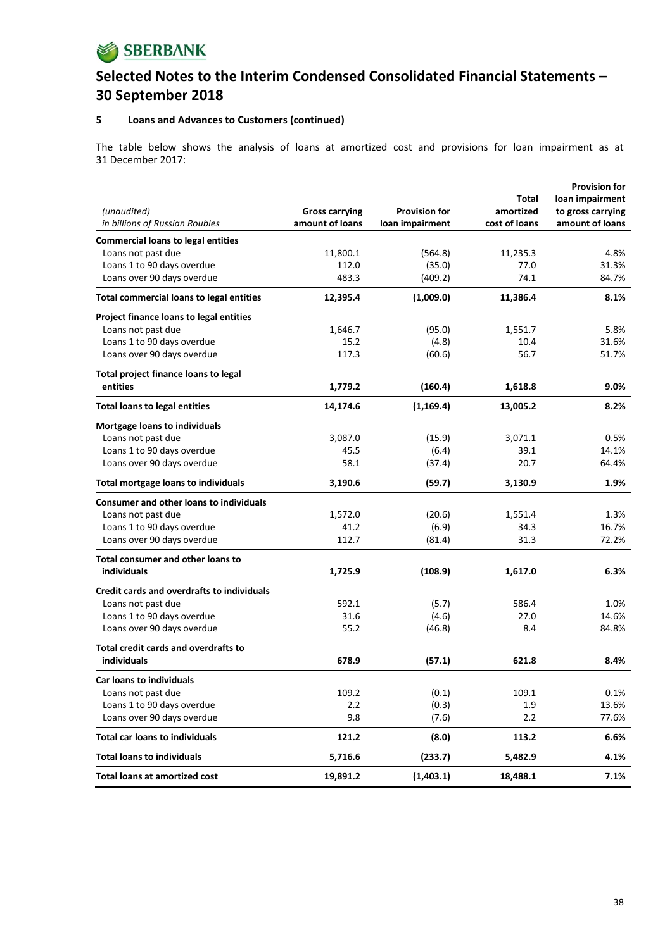

### **5 Loans and Advances to Customers (continued)**

The table below shows the analysis of loans at amortized cost and provisions for loan impairment as at 31 December 2017:

|                                                   |                       |                      |               | <b>Provision for</b> |
|---------------------------------------------------|-----------------------|----------------------|---------------|----------------------|
|                                                   |                       |                      | Total         | loan impairment      |
| (unaudited)                                       | <b>Gross carrying</b> | <b>Provision for</b> | amortized     | to gross carrying    |
| in billions of Russian Roubles                    | amount of loans       | loan impairment      | cost of loans | amount of loans      |
| <b>Commercial loans to legal entities</b>         |                       |                      |               |                      |
| Loans not past due                                | 11,800.1              | (564.8)              | 11,235.3      | 4.8%                 |
| Loans 1 to 90 days overdue                        | 112.0                 | (35.0)               | 77.0          | 31.3%                |
| Loans over 90 days overdue                        | 483.3                 | (409.2)              | 74.1          | 84.7%                |
|                                                   |                       |                      |               |                      |
| <b>Total commercial loans to legal entities</b>   | 12,395.4              | (1,009.0)            | 11,386.4      | 8.1%                 |
| Project finance loans to legal entities           |                       |                      |               |                      |
| Loans not past due                                | 1,646.7               | (95.0)               | 1,551.7       | 5.8%                 |
| Loans 1 to 90 days overdue                        | 15.2                  | (4.8)                | 10.4          | 31.6%                |
| Loans over 90 days overdue                        | 117.3                 | (60.6)               | 56.7          | 51.7%                |
| Total project finance loans to legal              |                       |                      |               |                      |
| entities                                          | 1,779.2               | (160.4)              | 1,618.8       | 9.0%                 |
| <b>Total loans to legal entities</b>              | 14,174.6              | (1, 169.4)           | 13,005.2      | 8.2%                 |
| Mortgage loans to individuals                     |                       |                      |               |                      |
| Loans not past due                                | 3,087.0               | (15.9)               | 3,071.1       | 0.5%                 |
| Loans 1 to 90 days overdue                        | 45.5                  | (6.4)                | 39.1          | 14.1%                |
| Loans over 90 days overdue                        | 58.1                  | (37.4)               | 20.7          | 64.4%                |
| <b>Total mortgage loans to individuals</b>        | 3,190.6               | (59.7)               | 3,130.9       | 1.9%                 |
| <b>Consumer and other loans to individuals</b>    |                       |                      |               |                      |
| Loans not past due                                | 1,572.0               | (20.6)               | 1,551.4       | 1.3%                 |
| Loans 1 to 90 days overdue                        | 41.2                  | (6.9)                | 34.3          | 16.7%                |
| Loans over 90 days overdue                        | 112.7                 | (81.4)               | 31.3          | 72.2%                |
|                                                   |                       |                      |               |                      |
| Total consumer and other loans to                 |                       |                      |               |                      |
| individuals                                       | 1,725.9               | (108.9)              | 1,617.0       | 6.3%                 |
| <b>Credit cards and overdrafts to individuals</b> |                       |                      |               |                      |
| Loans not past due                                | 592.1                 | (5.7)                | 586.4         | 1.0%                 |
| Loans 1 to 90 days overdue                        | 31.6                  | (4.6)                | 27.0          | 14.6%                |
| Loans over 90 days overdue                        | 55.2                  | (46.8)               | 8.4           | 84.8%                |
| <b>Total credit cards and overdrafts to</b>       |                       |                      |               |                      |
| individuals                                       | 678.9                 | (57.1)               | 621.8         | 8.4%                 |
| <b>Car loans to individuals</b>                   |                       |                      |               |                      |
| Loans not past due                                | 109.2                 | (0.1)                | 109.1         | 0.1%                 |
| Loans 1 to 90 days overdue                        | 2.2                   | (0.3)                | 1.9           | 13.6%                |
| Loans over 90 days overdue                        | 9.8                   | (7.6)                | 2.2           | 77.6%                |
| <b>Total car loans to individuals</b>             | 121.2                 | (8.0)                | 113.2         | 6.6%                 |
| <b>Total loans to individuals</b>                 | 5,716.6               | (233.7)              | 5,482.9       | 4.1%                 |
| <b>Total loans at amortized cost</b>              | 19,891.2              | (1,403.1)            | 18,488.1      | 7.1%                 |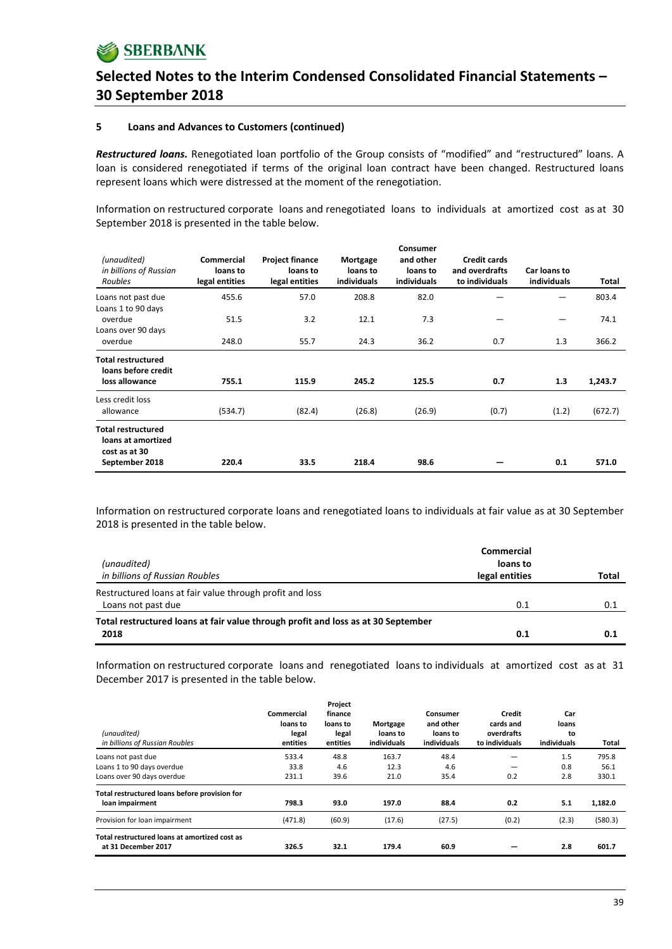#### **5 Loans and Advances to Customers (continued)**

*Restructured loans.* Renegotiated loan portfolio of the Group consists of "modified" and "restructured" loans. A loan is considered renegotiated if terms of the original loan contract have been changed. Restructured loans represent loans which were distressed at the moment of the renegotiation.

Information on restructured corporate loans and renegotiated loans to individuals at amortized cost as at 30 September 2018 is presented in the table below.

| (unaudited)<br>in billions of Russian<br>Roubles                 | Commercial<br>loans to<br>legal entities | <b>Project finance</b><br>loans to<br>legal entities | Mortgage<br>loans to<br>individuals | Consumer<br>and other<br>loans to<br>individuals | <b>Credit cards</b><br>and overdrafts<br>to individuals | Car loans to<br>individuals | Total   |
|------------------------------------------------------------------|------------------------------------------|------------------------------------------------------|-------------------------------------|--------------------------------------------------|---------------------------------------------------------|-----------------------------|---------|
| Loans not past due                                               | 455.6                                    | 57.0                                                 | 208.8                               | 82.0                                             |                                                         |                             | 803.4   |
| Loans 1 to 90 days<br>overdue<br>Loans over 90 days              | 51.5                                     | 3.2                                                  | 12.1                                | 7.3                                              |                                                         |                             | 74.1    |
| overdue                                                          | 248.0                                    | 55.7                                                 | 24.3                                | 36.2                                             | 0.7                                                     | 1.3                         | 366.2   |
| <b>Total restructured</b><br>loans before credit                 |                                          |                                                      |                                     |                                                  |                                                         |                             |         |
| loss allowance                                                   | 755.1                                    | 115.9                                                | 245.2                               | 125.5                                            | 0.7                                                     | 1.3                         | 1,243.7 |
| Less credit loss<br>allowance                                    | (534.7)                                  | (82.4)                                               | (26.8)                              | (26.9)                                           | (0.7)                                                   | (1.2)                       | (672.7) |
| <b>Total restructured</b><br>loans at amortized<br>cost as at 30 |                                          |                                                      |                                     |                                                  |                                                         |                             |         |
| September 2018                                                   | 220.4                                    | 33.5                                                 | 218.4                               | 98.6                                             |                                                         | 0.1                         | 571.0   |

Information on restructured corporate loans and renegotiated loans to individuals at fair value as at 30 September 2018 is presented in the table below.

| (unaudited)<br>in billions of Russian Roubles                                                           | Commercial<br>loans to<br>legal entities | Total |
|---------------------------------------------------------------------------------------------------------|------------------------------------------|-------|
| Restructured loans at fair value through profit and loss                                                |                                          |       |
| Loans not past due<br>Total restructured loans at fair value through profit and loss as at 30 September | 0.1                                      | 0.1   |
| 2018                                                                                                    | 0.1                                      | 0.1   |

Information on restructured corporate loans and renegotiated loans to individuals at amortized cost as at 31 December 2017 is presented in the table below.

| (unaudited)<br>in billions of Russian Roubles                        | Commercial<br>loans to<br>legal<br>entities | Project<br>finance<br>loans to<br>legal<br>entities | Mortgage<br>loans to<br>individuals | Consumer<br>and other<br>loans to<br>individuals | Credit<br>cards and<br>overdrafts<br>to individuals | Car<br>loans<br>to<br>individuals | Total   |
|----------------------------------------------------------------------|---------------------------------------------|-----------------------------------------------------|-------------------------------------|--------------------------------------------------|-----------------------------------------------------|-----------------------------------|---------|
| Loans not past due                                                   | 533.4                                       | 48.8                                                | 163.7                               | 48.4                                             |                                                     | 1.5                               | 795.8   |
| Loans 1 to 90 days overdue                                           | 33.8                                        | 4.6                                                 | 12.3                                | 4.6                                              |                                                     | 0.8                               | 56.1    |
| Loans over 90 days overdue                                           | 231.1                                       | 39.6                                                | 21.0                                | 35.4                                             | 0.2                                                 | 2.8                               | 330.1   |
| Total restructured loans before provision for<br>loan impairment     | 798.3                                       | 93.0                                                | 197.0                               | 88.4                                             | 0.2                                                 | 5.1                               | 1,182.0 |
| Provision for loan impairment                                        | (471.8)                                     | (60.9)                                              | (17.6)                              | (27.5)                                           | (0.2)                                               | (2.3)                             | (580.3) |
| Total restructured loans at amortized cost as<br>at 31 December 2017 | 326.5                                       | 32.1                                                | 179.4                               | 60.9                                             |                                                     | 2.8                               | 601.7   |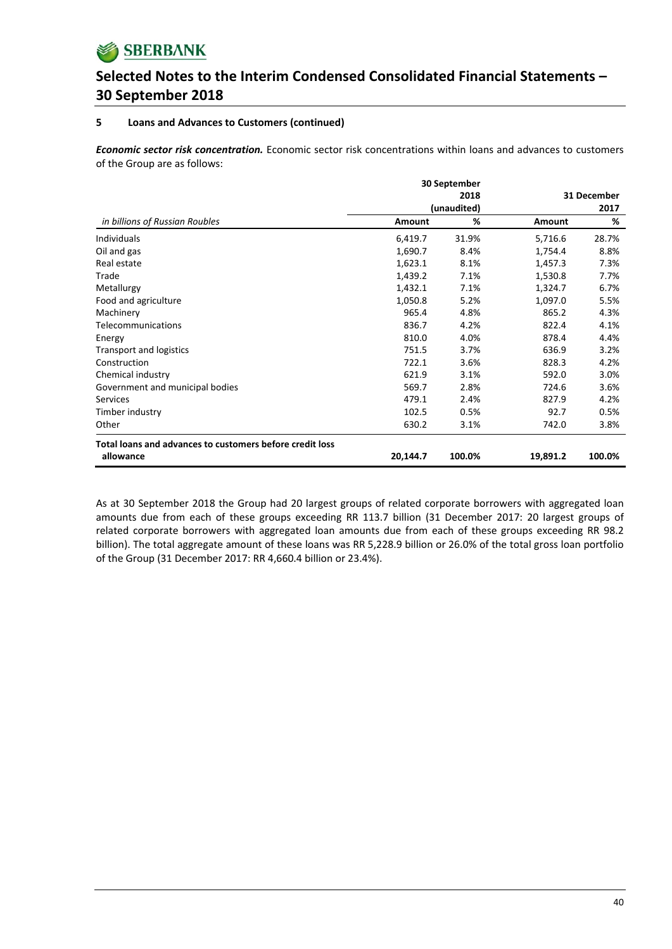

### **5 Loans and Advances to Customers (continued)**

*Economic sector risk concentration.* Economic sector risk concentrations within loans and advances to customers of the Group are as follows:

|                                                          |          | 30 September |          |             |
|----------------------------------------------------------|----------|--------------|----------|-------------|
|                                                          |          | 2018         |          | 31 December |
|                                                          |          | (unaudited)  |          | 2017        |
| in billions of Russian Roubles                           | Amount   | %            | Amount   | %           |
| <b>Individuals</b>                                       | 6,419.7  | 31.9%        | 5,716.6  | 28.7%       |
| Oil and gas                                              | 1,690.7  | 8.4%         | 1,754.4  | 8.8%        |
| Real estate                                              | 1,623.1  | 8.1%         | 1,457.3  | 7.3%        |
| Trade                                                    | 1,439.2  | 7.1%         | 1,530.8  | 7.7%        |
| Metallurgy                                               | 1,432.1  | 7.1%         | 1,324.7  | 6.7%        |
| Food and agriculture                                     | 1,050.8  | 5.2%         | 1,097.0  | 5.5%        |
| Machinery                                                | 965.4    | 4.8%         | 865.2    | 4.3%        |
| Telecommunications                                       | 836.7    | 4.2%         | 822.4    | 4.1%        |
| Energy                                                   | 810.0    | 4.0%         | 878.4    | 4.4%        |
| Transport and logistics                                  | 751.5    | 3.7%         | 636.9    | 3.2%        |
| Construction                                             | 722.1    | 3.6%         | 828.3    | 4.2%        |
| Chemical industry                                        | 621.9    | 3.1%         | 592.0    | 3.0%        |
| Government and municipal bodies                          | 569.7    | 2.8%         | 724.6    | 3.6%        |
| <b>Services</b>                                          | 479.1    | 2.4%         | 827.9    | 4.2%        |
| Timber industry                                          | 102.5    | 0.5%         | 92.7     | 0.5%        |
| Other                                                    | 630.2    | 3.1%         | 742.0    | 3.8%        |
| Total loans and advances to customers before credit loss |          |              |          |             |
| allowance                                                | 20,144.7 | 100.0%       | 19,891.2 | 100.0%      |

As at 30 September 2018 the Group had 20 largest groups of related corporate borrowers with aggregated loan amounts due from each of these groups exceeding RR 113.7 billion (31 December 2017: 20 largest groups of related corporate borrowers with aggregated loan amounts due from each of these groups exceeding RR 98.2 billion). The total aggregate amount of these loans was RR 5,228.9 billion or 26.0% of the total gross loan portfolio of the Group (31 December 2017: RR 4,660.4 billion or 23.4%).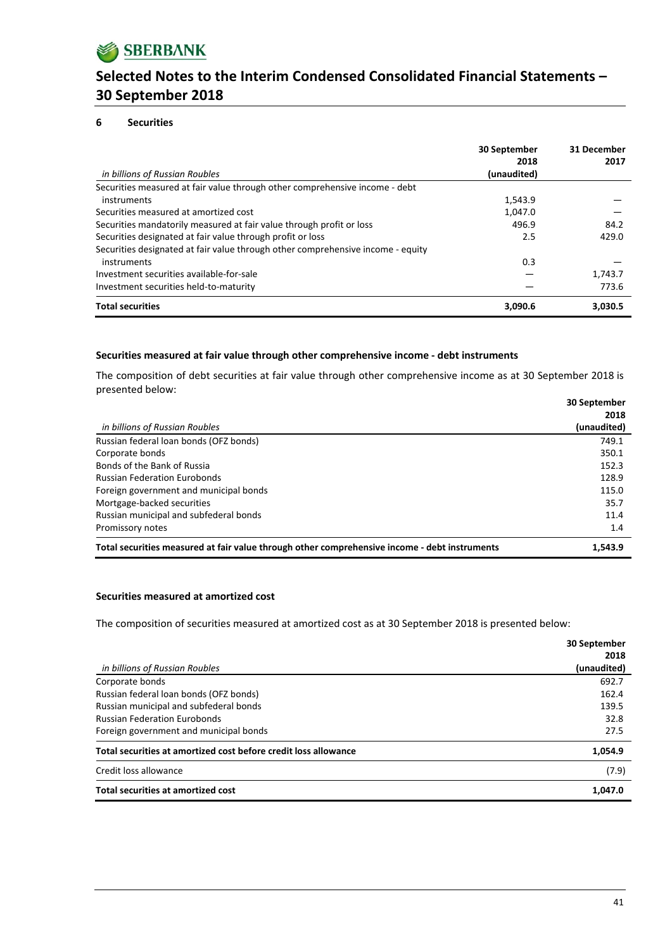

### **6 Securities**

| in billions of Russian Roubles                                                  | 30 September<br>2018<br>(unaudited) | 31 December<br>2017 |
|---------------------------------------------------------------------------------|-------------------------------------|---------------------|
| Securities measured at fair value through other comprehensive income - debt     |                                     |                     |
| instruments                                                                     | 1,543.9                             |                     |
| Securities measured at amortized cost                                           | 1,047.0                             |                     |
| Securities mandatorily measured at fair value through profit or loss            | 496.9                               | 84.2                |
| Securities designated at fair value through profit or loss                      | 2.5                                 | 429.0               |
| Securities designated at fair value through other comprehensive income - equity |                                     |                     |
| instruments                                                                     | 0.3                                 |                     |
| Investment securities available-for-sale                                        |                                     | 1,743.7             |
| Investment securities held-to-maturity                                          |                                     | 773.6               |
| <b>Total securities</b>                                                         | 3,090.6                             | 3,030.5             |

### **Securities measured at fair value through other comprehensive income ‐ debt instruments**

The composition of debt securities at fair value through other comprehensive income as at 30 September 2018 is presented below: **30 September**

|                                                                                               | <b>30 September</b> |
|-----------------------------------------------------------------------------------------------|---------------------|
|                                                                                               | 2018                |
| in billions of Russian Roubles                                                                | (unaudited)         |
| Russian federal loan bonds (OFZ bonds)                                                        | 749.1               |
| Corporate bonds                                                                               | 350.1               |
| Bonds of the Bank of Russia                                                                   | 152.3               |
| <b>Russian Federation Eurobonds</b>                                                           | 128.9               |
| Foreign government and municipal bonds                                                        | 115.0               |
| Mortgage-backed securities                                                                    | 35.7                |
| Russian municipal and subfederal bonds                                                        | 11.4                |
| Promissory notes                                                                              | 1.4                 |
| Total securities measured at fair value through other comprehensive income - debt instruments | 1.543.9             |

#### **Securities measured at amortized cost**

The composition of securities measured at amortized cost as at 30 September 2018 is presented below:

|                                                                 | 30 September |
|-----------------------------------------------------------------|--------------|
|                                                                 | 2018         |
| in billions of Russian Roubles                                  | (unaudited)  |
| Corporate bonds                                                 | 692.7        |
| Russian federal loan bonds (OFZ bonds)                          | 162.4        |
| Russian municipal and subfederal bonds                          | 139.5        |
| <b>Russian Federation Eurobonds</b>                             | 32.8         |
| Foreign government and municipal bonds                          | 27.5         |
| Total securities at amortized cost before credit loss allowance | 1,054.9      |
| Credit loss allowance                                           | (7.9)        |
| Total securities at amortized cost                              | 1,047.0      |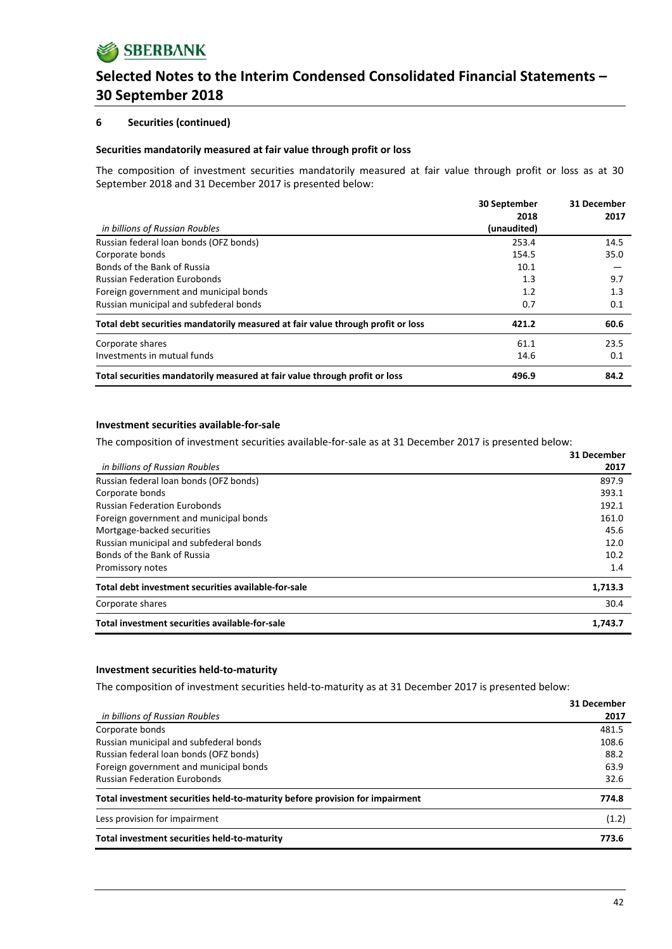## **6 Securities (continued)**

### **Securities mandatorily measured at fair value through profit or loss**

The composition of investment securities mandatorily measured at fair value through profit or loss as at 30 September 2018 and 31 December 2017 is presented below:

|                                                                                 | 30 September | 31 December |
|---------------------------------------------------------------------------------|--------------|-------------|
|                                                                                 | 2018         | 2017        |
| in billions of Russian Roubles                                                  | (unaudited)  |             |
| Russian federal loan bonds (OFZ bonds)                                          | 253.4        | 14.5        |
| Corporate bonds                                                                 | 154.5        | 35.0        |
| Bonds of the Bank of Russia                                                     | 10.1         |             |
| <b>Russian Federation Eurobonds</b>                                             | 1.3          | 9.7         |
| Foreign government and municipal bonds                                          | 1.2          | 1.3         |
| Russian municipal and subfederal bonds                                          | 0.7          | 0.1         |
| Total debt securities mandatorily measured at fair value through profit or loss | 421.2        | 60.6        |
| Corporate shares                                                                | 61.1         | 23.5        |
| Investments in mutual funds                                                     | 14.6         | 0.1         |
| Total securities mandatorily measured at fair value through profit or loss      | 496.9        | 84.2        |

## **Investment securities available‐for‐sale**

The composition of investment securities available-for-sale as at 31 December 2017 is presented below:

|                                                     | 31 December |
|-----------------------------------------------------|-------------|
| in billions of Russian Roubles                      | 2017        |
| Russian federal loan bonds (OFZ bonds)              | 897.9       |
| Corporate bonds                                     | 393.1       |
| <b>Russian Federation Eurobonds</b>                 | 192.1       |
| Foreign government and municipal bonds              | 161.0       |
| Mortgage-backed securities                          | 45.6        |
| Russian municipal and subfederal bonds              | 12.0        |
| Bonds of the Bank of Russia                         | 10.2        |
| Promissory notes                                    | 1.4         |
| Total debt investment securities available-for-sale | 1,713.3     |
| Corporate shares                                    | 30.4        |
| Total investment securities available-for-sale      | 1.743.7     |

#### **Investment securities held‐to‐maturity**

The composition of investment securities held-to-maturity as at 31 December 2017 is presented below:

|                                                                              | 31 December |
|------------------------------------------------------------------------------|-------------|
| in billions of Russian Roubles                                               | 2017        |
| Corporate bonds                                                              | 481.5       |
| Russian municipal and subfederal bonds                                       | 108.6       |
| Russian federal loan bonds (OFZ bonds)                                       | 88.2        |
| Foreign government and municipal bonds                                       | 63.9        |
| <b>Russian Federation Eurobonds</b>                                          | 32.6        |
| Total investment securities held-to-maturity before provision for impairment | 774.8       |
| Less provision for impairment                                                | (1.2)       |
| Total investment securities held-to-maturity                                 | 773.6       |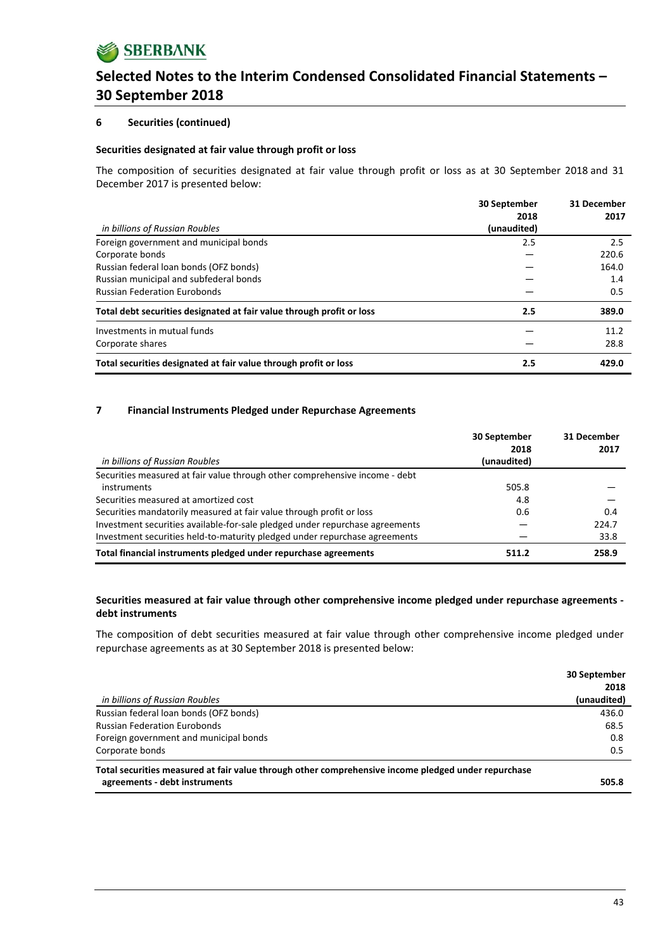## **6 Securities (continued)**

### **Securities designated at fair value through profit or loss**

The composition of securities designated at fair value through profit or loss as at 30 September 2018 and 31 December 2017 is presented below:

|                                                                       | 30 September<br>2018 | 31 December<br>2017 |
|-----------------------------------------------------------------------|----------------------|---------------------|
| in billions of Russian Roubles                                        | (unaudited)          |                     |
| Foreign government and municipal bonds                                | 2.5                  | 2.5                 |
| Corporate bonds                                                       |                      | 220.6               |
| Russian federal loan bonds (OFZ bonds)                                |                      | 164.0               |
| Russian municipal and subfederal bonds                                |                      | 1.4                 |
| <b>Russian Federation Eurobonds</b>                                   |                      | 0.5                 |
| Total debt securities designated at fair value through profit or loss | 2.5                  | 389.0               |
| Investments in mutual funds                                           |                      | 11.2                |
| Corporate shares                                                      |                      | 28.8                |
| Total securities designated at fair value through profit or loss      | 2.5                  | 429.0               |

### **7 Financial Instruments Pledged under Repurchase Agreements**

|                                                                              | 30 September<br>2018 | 31 December<br>2017 |
|------------------------------------------------------------------------------|----------------------|---------------------|
| in billions of Russian Roubles                                               | (unaudited)          |                     |
| Securities measured at fair value through other comprehensive income - debt  |                      |                     |
| instruments                                                                  | 505.8                |                     |
| Securities measured at amortized cost                                        | 4.8                  |                     |
| Securities mandatorily measured at fair value through profit or loss         | 0.6                  | 0.4                 |
| Investment securities available-for-sale pledged under repurchase agreements |                      | 224.7               |
| Investment securities held-to-maturity pledged under repurchase agreements   |                      | 33.8                |
| Total financial instruments pledged under repurchase agreements              | 511.2                | 258.9               |

## **Securities measured at fair value through other comprehensive income pledged under repurchase agreements ‐ debt instruments**

The composition of debt securities measured at fair value through other comprehensive income pledged under repurchase agreements as at 30 September 2018 is presented below:

|                                                                                                     | 30 September |
|-----------------------------------------------------------------------------------------------------|--------------|
|                                                                                                     | 2018         |
| in billions of Russian Roubles                                                                      | (unaudited)  |
| Russian federal loan bonds (OFZ bonds)                                                              | 436.0        |
| <b>Russian Federation Eurobonds</b>                                                                 | 68.5         |
| Foreign government and municipal bonds                                                              | 0.8          |
| Corporate bonds                                                                                     | 0.5          |
| Total securities measured at fair value through other comprehensive income pledged under repurchase |              |
| agreements - debt instruments                                                                       | 505.8        |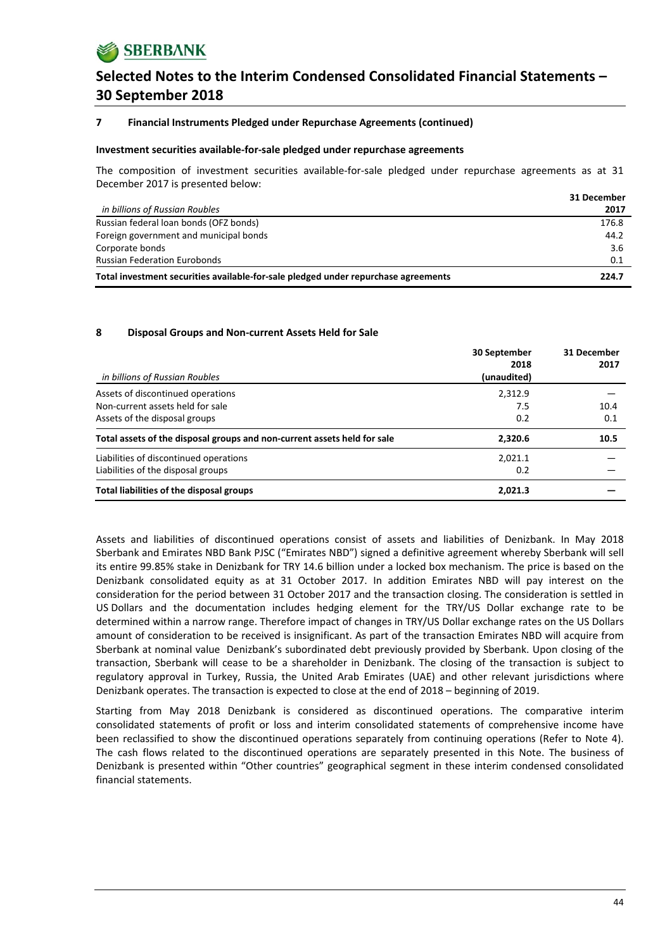

### **7 Financial Instruments Pledged under Repurchase Agreements (continued)**

#### **Investment securities available‐for‐sale pledged under repurchase agreements**

The composition of investment securities available-for-sale pledged under repurchase agreements as at 31 December 2017 is presented below:

|                                                                                    | 31 December |
|------------------------------------------------------------------------------------|-------------|
| in billions of Russian Roubles                                                     | 2017        |
| Russian federal loan bonds (OFZ bonds)                                             | 176.8       |
| Foreign government and municipal bonds                                             | 44.2        |
| Corporate bonds                                                                    | 3.6         |
| <b>Russian Federation Eurobonds</b>                                                | 0.1         |
| Total investment securities available-for-sale pledged under repurchase agreements | 224.7       |

#### **8 Disposal Groups and Non‐current Assets Held for Sale**

| in billions of Russian Roubles                                               | 30 September<br>2018<br>(unaudited) | 31 December<br>2017 |
|------------------------------------------------------------------------------|-------------------------------------|---------------------|
| Assets of discontinued operations<br>Non-current assets held for sale        | 2,312.9<br>7.5                      | 10.4                |
| Assets of the disposal groups                                                | 0.2                                 | 0.1                 |
| Total assets of the disposal groups and non-current assets held for sale     | 2,320.6                             | 10.5                |
| Liabilities of discontinued operations<br>Liabilities of the disposal groups | 2,021.1<br>0.2                      |                     |
| Total liabilities of the disposal groups                                     | 2,021.3                             |                     |

Assets and liabilities of discontinued operations consist of assets and liabilities of Denizbank. In May 2018 Sberbank and Emirates NBD Bank PJSC ("Emirates NBD") signed a definitive agreement whereby Sberbank will sell its entire 99.85% stake in Denizbank for TRY 14.6 billion under a locked box mechanism. The price is based on the Denizbank consolidated equity as at 31 October 2017. In addition Emirates NBD will pay interest on the consideration for the period between 31 October 2017 and the transaction closing. The consideration is settled in US Dollars and the documentation includes hedging element for the TRY/US Dollar exchange rate to be determined within a narrow range. Therefore impact of changes in TRY/US Dollar exchange rates on the US Dollars amount of consideration to be received is insignificant. As part of the transaction Emirates NBD will acquire from Sberbank at nominal value Denizbank's subordinated debt previously provided by Sberbank. Upon closing of the transaction, Sberbank will cease to be a shareholder in Denizbank. The closing of the transaction is subject to regulatory approval in Turkey, Russia, the United Arab Emirates (UAE) and other relevant jurisdictions where Denizbank operates. The transaction is expected to close at the end of 2018 – beginning of 2019.

Starting from May 2018 Denizbank is considered as discontinued operations. The comparative interim consolidated statements of profit or loss and interim consolidated statements of comprehensive income have been reclassified to show the discontinued operations separately from continuing operations (Refer to Note 4). The cash flows related to the discontinued operations are separately presented in this Note. The business of Denizbank is presented within "Other countries" geographical segment in these interim condensed consolidated financial statements.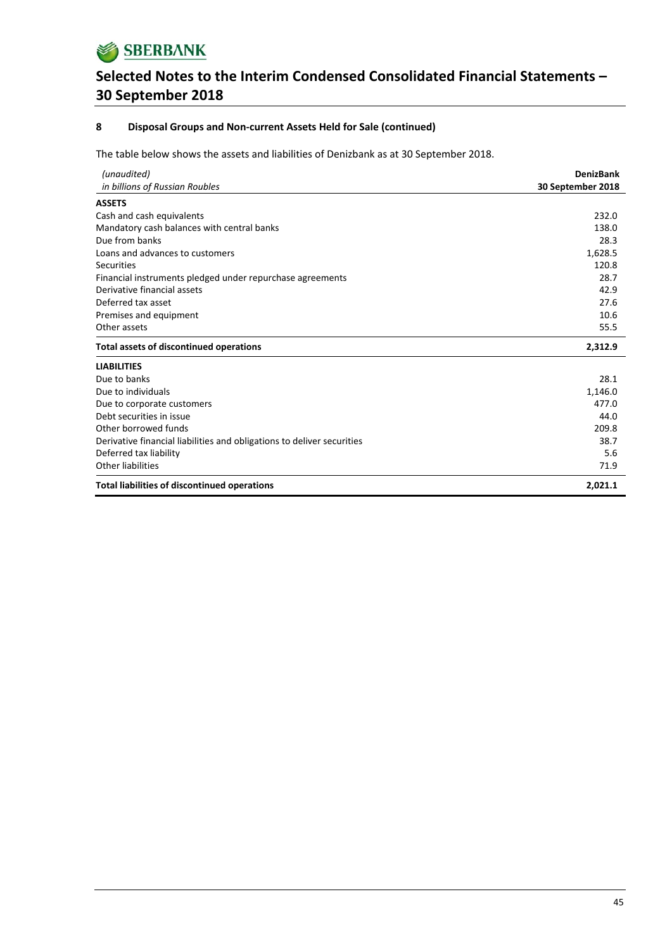

## **8 Disposal Groups and Non‐current Assets Held for Sale (continued)**

The table below shows the assets and liabilities of Denizbank as at 30 September 2018.

| (unaudited)                                                            | <b>DenizBank</b>  |
|------------------------------------------------------------------------|-------------------|
| in billions of Russian Roubles                                         | 30 September 2018 |
| <b>ASSETS</b>                                                          |                   |
| Cash and cash equivalents                                              | 232.0             |
| Mandatory cash balances with central banks                             | 138.0             |
| Due from banks                                                         | 28.3              |
| Loans and advances to customers                                        | 1,628.5           |
| Securities                                                             | 120.8             |
| Financial instruments pledged under repurchase agreements              | 28.7              |
| Derivative financial assets                                            | 42.9              |
| Deferred tax asset                                                     | 27.6              |
| Premises and equipment                                                 | 10.6              |
| Other assets                                                           | 55.5              |
| <b>Total assets of discontinued operations</b>                         | 2,312.9           |
| <b>LIABILITIES</b>                                                     |                   |
| Due to banks                                                           | 28.1              |
| Due to individuals                                                     | 1,146.0           |
| Due to corporate customers                                             | 477.0             |
| Debt securities in issue                                               | 44.0              |
| Other borrowed funds                                                   | 209.8             |
| Derivative financial liabilities and obligations to deliver securities | 38.7              |
| Deferred tax liability                                                 | 5.6               |
| Other liabilities                                                      | 71.9              |
| <b>Total liabilities of discontinued operations</b>                    | 2,021.1           |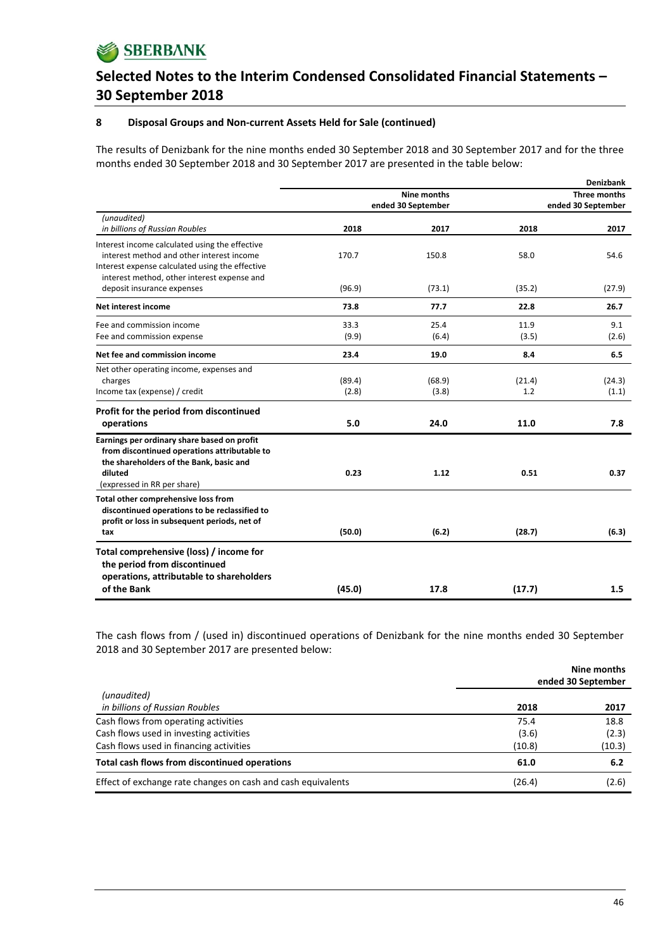## **8 Disposal Groups and Non‐current Assets Held for Sale (continued)**

The results of Denizbank for the nine months ended 30 September 2018 and 30 September 2017 and for the three months ended 30 September 2018 and 30 September 2017 are presented in the table below:

|                                                 |                    |        |              | <b>Denizbank</b>   |
|-------------------------------------------------|--------------------|--------|--------------|--------------------|
|                                                 | <b>Nine months</b> |        | Three months |                    |
|                                                 | ended 30 September |        |              | ended 30 September |
| (unaudited)                                     |                    |        |              |                    |
| in billions of Russian Roubles                  | 2018               | 2017   | 2018         | 2017               |
| Interest income calculated using the effective  |                    |        |              |                    |
| interest method and other interest income       | 170.7              | 150.8  | 58.0         | 54.6               |
| Interest expense calculated using the effective |                    |        |              |                    |
| interest method, other interest expense and     |                    |        |              |                    |
| deposit insurance expenses                      | (96.9)             | (73.1) | (35.2)       | (27.9)             |
| Net interest income                             | 73.8               | 77.7   | 22.8         | 26.7               |
| Fee and commission income                       | 33.3               | 25.4   | 11.9         | 9.1                |
| Fee and commission expense                      | (9.9)              | (6.4)  | (3.5)        | (2.6)              |
| Net fee and commission income                   | 23.4               | 19.0   | 8.4          | 6.5                |
| Net other operating income, expenses and        |                    |        |              |                    |
| charges                                         | (89.4)             | (68.9) | (21.4)       | (24.3)             |
| Income tax (expense) / credit                   | (2.8)              | (3.8)  | 1.2          | (1.1)              |
| Profit for the period from discontinued         |                    |        |              |                    |
| operations                                      | 5.0                | 24.0   | 11.0         | 7.8                |
| Earnings per ordinary share based on profit     |                    |        |              |                    |
| from discontinued operations attributable to    |                    |        |              |                    |
| the shareholders of the Bank, basic and         |                    |        |              |                    |
| diluted                                         | 0.23               | 1.12   | 0.51         | 0.37               |
| (expressed in RR per share)                     |                    |        |              |                    |
| Total other comprehensive loss from             |                    |        |              |                    |
| discontinued operations to be reclassified to   |                    |        |              |                    |
| profit or loss in subsequent periods, net of    |                    |        |              |                    |
| tax                                             | (50.0)             | (6.2)  | (28.7)       | (6.3)              |
| Total comprehensive (loss) / income for         |                    |        |              |                    |
| the period from discontinued                    |                    |        |              |                    |
| operations, attributable to shareholders        |                    |        |              |                    |
| of the Bank                                     | (45.0)             | 17.8   | (17.7)       | 1.5                |
|                                                 |                    |        |              |                    |

The cash flows from / (used in) discontinued operations of Denizbank for the nine months ended 30 September 2018 and 30 September 2017 are presented below:

|                                                              |        | Nine months<br>ended 30 September |
|--------------------------------------------------------------|--------|-----------------------------------|
| (unaudited)                                                  |        |                                   |
| in billions of Russian Roubles                               | 2018   | 2017                              |
| Cash flows from operating activities                         | 75.4   | 18.8                              |
| Cash flows used in investing activities                      | (3.6)  | (2.3)                             |
| Cash flows used in financing activities                      | (10.8) | (10.3)                            |
| Total cash flows from discontinued operations                | 61.0   | 6.2                               |
| Effect of exchange rate changes on cash and cash equivalents | (26.4) | (2.6)                             |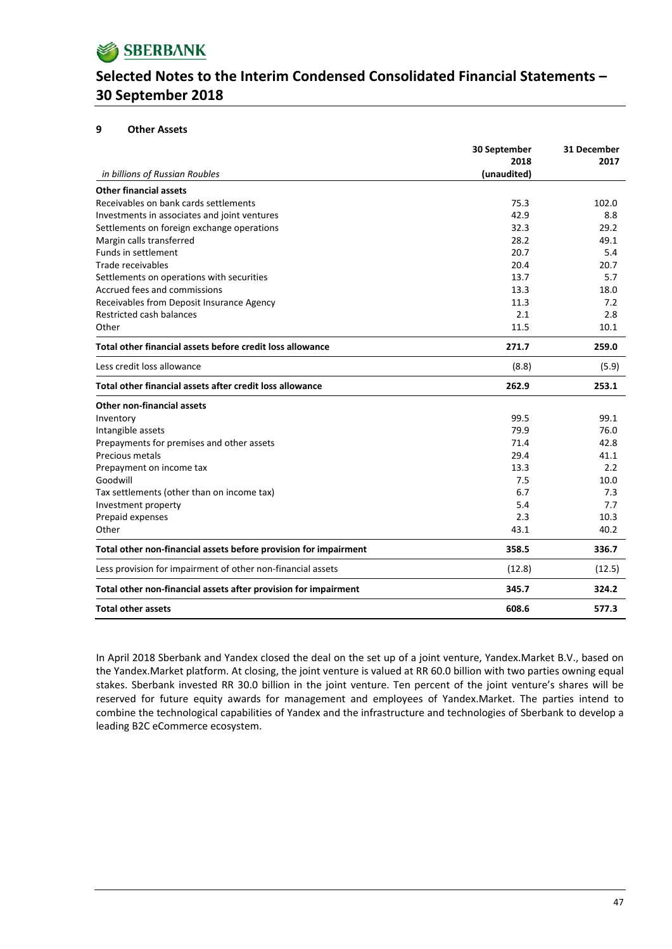## **9 Other Assets**

|                                                                  | 30 September | 31 December |
|------------------------------------------------------------------|--------------|-------------|
|                                                                  | 2018         | 2017        |
| in billions of Russian Roubles                                   | (unaudited)  |             |
| <b>Other financial assets</b>                                    |              |             |
| Receivables on bank cards settlements                            | 75.3         | 102.0       |
| Investments in associates and joint ventures                     | 42.9         | 8.8         |
| Settlements on foreign exchange operations                       | 32.3         | 29.2        |
| Margin calls transferred                                         | 28.2         | 49.1        |
| Funds in settlement                                              | 20.7         | 5.4         |
| Trade receivables                                                | 20.4         | 20.7        |
| Settlements on operations with securities                        | 13.7         | 5.7         |
| Accrued fees and commissions                                     | 13.3         | 18.0        |
| Receivables from Deposit Insurance Agency                        | 11.3         | 7.2         |
| Restricted cash balances                                         | 2.1          | 2.8         |
| Other                                                            | 11.5         | 10.1        |
| Total other financial assets before credit loss allowance        | 271.7        | 259.0       |
| Less credit loss allowance                                       | (8.8)        | (5.9)       |
| Total other financial assets after credit loss allowance         | 262.9        | 253.1       |
| Other non-financial assets                                       |              |             |
| Inventory                                                        | 99.5         | 99.1        |
| Intangible assets                                                | 79.9         | 76.0        |
| Prepayments for premises and other assets                        | 71.4         | 42.8        |
| Precious metals                                                  | 29.4         | 41.1        |
| Prepayment on income tax                                         | 13.3         | 2.2         |
| Goodwill                                                         | 7.5          | 10.0        |
| Tax settlements (other than on income tax)                       | 6.7          | 7.3         |
| Investment property                                              | 5.4          | 7.7         |
| Prepaid expenses                                                 | 2.3          | 10.3        |
| Other                                                            | 43.1         | 40.2        |
| Total other non-financial assets before provision for impairment | 358.5        | 336.7       |
| Less provision for impairment of other non-financial assets      | (12.8)       | (12.5)      |
| Total other non-financial assets after provision for impairment  | 345.7        | 324.2       |
| <b>Total other assets</b>                                        | 608.6        | 577.3       |

In April 2018 Sberbank and Yandex closed the deal on the set up of a joint venture, Yandex.Market B.V., based on the Yandex.Market platform. At closing, the joint venture is valued at RR 60.0 billion with two parties owning equal stakes. Sberbank invested RR 30.0 billion in the joint venture. Ten percent of the joint venture's shares will be reserved for future equity awards for management and employees of Yandex.Market. The parties intend to combine the technological capabilities of Yandex and the infrastructure and technologies of Sberbank to develop a leading B2C eCommerce ecosystem.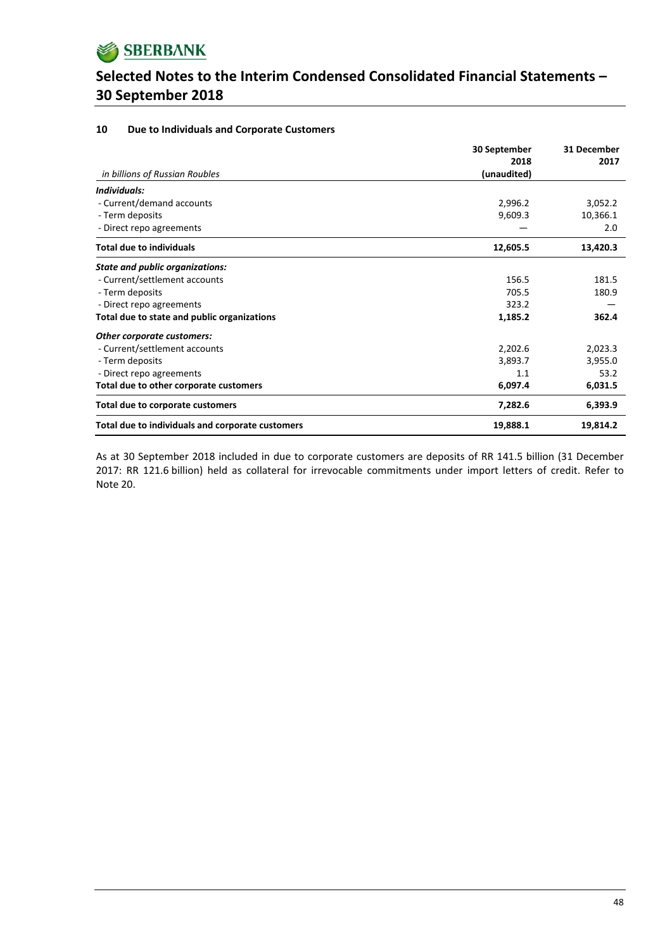

#### **10 Due to Individuals and Corporate Customers**

|                                                  | 30 September        | 31 December |
|--------------------------------------------------|---------------------|-------------|
| in billions of Russian Roubles                   | 2018<br>(unaudited) | 2017        |
| Individuals:                                     |                     |             |
| - Current/demand accounts                        | 2,996.2             | 3,052.2     |
| - Term deposits                                  | 9,609.3             | 10,366.1    |
| - Direct repo agreements                         |                     | 2.0         |
| <b>Total due to individuals</b>                  | 12,605.5            | 13,420.3    |
| <b>State and public organizations:</b>           |                     |             |
| - Current/settlement accounts                    | 156.5               | 181.5       |
| - Term deposits                                  | 705.5               | 180.9       |
| - Direct repo agreements                         | 323.2               |             |
| Total due to state and public organizations      | 1,185.2             | 362.4       |
| Other corporate customers:                       |                     |             |
| - Current/settlement accounts                    | 2,202.6             | 2,023.3     |
| - Term deposits                                  | 3,893.7             | 3,955.0     |
| - Direct repo agreements                         | 1.1                 | 53.2        |
| Total due to other corporate customers           | 6,097.4             | 6,031.5     |
| Total due to corporate customers                 | 7,282.6             | 6,393.9     |
| Total due to individuals and corporate customers | 19,888.1            | 19,814.2    |

As at 30 September 2018 included in due to corporate customers are deposits of RR 141.5 billion (31 December 2017: RR 121.6 billion) held as collateral for irrevocable commitments under import letters of credit. Refer to Note 20.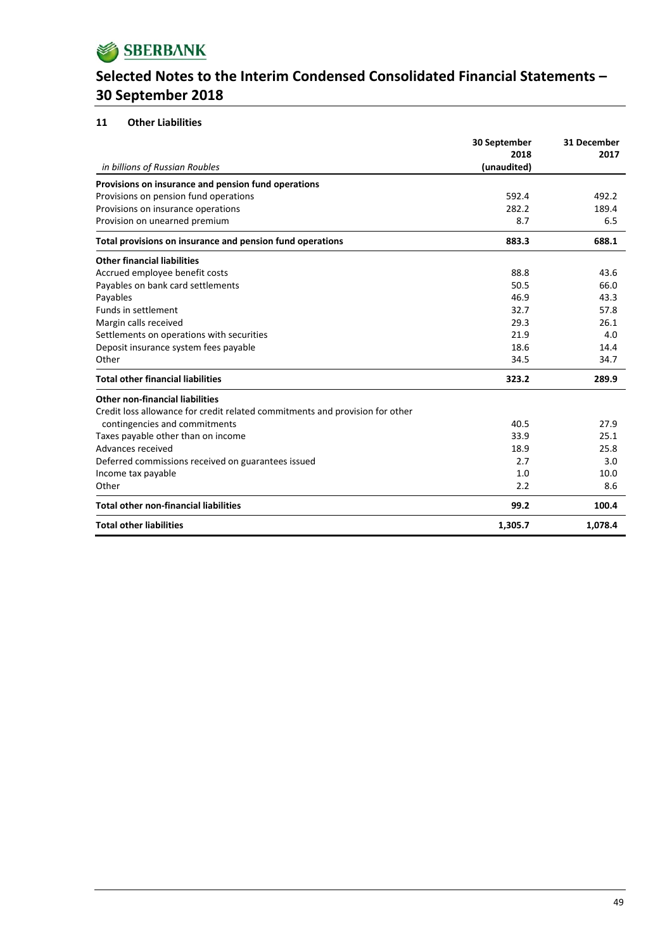

## **11 Other Liabilities**

| in billions of Russian Roubles                                               | 30 September<br>2018<br>(unaudited) | 31 December<br>2017 |
|------------------------------------------------------------------------------|-------------------------------------|---------------------|
| Provisions on insurance and pension fund operations                          |                                     |                     |
| Provisions on pension fund operations                                        | 592.4                               | 492.2               |
| Provisions on insurance operations                                           | 282.2                               | 189.4               |
| Provision on unearned premium                                                | 8.7                                 | 6.5                 |
| Total provisions on insurance and pension fund operations                    | 883.3                               | 688.1               |
| <b>Other financial liabilities</b>                                           |                                     |                     |
| Accrued employee benefit costs                                               | 88.8                                | 43.6                |
| Payables on bank card settlements                                            | 50.5                                | 66.0                |
| Payables                                                                     | 46.9                                | 43.3                |
| Funds in settlement                                                          | 32.7                                | 57.8                |
| Margin calls received                                                        | 29.3                                | 26.1                |
| Settlements on operations with securities                                    | 21.9                                | 4.0                 |
| Deposit insurance system fees payable                                        | 18.6                                | 14.4                |
| Other                                                                        | 34.5                                | 34.7                |
| <b>Total other financial liabilities</b>                                     | 323.2                               | 289.9               |
| <b>Other non-financial liabilities</b>                                       |                                     |                     |
| Credit loss allowance for credit related commitments and provision for other |                                     |                     |
| contingencies and commitments                                                | 40.5                                | 27.9                |
| Taxes payable other than on income                                           | 33.9                                | 25.1                |
| Advances received                                                            | 18.9                                | 25.8                |
| Deferred commissions received on guarantees issued                           | 2.7                                 | 3.0                 |
| Income tax payable                                                           | 1.0                                 | 10.0                |
| Other                                                                        | 2.2                                 | 8.6                 |
| <b>Total other non-financial liabilities</b>                                 | 99.2                                | 100.4               |
| <b>Total other liabilities</b>                                               | 1,305.7                             | 1,078.4             |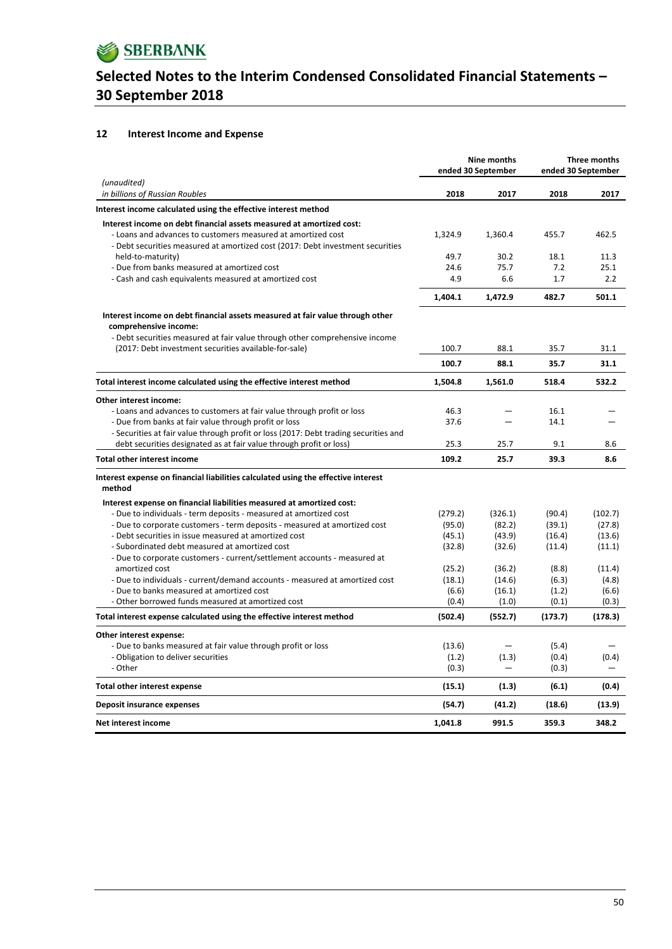

### **12 Interest Income and Expense**

|                                                                                                |                | <b>Nine months</b><br>ended 30 September | Three months<br>ended 30 September |                |
|------------------------------------------------------------------------------------------------|----------------|------------------------------------------|------------------------------------|----------------|
| (unaudited)<br>in billions of Russian Roubles                                                  | 2018           | 2017                                     | 2018                               | 2017           |
| Interest income calculated using the effective interest method                                 |                |                                          |                                    |                |
| Interest income on debt financial assets measured at amortized cost:                           |                |                                          |                                    |                |
| - Loans and advances to customers measured at amortized cost                                   | 1,324.9        | 1,360.4                                  | 455.7                              | 462.5          |
| - Debt securities measured at amortized cost (2017: Debt investment securities                 |                |                                          |                                    |                |
| held-to-maturity)                                                                              | 49.7           | 30.2                                     | 18.1                               | 11.3           |
| - Due from banks measured at amortized cost                                                    | 24.6           | 75.7                                     | 7.2                                | 25.1           |
| - Cash and cash equivalents measured at amortized cost                                         | 4.9            | 6.6                                      | 1.7                                | 2.2            |
|                                                                                                | 1,404.1        | 1,472.9                                  | 482.7                              | 501.1          |
| Interest income on debt financial assets measured at fair value through other                  |                |                                          |                                    |                |
| comprehensive income:                                                                          |                |                                          |                                    |                |
| - Debt securities measured at fair value through other comprehensive income                    |                |                                          |                                    |                |
| (2017: Debt investment securities available-for-sale)                                          | 100.7          | 88.1                                     | 35.7                               | 31.1           |
|                                                                                                | 100.7          | 88.1                                     | 35.7                               | 31.1           |
| Total interest income calculated using the effective interest method                           | 1,504.8        | 1,561.0                                  | 518.4                              | 532.2          |
| Other interest income:                                                                         |                |                                          |                                    |                |
| - Loans and advances to customers at fair value through profit or loss                         | 46.3           |                                          | 16.1                               |                |
| - Due from banks at fair value through profit or loss                                          | 37.6           |                                          | 14.1                               |                |
| - Securities at fair value through profit or loss (2017: Debt trading securities and           |                |                                          |                                    |                |
| debt securities designated as at fair value through profit or loss)                            | 25.3           | 25.7                                     | 9.1                                | 8.6            |
| <b>Total other interest income</b>                                                             | 109.2          | 25.7                                     | 39.3                               | 8.6            |
| Interest expense on financial liabilities calculated using the effective interest<br>method    |                |                                          |                                    |                |
| Interest expense on financial liabilities measured at amortized cost:                          |                |                                          |                                    |                |
| - Due to individuals - term deposits - measured at amortized cost                              | (279.2)        | (326.1)                                  | (90.4)                             | (102.7)        |
| - Due to corporate customers - term deposits - measured at amortized cost                      | (95.0)         | (82.2)                                   | (39.1)                             | (27.8)         |
| - Debt securities in issue measured at amortized cost                                          | (45.1)         | (43.9)                                   | (16.4)                             | (13.6)         |
| - Subordinated debt measured at amortized cost                                                 | (32.8)         | (32.6)                                   | (11.4)                             | (11.1)         |
| - Due to corporate customers - current/settlement accounts - measured at                       |                |                                          |                                    |                |
| amortized cost                                                                                 | (25.2)         | (36.2)                                   | (8.8)                              | (11.4)         |
| - Due to individuals - current/demand accounts - measured at amortized cost                    | (18.1)         | (14.6)                                   | (6.3)                              | (4.8)          |
| - Due to banks measured at amortized cost<br>- Other borrowed funds measured at amortized cost | (6.6)<br>(0.4) | (16.1)<br>(1.0)                          | (1.2)<br>(0.1)                     | (6.6)<br>(0.3) |
|                                                                                                |                |                                          |                                    |                |
| Total interest expense calculated using the effective interest method                          | (502.4)        | (552.7)                                  | (173.7)                            | (178.3)        |
| Other interest expense:                                                                        |                |                                          |                                    |                |
| - Due to banks measured at fair value through profit or loss                                   | (13.6)         |                                          | (5.4)                              |                |
| - Obligation to deliver securities<br>- Other                                                  | (1.2)<br>(0.3) | (1.3)                                    | (0.4)<br>(0.3)                     | (0.4)          |
|                                                                                                |                |                                          |                                    |                |
| <b>Total other interest expense</b>                                                            | (15.1)         | (1.3)                                    | (6.1)                              | (0.4)          |
| Deposit insurance expenses                                                                     | (54.7)         | (41.2)                                   | (18.6)                             | (13.9)         |
| <b>Net interest income</b>                                                                     | 1,041.8        | 991.5                                    | 359.3                              | 348.2          |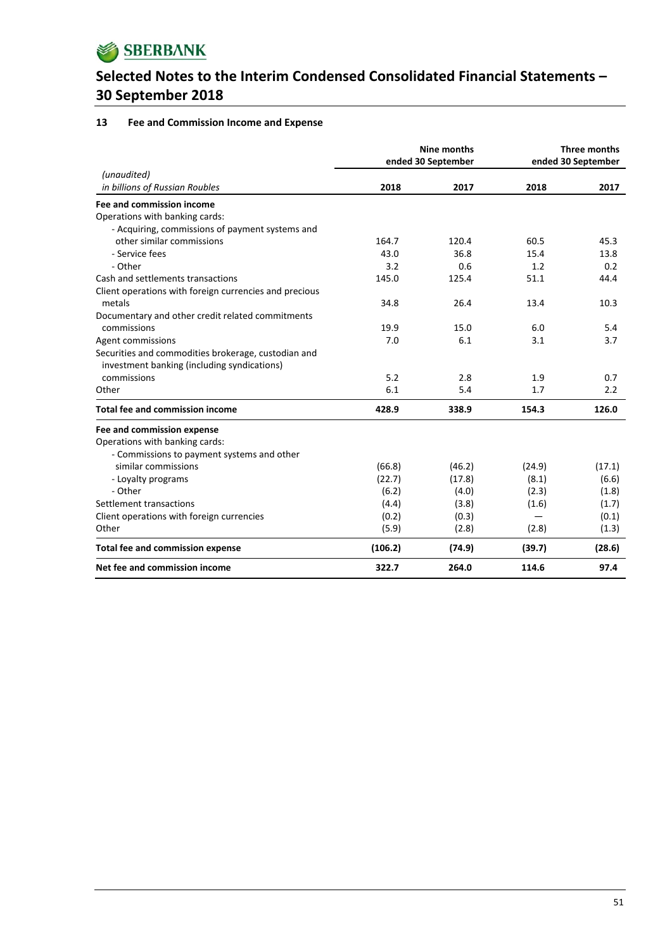

## **13 Fee and Commission Income and Expense**

|                                                                                                    |         | <b>Nine months</b><br>ended 30 September | Three months<br>ended 30 September |        |
|----------------------------------------------------------------------------------------------------|---------|------------------------------------------|------------------------------------|--------|
| (unaudited)<br>in billions of Russian Roubles                                                      | 2018    | 2017                                     | 2018                               | 2017   |
| Fee and commission income                                                                          |         |                                          |                                    |        |
| Operations with banking cards:                                                                     |         |                                          |                                    |        |
| - Acquiring, commissions of payment systems and                                                    |         |                                          |                                    |        |
| other similar commissions                                                                          | 164.7   | 120.4                                    | 60.5                               | 45.3   |
| - Service fees                                                                                     | 43.0    | 36.8                                     | 15.4                               | 13.8   |
| - Other                                                                                            | 3.2     | 0.6                                      | 1.2                                | 0.2    |
| Cash and settlements transactions                                                                  | 145.0   | 125.4                                    | 51.1                               | 44.4   |
| Client operations with foreign currencies and precious                                             |         |                                          |                                    |        |
| metals                                                                                             | 34.8    | 26.4                                     | 13.4                               | 10.3   |
| Documentary and other credit related commitments                                                   |         |                                          |                                    |        |
| commissions                                                                                        | 19.9    | 15.0                                     | 6.0                                | 5.4    |
| Agent commissions                                                                                  | 7.0     | 6.1                                      | 3.1                                | 3.7    |
| Securities and commodities brokerage, custodian and<br>investment banking (including syndications) |         |                                          |                                    |        |
| commissions                                                                                        | 5.2     | 2.8                                      | 1.9                                | 0.7    |
| Other                                                                                              | 6.1     | 5.4                                      | 1.7                                | 2.2    |
| <b>Total fee and commission income</b>                                                             | 428.9   | 338.9                                    | 154.3                              | 126.0  |
| Fee and commission expense                                                                         |         |                                          |                                    |        |
| Operations with banking cards:                                                                     |         |                                          |                                    |        |
| - Commissions to payment systems and other                                                         |         |                                          |                                    |        |
| similar commissions                                                                                | (66.8)  | (46.2)                                   | (24.9)                             | (17.1) |
| - Loyalty programs                                                                                 | (22.7)  | (17.8)                                   | (8.1)                              | (6.6)  |
| - Other                                                                                            | (6.2)   | (4.0)                                    | (2.3)                              | (1.8)  |
| Settlement transactions                                                                            | (4.4)   | (3.8)                                    | (1.6)                              | (1.7)  |
| Client operations with foreign currencies                                                          | (0.2)   | (0.3)                                    |                                    | (0.1)  |
| Other                                                                                              | (5.9)   | (2.8)                                    | (2.8)                              | (1.3)  |
| <b>Total fee and commission expense</b>                                                            | (106.2) | (74.9)                                   | (39.7)                             | (28.6) |
| Net fee and commission income                                                                      | 322.7   | 264.0                                    | 114.6                              | 97.4   |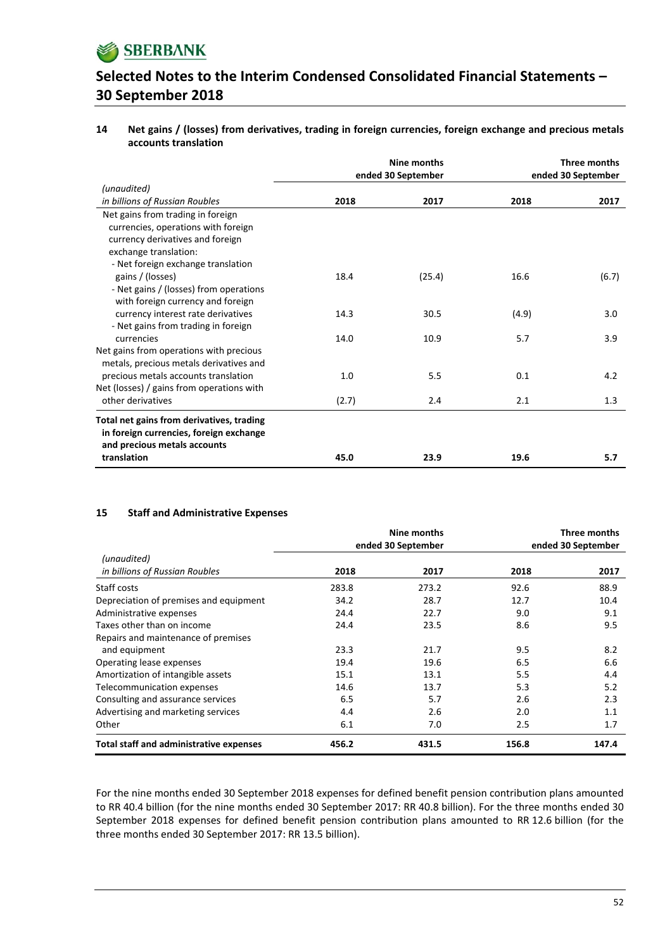

**14 Net gains / (losses) from derivatives, trading in foreign currencies, foreign exchange and precious metals accounts translation**

|                                           |       | Nine months        | Three months       |       |
|-------------------------------------------|-------|--------------------|--------------------|-------|
|                                           |       | ended 30 September | ended 30 September |       |
| (unaudited)                               |       |                    |                    |       |
| in billions of Russian Roubles            | 2018  | 2017               | 2018               | 2017  |
| Net gains from trading in foreign         |       |                    |                    |       |
| currencies, operations with foreign       |       |                    |                    |       |
| currency derivatives and foreign          |       |                    |                    |       |
| exchange translation:                     |       |                    |                    |       |
| - Net foreign exchange translation        |       |                    |                    |       |
| gains / (losses)                          | 18.4  | (25.4)             | 16.6               | (6.7) |
| - Net gains / (losses) from operations    |       |                    |                    |       |
| with foreign currency and foreign         |       |                    |                    |       |
| currency interest rate derivatives        | 14.3  | 30.5               | (4.9)              | 3.0   |
| - Net gains from trading in foreign       |       |                    |                    |       |
| currencies                                | 14.0  | 10.9               | 5.7                | 3.9   |
| Net gains from operations with precious   |       |                    |                    |       |
| metals, precious metals derivatives and   |       |                    |                    |       |
| precious metals accounts translation      | 1.0   | 5.5                | 0.1                | 4.2   |
| Net (losses) / gains from operations with |       |                    |                    |       |
| other derivatives                         | (2.7) | 2.4                | 2.1                | 1.3   |
|                                           |       |                    |                    |       |
| Total net gains from derivatives, trading |       |                    |                    |       |
| in foreign currencies, foreign exchange   |       |                    |                    |       |
| and precious metals accounts              |       |                    |                    |       |
| translation                               | 45.0  | 23.9               | 19.6               | 5.7   |

#### **15 Staff and Administrative Expenses**

|                                                |       | Nine months        | Three months |                    |  |
|------------------------------------------------|-------|--------------------|--------------|--------------------|--|
|                                                |       | ended 30 September |              | ended 30 September |  |
| (unaudited)                                    |       |                    |              |                    |  |
| in billions of Russian Roubles                 | 2018  | 2017               | 2018         | 2017               |  |
| Staff costs                                    | 283.8 | 273.2              | 92.6         | 88.9               |  |
| Depreciation of premises and equipment         | 34.2  | 28.7               | 12.7         | 10.4               |  |
| Administrative expenses                        | 24.4  | 22.7               | 9.0          | 9.1                |  |
| Taxes other than on income                     | 24.4  | 23.5               | 8.6          | 9.5                |  |
| Repairs and maintenance of premises            |       |                    |              |                    |  |
| and equipment                                  | 23.3  | 21.7               | 9.5          | 8.2                |  |
| Operating lease expenses                       | 19.4  | 19.6               | 6.5          | 6.6                |  |
| Amortization of intangible assets              | 15.1  | 13.1               | 5.5          | 4.4                |  |
| Telecommunication expenses                     | 14.6  | 13.7               | 5.3          | 5.2                |  |
| Consulting and assurance services              | 6.5   | 5.7                | 2.6          | 2.3                |  |
| Advertising and marketing services             | 4.4   | 2.6                | 2.0          | 1.1                |  |
| Other                                          | 6.1   | 7.0                | 2.5          | 1.7                |  |
| <b>Total staff and administrative expenses</b> | 456.2 | 431.5              | 156.8        | 147.4              |  |

For the nine months ended 30 September 2018 expenses for defined benefit pension contribution plans amounted to RR 40.4 billion (for the nine months ended 30 September 2017: RR 40.8 billion). For the three months ended 30 September 2018 expenses for defined benefit pension contribution plans amounted to RR 12.6 billion (for the three months ended 30 September 2017: RR 13.5 billion).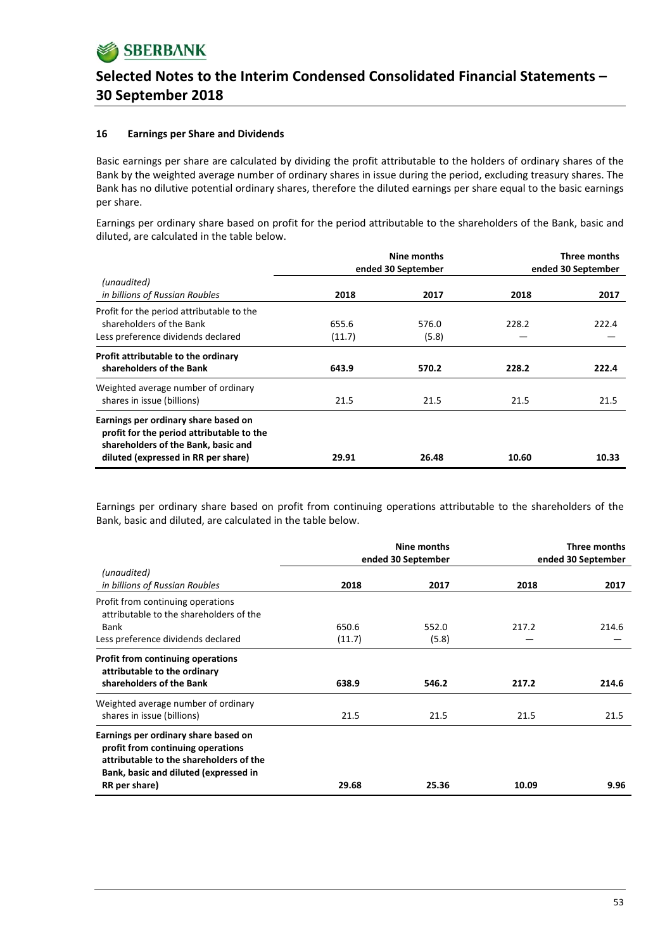

### **16 Earnings per Share and Dividends**

Basic earnings per share are calculated by dividing the profit attributable to the holders of ordinary shares of the Bank by the weighted average number of ordinary shares in issue during the period, excluding treasury shares. The Bank has no dilutive potential ordinary shares, therefore the diluted earnings per share equal to the basic earnings per share.

Earnings per ordinary share based on profit for the period attributable to the shareholders of the Bank, basic and diluted, are calculated in the table below.

|                                                                                                                                                                 | ended 30 September |                | Three months<br>ended 30 September |       |
|-----------------------------------------------------------------------------------------------------------------------------------------------------------------|--------------------|----------------|------------------------------------|-------|
| (unaudited)<br>in billions of Russian Roubles                                                                                                                   | 2018               | 2017           | 2018                               | 2017  |
| Profit for the period attributable to the<br>shareholders of the Bank<br>Less preference dividends declared                                                     | 655.6<br>(11.7)    | 576.0<br>(5.8) | 228.2                              | 222.4 |
| Profit attributable to the ordinary<br>shareholders of the Bank                                                                                                 | 643.9              | 570.2          | 228.2                              | 222.4 |
| Weighted average number of ordinary<br>shares in issue (billions)                                                                                               | 21.5               | 21.5           | 21.5                               | 21.5  |
| Earnings per ordinary share based on<br>profit for the period attributable to the<br>shareholders of the Bank, basic and<br>diluted (expressed in RR per share) | 29.91              | 26.48          | 10.60                              | 10.33 |

Earnings per ordinary share based on profit from continuing operations attributable to the shareholders of the Bank, basic and diluted, are calculated in the table below.

|                                                                                                                                                               |        | Nine months<br>ended 30 September | Three months<br>ended 30 September |       |
|---------------------------------------------------------------------------------------------------------------------------------------------------------------|--------|-----------------------------------|------------------------------------|-------|
| (unaudited)<br>in billions of Russian Roubles                                                                                                                 | 2018   | 2017                              | 2018                               | 2017  |
| Profit from continuing operations<br>attributable to the shareholders of the                                                                                  |        |                                   |                                    |       |
| Bank                                                                                                                                                          | 650.6  | 552.0                             | 217.2                              | 214.6 |
| Less preference dividends declared                                                                                                                            | (11.7) | (5.8)                             |                                    |       |
| Profit from continuing operations<br>attributable to the ordinary                                                                                             |        |                                   |                                    |       |
| shareholders of the Bank                                                                                                                                      | 638.9  | 546.2                             | 217.2                              | 214.6 |
| Weighted average number of ordinary                                                                                                                           |        |                                   |                                    |       |
| shares in issue (billions)                                                                                                                                    | 21.5   | 21.5                              | 21.5                               | 21.5  |
| Earnings per ordinary share based on<br>profit from continuing operations<br>attributable to the shareholders of the<br>Bank, basic and diluted (expressed in |        |                                   |                                    |       |
| RR per share)                                                                                                                                                 | 29.68  | 25.36                             | 10.09                              | 9.96  |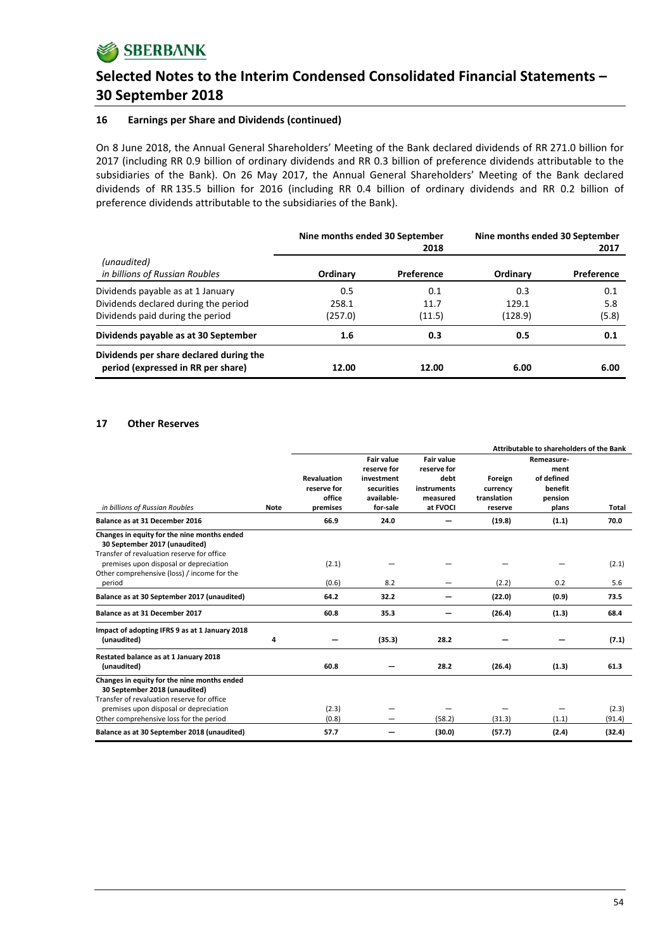### **16 Earnings per Share and Dividends (continued)**

On 8 June 2018, the Annual General Shareholders' Meeting of the Bank declared dividends of RR 271.0 billion for 2017 (including RR 0.9 billion of ordinary dividends and RR 0.3 billion of preference dividends attributable to the subsidiaries of the Bank). On 26 May 2017, the Annual General Shareholders' Meeting of the Bank declared dividends of RR 135.5 billion for 2016 (including RR 0.4 billion of ordinary dividends and RR 0.2 billion of preference dividends attributable to the subsidiaries of the Bank).

|                                                                               | Nine months ended 30 September | 2018       | Nine months ended 30 September | 2017       |
|-------------------------------------------------------------------------------|--------------------------------|------------|--------------------------------|------------|
| (unaudited)<br>in billions of Russian Roubles                                 | Ordinary                       | Preference | Ordinary                       | Preference |
| Dividends payable as at 1 January                                             | 0.5                            | 0.1        | 0.3                            | 0.1        |
| Dividends declared during the period                                          | 258.1                          | 11.7       | 129.1                          | 5.8        |
| Dividends paid during the period                                              | (257.0)                        | (11.5)     | (128.9)                        | (5.8)      |
| Dividends payable as at 30 September                                          | $1.6\,$                        | 0.3        | 0.5                            | 0.1        |
| Dividends per share declared during the<br>period (expressed in RR per share) | 12.00                          | 12.00      | 6.00                           | 6.00       |

#### **17 Other Reserves**

|                                                                                      |      |                |                                                | Attributable to shareholders of the Bank |             |                                  |                 |
|--------------------------------------------------------------------------------------|------|----------------|------------------------------------------------|------------------------------------------|-------------|----------------------------------|-----------------|
|                                                                                      |      | Revaluation    | <b>Fair value</b><br>reserve for<br>investment | <b>Fair value</b><br>reserve for<br>debt | Foreign     | Remeasure-<br>ment<br>of defined |                 |
|                                                                                      |      | reserve for    | securities                                     | instruments                              | currency    | benefit                          |                 |
|                                                                                      |      | office         | available-                                     | measured                                 | translation | pension                          |                 |
| in billions of Russian Roubles                                                       | Note | premises       | for-sale                                       | at FVOCI                                 | reserve     | plans                            | Total           |
| Balance as at 31 December 2016                                                       |      | 66.9           | 24.0                                           |                                          | (19.8)      | (1.1)                            | 70.0            |
| Changes in equity for the nine months ended<br>30 September 2017 (unaudited)         |      |                |                                                |                                          |             |                                  |                 |
| Transfer of revaluation reserve for office<br>premises upon disposal or depreciation |      | (2.1)          |                                                |                                          |             |                                  | (2.1)           |
| Other comprehensive (loss) / income for the<br>period                                |      | (0.6)          | 8.2                                            |                                          | (2.2)       | 0.2                              | 5.6             |
| Balance as at 30 September 2017 (unaudited)                                          |      | 64.2           | 32.2                                           |                                          | (22.0)      | (0.9)                            | 73.5            |
| Balance as at 31 December 2017                                                       |      | 60.8           | 35.3                                           |                                          | (26.4)      | (1.3)                            | 68.4            |
| Impact of adopting IFRS 9 as at 1 January 2018<br>(unaudited)                        | 4    |                | (35.3)                                         | 28.2                                     |             |                                  | (7.1)           |
| Restated balance as at 1 January 2018<br>(unaudited)                                 |      | 60.8           |                                                | 28.2                                     | (26.4)      | (1.3)                            | 61.3            |
| Changes in equity for the nine months ended<br>30 September 2018 (unaudited)         |      |                |                                                |                                          |             |                                  |                 |
| Transfer of revaluation reserve for office                                           |      |                |                                                |                                          |             |                                  |                 |
| premises upon disposal or depreciation<br>Other comprehensive loss for the period    |      | (2.3)<br>(0.8) |                                                | (58.2)                                   | (31.3)      | (1.1)                            | (2.3)<br>(91.4) |
| Balance as at 30 September 2018 (unaudited)                                          |      | 57.7           |                                                | (30.0)                                   | (57.7)      | (2.4)                            | (32.4)          |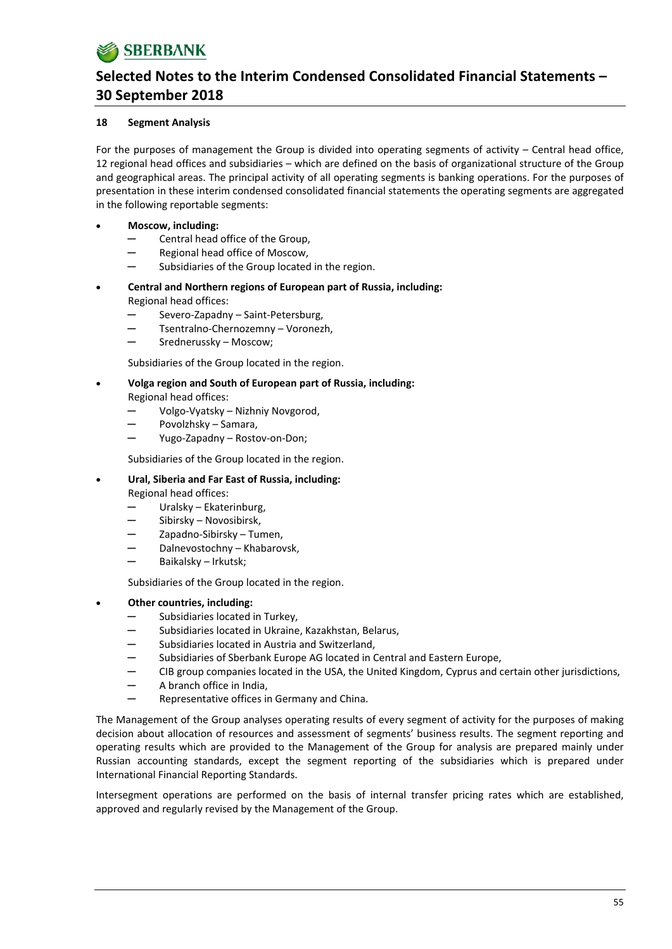## **18 Segment Analysis**

For the purposes of management the Group is divided into operating segments of activity – Central head office, 12 regional head offices and subsidiaries – which are defined on the basis of organizational structure of the Group and geographical areas. The principal activity of all operating segments is banking operations. For the purposes of presentation in these interim condensed consolidated financial statements the operating segments are aggregated in the following reportable segments:

## **Moscow, including:**

- Central head office of the Group,
- Regional head office of Moscow,
- Subsidiaries of the Group located in the region.
- **Central and Northern regions of European part of Russia, including:** Regional head offices:
	- Severo-Zapadny Saint-Petersburg,
	- Tsentralno-Chernozemny Voronezh,
	- Srednerussky Moscow:

Subsidiaries of the Group located in the region.

- **Volga region and South of European part of Russia, including:** Regional head offices:
	- Volgo-Vyatsky Nizhniy Novgorod,
	- Povolzhsky Samara,
	- Yugo-Zapadny Rostov-on-Don;

Subsidiaries of the Group located in the region.

**Ural, Siberia and Far East of Russia, including:**

Regional head offices:

- Uralsky Ekaterinburg,
- Sibirsky Novosibirsk,
- Zapadno-Sibirsky Tumen,
- Dalnevostochny Khabarovsk,
- Baikalsky Irkutsk;

Subsidiaries of the Group located in the region.

- **Other countries, including:**
	- Subsidiaries located in Turkey,
	- Subsidiaries located in Ukraine, Kazakhstan, Belarus,
	- Subsidiaries located in Austria and Switzerland,
	- Subsidiaries of Sberbank Europe AG located in Central and Eastern Europe,
	- CIB group companies located in the USA, the United Kingdom, Cyprus and certain other jurisdictions,
	- ─ A branch office in India,
	- Representative offices in Germany and China.

The Management of the Group analyses operating results of every segment of activity for the purposes of making decision about allocation of resources and assessment of segments' business results. The segment reporting and operating results which are provided to the Management of the Group for analysis are prepared mainly under Russian accounting standards, except the segment reporting of the subsidiaries which is prepared under International Financial Reporting Standards.

Intersegment operations are performed on the basis of internal transfer pricing rates which are established, approved and regularly revised by the Management of the Group.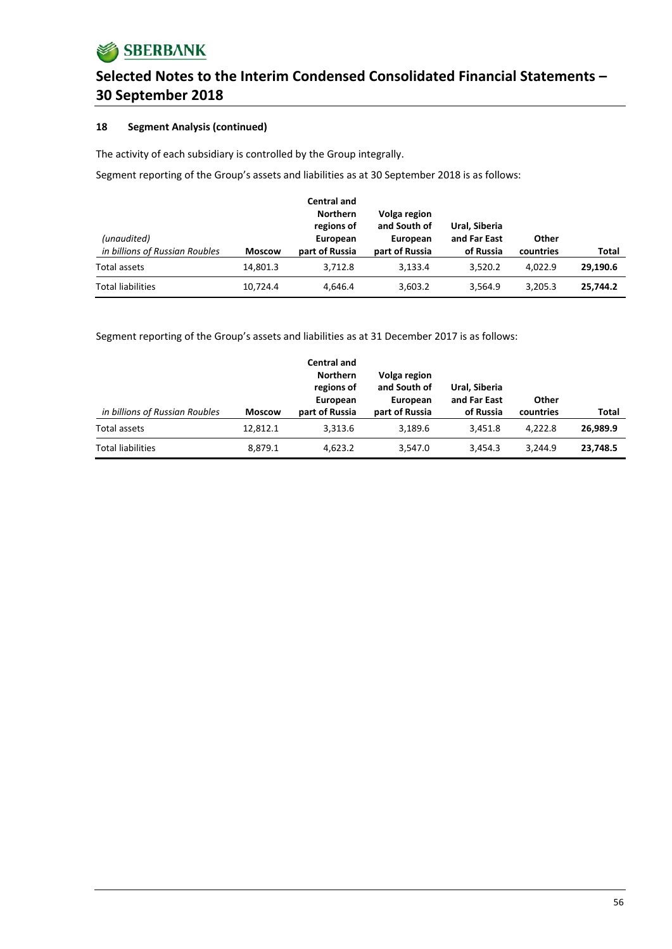## **18 Segment Analysis (continued)**

The activity of each subsidiary is controlled by the Group integrally.

Segment reporting of the Group's assets and liabilities as at 30 September 2018 is as follows:

| (unaudited)                    |               | <b>Central and</b><br><b>Northern</b><br>regions of<br>European | Volga region<br>and South of<br>European | Ural. Siberia<br>and Far East | Other     |          |
|--------------------------------|---------------|-----------------------------------------------------------------|------------------------------------------|-------------------------------|-----------|----------|
| in billions of Russian Roubles | <b>Moscow</b> | part of Russia                                                  | part of Russia                           | of Russia                     | countries | Total    |
| Total assets                   | 14.801.3      | 3.712.8                                                         | 3.133.4                                  | 3.520.2                       | 4.022.9   | 29,190.6 |
| <b>Total liabilities</b>       | 10,724.4      | 4,646.4                                                         | 3,603.2                                  | 3,564.9                       | 3,205.3   | 25,744.2 |

Segment reporting of the Group's assets and liabilities as at 31 December 2017 is as follows:

| in billions of Russian Roubles | <b>Moscow</b> | <b>Central and</b><br><b>Northern</b><br>regions of<br>European<br>part of Russia | Volga region<br>and South of<br>European<br>part of Russia | Ural, Siberia<br>and Far East<br>of Russia | Other<br>countries | Total    |
|--------------------------------|---------------|-----------------------------------------------------------------------------------|------------------------------------------------------------|--------------------------------------------|--------------------|----------|
| Total assets                   | 12,812.1      | 3,313.6                                                                           | 3.189.6                                                    | 3.451.8                                    | 4.222.8            | 26,989.9 |
| <b>Total liabilities</b>       | 8,879.1       | 4,623.2                                                                           | 3,547.0                                                    | 3.454.3                                    | 3.244.9            | 23,748.5 |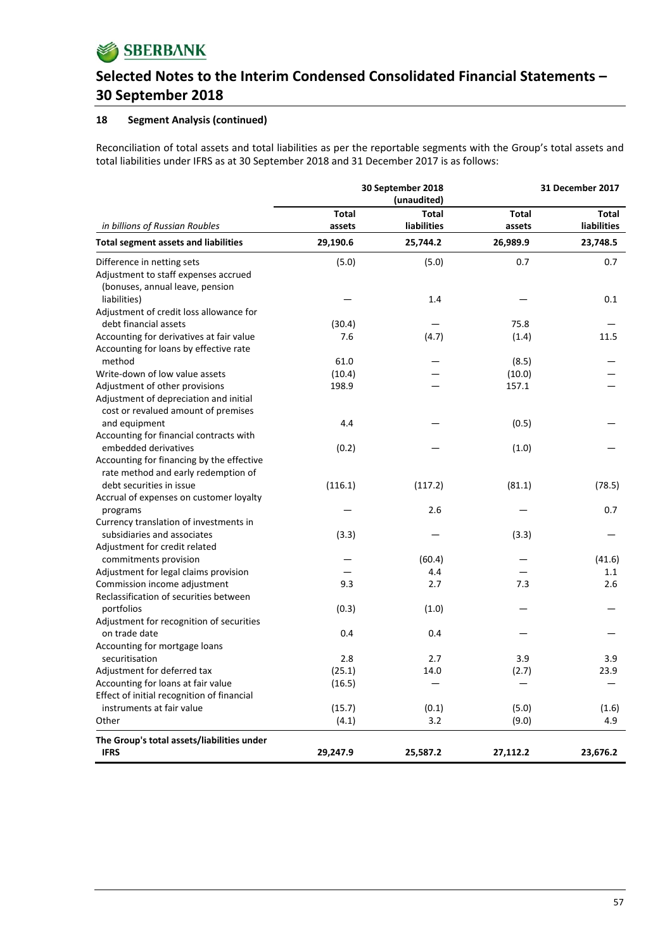## **18 Segment Analysis (continued)**

Reconciliation of total assets and total liabilities as per the reportable segments with the Group's total assets and total liabilities under IFRS as at 30 September 2018 and 31 December 2017 is as follows:

|                                                                       |              | 30 September 2018<br>(unaudited) |              | 31 December 2017   |  |  |
|-----------------------------------------------------------------------|--------------|----------------------------------|--------------|--------------------|--|--|
|                                                                       | <b>Total</b> | <b>Total</b>                     | <b>Total</b> | Total              |  |  |
| in billions of Russian Roubles                                        | assets       | liabilities                      | assets       | <b>liabilities</b> |  |  |
| <b>Total segment assets and liabilities</b>                           | 29,190.6     | 25,744.2                         | 26,989.9     | 23,748.5           |  |  |
| Difference in netting sets                                            | (5.0)        | (5.0)                            | 0.7          | 0.7                |  |  |
| Adjustment to staff expenses accrued                                  |              |                                  |              |                    |  |  |
| (bonuses, annual leave, pension                                       |              |                                  |              |                    |  |  |
| liabilities)                                                          |              | 1.4                              |              | 0.1                |  |  |
| Adjustment of credit loss allowance for                               |              |                                  |              |                    |  |  |
| debt financial assets                                                 | (30.4)       |                                  | 75.8         |                    |  |  |
| Accounting for derivatives at fair value                              | 7.6          | (4.7)                            | (1.4)        | 11.5               |  |  |
| Accounting for loans by effective rate                                |              |                                  |              |                    |  |  |
| method                                                                | 61.0         |                                  | (8.5)        |                    |  |  |
| Write-down of low value assets                                        | (10.4)       |                                  | (10.0)       |                    |  |  |
| Adjustment of other provisions                                        | 198.9        |                                  | 157.1        |                    |  |  |
| Adjustment of depreciation and initial                                |              |                                  |              |                    |  |  |
| cost or revalued amount of premises                                   |              |                                  |              |                    |  |  |
| and equipment                                                         | 4.4          |                                  | (0.5)        |                    |  |  |
| Accounting for financial contracts with                               |              |                                  |              |                    |  |  |
| embedded derivatives                                                  | (0.2)        |                                  | (1.0)        |                    |  |  |
| Accounting for financing by the effective                             |              |                                  |              |                    |  |  |
| rate method and early redemption of                                   |              |                                  |              |                    |  |  |
| debt securities in issue                                              | (116.1)      | (117.2)                          | (81.1)       | (78.5)             |  |  |
| Accrual of expenses on customer loyalty                               |              |                                  |              |                    |  |  |
| programs                                                              |              | 2.6                              |              | 0.7                |  |  |
| Currency translation of investments in<br>subsidiaries and associates | (3.3)        |                                  | (3.3)        |                    |  |  |
| Adjustment for credit related                                         |              |                                  |              |                    |  |  |
| commitments provision                                                 |              | (60.4)                           |              | (41.6)             |  |  |
| Adjustment for legal claims provision                                 |              | 4.4                              |              | 1.1                |  |  |
| Commission income adjustment                                          | 9.3          | 2.7                              | 7.3          | 2.6                |  |  |
| Reclassification of securities between                                |              |                                  |              |                    |  |  |
| portfolios                                                            | (0.3)        | (1.0)                            |              |                    |  |  |
| Adjustment for recognition of securities                              |              |                                  |              |                    |  |  |
| on trade date                                                         | 0.4          | 0.4                              |              |                    |  |  |
| Accounting for mortgage loans                                         |              |                                  |              |                    |  |  |
| securitisation                                                        | 2.8          | 2.7                              | 3.9          | 3.9                |  |  |
| Adjustment for deferred tax                                           | (25.1)       | 14.0                             | (2.7)        | 23.9               |  |  |
| Accounting for loans at fair value                                    | (16.5)       |                                  |              |                    |  |  |
| Effect of initial recognition of financial                            |              |                                  |              |                    |  |  |
| instruments at fair value                                             | (15.7)       | (0.1)                            | (5.0)        | (1.6)              |  |  |
| Other                                                                 | (4.1)        | 3.2                              | (9.0)        | 4.9                |  |  |
| The Group's total assets/liabilities under                            |              |                                  |              |                    |  |  |
| <b>IFRS</b>                                                           | 29,247.9     | 25,587.2                         | 27,112.2     | 23,676.2           |  |  |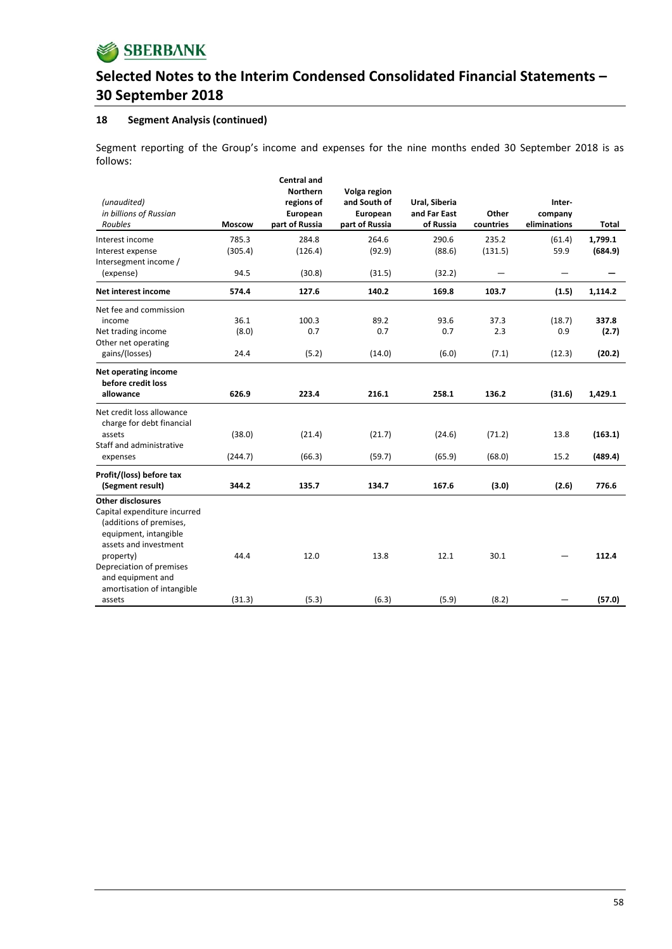

## **18 Segment Analysis (continued)**

Segment reporting of the Group's income and expenses for the nine months ended 30 September 2018 is as follows:

| (unaudited)<br>in billions of Russian<br>Roubles                                                                                                                                                    | Moscow                | <b>Central and</b><br><b>Northern</b><br>regions of<br>European<br>part of Russia | Volga region<br>and South of<br>European<br>part of Russia | Ural, Siberia<br>and Far East<br>of Russia | Other<br>countries   | Inter-<br>company<br>eliminations | Total                    |
|-----------------------------------------------------------------------------------------------------------------------------------------------------------------------------------------------------|-----------------------|-----------------------------------------------------------------------------------|------------------------------------------------------------|--------------------------------------------|----------------------|-----------------------------------|--------------------------|
| Interest income<br>Interest expense<br>Intersegment income /                                                                                                                                        | 785.3<br>(305.4)      | 284.8<br>(126.4)                                                                  | 264.6<br>(92.9)                                            | 290.6<br>(88.6)                            | 235.2<br>(131.5)     | (61.4)<br>59.9                    | 1,799.1<br>(684.9)       |
| (expense)                                                                                                                                                                                           | 94.5                  | (30.8)                                                                            | (31.5)                                                     | (32.2)                                     | —                    |                                   |                          |
| Net interest income                                                                                                                                                                                 | 574.4                 | 127.6                                                                             | 140.2                                                      | 169.8                                      | 103.7                | (1.5)                             | 1,114.2                  |
| Net fee and commission<br>income<br>Net trading income<br>Other net operating<br>gains/(losses)                                                                                                     | 36.1<br>(8.0)<br>24.4 | 100.3<br>0.7<br>(5.2)                                                             | 89.2<br>0.7<br>(14.0)                                      | 93.6<br>0.7<br>(6.0)                       | 37.3<br>2.3<br>(7.1) | (18.7)<br>0.9<br>(12.3)           | 337.8<br>(2.7)<br>(20.2) |
| Net operating income<br>before credit loss<br>allowance                                                                                                                                             | 626.9                 | 223.4                                                                             | 216.1                                                      | 258.1                                      | 136.2                | (31.6)                            | 1,429.1                  |
| Net credit loss allowance<br>charge for debt financial<br>assets<br>Staff and administrative<br>expenses                                                                                            | (38.0)<br>(244.7)     | (21.4)<br>(66.3)                                                                  | (21.7)<br>(59.7)                                           | (24.6)<br>(65.9)                           | (71.2)<br>(68.0)     | 13.8<br>15.2                      | (163.1)<br>(489.4)       |
| Profit/(loss) before tax<br>(Segment result)                                                                                                                                                        | 344.2                 | 135.7                                                                             | 134.7                                                      | 167.6                                      | (3.0)                | (2.6)                             | 776.6                    |
| <b>Other disclosures</b><br>Capital expenditure incurred<br>(additions of premises,<br>equipment, intangible<br>assets and investment<br>property)<br>Depreciation of premises<br>and equipment and | 44.4                  | 12.0                                                                              | 13.8                                                       | 12.1                                       | 30.1                 |                                   | 112.4                    |
| amortisation of intangible<br>assets                                                                                                                                                                | (31.3)                | (5.3)                                                                             | (6.3)                                                      | (5.9)                                      | (8.2)                |                                   | (57.0)                   |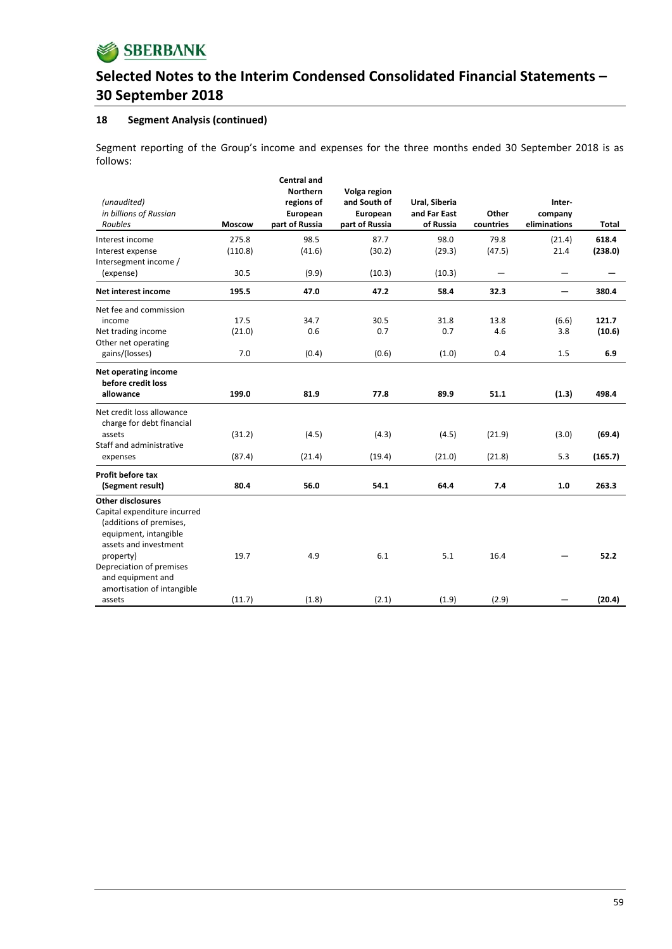

## **18 Segment Analysis (continued)**

Segment reporting of the Group's income and expenses for the three months ended 30 September 2018 is as follows:

| (unaudited)<br>in billions of Russian<br>Roubles                                                                                                                               | <b>Moscow</b>         | <b>Central and</b><br><b>Northern</b><br>regions of<br>European<br>part of Russia | Volga region<br>and South of<br>European<br>part of Russia | Ural, Siberia<br>and Far East<br>of Russia | Other<br>countries       | Inter-<br>company<br>eliminations | Total                  |
|--------------------------------------------------------------------------------------------------------------------------------------------------------------------------------|-----------------------|-----------------------------------------------------------------------------------|------------------------------------------------------------|--------------------------------------------|--------------------------|-----------------------------------|------------------------|
| Interest income<br>Interest expense<br>Intersegment income /                                                                                                                   | 275.8<br>(110.8)      | 98.5<br>(41.6)                                                                    | 87.7<br>(30.2)                                             | 98.0<br>(29.3)                             | 79.8<br>(47.5)           | (21.4)<br>21.4                    | 618.4<br>(238.0)       |
| (expense)                                                                                                                                                                      | 30.5                  | (9.9)                                                                             | (10.3)                                                     | (10.3)                                     | $\overline{\phantom{m}}$ | —                                 |                        |
| Net interest income                                                                                                                                                            | 195.5                 | 47.0                                                                              | 47.2                                                       | 58.4                                       | 32.3                     | $\overline{\phantom{0}}$          | 380.4                  |
| Net fee and commission<br>income<br>Net trading income<br>Other net operating<br>gains/(losses)                                                                                | 17.5<br>(21.0)<br>7.0 | 34.7<br>0.6<br>(0.4)                                                              | 30.5<br>0.7<br>(0.6)                                       | 31.8<br>0.7<br>(1.0)                       | 13.8<br>4.6<br>0.4       | (6.6)<br>3.8<br>1.5               | 121.7<br>(10.6)<br>6.9 |
| Net operating income<br>before credit loss<br>allowance                                                                                                                        | 199.0                 | 81.9                                                                              | 77.8                                                       | 89.9                                       | 51.1                     | (1.3)                             | 498.4                  |
| Net credit loss allowance<br>charge for debt financial<br>assets<br>Staff and administrative<br>expenses                                                                       | (31.2)<br>(87.4)      | (4.5)<br>(21.4)                                                                   | (4.3)<br>(19.4)                                            | (4.5)<br>(21.0)                            | (21.9)<br>(21.8)         | (3.0)<br>5.3                      | (69.4)<br>(165.7)      |
| Profit before tax<br>(Segment result)                                                                                                                                          | 80.4                  | 56.0                                                                              | 54.1                                                       | 64.4                                       | 7.4                      | 1.0                               | 263.3                  |
| <b>Other disclosures</b><br>Capital expenditure incurred<br>(additions of premises,<br>equipment, intangible<br>assets and investment<br>property)<br>Depreciation of premises | 19.7                  | 4.9                                                                               | 6.1                                                        | 5.1                                        | 16.4                     |                                   | 52.2                   |
| and equipment and<br>amortisation of intangible<br>assets                                                                                                                      | (11.7)                | (1.8)                                                                             | (2.1)                                                      | (1.9)                                      | (2.9)                    |                                   | (20.4)                 |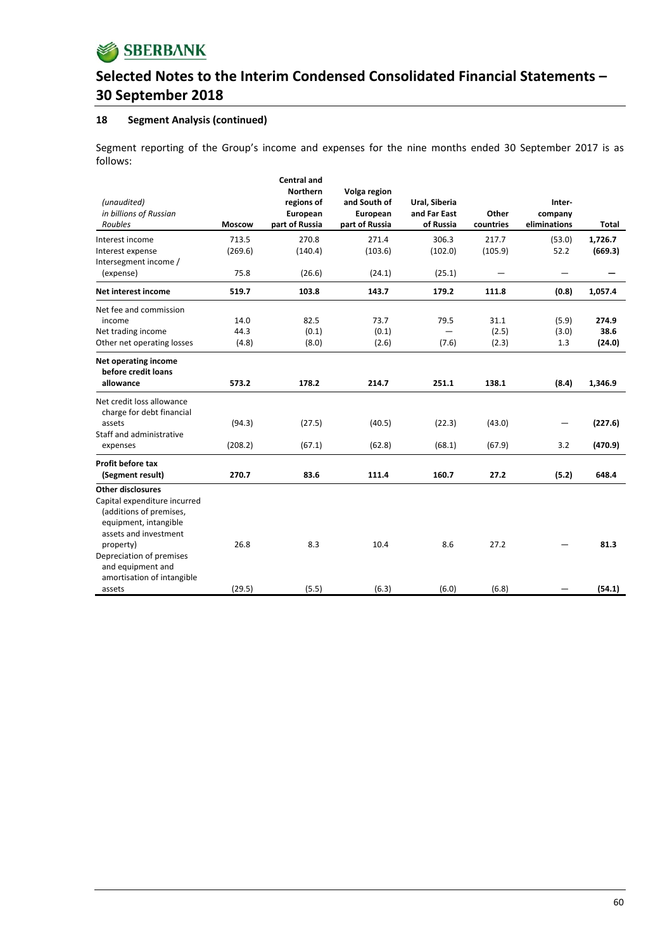

### **18 Segment Analysis (continued)**

Segment reporting of the Group's income and expenses for the nine months ended 30 September 2017 is as follows:

| (unaudited)<br>in billions of Russian<br>Roubles       | <b>Moscow</b> | <b>Central and</b><br><b>Northern</b><br>regions of<br>European<br>part of Russia | Volga region<br>and South of<br>European<br>part of Russia | Ural, Siberia<br>and Far East<br>of Russia | Other<br>countries | Inter-<br>company<br>eliminations | Total   |
|--------------------------------------------------------|---------------|-----------------------------------------------------------------------------------|------------------------------------------------------------|--------------------------------------------|--------------------|-----------------------------------|---------|
| Interest income                                        | 713.5         | 270.8                                                                             | 271.4                                                      | 306.3                                      | 217.7              | (53.0)                            | 1,726.7 |
| Interest expense<br>Intersegment income /              | (269.6)       | (140.4)                                                                           | (103.6)                                                    | (102.0)                                    | (105.9)            | 52.2                              | (669.3) |
| (expense)                                              | 75.8          | (26.6)                                                                            | (24.1)                                                     | (25.1)                                     |                    |                                   |         |
| Net interest income                                    | 519.7         | 103.8                                                                             | 143.7                                                      | 179.2                                      | 111.8              | (0.8)                             | 1,057.4 |
| Net fee and commission                                 |               |                                                                                   |                                                            |                                            |                    |                                   |         |
| income                                                 | 14.0          | 82.5                                                                              | 73.7                                                       | 79.5                                       | 31.1               | (5.9)                             | 274.9   |
| Net trading income                                     | 44.3          | (0.1)                                                                             | (0.1)                                                      |                                            | (2.5)              | (3.0)                             | 38.6    |
| Other net operating losses                             | (4.8)         | (8.0)                                                                             | (2.6)                                                      | (7.6)                                      | (2.3)              | 1.3                               | (24.0)  |
| Net operating income<br>before credit loans            |               |                                                                                   |                                                            |                                            |                    |                                   |         |
| allowance                                              | 573.2         | 178.2                                                                             | 214.7                                                      | 251.1                                      | 138.1              | (8.4)                             | 1,346.9 |
| Net credit loss allowance<br>charge for debt financial |               |                                                                                   |                                                            |                                            |                    |                                   |         |
| assets                                                 | (94.3)        | (27.5)                                                                            | (40.5)                                                     | (22.3)                                     | (43.0)             |                                   | (227.6) |
| Staff and administrative                               |               |                                                                                   |                                                            |                                            |                    |                                   |         |
| expenses                                               | (208.2)       | (67.1)                                                                            | (62.8)                                                     | (68.1)                                     | (67.9)             | 3.2                               | (470.9) |
| Profit before tax                                      |               |                                                                                   |                                                            |                                            |                    |                                   |         |
| (Segment result)                                       | 270.7         | 83.6                                                                              | 111.4                                                      | 160.7                                      | 27.2               | (5.2)                             | 648.4   |
| <b>Other disclosures</b>                               |               |                                                                                   |                                                            |                                            |                    |                                   |         |
| Capital expenditure incurred                           |               |                                                                                   |                                                            |                                            |                    |                                   |         |
| (additions of premises,                                |               |                                                                                   |                                                            |                                            |                    |                                   |         |
| equipment, intangible                                  |               |                                                                                   |                                                            |                                            |                    |                                   |         |
| assets and investment                                  |               |                                                                                   |                                                            |                                            |                    |                                   |         |
| property)                                              | 26.8          | 8.3                                                                               | 10.4                                                       | 8.6                                        | 27.2               |                                   | 81.3    |
| Depreciation of premises                               |               |                                                                                   |                                                            |                                            |                    |                                   |         |
| and equipment and                                      |               |                                                                                   |                                                            |                                            |                    |                                   |         |
| amortisation of intangible                             |               |                                                                                   |                                                            |                                            |                    |                                   |         |
| assets                                                 | (29.5)        | (5.5)                                                                             | (6.3)                                                      | (6.0)                                      | (6.8)              |                                   | (54.1)  |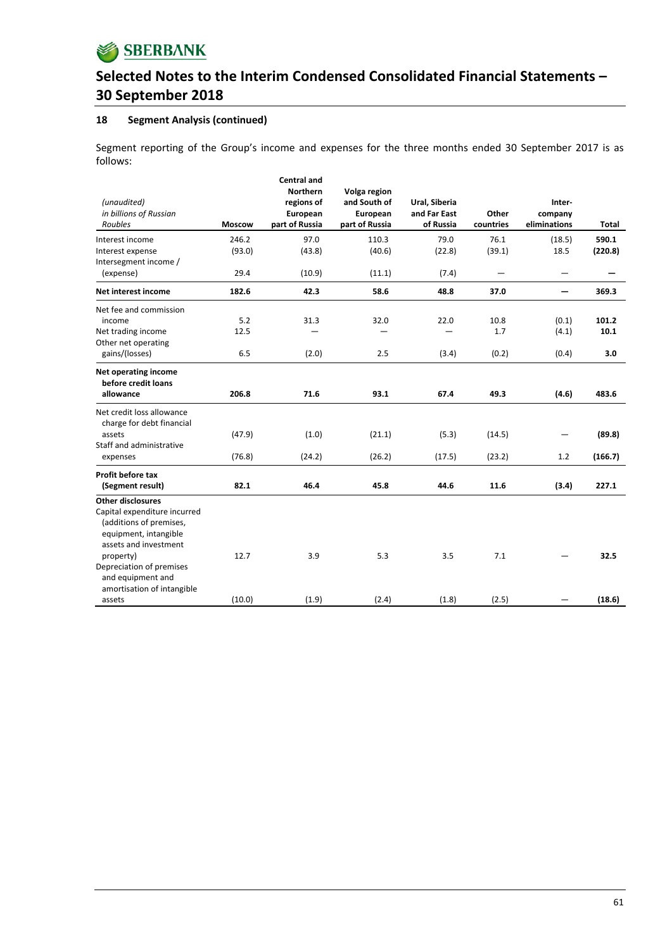

## **18 Segment Analysis (continued)**

Segment reporting of the Group's income and expenses for the three months ended 30 September 2017 is as follows:

| (unaudited)<br>in billions of Russian<br>Roubles                                                                                                                               | <b>Moscow</b>      | <b>Central and</b><br><b>Northern</b><br>regions of<br>European<br>part of Russia | Volga region<br>and South of<br>European<br>part of Russia | Ural, Siberia<br>and Far East<br>of Russia | Other<br>countries              | Inter-<br>company<br>eliminations | <b>Total</b>         |
|--------------------------------------------------------------------------------------------------------------------------------------------------------------------------------|--------------------|-----------------------------------------------------------------------------------|------------------------------------------------------------|--------------------------------------------|---------------------------------|-----------------------------------|----------------------|
| Interest income<br>Interest expense<br>Intersegment income /                                                                                                                   | 246.2<br>(93.0)    | 97.0<br>(43.8)                                                                    | 110.3<br>(40.6)                                            | 79.0<br>(22.8)                             | 76.1<br>(39.1)                  | (18.5)<br>18.5                    | 590.1<br>(220.8)     |
| (expense)                                                                                                                                                                      | 29.4               | (10.9)                                                                            | (11.1)                                                     | (7.4)                                      | $\overbrace{\phantom{1232211}}$ | —                                 |                      |
| Net interest income                                                                                                                                                            | 182.6              | 42.3                                                                              | 58.6                                                       | 48.8                                       | 37.0                            | -                                 | 369.3                |
| Net fee and commission<br>income<br>Net trading income<br>Other net operating<br>gains/(losses)                                                                                | 5.2<br>12.5<br>6.5 | 31.3<br>(2.0)                                                                     | 32.0<br>2.5                                                | 22.0<br>(3.4)                              | 10.8<br>1.7<br>(0.2)            | (0.1)<br>(4.1)<br>(0.4)           | 101.2<br>10.1<br>3.0 |
| Net operating income<br>before credit loans<br>allowance                                                                                                                       | 206.8              | 71.6                                                                              | 93.1                                                       | 67.4                                       | 49.3                            | (4.6)                             | 483.6                |
| Net credit loss allowance<br>charge for debt financial<br>assets<br>Staff and administrative<br>expenses                                                                       | (47.9)<br>(76.8)   | (1.0)<br>(24.2)                                                                   | (21.1)<br>(26.2)                                           | (5.3)<br>(17.5)                            | (14.5)<br>(23.2)                | -<br>1.2                          | (89.8)<br>(166.7)    |
| Profit before tax<br>(Segment result)                                                                                                                                          | 82.1               | 46.4                                                                              | 45.8                                                       | 44.6                                       | 11.6                            | (3.4)                             | 227.1                |
| <b>Other disclosures</b><br>Capital expenditure incurred<br>(additions of premises,<br>equipment, intangible<br>assets and investment<br>property)<br>Depreciation of premises | 12.7               | 3.9                                                                               | 5.3                                                        | 3.5                                        | 7.1                             |                                   | 32.5                 |
| and equipment and<br>amortisation of intangible<br>assets                                                                                                                      | (10.0)             | (1.9)                                                                             | (2.4)                                                      | (1.8)                                      | (2.5)                           |                                   | (18.6)               |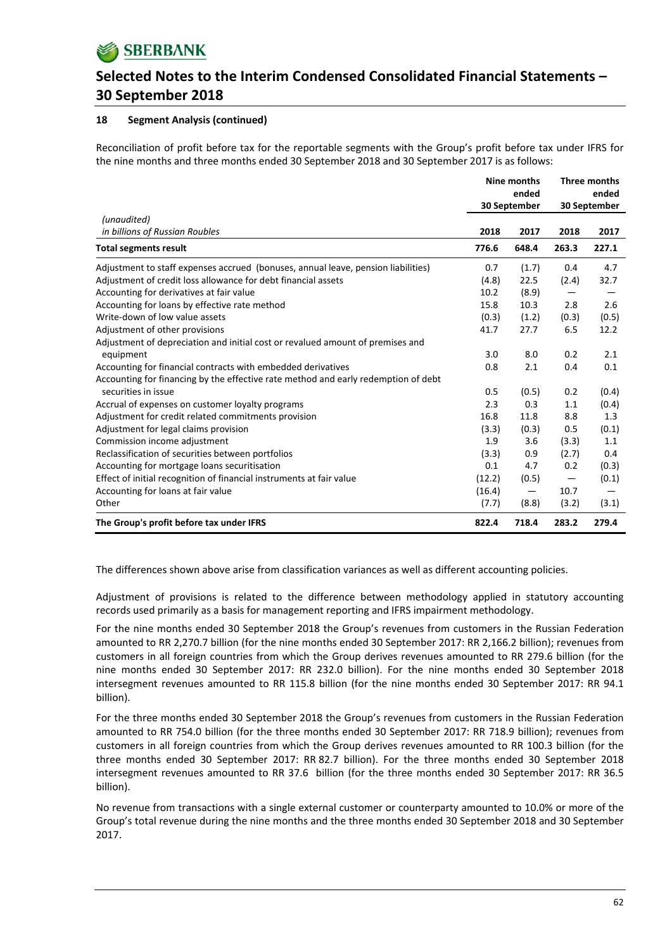

## **18 Segment Analysis (continued)**

Reconciliation of profit before tax for the reportable segments with the Group's profit before tax under IFRS for the nine months and three months ended 30 September 2018 and 30 September 2017 is as follows:

|                                                                                    | Nine months |                 | Three months      |       |  |
|------------------------------------------------------------------------------------|-------------|-----------------|-------------------|-------|--|
|                                                                                    | ended       |                 |                   | ended |  |
|                                                                                    |             | 30 September    | 30 September      |       |  |
| (unaudited)                                                                        |             |                 |                   |       |  |
| in billions of Russian Roubles                                                     | 2018        | 2017            | 2018              | 2017  |  |
| <b>Total segments result</b>                                                       | 776.6       | 648.4           | 263.3             | 227.1 |  |
| Adjustment to staff expenses accrued (bonuses, annual leave, pension liabilities)  | 0.7         | (1.7)           | 0.4               | 4.7   |  |
| Adjustment of credit loss allowance for debt financial assets                      | (4.8)       | 22.5            | (2.4)             | 32.7  |  |
| Accounting for derivatives at fair value                                           | 10.2        | (8.9)           | —                 |       |  |
| Accounting for loans by effective rate method                                      | 15.8        | 10.3            | 2.8               | 2.6   |  |
| Write-down of low value assets                                                     | (0.3)       | (1.2)           | (0.3)             | (0.5) |  |
| Adjustment of other provisions                                                     | 41.7        | 27.7            | 6.5               | 12.2  |  |
| Adjustment of depreciation and initial cost or revalued amount of premises and     |             |                 |                   |       |  |
| equipment                                                                          | 3.0         | 8.0             | 0.2               | 2.1   |  |
| Accounting for financial contracts with embedded derivatives                       | 0.8         | 2.1             | 0.4               | 0.1   |  |
| Accounting for financing by the effective rate method and early redemption of debt |             |                 |                   |       |  |
| securities in issue                                                                | 0.5         | (0.5)           | 0.2               | (0.4) |  |
| Accrual of expenses on customer loyalty programs                                   | 2.3         | 0.3             | 1.1               | (0.4) |  |
| Adjustment for credit related commitments provision                                | 16.8        | 11.8            | 8.8               | 1.3   |  |
| Adjustment for legal claims provision                                              | (3.3)       | (0.3)           | 0.5               | (0.1) |  |
| Commission income adjustment                                                       | 1.9         | 3.6             | (3.3)             | 1.1   |  |
| Reclassification of securities between portfolios                                  | (3.3)       | 0.9             | (2.7)             | 0.4   |  |
| Accounting for mortgage loans securitisation                                       | 0.1         | 4.7             | 0.2               | (0.3) |  |
| Effect of initial recognition of financial instruments at fair value               | (12.2)      | (0.5)           | $\qquad \qquad -$ | (0.1) |  |
| Accounting for loans at fair value                                                 | (16.4)      | $\qquad \qquad$ | 10.7              |       |  |
| Other                                                                              | (7.7)       | (8.8)           | (3.2)             | (3.1) |  |
| The Group's profit before tax under IFRS                                           | 822.4       | 718.4           | 283.2             | 279.4 |  |

The differences shown above arise from classification variances as well as different accounting policies.

Adjustment of provisions is related to the difference between methodology applied in statutory accounting records used primarily as a basis for management reporting and IFRS impairment methodology.

For the nine months ended 30 September 2018 the Group's revenues from customers in the Russian Federation amounted to RR 2,270.7 billion (for the nine months ended 30 September 2017: RR 2,166.2 billion); revenues from customers in all foreign countries from which the Group derives revenues amounted to RR 279.6 billion (for the nine months ended 30 September 2017: RR 232.0 billion). For the nine months ended 30 September 2018 intersegment revenues amounted to RR 115.8 billion (for the nine months ended 30 September 2017: RR 94.1 billion).

For the three months ended 30 September 2018 the Group's revenues from customers in the Russian Federation amounted to RR 754.0 billion (for the three months ended 30 September 2017: RR 718.9 billion); revenues from customers in all foreign countries from which the Group derives revenues amounted to RR 100.3 billion (for the three months ended 30 September 2017: RR 82.7 billion). For the three months ended 30 September 2018 intersegment revenues amounted to RR 37.6 billion (for the three months ended 30 September 2017: RR 36.5 billion).

No revenue from transactions with a single external customer or counterparty amounted to 10.0% or more of the Group's total revenue during the nine months and the three months ended 30 September 2018 and 30 September 2017.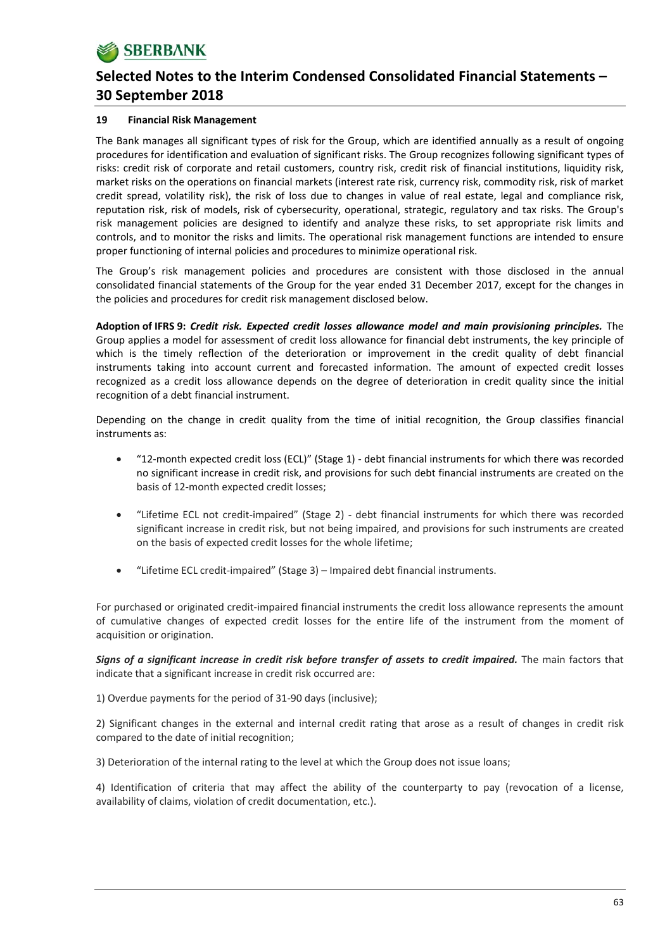## **19 Financial Risk Management**

The Bank manages all significant types of risk for the Group, which are identified annually as a result of ongoing procedures for identification and evaluation of significant risks. The Group recognizes following significant types of risks: credit risk of corporate and retail customers, country risk, credit risk of financial institutions, liquidity risk, market risks on the operations on financial markets (interest rate risk, currency risk, commodity risk, risk of market credit spread, volatility risk), the risk of loss due to changes in value of real estate, legal and compliance risk, reputation risk, risk of models, risk of cybersecurity, operational, strategic, regulatory and tax risks. The Group's risk management policies are designed to identify and analyze these risks, to set appropriate risk limits and controls, and to monitor the risks and limits. The operational risk management functions are intended to ensure proper functioning of internal policies and procedures to minimize operational risk.

The Group's risk management policies and procedures are consistent with those disclosed in the annual consolidated financial statements of the Group for the year ended 31 December 2017, except for the changes in the policies and procedures for credit risk management disclosed below.

**Adoption of IFRS 9:** *Credit risk. Expected credit losses allowance model and main provisioning principles.* The Group applies a model for assessment of credit loss allowance for financial debt instruments, the key principle of which is the timely reflection of the deterioration or improvement in the credit quality of debt financial instruments taking into account current and forecasted information. The amount of expected credit losses recognized as a credit loss allowance depends on the degree of deterioration in credit quality since the initial recognition of a debt financial instrument.

Depending on the change in credit quality from the time of initial recognition, the Group classifies financial instruments as:

- "12-month expected credit loss (ECL)" (Stage 1) debt financial instruments for which there was recorded no significant increase in credit risk, and provisions for such debt financial instruments are created on the basis of 12‐month expected credit losses;
- "Lifetime ECL not credit‐impaired" (Stage 2) ‐ debt financial instruments for which there was recorded significant increase in credit risk, but not being impaired, and provisions for such instruments are created on the basis of expected credit losses for the whole lifetime;
- "Lifetime ECL credit‐impaired" (Stage 3) Impaired debt financial instruments.

For purchased or originated credit‐impaired financial instruments the credit loss allowance represents the amount of cumulative changes of expected credit losses for the entire life of the instrument from the moment of acquisition or origination.

*Signs of a significant increase in credit risk before transfer of assets to credit impaired.* The main factors that indicate that a significant increase in credit risk occurred are:

1) Overdue payments for the period of 31‐90 days (inclusive);

2) Significant changes in the external and internal credit rating that arose as a result of changes in credit risk compared to the date of initial recognition;

3) Deterioration of the internal rating to the level at which the Group does not issue loans;

4) Identification of criteria that may affect the ability of the counterparty to pay (revocation of a license, availability of claims, violation of credit documentation, etc.).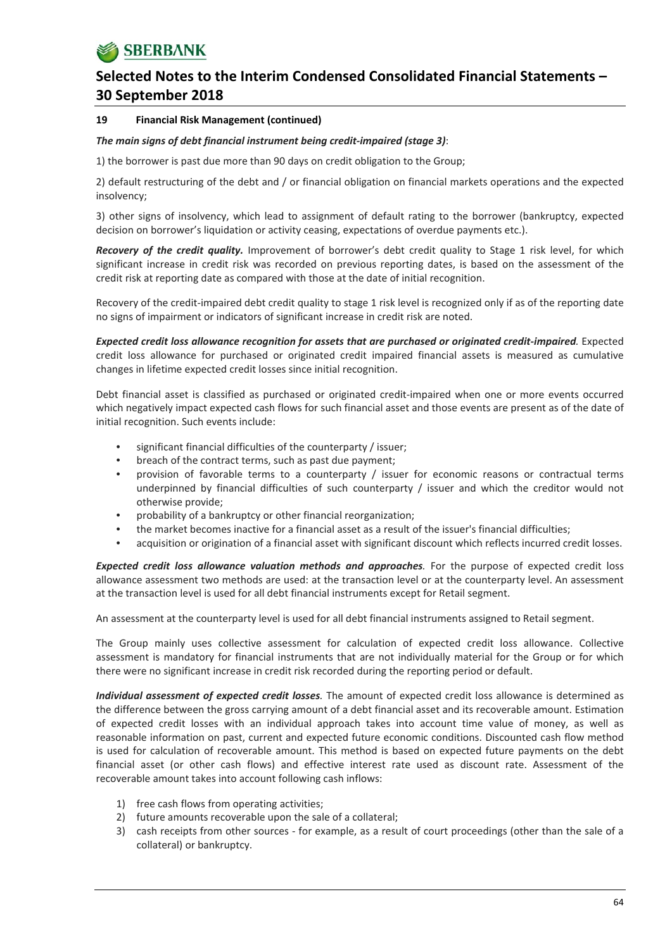## **19 Financial Risk Management (continued)**

## *The main signs of debt financial instrument being credit‐impaired (stage 3)*:

1) the borrower is past due more than 90 days on credit obligation to the Group;

2) default restructuring of the debt and / or financial obligation on financial markets operations and the expected insolvency;

3) other signs of insolvency, which lead to assignment of default rating to the borrower (bankruptcy, expected decision on borrower's liquidation or activity ceasing, expectations of overdue payments etc.).

*Recovery of the credit quality.* Improvement of borrower's debt credit quality to Stage 1 risk level, for which significant increase in credit risk was recorded on previous reporting dates, is based on the assessment of the credit risk at reporting date as compared with those at the date of initial recognition.

Recovery of the credit-impaired debt credit quality to stage 1 risk level is recognized only if as of the reporting date no signs of impairment or indicators of significant increase in credit risk are noted.

*Expected credit loss allowance recognition for assets that are purchased or originated credit‐impaired.* Expected credit loss allowance for purchased or originated credit impaired financial assets is measured as cumulative changes in lifetime expected credit losses since initial recognition.

Debt financial asset is classified as purchased or originated credit‐impaired when one or more events occurred which negatively impact expected cash flows for such financial asset and those events are present as of the date of initial recognition. Such events include:

- significant financial difficulties of the counterparty / issuer;
- breach of the contract terms, such as past due payment;
- provision of favorable terms to a counterparty / issuer for economic reasons or contractual terms underpinned by financial difficulties of such counterparty / issuer and which the creditor would not otherwise provide;
- probability of a bankruptcy or other financial reorganization;
- the market becomes inactive for a financial asset as a result of the issuer's financial difficulties;
- acquisition or origination of a financial asset with significant discount which reflects incurred credit losses.

*Expected credit loss allowance valuation methods and approaches.* For the purpose of expected credit loss allowance assessment two methods are used: at the transaction level or at the counterparty level. An assessment at the transaction level is used for all debt financial instruments except for Retail segment.

An assessment at the counterparty level is used for all debt financial instruments assigned to Retail segment.

The Group mainly uses collective assessment for calculation of expected credit loss allowance. Collective assessment is mandatory for financial instruments that are not individually material for the Group or for which there were no significant increase in credit risk recorded during the reporting period or default.

*Individual assessment of expected credit losses.* The amount of expected credit loss allowance is determined as the difference between the gross carrying amount of a debt financial asset and its recoverable amount. Estimation of expected credit losses with an individual approach takes into account time value of money, as well as reasonable information on past, current and expected future economic conditions. Discounted cash flow method is used for calculation of recoverable amount. This method is based on expected future payments on the debt financial asset (or other cash flows) and effective interest rate used as discount rate. Assessment of the recoverable amount takes into account following cash inflows:

- 1) free cash flows from operating activities;
- 2) future amounts recoverable upon the sale of a collateral;
- 3) cash receipts from other sources ‐ for example, as a result of court proceedings (other than the sale of a collateral) or bankruptcy.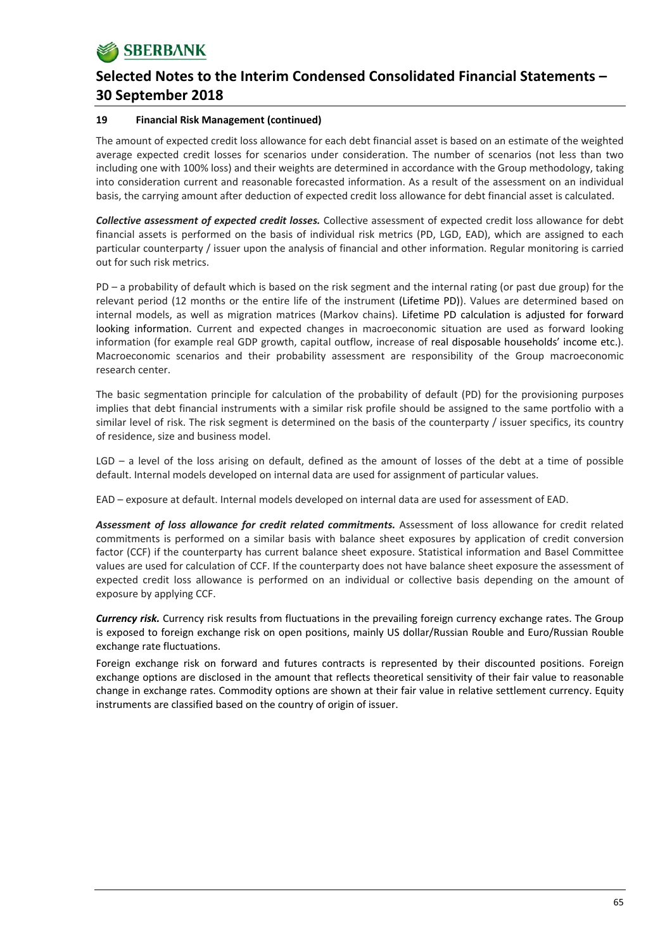## **19 Financial Risk Management (continued)**

The amount of expected credit loss allowance for each debt financial asset is based on an estimate of the weighted average expected credit losses for scenarios under consideration. The number of scenarios (not less than two including one with 100% loss) and their weights are determined in accordance with the Group methodology, taking into consideration current and reasonable forecasted information. As a result of the assessment on an individual basis, the carrying amount after deduction of expected credit loss allowance for debt financial asset is calculated.

*Collective assessment of expected credit losses.* Collective assessment of expected credit loss allowance for debt financial assets is performed on the basis of individual risk metrics (PD, LGD, EAD), which are assigned to each particular counterparty / issuer upon the analysis of financial and other information. Regular monitoring is carried out for such risk metrics.

PD – a probability of default which is based on the risk segment and the internal rating (or past due group) for the relevant period (12 months or the entire life of the instrument (Lifetime PD)). Values are determined based on internal models, as well as migration matrices (Markov chains). Lifetime PD calculation is adjusted for forward looking information. Current and expected changes in macroeconomic situation are used as forward looking information (for example real GDP growth, capital outflow, increase of real disposable households' income etc.). Macroeconomic scenarios and their probability assessment are responsibility of the Group macroeconomic research center.

The basic segmentation principle for calculation of the probability of default (PD) for the provisioning purposes implies that debt financial instruments with a similar risk profile should be assigned to the same portfolio with a similar level of risk. The risk segment is determined on the basis of the counterparty / issuer specifics, its country of residence, size and business model.

LGD – a level of the loss arising on default, defined as the amount of losses of the debt at a time of possible default. Internal models developed on internal data are used for assignment of particular values.

EAD – exposure at default. Internal models developed on internal data are used for assessment of EAD.

*Assessment of loss allowance for credit related commitments.* Assessment of loss allowance for credit related commitments is performed on a similar basis with balance sheet exposures by application of credit conversion factor (CCF) if the counterparty has current balance sheet exposure. Statistical information and Basel Committee values are used for calculation of CCF. If the counterparty does not have balance sheet exposure the assessment of expected credit loss allowance is performed on an individual or collective basis depending on the amount of exposure by applying CCF.

*Currency risk.* Currency risk results from fluctuations in the prevailing foreign currency exchange rates. The Group is exposed to foreign exchange risk on open positions, mainly US dollar/Russian Rouble and Euro/Russian Rouble exchange rate fluctuations.

Foreign exchange risk on forward and futures contracts is represented by their discounted positions. Foreign exchange options are disclosed in the amount that reflects theoretical sensitivity of their fair value to reasonable change in exchange rates. Commodity options are shown at their fair value in relative settlement currency. Equity instruments are classified based on the country of origin of issuer.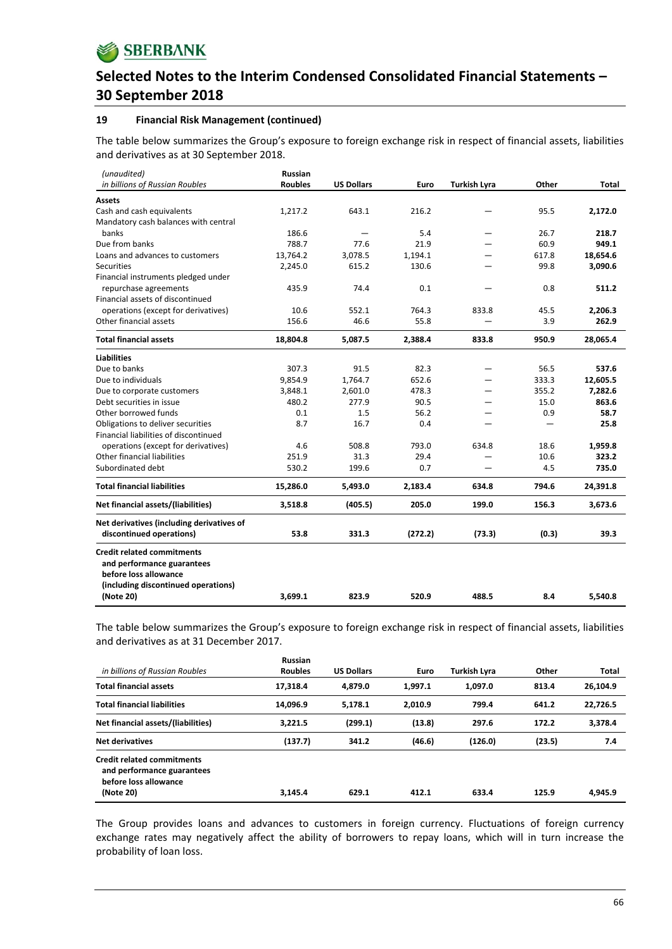## **19 Financial Risk Management (continued)**

The table below summarizes the Group's exposure to foreign exchange risk in respect of financial assets, liabilities and derivatives as at 30 September 2018.

| (unaudited)                                                                                                                     | <b>Russian</b> |                   |         |                     |       |          |
|---------------------------------------------------------------------------------------------------------------------------------|----------------|-------------------|---------|---------------------|-------|----------|
| in billions of Russian Roubles                                                                                                  | <b>Roubles</b> | <b>US Dollars</b> | Euro    | <b>Turkish Lyra</b> | Other | Total    |
| <b>Assets</b>                                                                                                                   |                |                   |         |                     |       |          |
| Cash and cash equivalents                                                                                                       | 1,217.2        | 643.1             | 216.2   |                     | 95.5  | 2,172.0  |
| Mandatory cash balances with central                                                                                            |                |                   |         |                     |       |          |
| banks                                                                                                                           | 186.6          |                   | 5.4     |                     | 26.7  | 218.7    |
| Due from banks                                                                                                                  | 788.7          | 77.6              | 21.9    |                     | 60.9  | 949.1    |
| Loans and advances to customers                                                                                                 | 13,764.2       | 3,078.5           | 1,194.1 |                     | 617.8 | 18,654.6 |
| <b>Securities</b>                                                                                                               | 2,245.0        | 615.2             | 130.6   |                     | 99.8  | 3,090.6  |
| Financial instruments pledged under                                                                                             |                |                   |         |                     |       |          |
| repurchase agreements                                                                                                           | 435.9          | 74.4              | 0.1     |                     | 0.8   | 511.2    |
| Financial assets of discontinued                                                                                                |                |                   |         |                     |       |          |
| operations (except for derivatives)                                                                                             | 10.6           | 552.1             | 764.3   | 833.8               | 45.5  | 2,206.3  |
| Other financial assets                                                                                                          | 156.6          | 46.6              | 55.8    |                     | 3.9   | 262.9    |
| <b>Total financial assets</b>                                                                                                   | 18,804.8       | 5,087.5           | 2,388.4 | 833.8               | 950.9 | 28,065.4 |
| <b>Liabilities</b>                                                                                                              |                |                   |         |                     |       |          |
| Due to banks                                                                                                                    | 307.3          | 91.5              | 82.3    |                     | 56.5  | 537.6    |
| Due to individuals                                                                                                              | 9,854.9        | 1,764.7           | 652.6   |                     | 333.3 | 12,605.5 |
| Due to corporate customers                                                                                                      | 3,848.1        | 2,601.0           | 478.3   |                     | 355.2 | 7,282.6  |
| Debt securities in issue                                                                                                        | 480.2          | 277.9             | 90.5    |                     | 15.0  | 863.6    |
| Other borrowed funds                                                                                                            | 0.1            | 1.5               | 56.2    |                     | 0.9   | 58.7     |
| Obligations to deliver securities                                                                                               | 8.7            | 16.7              | 0.4     |                     |       | 25.8     |
| Financial liabilities of discontinued                                                                                           |                |                   |         |                     |       |          |
| operations (except for derivatives)                                                                                             | 4.6            | 508.8             | 793.0   | 634.8               | 18.6  | 1,959.8  |
| <b>Other financial liabilities</b>                                                                                              | 251.9          | 31.3              | 29.4    |                     | 10.6  | 323.2    |
| Subordinated debt                                                                                                               | 530.2          | 199.6             | 0.7     |                     | 4.5   | 735.0    |
| <b>Total financial liabilities</b>                                                                                              | 15,286.0       | 5,493.0           | 2,183.4 | 634.8               | 794.6 | 24,391.8 |
| Net financial assets/(liabilities)                                                                                              | 3,518.8        | (405.5)           | 205.0   | 199.0               | 156.3 | 3,673.6  |
| Net derivatives (including derivatives of                                                                                       |                |                   |         |                     |       |          |
| discontinued operations)                                                                                                        | 53.8           | 331.3             | (272.2) | (73.3)              | (0.3) | 39.3     |
| <b>Credit related commitments</b><br>and performance guarantees<br>before loss allowance<br>(including discontinued operations) |                |                   |         |                     |       |          |
| (Note 20)                                                                                                                       | 3,699.1        | 823.9             | 520.9   | 488.5               | 8.4   | 5,540.8  |

The table below summarizes the Group's exposure to foreign exchange risk in respect of financial assets, liabilities and derivatives as at 31 December 2017.

| in billions of Russian Roubles                                                                        | <b>Russian</b><br><b>Roubles</b> | <b>US Dollars</b> | Euro    | Turkish Lvra | Other  | Total    |
|-------------------------------------------------------------------------------------------------------|----------------------------------|-------------------|---------|--------------|--------|----------|
| <b>Total financial assets</b>                                                                         | 17.318.4                         | 4.879.0           | 1.997.1 | 1.097.0      | 813.4  | 26.104.9 |
| <b>Total financial liabilities</b>                                                                    | 14,096.9                         | 5.178.1           | 2.010.9 | 799.4        | 641.2  | 22.726.5 |
| Net financial assets/(liabilities)                                                                    | 3.221.5                          | (299.1)           | (13.8)  | 297.6        | 172.2  | 3.378.4  |
| <b>Net derivatives</b>                                                                                | (137.7)                          | 341.2             | (46.6)  | (126.0)      | (23.5) | 7.4      |
| <b>Credit related commitments</b><br>and performance guarantees<br>before loss allowance<br>(Note 20) | 3.145.4                          | 629.1             | 412.1   | 633.4        | 125.9  | 4.945.9  |

The Group provides loans and advances to customers in foreign currency. Fluctuations of foreign currency exchange rates may negatively affect the ability of borrowers to repay loans, which will in turn increase the probability of loan loss.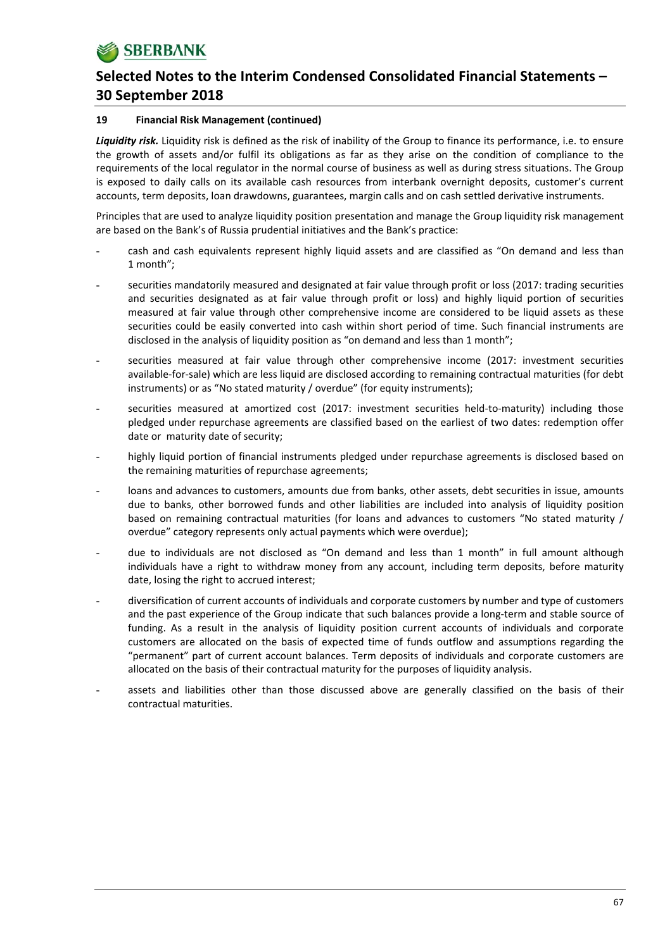## **19 Financial Risk Management (continued)**

*Liquidity risk.* Liquidity risk is defined as the risk of inability of the Group to finance its performance, i.e. to ensure the growth of assets and/or fulfil its obligations as far as they arise on the condition of compliance to the requirements of the local regulator in the normal course of business as well as during stress situations. The Group is exposed to daily calls on its available cash resources from interbank overnight deposits, customer's current accounts, term deposits, loan drawdowns, guarantees, margin calls and on cash settled derivative instruments.

Principles that are used to analyze liquidity position presentation and manage the Group liquidity risk management are based on the Bank's of Russia prudential initiatives and the Bank's practice:

- cash and cash equivalents represent highly liquid assets and are classified as "On demand and less than 1 month";
- securities mandatorily measured and designated at fair value through profit or loss (2017: trading securities and securities designated as at fair value through profit or loss) and highly liquid portion of securities measured at fair value through other comprehensive income are considered to be liquid assets as these securities could be easily converted into cash within short period of time. Such financial instruments are disclosed in the analysis of liquidity position as "on demand and less than 1 month";
- securities measured at fair value through other comprehensive income (2017: investment securities available‐for‐sale) which are less liquid are disclosed according to remaining contractual maturities (for debt instruments) or as "No stated maturity / overdue" (for equity instruments);
- securities measured at amortized cost (2017: investment securities held-to-maturity) including those pledged under repurchase agreements are classified based on the earliest of two dates: redemption offer date or maturity date of security;
- highly liquid portion of financial instruments pledged under repurchase agreements is disclosed based on the remaining maturities of repurchase agreements;
- loans and advances to customers, amounts due from banks, other assets, debt securities in issue, amounts due to banks, other borrowed funds and other liabilities are included into analysis of liquidity position based on remaining contractual maturities (for loans and advances to customers "No stated maturity / overdue" category represents only actual payments which were overdue);
- due to individuals are not disclosed as "On demand and less than 1 month" in full amount although individuals have a right to withdraw money from any account, including term deposits, before maturity date, losing the right to accrued interest;
- diversification of current accounts of individuals and corporate customers by number and type of customers and the past experience of the Group indicate that such balances provide a long-term and stable source of funding. As a result in the analysis of liquidity position current accounts of individuals and corporate customers are allocated on the basis of expected time of funds outflow and assumptions regarding the "permanent" part of current account balances. Term deposits of individuals and corporate customers are allocated on the basis of their contractual maturity for the purposes of liquidity analysis.
- assets and liabilities other than those discussed above are generally classified on the basis of their contractual maturities.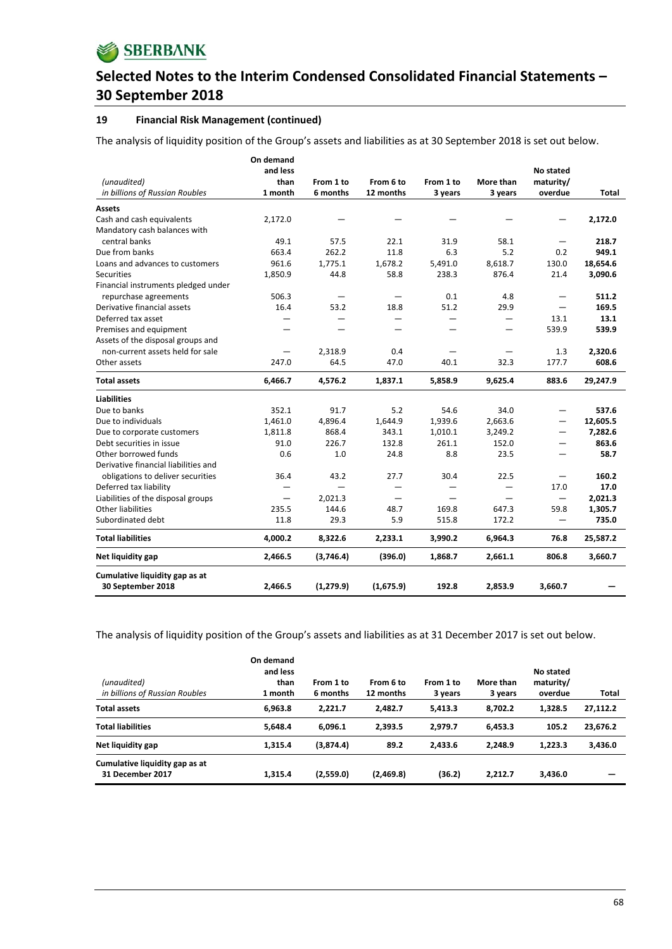## **19 Financial Risk Management (continued)**

The analysis of liquidity position of the Group's assets and liabilities as at 30 September 2018 is set out below.

|                                                     | On demand<br>and less |            |           |           |           | No stated |          |
|-----------------------------------------------------|-----------------------|------------|-----------|-----------|-----------|-----------|----------|
| (unaudited)                                         | than                  | From 1 to  | From 6 to | From 1 to | More than | maturity/ |          |
| in billions of Russian Roubles                      | 1 month               | 6 months   | 12 months | 3 years   | 3 years   | overdue   | Total    |
|                                                     |                       |            |           |           |           |           |          |
| <b>Assets</b>                                       |                       |            |           |           |           |           |          |
| Cash and cash equivalents                           | 2,172.0               |            |           |           |           |           | 2,172.0  |
| Mandatory cash balances with                        |                       |            |           |           |           |           |          |
| central banks                                       | 49.1                  | 57.5       | 22.1      | 31.9      | 58.1      |           | 218.7    |
| Due from banks                                      | 663.4                 | 262.2      | 11.8      | 6.3       | 5.2       | 0.2       | 949.1    |
| Loans and advances to customers                     | 961.6                 | 1,775.1    | 1,678.2   | 5,491.0   | 8,618.7   | 130.0     | 18,654.6 |
| <b>Securities</b>                                   | 1,850.9               | 44.8       | 58.8      | 238.3     | 876.4     | 21.4      | 3,090.6  |
| Financial instruments pledged under                 |                       |            |           |           |           |           |          |
| repurchase agreements                               | 506.3                 |            |           | 0.1       | 4.8       |           | 511.2    |
| Derivative financial assets                         | 16.4                  | 53.2       | 18.8      | 51.2      | 29.9      |           | 169.5    |
| Deferred tax asset                                  |                       |            |           |           |           | 13.1      | 13.1     |
| Premises and equipment                              |                       |            |           |           | —         | 539.9     | 539.9    |
| Assets of the disposal groups and                   |                       |            |           |           |           |           |          |
| non-current assets held for sale                    |                       | 2,318.9    | 0.4       |           |           | 1.3       | 2,320.6  |
| Other assets                                        | 247.0                 | 64.5       | 47.0      | 40.1      | 32.3      | 177.7     | 608.6    |
| <b>Total assets</b>                                 | 6,466.7               | 4,576.2    | 1,837.1   | 5,858.9   | 9,625.4   | 883.6     | 29,247.9 |
| <b>Liabilities</b>                                  |                       |            |           |           |           |           |          |
| Due to banks                                        | 352.1                 | 91.7       | 5.2       | 54.6      | 34.0      |           | 537.6    |
| Due to individuals                                  | 1,461.0               | 4,896.4    | 1,644.9   | 1,939.6   | 2,663.6   | —         | 12,605.5 |
| Due to corporate customers                          | 1,811.8               | 868.4      | 343.1     | 1,010.1   | 3,249.2   | —         | 7,282.6  |
| Debt securities in issue                            | 91.0                  | 226.7      | 132.8     | 261.1     | 152.0     |           | 863.6    |
| Other borrowed funds                                | 0.6                   | 1.0        | 24.8      | 8.8       | 23.5      |           | 58.7     |
| Derivative financial liabilities and                |                       |            |           |           |           |           |          |
| obligations to deliver securities                   | 36.4                  | 43.2       | 27.7      | 30.4      | 22.5      | $\equiv$  | 160.2    |
| Deferred tax liability                              | —                     | —          |           |           |           | 17.0      | 17.0     |
| Liabilities of the disposal groups                  | —                     | 2,021.3    |           |           |           |           | 2,021.3  |
| <b>Other liabilities</b>                            | 235.5                 | 144.6      | 48.7      | 169.8     | 647.3     | 59.8      | 1,305.7  |
| Subordinated debt                                   | 11.8                  | 29.3       | 5.9       | 515.8     | 172.2     | —         | 735.0    |
| <b>Total liabilities</b>                            | 4,000.2               | 8,322.6    | 2,233.1   | 3,990.2   | 6,964.3   | 76.8      | 25,587.2 |
| Net liquidity gap                                   | 2,466.5               | (3,746.4)  | (396.0)   | 1,868.7   | 2,661.1   | 806.8     | 3,660.7  |
| Cumulative liquidity gap as at<br>30 September 2018 | 2.466.5               | (1, 279.9) | (1,675.9) | 192.8     | 2,853.9   | 3,660.7   |          |

The analysis of liquidity position of the Group's assets and liabilities as at 31 December 2017 is set out below.

| (unaudited)<br>in billions of Russian Roubles      | On demand<br>and less<br>than<br>1 month | From 1 to<br>6 months | From 6 to<br>12 months | From 1 to<br>3 years | More than<br>3 years | No stated<br>maturity/<br>overdue | Total    |
|----------------------------------------------------|------------------------------------------|-----------------------|------------------------|----------------------|----------------------|-----------------------------------|----------|
| <b>Total assets</b>                                | 6,963.8                                  | 2.221.7               | 2.482.7                | 5.413.3              | 8.702.2              | 1.328.5                           | 27,112.2 |
| <b>Total liabilities</b>                           | 5,648.4                                  | 6.096.1               | 2.393.5                | 2.979.7              | 6.453.3              | 105.2                             | 23,676.2 |
| Net liquidity gap                                  | 1,315.4                                  | (3,874.4)             | 89.2                   | 2.433.6              | 2.248.9              | 1.223.3                           | 3,436.0  |
| Cumulative liquidity gap as at<br>31 December 2017 | 1,315.4                                  | (2,559.0)             | (2,469.8)              | (36.2)               | 2.212.7              | 3,436.0                           |          |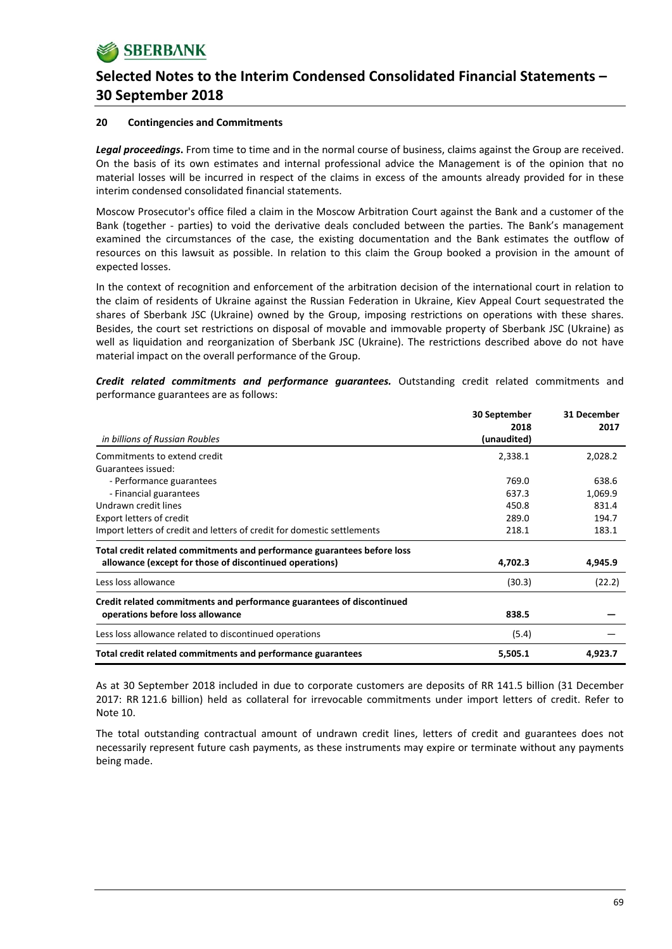## **20 Contingencies and Commitments**

*Legal proceedings***.** From time to time and in the normal course of business, claims against the Group are received. On the basis of its own estimates and internal professional advice the Management is of the opinion that no material losses will be incurred in respect of the claims in excess of the amounts already provided for in these interim condensed consolidated financial statements.

Moscow Prosecutor's office filed a claim in the Moscow Arbitration Court against the Bank and a customer of the Bank (together - parties) to void the derivative deals concluded between the parties. The Bank's management examined the circumstances of the case, the existing documentation and the Bank estimates the outflow of resources on this lawsuit as possible. In relation to this claim the Group booked a provision in the amount of expected losses.

In the context of recognition and enforcement of the arbitration decision of the international court in relation to the claim of residents of Ukraine against the Russian Federation in Ukraine, Kiev Appeal Court sequestrated the shares of Sberbank JSC (Ukraine) owned by the Group, imposing restrictions on operations with these shares. Besides, the court set restrictions on disposal of movable and immovable property of Sberbank JSC (Ukraine) as well as liquidation and reorganization of Sberbank JSC (Ukraine). The restrictions described above do not have material impact on the overall performance of the Group.

*Credit related commitments and performance guarantees.* Outstanding credit related commitments and performance guarantees are as follows:

|                                                                         | 30 September        | 31 December |
|-------------------------------------------------------------------------|---------------------|-------------|
| in billions of Russian Roubles                                          | 2018<br>(unaudited) | 2017        |
| Commitments to extend credit                                            | 2,338.1             | 2,028.2     |
| Guarantees issued:                                                      |                     |             |
| - Performance guarantees                                                | 769.0               | 638.6       |
| - Financial guarantees                                                  | 637.3               | 1,069.9     |
| Undrawn credit lines                                                    | 450.8               | 831.4       |
| Export letters of credit                                                | 289.0               | 194.7       |
| Import letters of credit and letters of credit for domestic settlements | 218.1               | 183.1       |
| Total credit related commitments and performance guarantees before loss |                     |             |
| allowance (except for those of discontinued operations)                 | 4,702.3             | 4,945.9     |
| Less loss allowance                                                     | (30.3)              | (22.2)      |
| Credit related commitments and performance guarantees of discontinued   |                     |             |
| operations before loss allowance                                        | 838.5               |             |
| Less loss allowance related to discontinued operations                  | (5.4)               |             |
| Total credit related commitments and performance guarantees             | 5,505.1             | 4,923.7     |

As at 30 September 2018 included in due to corporate customers are deposits of RR 141.5 billion (31 December 2017: RR 121.6 billion) held as collateral for irrevocable commitments under import letters of credit. Refer to Note 10.

The total outstanding contractual amount of undrawn credit lines, letters of credit and guarantees does not necessarily represent future cash payments, as these instruments may expire or terminate without any payments being made.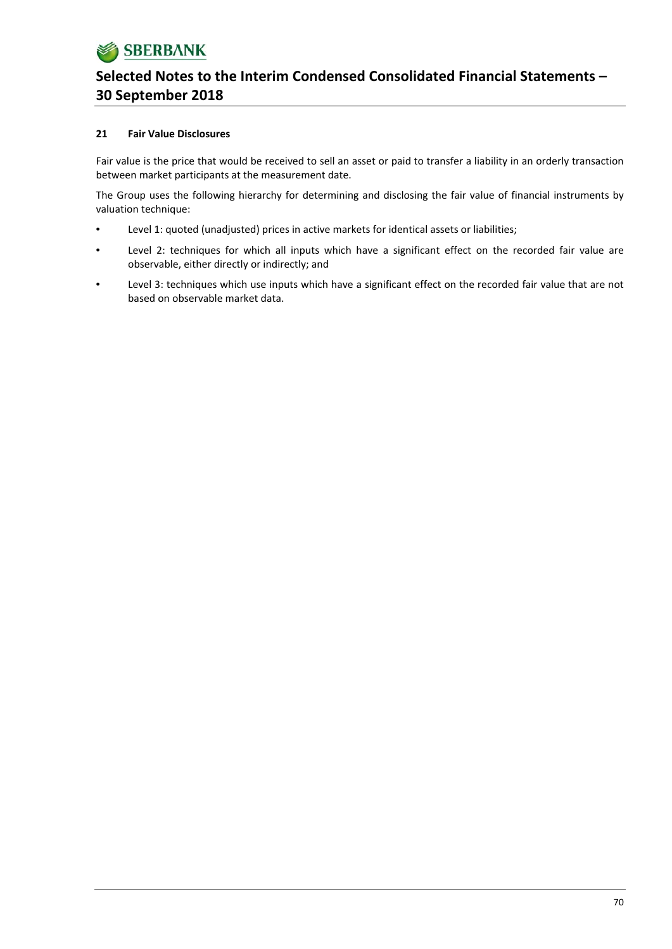

### **21 Fair Value Disclosures**

Fair value is the price that would be received to sell an asset or paid to transfer a liability in an orderly transaction between market participants at the measurement date.

The Group uses the following hierarchy for determining and disclosing the fair value of financial instruments by valuation technique:

- Level 1: quoted (unadjusted) prices in active markets for identical assets or liabilities;
- Level 2: techniques for which all inputs which have a significant effect on the recorded fair value are observable, either directly or indirectly; and
- Level 3: techniques which use inputs which have a significant effect on the recorded fair value that are not based on observable market data.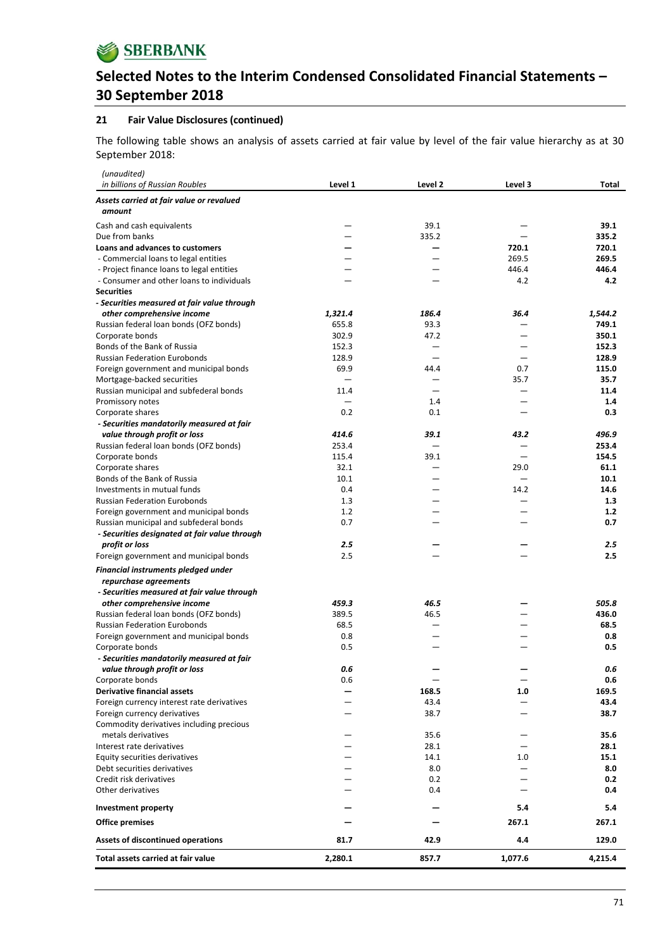#### **21 Fair Value Disclosures (continued)**

The following table shows an analysis of assets carried at fair value by level of the fair value hierarchy as at 30 September 2018:

| in billions of Russian Roubles<br>Level 1<br>Level 2<br>Level 3<br>Total<br>Assets carried at fair value or revalued<br>amount<br>39.1<br>39.1<br>Cash and cash equivalents<br>—<br>—<br>Due from banks<br>335.2<br>335.2<br>720.1<br>720.1<br>Loans and advances to customers<br>269.5<br>269.5<br>- Commercial loans to legal entities<br>446.4<br>446.4<br>- Project finance loans to legal entities<br>4.2<br>- Consumer and other loans to individuals<br>4.2<br><b>Securities</b><br>- Securities measured at fair value through<br>1,321.4<br>186.4<br>36.4<br>1,544.2<br>other comprehensive income<br>655.8<br>93.3<br>749.1<br>Russian federal loan bonds (OFZ bonds)<br>302.9<br>47.2<br>350.1<br>Corporate bonds<br>Bonds of the Bank of Russia<br>152.3<br>152.3<br>$\overline{\phantom{0}}$<br><b>Russian Federation Eurobonds</b><br>128.9<br>128.9<br>69.9<br>0.7<br>115.0<br>Foreign government and municipal bonds<br>44.4<br>35.7<br>35.7<br>Mortgage-backed securities<br>11.4<br>Russian municipal and subfederal bonds<br>11.4<br>1.4<br>Promissory notes<br>1.4<br>0.2<br>0.1<br>0.3<br>Corporate shares<br>- Securities mandatorily measured at fair<br>414.6<br>39.1<br>496.9<br>value through profit or loss<br>43.2<br>253.4<br>253.4<br>Russian federal loan bonds (OFZ bonds)<br>115.4<br>39.1<br>154.5<br>Corporate bonds<br>32.1<br>29.0<br>61.1<br>Corporate shares<br>Bonds of the Bank of Russia<br>10.1<br>10.1<br>0.4<br>14.2<br>14.6<br>Investments in mutual funds<br><b>Russian Federation Eurobonds</b><br>1.3<br>1.3<br>1.2<br>1.2<br>Foreign government and municipal bonds<br>0.7<br>0.7<br>Russian municipal and subfederal bonds<br>- Securities designated at fair value through<br>2.5<br>2.5<br>profit or loss<br>2.5<br>2.5<br>Foreign government and municipal bonds<br>Financial instruments pledged under<br>repurchase agreements<br>- Securities measured at fair value through<br>459.3<br>46.5<br>505.8<br>other comprehensive income<br>Russian federal loan bonds (OFZ bonds)<br>389.5<br>46.5<br>436.0<br>68.5<br>68.5<br><b>Russian Federation Eurobonds</b><br>0.8<br>0.8<br>Foreign government and municipal bonds<br>0.5<br>Corporate bonds<br>0.5<br>- Securities mandatorily measured at fair<br>0.6<br>value through profit or loss<br>0.6<br>Corporate bonds<br>0.6<br>0.6<br><b>Derivative financial assets</b><br>168.5<br>169.5<br>1.0<br>43.4<br>43.4<br>Foreign currency interest rate derivatives<br>Foreign currency derivatives<br>38.7<br>38.7<br>Commodity derivatives including precious<br>metals derivatives<br>35.6<br>35.6<br>28.1<br>28.1<br>Interest rate derivatives<br>Equity securities derivatives<br>14.1<br>1.0<br>15.1<br>8.0<br>Debt securities derivatives<br>8.0<br>Credit risk derivatives<br>0.2<br>0.2<br>Other derivatives<br>0.4<br>0.4<br>5.4<br>5.4<br>Investment property<br>267.1<br><b>Office premises</b><br>267.1<br>Assets of discontinued operations<br>4.4<br>129.0<br>81.7<br>42.9 | (unaudited)                        |         |       |         |         |
|--------------------------------------------------------------------------------------------------------------------------------------------------------------------------------------------------------------------------------------------------------------------------------------------------------------------------------------------------------------------------------------------------------------------------------------------------------------------------------------------------------------------------------------------------------------------------------------------------------------------------------------------------------------------------------------------------------------------------------------------------------------------------------------------------------------------------------------------------------------------------------------------------------------------------------------------------------------------------------------------------------------------------------------------------------------------------------------------------------------------------------------------------------------------------------------------------------------------------------------------------------------------------------------------------------------------------------------------------------------------------------------------------------------------------------------------------------------------------------------------------------------------------------------------------------------------------------------------------------------------------------------------------------------------------------------------------------------------------------------------------------------------------------------------------------------------------------------------------------------------------------------------------------------------------------------------------------------------------------------------------------------------------------------------------------------------------------------------------------------------------------------------------------------------------------------------------------------------------------------------------------------------------------------------------------------------------------------------------------------------------------------------------------------------------------------------------------------------------------------------------------------------------------------------------------------------------------------------------------------------------------------------------------------------------------------------------------------------------------------------------------------------------------------------------------------------------------------------------------------------------------------------------------------------------------------------------------------------------------------------------|------------------------------------|---------|-------|---------|---------|
|                                                                                                                                                                                                                                                                                                                                                                                                                                                                                                                                                                                                                                                                                                                                                                                                                                                                                                                                                                                                                                                                                                                                                                                                                                                                                                                                                                                                                                                                                                                                                                                                                                                                                                                                                                                                                                                                                                                                                                                                                                                                                                                                                                                                                                                                                                                                                                                                                                                                                                                                                                                                                                                                                                                                                                                                                                                                                                                                                                                                  |                                    |         |       |         |         |
|                                                                                                                                                                                                                                                                                                                                                                                                                                                                                                                                                                                                                                                                                                                                                                                                                                                                                                                                                                                                                                                                                                                                                                                                                                                                                                                                                                                                                                                                                                                                                                                                                                                                                                                                                                                                                                                                                                                                                                                                                                                                                                                                                                                                                                                                                                                                                                                                                                                                                                                                                                                                                                                                                                                                                                                                                                                                                                                                                                                                  |                                    |         |       |         |         |
|                                                                                                                                                                                                                                                                                                                                                                                                                                                                                                                                                                                                                                                                                                                                                                                                                                                                                                                                                                                                                                                                                                                                                                                                                                                                                                                                                                                                                                                                                                                                                                                                                                                                                                                                                                                                                                                                                                                                                                                                                                                                                                                                                                                                                                                                                                                                                                                                                                                                                                                                                                                                                                                                                                                                                                                                                                                                                                                                                                                                  |                                    |         |       |         |         |
|                                                                                                                                                                                                                                                                                                                                                                                                                                                                                                                                                                                                                                                                                                                                                                                                                                                                                                                                                                                                                                                                                                                                                                                                                                                                                                                                                                                                                                                                                                                                                                                                                                                                                                                                                                                                                                                                                                                                                                                                                                                                                                                                                                                                                                                                                                                                                                                                                                                                                                                                                                                                                                                                                                                                                                                                                                                                                                                                                                                                  |                                    |         |       |         |         |
|                                                                                                                                                                                                                                                                                                                                                                                                                                                                                                                                                                                                                                                                                                                                                                                                                                                                                                                                                                                                                                                                                                                                                                                                                                                                                                                                                                                                                                                                                                                                                                                                                                                                                                                                                                                                                                                                                                                                                                                                                                                                                                                                                                                                                                                                                                                                                                                                                                                                                                                                                                                                                                                                                                                                                                                                                                                                                                                                                                                                  |                                    |         |       |         |         |
|                                                                                                                                                                                                                                                                                                                                                                                                                                                                                                                                                                                                                                                                                                                                                                                                                                                                                                                                                                                                                                                                                                                                                                                                                                                                                                                                                                                                                                                                                                                                                                                                                                                                                                                                                                                                                                                                                                                                                                                                                                                                                                                                                                                                                                                                                                                                                                                                                                                                                                                                                                                                                                                                                                                                                                                                                                                                                                                                                                                                  |                                    |         |       |         |         |
|                                                                                                                                                                                                                                                                                                                                                                                                                                                                                                                                                                                                                                                                                                                                                                                                                                                                                                                                                                                                                                                                                                                                                                                                                                                                                                                                                                                                                                                                                                                                                                                                                                                                                                                                                                                                                                                                                                                                                                                                                                                                                                                                                                                                                                                                                                                                                                                                                                                                                                                                                                                                                                                                                                                                                                                                                                                                                                                                                                                                  |                                    |         |       |         |         |
|                                                                                                                                                                                                                                                                                                                                                                                                                                                                                                                                                                                                                                                                                                                                                                                                                                                                                                                                                                                                                                                                                                                                                                                                                                                                                                                                                                                                                                                                                                                                                                                                                                                                                                                                                                                                                                                                                                                                                                                                                                                                                                                                                                                                                                                                                                                                                                                                                                                                                                                                                                                                                                                                                                                                                                                                                                                                                                                                                                                                  |                                    |         |       |         |         |
|                                                                                                                                                                                                                                                                                                                                                                                                                                                                                                                                                                                                                                                                                                                                                                                                                                                                                                                                                                                                                                                                                                                                                                                                                                                                                                                                                                                                                                                                                                                                                                                                                                                                                                                                                                                                                                                                                                                                                                                                                                                                                                                                                                                                                                                                                                                                                                                                                                                                                                                                                                                                                                                                                                                                                                                                                                                                                                                                                                                                  |                                    |         |       |         |         |
|                                                                                                                                                                                                                                                                                                                                                                                                                                                                                                                                                                                                                                                                                                                                                                                                                                                                                                                                                                                                                                                                                                                                                                                                                                                                                                                                                                                                                                                                                                                                                                                                                                                                                                                                                                                                                                                                                                                                                                                                                                                                                                                                                                                                                                                                                                                                                                                                                                                                                                                                                                                                                                                                                                                                                                                                                                                                                                                                                                                                  |                                    |         |       |         |         |
|                                                                                                                                                                                                                                                                                                                                                                                                                                                                                                                                                                                                                                                                                                                                                                                                                                                                                                                                                                                                                                                                                                                                                                                                                                                                                                                                                                                                                                                                                                                                                                                                                                                                                                                                                                                                                                                                                                                                                                                                                                                                                                                                                                                                                                                                                                                                                                                                                                                                                                                                                                                                                                                                                                                                                                                                                                                                                                                                                                                                  |                                    |         |       |         |         |
|                                                                                                                                                                                                                                                                                                                                                                                                                                                                                                                                                                                                                                                                                                                                                                                                                                                                                                                                                                                                                                                                                                                                                                                                                                                                                                                                                                                                                                                                                                                                                                                                                                                                                                                                                                                                                                                                                                                                                                                                                                                                                                                                                                                                                                                                                                                                                                                                                                                                                                                                                                                                                                                                                                                                                                                                                                                                                                                                                                                                  |                                    |         |       |         |         |
|                                                                                                                                                                                                                                                                                                                                                                                                                                                                                                                                                                                                                                                                                                                                                                                                                                                                                                                                                                                                                                                                                                                                                                                                                                                                                                                                                                                                                                                                                                                                                                                                                                                                                                                                                                                                                                                                                                                                                                                                                                                                                                                                                                                                                                                                                                                                                                                                                                                                                                                                                                                                                                                                                                                                                                                                                                                                                                                                                                                                  |                                    |         |       |         |         |
|                                                                                                                                                                                                                                                                                                                                                                                                                                                                                                                                                                                                                                                                                                                                                                                                                                                                                                                                                                                                                                                                                                                                                                                                                                                                                                                                                                                                                                                                                                                                                                                                                                                                                                                                                                                                                                                                                                                                                                                                                                                                                                                                                                                                                                                                                                                                                                                                                                                                                                                                                                                                                                                                                                                                                                                                                                                                                                                                                                                                  |                                    |         |       |         |         |
|                                                                                                                                                                                                                                                                                                                                                                                                                                                                                                                                                                                                                                                                                                                                                                                                                                                                                                                                                                                                                                                                                                                                                                                                                                                                                                                                                                                                                                                                                                                                                                                                                                                                                                                                                                                                                                                                                                                                                                                                                                                                                                                                                                                                                                                                                                                                                                                                                                                                                                                                                                                                                                                                                                                                                                                                                                                                                                                                                                                                  |                                    |         |       |         |         |
|                                                                                                                                                                                                                                                                                                                                                                                                                                                                                                                                                                                                                                                                                                                                                                                                                                                                                                                                                                                                                                                                                                                                                                                                                                                                                                                                                                                                                                                                                                                                                                                                                                                                                                                                                                                                                                                                                                                                                                                                                                                                                                                                                                                                                                                                                                                                                                                                                                                                                                                                                                                                                                                                                                                                                                                                                                                                                                                                                                                                  |                                    |         |       |         |         |
|                                                                                                                                                                                                                                                                                                                                                                                                                                                                                                                                                                                                                                                                                                                                                                                                                                                                                                                                                                                                                                                                                                                                                                                                                                                                                                                                                                                                                                                                                                                                                                                                                                                                                                                                                                                                                                                                                                                                                                                                                                                                                                                                                                                                                                                                                                                                                                                                                                                                                                                                                                                                                                                                                                                                                                                                                                                                                                                                                                                                  |                                    |         |       |         |         |
|                                                                                                                                                                                                                                                                                                                                                                                                                                                                                                                                                                                                                                                                                                                                                                                                                                                                                                                                                                                                                                                                                                                                                                                                                                                                                                                                                                                                                                                                                                                                                                                                                                                                                                                                                                                                                                                                                                                                                                                                                                                                                                                                                                                                                                                                                                                                                                                                                                                                                                                                                                                                                                                                                                                                                                                                                                                                                                                                                                                                  |                                    |         |       |         |         |
|                                                                                                                                                                                                                                                                                                                                                                                                                                                                                                                                                                                                                                                                                                                                                                                                                                                                                                                                                                                                                                                                                                                                                                                                                                                                                                                                                                                                                                                                                                                                                                                                                                                                                                                                                                                                                                                                                                                                                                                                                                                                                                                                                                                                                                                                                                                                                                                                                                                                                                                                                                                                                                                                                                                                                                                                                                                                                                                                                                                                  |                                    |         |       |         |         |
|                                                                                                                                                                                                                                                                                                                                                                                                                                                                                                                                                                                                                                                                                                                                                                                                                                                                                                                                                                                                                                                                                                                                                                                                                                                                                                                                                                                                                                                                                                                                                                                                                                                                                                                                                                                                                                                                                                                                                                                                                                                                                                                                                                                                                                                                                                                                                                                                                                                                                                                                                                                                                                                                                                                                                                                                                                                                                                                                                                                                  |                                    |         |       |         |         |
|                                                                                                                                                                                                                                                                                                                                                                                                                                                                                                                                                                                                                                                                                                                                                                                                                                                                                                                                                                                                                                                                                                                                                                                                                                                                                                                                                                                                                                                                                                                                                                                                                                                                                                                                                                                                                                                                                                                                                                                                                                                                                                                                                                                                                                                                                                                                                                                                                                                                                                                                                                                                                                                                                                                                                                                                                                                                                                                                                                                                  |                                    |         |       |         |         |
|                                                                                                                                                                                                                                                                                                                                                                                                                                                                                                                                                                                                                                                                                                                                                                                                                                                                                                                                                                                                                                                                                                                                                                                                                                                                                                                                                                                                                                                                                                                                                                                                                                                                                                                                                                                                                                                                                                                                                                                                                                                                                                                                                                                                                                                                                                                                                                                                                                                                                                                                                                                                                                                                                                                                                                                                                                                                                                                                                                                                  |                                    |         |       |         |         |
|                                                                                                                                                                                                                                                                                                                                                                                                                                                                                                                                                                                                                                                                                                                                                                                                                                                                                                                                                                                                                                                                                                                                                                                                                                                                                                                                                                                                                                                                                                                                                                                                                                                                                                                                                                                                                                                                                                                                                                                                                                                                                                                                                                                                                                                                                                                                                                                                                                                                                                                                                                                                                                                                                                                                                                                                                                                                                                                                                                                                  |                                    |         |       |         |         |
|                                                                                                                                                                                                                                                                                                                                                                                                                                                                                                                                                                                                                                                                                                                                                                                                                                                                                                                                                                                                                                                                                                                                                                                                                                                                                                                                                                                                                                                                                                                                                                                                                                                                                                                                                                                                                                                                                                                                                                                                                                                                                                                                                                                                                                                                                                                                                                                                                                                                                                                                                                                                                                                                                                                                                                                                                                                                                                                                                                                                  |                                    |         |       |         |         |
|                                                                                                                                                                                                                                                                                                                                                                                                                                                                                                                                                                                                                                                                                                                                                                                                                                                                                                                                                                                                                                                                                                                                                                                                                                                                                                                                                                                                                                                                                                                                                                                                                                                                                                                                                                                                                                                                                                                                                                                                                                                                                                                                                                                                                                                                                                                                                                                                                                                                                                                                                                                                                                                                                                                                                                                                                                                                                                                                                                                                  |                                    |         |       |         |         |
|                                                                                                                                                                                                                                                                                                                                                                                                                                                                                                                                                                                                                                                                                                                                                                                                                                                                                                                                                                                                                                                                                                                                                                                                                                                                                                                                                                                                                                                                                                                                                                                                                                                                                                                                                                                                                                                                                                                                                                                                                                                                                                                                                                                                                                                                                                                                                                                                                                                                                                                                                                                                                                                                                                                                                                                                                                                                                                                                                                                                  |                                    |         |       |         |         |
|                                                                                                                                                                                                                                                                                                                                                                                                                                                                                                                                                                                                                                                                                                                                                                                                                                                                                                                                                                                                                                                                                                                                                                                                                                                                                                                                                                                                                                                                                                                                                                                                                                                                                                                                                                                                                                                                                                                                                                                                                                                                                                                                                                                                                                                                                                                                                                                                                                                                                                                                                                                                                                                                                                                                                                                                                                                                                                                                                                                                  |                                    |         |       |         |         |
|                                                                                                                                                                                                                                                                                                                                                                                                                                                                                                                                                                                                                                                                                                                                                                                                                                                                                                                                                                                                                                                                                                                                                                                                                                                                                                                                                                                                                                                                                                                                                                                                                                                                                                                                                                                                                                                                                                                                                                                                                                                                                                                                                                                                                                                                                                                                                                                                                                                                                                                                                                                                                                                                                                                                                                                                                                                                                                                                                                                                  |                                    |         |       |         |         |
|                                                                                                                                                                                                                                                                                                                                                                                                                                                                                                                                                                                                                                                                                                                                                                                                                                                                                                                                                                                                                                                                                                                                                                                                                                                                                                                                                                                                                                                                                                                                                                                                                                                                                                                                                                                                                                                                                                                                                                                                                                                                                                                                                                                                                                                                                                                                                                                                                                                                                                                                                                                                                                                                                                                                                                                                                                                                                                                                                                                                  |                                    |         |       |         |         |
|                                                                                                                                                                                                                                                                                                                                                                                                                                                                                                                                                                                                                                                                                                                                                                                                                                                                                                                                                                                                                                                                                                                                                                                                                                                                                                                                                                                                                                                                                                                                                                                                                                                                                                                                                                                                                                                                                                                                                                                                                                                                                                                                                                                                                                                                                                                                                                                                                                                                                                                                                                                                                                                                                                                                                                                                                                                                                                                                                                                                  |                                    |         |       |         |         |
|                                                                                                                                                                                                                                                                                                                                                                                                                                                                                                                                                                                                                                                                                                                                                                                                                                                                                                                                                                                                                                                                                                                                                                                                                                                                                                                                                                                                                                                                                                                                                                                                                                                                                                                                                                                                                                                                                                                                                                                                                                                                                                                                                                                                                                                                                                                                                                                                                                                                                                                                                                                                                                                                                                                                                                                                                                                                                                                                                                                                  |                                    |         |       |         |         |
|                                                                                                                                                                                                                                                                                                                                                                                                                                                                                                                                                                                                                                                                                                                                                                                                                                                                                                                                                                                                                                                                                                                                                                                                                                                                                                                                                                                                                                                                                                                                                                                                                                                                                                                                                                                                                                                                                                                                                                                                                                                                                                                                                                                                                                                                                                                                                                                                                                                                                                                                                                                                                                                                                                                                                                                                                                                                                                                                                                                                  |                                    |         |       |         |         |
|                                                                                                                                                                                                                                                                                                                                                                                                                                                                                                                                                                                                                                                                                                                                                                                                                                                                                                                                                                                                                                                                                                                                                                                                                                                                                                                                                                                                                                                                                                                                                                                                                                                                                                                                                                                                                                                                                                                                                                                                                                                                                                                                                                                                                                                                                                                                                                                                                                                                                                                                                                                                                                                                                                                                                                                                                                                                                                                                                                                                  |                                    |         |       |         |         |
|                                                                                                                                                                                                                                                                                                                                                                                                                                                                                                                                                                                                                                                                                                                                                                                                                                                                                                                                                                                                                                                                                                                                                                                                                                                                                                                                                                                                                                                                                                                                                                                                                                                                                                                                                                                                                                                                                                                                                                                                                                                                                                                                                                                                                                                                                                                                                                                                                                                                                                                                                                                                                                                                                                                                                                                                                                                                                                                                                                                                  |                                    |         |       |         |         |
|                                                                                                                                                                                                                                                                                                                                                                                                                                                                                                                                                                                                                                                                                                                                                                                                                                                                                                                                                                                                                                                                                                                                                                                                                                                                                                                                                                                                                                                                                                                                                                                                                                                                                                                                                                                                                                                                                                                                                                                                                                                                                                                                                                                                                                                                                                                                                                                                                                                                                                                                                                                                                                                                                                                                                                                                                                                                                                                                                                                                  |                                    |         |       |         |         |
|                                                                                                                                                                                                                                                                                                                                                                                                                                                                                                                                                                                                                                                                                                                                                                                                                                                                                                                                                                                                                                                                                                                                                                                                                                                                                                                                                                                                                                                                                                                                                                                                                                                                                                                                                                                                                                                                                                                                                                                                                                                                                                                                                                                                                                                                                                                                                                                                                                                                                                                                                                                                                                                                                                                                                                                                                                                                                                                                                                                                  |                                    |         |       |         |         |
|                                                                                                                                                                                                                                                                                                                                                                                                                                                                                                                                                                                                                                                                                                                                                                                                                                                                                                                                                                                                                                                                                                                                                                                                                                                                                                                                                                                                                                                                                                                                                                                                                                                                                                                                                                                                                                                                                                                                                                                                                                                                                                                                                                                                                                                                                                                                                                                                                                                                                                                                                                                                                                                                                                                                                                                                                                                                                                                                                                                                  |                                    |         |       |         |         |
|                                                                                                                                                                                                                                                                                                                                                                                                                                                                                                                                                                                                                                                                                                                                                                                                                                                                                                                                                                                                                                                                                                                                                                                                                                                                                                                                                                                                                                                                                                                                                                                                                                                                                                                                                                                                                                                                                                                                                                                                                                                                                                                                                                                                                                                                                                                                                                                                                                                                                                                                                                                                                                                                                                                                                                                                                                                                                                                                                                                                  |                                    |         |       |         |         |
|                                                                                                                                                                                                                                                                                                                                                                                                                                                                                                                                                                                                                                                                                                                                                                                                                                                                                                                                                                                                                                                                                                                                                                                                                                                                                                                                                                                                                                                                                                                                                                                                                                                                                                                                                                                                                                                                                                                                                                                                                                                                                                                                                                                                                                                                                                                                                                                                                                                                                                                                                                                                                                                                                                                                                                                                                                                                                                                                                                                                  |                                    |         |       |         |         |
|                                                                                                                                                                                                                                                                                                                                                                                                                                                                                                                                                                                                                                                                                                                                                                                                                                                                                                                                                                                                                                                                                                                                                                                                                                                                                                                                                                                                                                                                                                                                                                                                                                                                                                                                                                                                                                                                                                                                                                                                                                                                                                                                                                                                                                                                                                                                                                                                                                                                                                                                                                                                                                                                                                                                                                                                                                                                                                                                                                                                  |                                    |         |       |         |         |
|                                                                                                                                                                                                                                                                                                                                                                                                                                                                                                                                                                                                                                                                                                                                                                                                                                                                                                                                                                                                                                                                                                                                                                                                                                                                                                                                                                                                                                                                                                                                                                                                                                                                                                                                                                                                                                                                                                                                                                                                                                                                                                                                                                                                                                                                                                                                                                                                                                                                                                                                                                                                                                                                                                                                                                                                                                                                                                                                                                                                  |                                    |         |       |         |         |
|                                                                                                                                                                                                                                                                                                                                                                                                                                                                                                                                                                                                                                                                                                                                                                                                                                                                                                                                                                                                                                                                                                                                                                                                                                                                                                                                                                                                                                                                                                                                                                                                                                                                                                                                                                                                                                                                                                                                                                                                                                                                                                                                                                                                                                                                                                                                                                                                                                                                                                                                                                                                                                                                                                                                                                                                                                                                                                                                                                                                  |                                    |         |       |         |         |
|                                                                                                                                                                                                                                                                                                                                                                                                                                                                                                                                                                                                                                                                                                                                                                                                                                                                                                                                                                                                                                                                                                                                                                                                                                                                                                                                                                                                                                                                                                                                                                                                                                                                                                                                                                                                                                                                                                                                                                                                                                                                                                                                                                                                                                                                                                                                                                                                                                                                                                                                                                                                                                                                                                                                                                                                                                                                                                                                                                                                  |                                    |         |       |         |         |
|                                                                                                                                                                                                                                                                                                                                                                                                                                                                                                                                                                                                                                                                                                                                                                                                                                                                                                                                                                                                                                                                                                                                                                                                                                                                                                                                                                                                                                                                                                                                                                                                                                                                                                                                                                                                                                                                                                                                                                                                                                                                                                                                                                                                                                                                                                                                                                                                                                                                                                                                                                                                                                                                                                                                                                                                                                                                                                                                                                                                  |                                    |         |       |         |         |
|                                                                                                                                                                                                                                                                                                                                                                                                                                                                                                                                                                                                                                                                                                                                                                                                                                                                                                                                                                                                                                                                                                                                                                                                                                                                                                                                                                                                                                                                                                                                                                                                                                                                                                                                                                                                                                                                                                                                                                                                                                                                                                                                                                                                                                                                                                                                                                                                                                                                                                                                                                                                                                                                                                                                                                                                                                                                                                                                                                                                  |                                    |         |       |         |         |
|                                                                                                                                                                                                                                                                                                                                                                                                                                                                                                                                                                                                                                                                                                                                                                                                                                                                                                                                                                                                                                                                                                                                                                                                                                                                                                                                                                                                                                                                                                                                                                                                                                                                                                                                                                                                                                                                                                                                                                                                                                                                                                                                                                                                                                                                                                                                                                                                                                                                                                                                                                                                                                                                                                                                                                                                                                                                                                                                                                                                  |                                    |         |       |         |         |
|                                                                                                                                                                                                                                                                                                                                                                                                                                                                                                                                                                                                                                                                                                                                                                                                                                                                                                                                                                                                                                                                                                                                                                                                                                                                                                                                                                                                                                                                                                                                                                                                                                                                                                                                                                                                                                                                                                                                                                                                                                                                                                                                                                                                                                                                                                                                                                                                                                                                                                                                                                                                                                                                                                                                                                                                                                                                                                                                                                                                  |                                    |         |       |         |         |
|                                                                                                                                                                                                                                                                                                                                                                                                                                                                                                                                                                                                                                                                                                                                                                                                                                                                                                                                                                                                                                                                                                                                                                                                                                                                                                                                                                                                                                                                                                                                                                                                                                                                                                                                                                                                                                                                                                                                                                                                                                                                                                                                                                                                                                                                                                                                                                                                                                                                                                                                                                                                                                                                                                                                                                                                                                                                                                                                                                                                  |                                    |         |       |         |         |
|                                                                                                                                                                                                                                                                                                                                                                                                                                                                                                                                                                                                                                                                                                                                                                                                                                                                                                                                                                                                                                                                                                                                                                                                                                                                                                                                                                                                                                                                                                                                                                                                                                                                                                                                                                                                                                                                                                                                                                                                                                                                                                                                                                                                                                                                                                                                                                                                                                                                                                                                                                                                                                                                                                                                                                                                                                                                                                                                                                                                  |                                    |         |       |         |         |
|                                                                                                                                                                                                                                                                                                                                                                                                                                                                                                                                                                                                                                                                                                                                                                                                                                                                                                                                                                                                                                                                                                                                                                                                                                                                                                                                                                                                                                                                                                                                                                                                                                                                                                                                                                                                                                                                                                                                                                                                                                                                                                                                                                                                                                                                                                                                                                                                                                                                                                                                                                                                                                                                                                                                                                                                                                                                                                                                                                                                  |                                    |         |       |         |         |
|                                                                                                                                                                                                                                                                                                                                                                                                                                                                                                                                                                                                                                                                                                                                                                                                                                                                                                                                                                                                                                                                                                                                                                                                                                                                                                                                                                                                                                                                                                                                                                                                                                                                                                                                                                                                                                                                                                                                                                                                                                                                                                                                                                                                                                                                                                                                                                                                                                                                                                                                                                                                                                                                                                                                                                                                                                                                                                                                                                                                  |                                    |         |       |         |         |
|                                                                                                                                                                                                                                                                                                                                                                                                                                                                                                                                                                                                                                                                                                                                                                                                                                                                                                                                                                                                                                                                                                                                                                                                                                                                                                                                                                                                                                                                                                                                                                                                                                                                                                                                                                                                                                                                                                                                                                                                                                                                                                                                                                                                                                                                                                                                                                                                                                                                                                                                                                                                                                                                                                                                                                                                                                                                                                                                                                                                  |                                    |         |       |         |         |
|                                                                                                                                                                                                                                                                                                                                                                                                                                                                                                                                                                                                                                                                                                                                                                                                                                                                                                                                                                                                                                                                                                                                                                                                                                                                                                                                                                                                                                                                                                                                                                                                                                                                                                                                                                                                                                                                                                                                                                                                                                                                                                                                                                                                                                                                                                                                                                                                                                                                                                                                                                                                                                                                                                                                                                                                                                                                                                                                                                                                  |                                    |         |       |         |         |
|                                                                                                                                                                                                                                                                                                                                                                                                                                                                                                                                                                                                                                                                                                                                                                                                                                                                                                                                                                                                                                                                                                                                                                                                                                                                                                                                                                                                                                                                                                                                                                                                                                                                                                                                                                                                                                                                                                                                                                                                                                                                                                                                                                                                                                                                                                                                                                                                                                                                                                                                                                                                                                                                                                                                                                                                                                                                                                                                                                                                  |                                    |         |       |         |         |
|                                                                                                                                                                                                                                                                                                                                                                                                                                                                                                                                                                                                                                                                                                                                                                                                                                                                                                                                                                                                                                                                                                                                                                                                                                                                                                                                                                                                                                                                                                                                                                                                                                                                                                                                                                                                                                                                                                                                                                                                                                                                                                                                                                                                                                                                                                                                                                                                                                                                                                                                                                                                                                                                                                                                                                                                                                                                                                                                                                                                  |                                    |         |       |         |         |
|                                                                                                                                                                                                                                                                                                                                                                                                                                                                                                                                                                                                                                                                                                                                                                                                                                                                                                                                                                                                                                                                                                                                                                                                                                                                                                                                                                                                                                                                                                                                                                                                                                                                                                                                                                                                                                                                                                                                                                                                                                                                                                                                                                                                                                                                                                                                                                                                                                                                                                                                                                                                                                                                                                                                                                                                                                                                                                                                                                                                  |                                    |         |       |         |         |
|                                                                                                                                                                                                                                                                                                                                                                                                                                                                                                                                                                                                                                                                                                                                                                                                                                                                                                                                                                                                                                                                                                                                                                                                                                                                                                                                                                                                                                                                                                                                                                                                                                                                                                                                                                                                                                                                                                                                                                                                                                                                                                                                                                                                                                                                                                                                                                                                                                                                                                                                                                                                                                                                                                                                                                                                                                                                                                                                                                                                  |                                    |         |       |         |         |
|                                                                                                                                                                                                                                                                                                                                                                                                                                                                                                                                                                                                                                                                                                                                                                                                                                                                                                                                                                                                                                                                                                                                                                                                                                                                                                                                                                                                                                                                                                                                                                                                                                                                                                                                                                                                                                                                                                                                                                                                                                                                                                                                                                                                                                                                                                                                                                                                                                                                                                                                                                                                                                                                                                                                                                                                                                                                                                                                                                                                  | Total assets carried at fair value | 2,280.1 | 857.7 | 1,077.6 | 4,215.4 |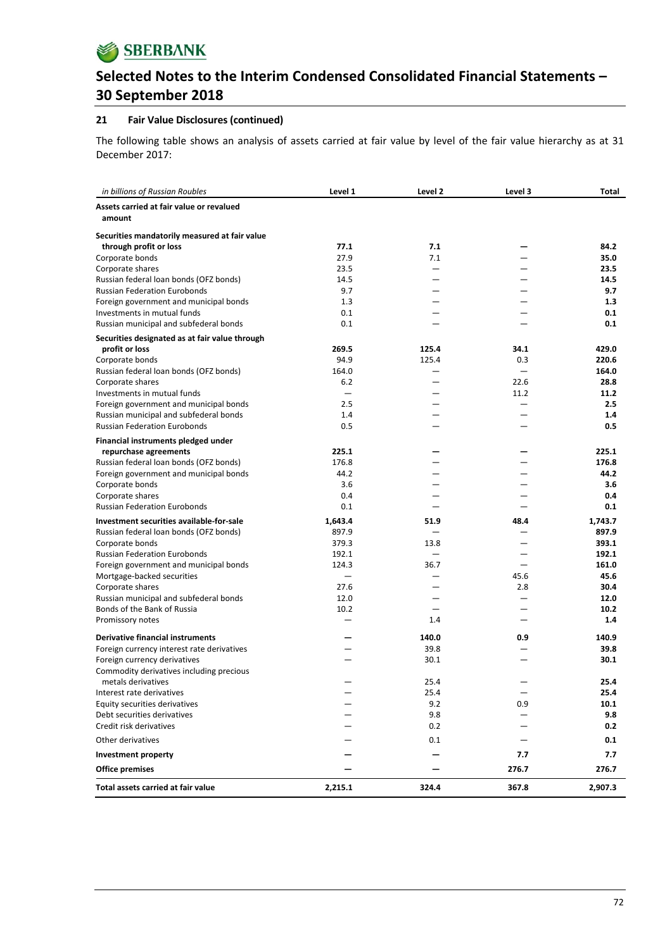

#### **21 Fair Value Disclosures (continued)**

The following table shows an analysis of assets carried at fair value by level of the fair value hierarchy as at 31 December 2017:

| in billions of Russian Roubles                                           | Level 1 | Level 2 | Level 3 | Total   |
|--------------------------------------------------------------------------|---------|---------|---------|---------|
| Assets carried at fair value or revalued                                 |         |         |         |         |
| amount                                                                   |         |         |         |         |
| Securities mandatorily measured at fair value                            |         |         |         |         |
| through profit or loss                                                   | 77.1    | 7.1     |         | 84.2    |
| Corporate bonds                                                          | 27.9    | 7.1     |         | 35.0    |
| Corporate shares                                                         | 23.5    |         |         | 23.5    |
| Russian federal loan bonds (OFZ bonds)                                   | 14.5    |         |         | 14.5    |
| <b>Russian Federation Eurobonds</b>                                      | 9.7     |         |         | 9.7     |
| Foreign government and municipal bonds                                   | 1.3     |         |         | 1.3     |
| Investments in mutual funds                                              | 0.1     |         |         | 0.1     |
| Russian municipal and subfederal bonds                                   | 0.1     |         |         | 0.1     |
| Securities designated as at fair value through                           |         |         |         |         |
| profit or loss                                                           | 269.5   | 125.4   | 34.1    | 429.0   |
| Corporate bonds                                                          | 94.9    | 125.4   | 0.3     | 220.6   |
| Russian federal loan bonds (OFZ bonds)                                   | 164.0   |         |         | 164.0   |
| Corporate shares                                                         | 6.2     |         | 22.6    | 28.8    |
| Investments in mutual funds                                              |         |         | 11.2    | 11.2    |
| Foreign government and municipal bonds                                   | 2.5     |         |         | 2.5     |
| Russian municipal and subfederal bonds                                   | 1.4     |         |         | 1.4     |
| <b>Russian Federation Eurobonds</b>                                      | 0.5     |         |         | 0.5     |
| Financial instruments pledged under                                      |         |         |         |         |
| repurchase agreements                                                    | 225.1   |         |         | 225.1   |
| Russian federal loan bonds (OFZ bonds)                                   | 176.8   |         |         | 176.8   |
| Foreign government and municipal bonds                                   | 44.2    |         |         | 44.2    |
| Corporate bonds                                                          | 3.6     |         |         | 3.6     |
| Corporate shares                                                         | 0.4     |         |         | 0.4     |
| <b>Russian Federation Eurobonds</b>                                      | 0.1     |         |         | 0.1     |
| Investment securities available-for-sale                                 | 1,643.4 | 51.9    | 48.4    | 1,743.7 |
| Russian federal loan bonds (OFZ bonds)                                   | 897.9   |         |         | 897.9   |
| Corporate bonds                                                          | 379.3   | 13.8    |         | 393.1   |
| <b>Russian Federation Eurobonds</b>                                      | 192.1   |         |         | 192.1   |
| Foreign government and municipal bonds                                   | 124.3   | 36.7    |         | 161.0   |
| Mortgage-backed securities                                               |         |         | 45.6    | 45.6    |
| Corporate shares                                                         | 27.6    |         | 2.8     | 30.4    |
| Russian municipal and subfederal bonds                                   | 12.0    |         |         | 12.0    |
| Bonds of the Bank of Russia                                              | 10.2    |         |         | 10.2    |
| Promissory notes                                                         |         | 1.4     |         | 1.4     |
|                                                                          |         |         |         |         |
| <b>Derivative financial instruments</b>                                  |         | 140.0   | 0.9     | 140.9   |
| Foreign currency interest rate derivatives                               |         | 39.8    |         | 39.8    |
| Foreign currency derivatives<br>Commodity derivatives including precious |         | 30.1    |         | 30.1    |
| metals derivatives                                                       |         | 25.4    |         | 25.4    |
| Interest rate derivatives                                                |         | 25.4    |         | 25.4    |
| Equity securities derivatives                                            |         | 9.2     | 0.9     | 10.1    |
| Debt securities derivatives                                              |         | 9.8     |         | 9.8     |
| Credit risk derivatives                                                  |         | 0.2     |         | 0.2     |
|                                                                          |         |         |         |         |
| Other derivatives                                                        |         | 0.1     |         | 0.1     |
| <b>Investment property</b>                                               |         |         | 7.7     | 7.7     |
| <b>Office premises</b>                                                   |         |         | 276.7   | 276.7   |
| Total assets carried at fair value                                       | 2,215.1 | 324.4   | 367.8   | 2,907.3 |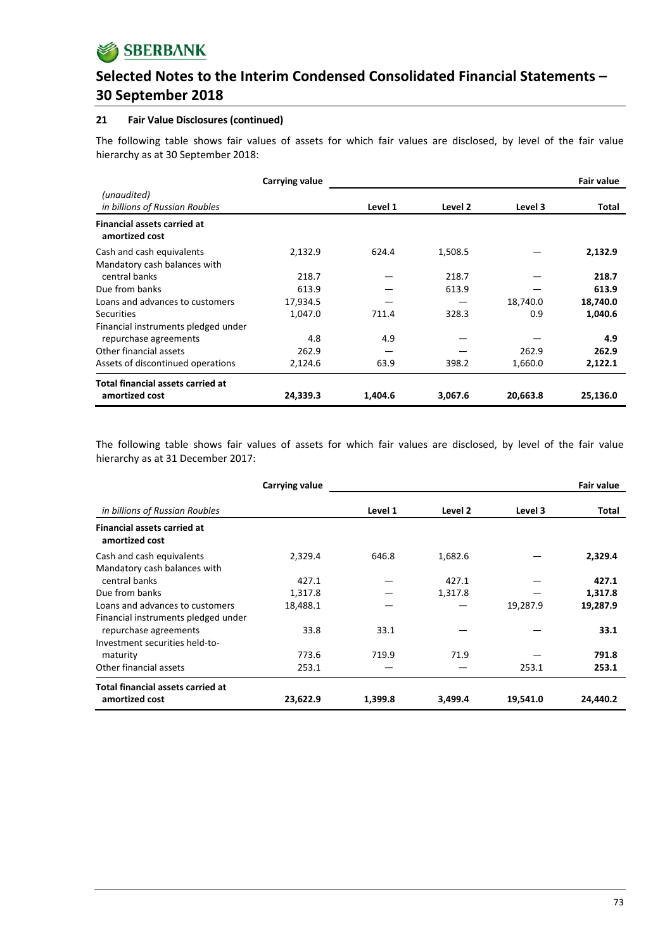

#### **21 Fair Value Disclosures (continued)**

The following table shows fair values of assets for which fair values are disclosed, by level of the fair value hierarchy as at 30 September 2018:

|                                                            | Carrying value |         |         |          | <b>Fair value</b> |
|------------------------------------------------------------|----------------|---------|---------|----------|-------------------|
| (unaudited)<br>in billions of Russian Roubles              |                | Level 1 | Level 2 | Level 3  | Total             |
| <b>Financial assets carried at</b><br>amortized cost       |                |         |         |          |                   |
| Cash and cash equivalents                                  | 2,132.9        | 624.4   | 1,508.5 |          | 2,132.9           |
| Mandatory cash balances with                               |                |         |         |          |                   |
| central banks                                              | 218.7          |         | 218.7   |          | 218.7             |
| Due from banks                                             | 613.9          |         | 613.9   |          | 613.9             |
| Loans and advances to customers                            | 17,934.5       |         |         | 18,740.0 | 18,740.0          |
| <b>Securities</b>                                          | 1,047.0        | 711.4   | 328.3   | 0.9      | 1,040.6           |
| Financial instruments pledged under                        |                |         |         |          |                   |
| repurchase agreements                                      | 4.8            | 4.9     |         |          | 4.9               |
| Other financial assets                                     | 262.9          |         |         | 262.9    | 262.9             |
| Assets of discontinued operations                          | 2,124.6        | 63.9    | 398.2   | 1,660.0  | 2,122.1           |
| <b>Total financial assets carried at</b><br>amortized cost | 24,339.3       | 1,404.6 | 3,067.6 | 20,663.8 | 25,136.0          |

The following table shows fair values of assets for which fair values are disclosed, by level of the fair value hierarchy as at 31 December 2017:

|                                                      | Carrying value |         |         |          | <b>Fair value</b> |
|------------------------------------------------------|----------------|---------|---------|----------|-------------------|
| in billions of Russian Roubles                       |                | Level 1 | Level 2 | Level 3  | Total             |
| <b>Financial assets carried at</b><br>amortized cost |                |         |         |          |                   |
| Cash and cash equivalents                            | 2,329.4        | 646.8   | 1,682.6 |          | 2,329.4           |
| Mandatory cash balances with                         |                |         |         |          |                   |
| central banks                                        | 427.1          |         | 427.1   |          | 427.1             |
| Due from banks                                       | 1,317.8        |         | 1,317.8 |          | 1,317.8           |
| Loans and advances to customers                      | 18,488.1       |         |         | 19,287.9 | 19,287.9          |
| Financial instruments pledged under                  |                |         |         |          |                   |
| repurchase agreements                                | 33.8           | 33.1    |         |          | 33.1              |
| Investment securities held-to-                       |                |         |         |          |                   |
| maturity                                             | 773.6          | 719.9   | 71.9    |          | 791.8             |
| Other financial assets                               | 253.1          |         |         | 253.1    | 253.1             |
| <b>Total financial assets carried at</b>             |                |         |         |          |                   |
| amortized cost                                       | 23,622.9       | 1,399.8 | 3,499.4 | 19,541.0 | 24,440.2          |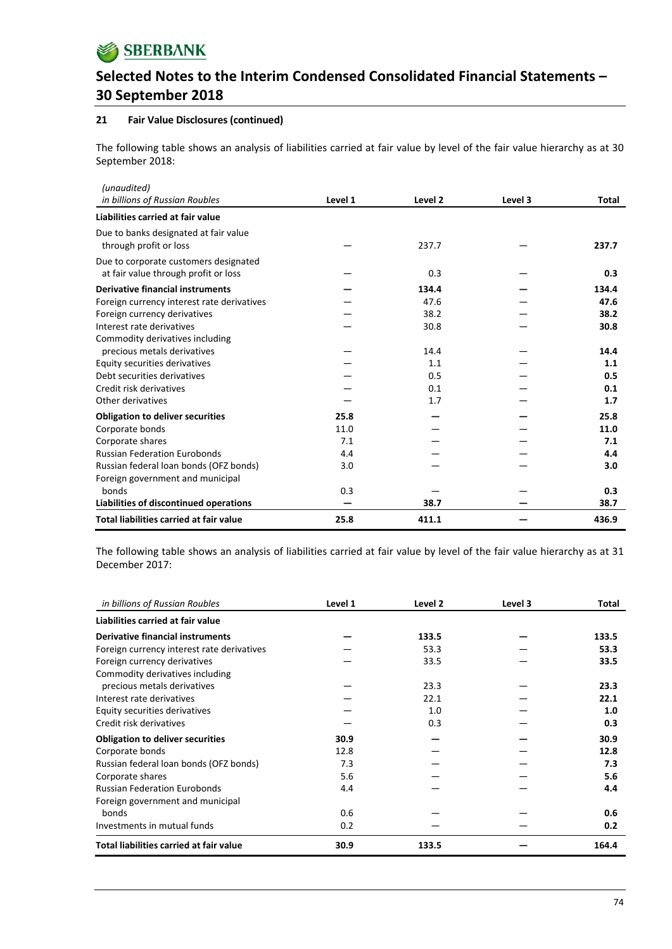

### **21 Fair Value Disclosures (continued)**

The following table shows an analysis of liabilities carried at fair value by level of the fair value hierarchy as at 30 September 2018:

| (unaudited)                                                                   |         |         |         |       |
|-------------------------------------------------------------------------------|---------|---------|---------|-------|
| in billions of Russian Roubles                                                | Level 1 | Level 2 | Level 3 | Total |
| Liabilities carried at fair value                                             |         |         |         |       |
| Due to banks designated at fair value<br>through profit or loss               |         | 237.7   |         | 237.7 |
| Due to corporate customers designated<br>at fair value through profit or loss |         | 0.3     |         | 0.3   |
| <b>Derivative financial instruments</b>                                       |         | 134.4   |         | 134.4 |
| Foreign currency interest rate derivatives                                    |         | 47.6    |         | 47.6  |
| Foreign currency derivatives                                                  |         | 38.2    |         | 38.2  |
| Interest rate derivatives                                                     |         | 30.8    |         | 30.8  |
| Commodity derivatives including<br>precious metals derivatives                |         | 14.4    |         | 14.4  |
| Equity securities derivatives                                                 |         | 1.1     |         | 1.1   |
| Debt securities derivatives                                                   |         | 0.5     |         | 0.5   |
| Credit risk derivatives                                                       |         | 0.1     |         | 0.1   |
| Other derivatives                                                             |         | 1.7     |         | 1.7   |
| <b>Obligation to deliver securities</b>                                       | 25.8    |         |         | 25.8  |
| Corporate bonds                                                               | 11.0    |         |         | 11.0  |
| Corporate shares                                                              | 7.1     |         |         | 7.1   |
| <b>Russian Federation Eurobonds</b>                                           | 4.4     |         |         | 4.4   |
| Russian federal loan bonds (OFZ bonds)                                        | 3.0     |         |         | 3.0   |
| Foreign government and municipal                                              |         |         |         |       |
| bonds                                                                         | 0.3     |         |         | 0.3   |
| Liabilities of discontinued operations                                        |         | 38.7    |         | 38.7  |
| <b>Total liabilities carried at fair value</b>                                | 25.8    | 411.1   |         | 436.9 |

The following table shows an analysis of liabilities carried at fair value by level of the fair value hierarchy as at 31 December 2017:

| in billions of Russian Roubles             | Level 1 | Level 2 | Level 3 | Total |
|--------------------------------------------|---------|---------|---------|-------|
| Liabilities carried at fair value          |         |         |         |       |
| Derivative financial instruments           |         | 133.5   |         | 133.5 |
| Foreign currency interest rate derivatives |         | 53.3    |         | 53.3  |
| Foreign currency derivatives               |         | 33.5    |         | 33.5  |
| Commodity derivatives including            |         |         |         |       |
| precious metals derivatives                |         | 23.3    |         | 23.3  |
| Interest rate derivatives                  |         | 22.1    |         | 22.1  |
| Equity securities derivatives              |         | 1.0     |         | 1.0   |
| Credit risk derivatives                    |         | 0.3     |         | 0.3   |
| <b>Obligation to deliver securities</b>    | 30.9    |         |         | 30.9  |
| Corporate bonds                            | 12.8    |         |         | 12.8  |
| Russian federal loan bonds (OFZ bonds)     | 7.3     |         |         | 7.3   |
| Corporate shares                           | 5.6     |         |         | 5.6   |
| <b>Russian Federation Eurobonds</b>        | 4.4     |         |         | 4.4   |
| Foreign government and municipal           |         |         |         |       |
| bonds                                      | 0.6     |         |         | 0.6   |
| Investments in mutual funds                | 0.2     |         |         | 0.2   |
| Total liabilities carried at fair value    | 30.9    | 133.5   |         | 164.4 |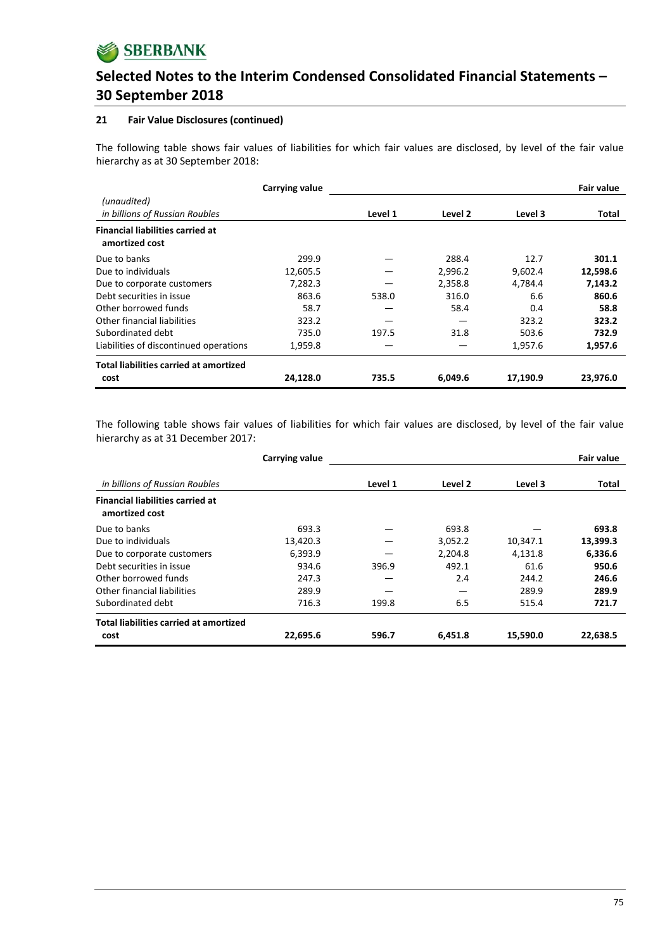

#### **21 Fair Value Disclosures (continued)**

The following table shows fair values of liabilities for which fair values are disclosed, by level of the fair value hierarchy as at 30 September 2018:

|                                                           | Carrying value |         |         |          | <b>Fair value</b> |
|-----------------------------------------------------------|----------------|---------|---------|----------|-------------------|
| (unaudited)<br>in billions of Russian Roubles             |                | Level 1 | Level 2 | Level 3  | Total             |
| <b>Financial liabilities carried at</b><br>amortized cost |                |         |         |          |                   |
| Due to banks                                              | 299.9          |         | 288.4   | 12.7     | 301.1             |
| Due to individuals                                        | 12,605.5       |         | 2,996.2 | 9,602.4  | 12,598.6          |
| Due to corporate customers                                | 7,282.3        |         | 2,358.8 | 4,784.4  | 7,143.2           |
| Debt securities in issue                                  | 863.6          | 538.0   | 316.0   | 6.6      | 860.6             |
| Other borrowed funds                                      | 58.7           |         | 58.4    | 0.4      | 58.8              |
| Other financial liabilities                               | 323.2          |         |         | 323.2    | 323.2             |
| Subordinated debt                                         | 735.0          | 197.5   | 31.8    | 503.6    | 732.9             |
| Liabilities of discontinued operations                    | 1,959.8        |         |         | 1,957.6  | 1,957.6           |
| <b>Total liabilities carried at amortized</b>             |                |         |         |          |                   |
| cost                                                      | 24,128.0       | 735.5   | 6,049.6 | 17,190.9 | 23,976.0          |

The following table shows fair values of liabilities for which fair values are disclosed, by level of the fair value hierarchy as at 31 December 2017:

|                                                           | Carrying value |         |         |          | Fair value |
|-----------------------------------------------------------|----------------|---------|---------|----------|------------|
| in billions of Russian Roubles                            |                | Level 1 | Level 2 | Level 3  | Total      |
| <b>Financial liabilities carried at</b><br>amortized cost |                |         |         |          |            |
| Due to banks                                              | 693.3          |         | 693.8   |          | 693.8      |
| Due to individuals                                        | 13,420.3       |         | 3,052.2 | 10,347.1 | 13,399.3   |
| Due to corporate customers                                | 6,393.9        |         | 2,204.8 | 4,131.8  | 6,336.6    |
| Debt securities in issue                                  | 934.6          | 396.9   | 492.1   | 61.6     | 950.6      |
| Other borrowed funds                                      | 247.3          |         | 2.4     | 244.2    | 246.6      |
| Other financial liabilities                               | 289.9          |         |         | 289.9    | 289.9      |
| Subordinated debt                                         | 716.3          | 199.8   | 6.5     | 515.4    | 721.7      |
| <b>Total liabilities carried at amortized</b>             |                |         |         |          |            |
| cost                                                      | 22,695.6       | 596.7   | 6,451.8 | 15,590.0 | 22,638.5   |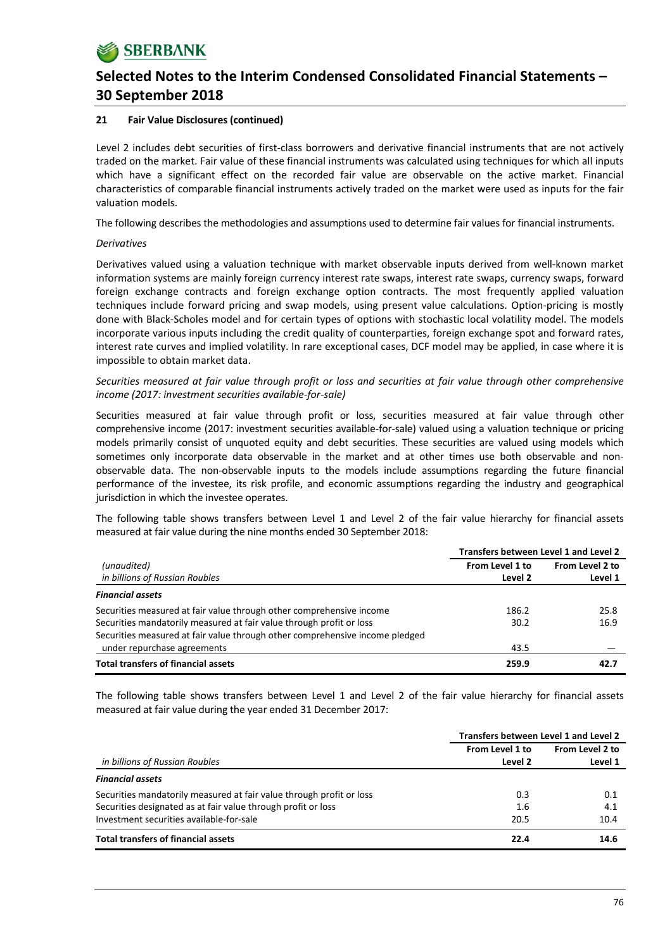### **21 Fair Value Disclosures (continued)**

Level 2 includes debt securities of first-class borrowers and derivative financial instruments that are not actively traded on the market. Fair value of these financial instruments was calculated using techniques for which all inputs which have a significant effect on the recorded fair value are observable on the active market. Financial characteristics of comparable financial instruments actively traded on the market were used as inputs for the fair valuation models.

The following describes the methodologies and assumptions used to determine fair values for financial instruments.

#### *Derivatives*

Derivatives valued using a valuation technique with market observable inputs derived from well‐known market information systems are mainly foreign currency interest rate swaps, interest rate swaps, currency swaps, forward foreign exchange contracts and foreign exchange option contracts. The most frequently applied valuation techniques include forward pricing and swap models, using present value calculations. Option‐pricing is mostly done with Black‐Scholes model and for certain types of options with stochastic local volatility model. The models incorporate various inputs including the credit quality of counterparties, foreign exchange spot and forward rates, interest rate curves and implied volatility. In rare exceptional cases, DCF model may be applied, in case where it is impossible to obtain market data.

Securities measured at fair value through profit or loss and securities at fair value through other comprehensive *income (2017: investment securities available‐for‐sale)*

Securities measured at fair value through profit or loss, securities measured at fair value through other comprehensive income (2017: investment securities available-for-sale) valued using a valuation technique or pricing models primarily consist of unquoted equity and debt securities. These securities are valued using models which sometimes only incorporate data observable in the market and at other times use both observable and nonobservable data. The non‐observable inputs to the models include assumptions regarding the future financial performance of the investee, its risk profile, and economic assumptions regarding the industry and geographical jurisdiction in which the investee operates.

The following table shows transfers between Level 1 and Level 2 of the fair value hierarchy for financial assets measured at fair value during the nine months ended 30 September 2018:

|                                                                              | Transfers between Level 1 and Level 2 |                 |  |  |
|------------------------------------------------------------------------------|---------------------------------------|-----------------|--|--|
| (unaudited)                                                                  | From Level 1 to                       | From Level 2 to |  |  |
| in billions of Russian Roubles                                               | Level 2                               | Level 1         |  |  |
| <b>Financial assets</b>                                                      |                                       |                 |  |  |
| Securities measured at fair value through other comprehensive income         | 186.2                                 | 25.8            |  |  |
| Securities mandatorily measured at fair value through profit or loss         | 30.2                                  | 16.9            |  |  |
| Securities measured at fair value through other comprehensive income pledged |                                       |                 |  |  |
| under repurchase agreements                                                  | 43.5                                  |                 |  |  |
| <b>Total transfers of financial assets</b>                                   | 259.9                                 | 42.7            |  |  |

The following table shows transfers between Level 1 and Level 2 of the fair value hierarchy for financial assets measured at fair value during the year ended 31 December 2017:

|                                                                      | Transfers between Level 1 and Level 2 |                 |  |  |
|----------------------------------------------------------------------|---------------------------------------|-----------------|--|--|
|                                                                      | From Level 1 to                       | From Level 2 to |  |  |
| in billions of Russian Roubles                                       | Level 2                               | Level 1         |  |  |
| <b>Financial assets</b>                                              |                                       |                 |  |  |
| Securities mandatorily measured at fair value through profit or loss | 0.3                                   | 0.1             |  |  |
| Securities designated as at fair value through profit or loss        | 1.6                                   | 4.1             |  |  |
| Investment securities available-for-sale                             | 20.5                                  | 10.4            |  |  |
| <b>Total transfers of financial assets</b>                           | 22.4                                  | 14.6            |  |  |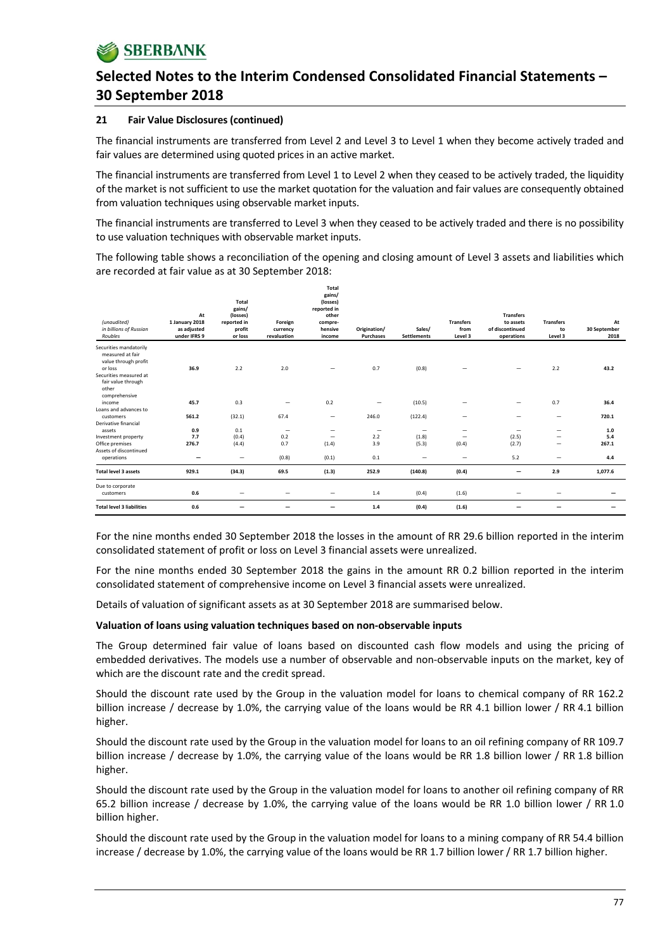#### **21 Fair Value Disclosures (continued)**

The financial instruments are transferred from Level 2 and Level 3 to Level 1 when they become actively traded and fair values are determined using quoted prices in an active market.

The financial instruments are transferred from Level 1 to Level 2 when they ceased to be actively traded, the liquidity of the market is not sufficient to use the market quotation for the valuation and fair values are consequently obtained from valuation techniques using observable market inputs.

The financial instruments are transferred to Level 3 when they ceased to be actively traded and there is no possibility to use valuation techniques with observable market inputs.

The following table shows a reconciliation of the opening and closing amount of Level 3 assets and liabilities which are recorded at fair value as at 30 September 2018:

| (unaudited)<br>in billions of Russian<br>Roubles                                                        | At<br>1 January 2018<br>as adjusted<br>under IFRS 9 | Total<br>gains/<br>(losses)<br>reported in<br>profit<br>or loss | Foreign<br>currency<br>revaluation | Total<br>gains/<br>(losses)<br>reported in<br>other<br>compre-<br>hensive<br>income | Origination/<br>Purchases | Sales/<br><b>Settlements</b> | <b>Transfers</b><br>from<br>Level 3 | <b>Transfers</b><br>to assets<br>of discontinued<br>operations | <b>Transfers</b><br>to<br>Level 3 | At<br>30 September<br>2018 |
|---------------------------------------------------------------------------------------------------------|-----------------------------------------------------|-----------------------------------------------------------------|------------------------------------|-------------------------------------------------------------------------------------|---------------------------|------------------------------|-------------------------------------|----------------------------------------------------------------|-----------------------------------|----------------------------|
| Securities mandatorily<br>measured at fair<br>value through profit<br>or loss<br>Securities measured at | 36.9                                                | 2.2                                                             | 2.0                                | -                                                                                   | 0.7                       | (0.8)                        |                                     |                                                                | 2.2                               | 43.2                       |
| fair value through<br>other<br>comprehensive                                                            |                                                     |                                                                 |                                    |                                                                                     |                           |                              |                                     |                                                                |                                   |                            |
| income<br>Loans and advances to                                                                         | 45.7                                                | 0.3                                                             |                                    | 0.2                                                                                 |                           | (10.5)                       |                                     |                                                                | 0.7                               | 36.4                       |
| customers<br>Derivative financial                                                                       | 561.2                                               | (32.1)                                                          | 67.4                               | $\overline{\phantom{0}}$                                                            | 246.0                     | (122.4)                      |                                     | -                                                              | $\qquad \qquad -$                 | 720.1                      |
| assets                                                                                                  | 0.9                                                 | 0.1                                                             | $\qquad \qquad \qquad$             | -                                                                                   | $\overline{\phantom{0}}$  | $\qquad \qquad \qquad$       |                                     |                                                                | $\overline{\phantom{m}}$          | 1.0                        |
| Investment property                                                                                     | 7.7                                                 | (0.4)                                                           | 0.2                                | $\qquad \qquad \qquad$                                                              | 2.2                       | (1.8)                        | $\qquad \qquad =$                   | (2.5)                                                          | -                                 | 5.4                        |
| Office premises<br>Assets of discontinued                                                               | 276.7                                               | (4.4)                                                           | 0.7                                | (1.4)                                                                               | 3.9                       | (5.3)                        | (0.4)                               | (2.7)                                                          | -                                 | 267.1                      |
| operations                                                                                              | $\overline{\phantom{0}}$                            |                                                                 | (0.8)                              | (0.1)                                                                               | 0.1                       | $\overline{\phantom{0}}$     |                                     | 5.2                                                            | -                                 | 4.4                        |
| <b>Total level 3 assets</b>                                                                             | 929.1                                               | (34.3)                                                          | 69.5                               | (1.3)                                                                               | 252.9                     | (140.8)                      | (0.4)                               | -                                                              | 2.9                               | 1,077.6                    |
| Due to corporate<br>customers                                                                           | 0.6                                                 | $\qquad \qquad$                                                 |                                    | $\overline{\phantom{0}}$                                                            | 1.4                       | (0.4)                        | (1.6)                               |                                                                |                                   |                            |
| <b>Total level 3 liabilities</b>                                                                        | 0.6                                                 |                                                                 |                                    | -                                                                                   | $1.4$                     | (0.4)                        | (1.6)                               |                                                                |                                   |                            |

For the nine months ended 30 September 2018 the losses in the amount of RR 29.6 billion reported in the interim consolidated statement of profit or loss on Level 3 financial assets were unrealized.

For the nine months ended 30 September 2018 the gains in the amount RR 0.2 billion reported in the interim consolidated statement of comprehensive income on Level 3 financial assets were unrealized.

Details of valuation of significant assets as at 30 September 2018 are summarised below.

#### **Valuation of loans using valuation techniques based on non‐observable inputs**

The Group determined fair value of loans based on discounted cash flow models and using the pricing of embedded derivatives. The models use a number of observable and non‐observable inputs on the market, key of which are the discount rate and the credit spread.

Should the discount rate used by the Group in the valuation model for loans to chemical company of RR 162.2 billion increase / decrease by 1.0%, the carrying value of the loans would be RR 4.1 billion lower / RR 4.1 billion higher.

Should the discount rate used by the Group in the valuation model for loans to an oil refining company of RR 109.7 billion increase / decrease by 1.0%, the carrying value of the loans would be RR 1.8 billion lower / RR 1.8 billion higher.

Should the discount rate used by the Group in the valuation model for loans to another oil refining company of RR 65.2 billion increase / decrease by 1.0%, the carrying value of the loans would be RR 1.0 billion lower / RR 1.0 billion higher.

Should the discount rate used by the Group in the valuation model for loans to a mining company of RR 54.4 billion increase / decrease by 1.0%, the carrying value of the loans would be RR 1.7 billion lower / RR 1.7 billion higher.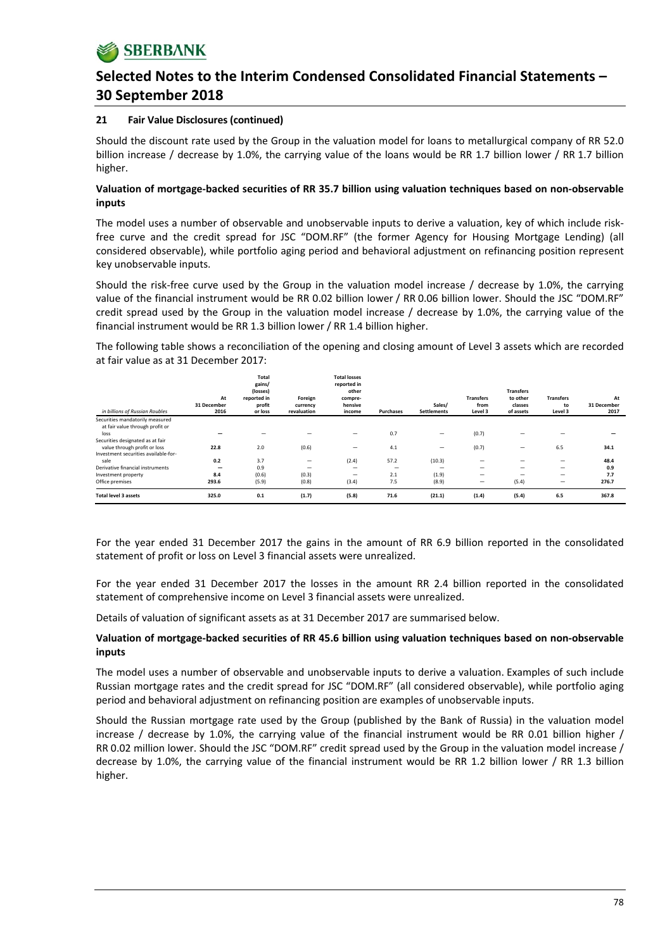### **21 Fair Value Disclosures (continued)**

Should the discount rate used by the Group in the valuation model for loans to metallurgical company of RR 52.0 billion increase / decrease by 1.0%, the carrying value of the loans would be RR 1.7 billion lower / RR 1.7 billion higher.

#### Valuation of mortgage-backed securities of RR 35.7 billion using valuation techniques based on non-observable **inputs**

The model uses a number of observable and unobservable inputs to derive a valuation, key of which include risk‐ free curve and the credit spread for JSC "DOM.RF" (the former Agency for Housing Mortgage Lending) (all considered observable), while portfolio aging period and behavioral adjustment on refinancing position represent key unobservable inputs.

Should the risk-free curve used by the Group in the valuation model increase / decrease by 1.0%, the carrying value of the financial instrument would be RR 0.02 billion lower / RR 0.06 billion lower. Should the JSC "DOM.RF" credit spread used by the Group in the valuation model increase / decrease by 1.0%, the carrying value of the financial instrument would be RR 1.3 billion lower / RR 1.4 billion higher.

The following table shows a reconciliation of the opening and closing amount of Level 3 assets which are recorded at fair value as at 31 December 2017:

| in billions of Russian Roubles       | At<br>31 December<br>2016 | <b>Total</b><br>gains/<br>(losses)<br>reported in<br>profit<br>or loss | Foreign<br>currency<br>revaluation | <b>Total losses</b><br>reported in<br>other<br>compre-<br>hensive<br>income | Purchases | Sales/<br><b>Settlements</b> | <b>Transfers</b><br>from<br>Level 3 | <b>Transfers</b><br>to other<br>classes<br>of assets | <b>Transfers</b><br>to<br>Level 3 | At<br>31 December<br>2017 |
|--------------------------------------|---------------------------|------------------------------------------------------------------------|------------------------------------|-----------------------------------------------------------------------------|-----------|------------------------------|-------------------------------------|------------------------------------------------------|-----------------------------------|---------------------------|
| Securities mandatorily measured      |                           |                                                                        |                                    |                                                                             |           |                              |                                     |                                                      |                                   |                           |
| at fair value through profit or      |                           |                                                                        |                                    |                                                                             |           |                              |                                     |                                                      |                                   |                           |
| loss                                 |                           |                                                                        |                                    |                                                                             | 0.7       | -                            | (0.7)                               |                                                      |                                   |                           |
| Securities designated as at fair     |                           |                                                                        |                                    |                                                                             |           |                              |                                     |                                                      |                                   |                           |
| value through profit or loss         | 22.8                      | 2.0                                                                    | (0.6)                              | -                                                                           | 4.1       | -                            | (0.7)                               |                                                      | 6.5                               | 34.1                      |
| Investment securities available-for- |                           |                                                                        |                                    |                                                                             |           |                              |                                     |                                                      |                                   |                           |
| sale                                 | 0.2                       | 3.7                                                                    | $\qquad \qquad -$                  | (2.4)                                                                       | 57.2      | (10.3)                       |                                     | -                                                    | -                                 | 48.4                      |
| Derivative financial instruments     |                           | 0.9                                                                    |                                    |                                                                             |           | -                            |                                     | -                                                    | -                                 | 0.9                       |
| Investment property                  | 8.4                       | (0.6)                                                                  | (0.3)                              |                                                                             | 2.1       | (1.9)                        |                                     |                                                      |                                   | 7.7                       |
| Office premises                      | 293.6                     | (5.9)                                                                  | (0.8)                              | (3.4)                                                                       | 7.5       | (8.9)                        | $\hspace{0.1mm}-\hspace{0.1mm}$     | (5.4)                                                | -                                 | 276.7                     |
| <b>Total level 3 assets</b>          | 325.0                     | 0.1                                                                    | (1.7)                              | (5.8)                                                                       | 71.6      | (21.1)                       | (1.4)                               | (5.4)                                                | 6.5                               | 367.8                     |

For the year ended 31 December 2017 the gains in the amount of RR 6.9 billion reported in the consolidated statement of profit or loss on Level 3 financial assets were unrealized.

For the year ended 31 December 2017 the losses in the amount RR 2.4 billion reported in the consolidated statement of comprehensive income on Level 3 financial assets were unrealized.

Details of valuation of significant assets as at 31 December 2017 are summarised below.

### Valuation of mortgage-backed securities of RR 45.6 billion using valuation techniques based on non-observable **inputs**

The model uses a number of observable and unobservable inputs to derive a valuation. Examples of such include Russian mortgage rates and the credit spread for JSC "DOM.RF" (all considered observable), while portfolio aging period and behavioral adjustment on refinancing position are examples of unobservable inputs.

Should the Russian mortgage rate used by the Group (published by the Bank of Russia) in the valuation model increase / decrease by 1.0%, the carrying value of the financial instrument would be RR 0.01 billion higher / RR 0.02 million lower. Should the JSC "DOM.RF" credit spread used by the Group in the valuation model increase / decrease by 1.0%, the carrying value of the financial instrument would be RR 1.2 billion lower / RR 1.3 billion higher.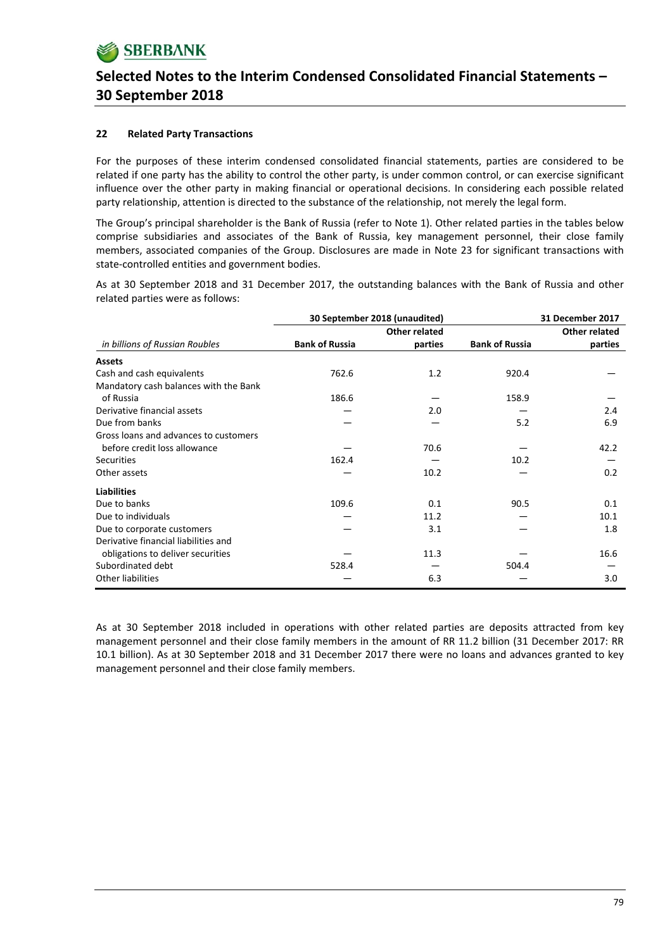### **22 Related Party Transactions**

For the purposes of these interim condensed consolidated financial statements, parties are considered to be related if one party has the ability to control the other party, is under common control, or can exercise significant influence over the other party in making financial or operational decisions. In considering each possible related party relationship, attention is directed to the substance of the relationship, not merely the legal form.

The Group's principal shareholder is the Bank of Russia (refer to Note 1). Other related parties in the tables below comprise subsidiaries and associates of the Bank of Russia, key management personnel, their close family members, associated companies of the Group. Disclosures are made in Note 23 for significant transactions with state-controlled entities and government bodies.

As at 30 September 2018 and 31 December 2017, the outstanding balances with the Bank of Russia and other related parties were as follows:

|                                       | 30 September 2018 (unaudited) |                      |                       | 31 December 2017 |
|---------------------------------------|-------------------------------|----------------------|-----------------------|------------------|
|                                       |                               | <b>Other related</b> |                       | Other related    |
| in billions of Russian Roubles        | <b>Bank of Russia</b>         | parties              | <b>Bank of Russia</b> | parties          |
| <b>Assets</b>                         |                               |                      |                       |                  |
| Cash and cash equivalents             | 762.6                         | 1.2                  | 920.4                 |                  |
| Mandatory cash balances with the Bank |                               |                      |                       |                  |
| of Russia                             | 186.6                         |                      | 158.9                 |                  |
| Derivative financial assets           |                               | 2.0                  |                       | 2.4              |
| Due from banks                        |                               |                      | 5.2                   | 6.9              |
| Gross loans and advances to customers |                               |                      |                       |                  |
| before credit loss allowance          |                               | 70.6                 |                       | 42.2             |
| <b>Securities</b>                     | 162.4                         |                      | 10.2                  |                  |
| Other assets                          |                               | 10.2                 |                       | 0.2              |
| <b>Liabilities</b>                    |                               |                      |                       |                  |
| Due to banks                          | 109.6                         | 0.1                  | 90.5                  | 0.1              |
| Due to individuals                    |                               | 11.2                 |                       | 10.1             |
| Due to corporate customers            |                               | 3.1                  |                       | 1.8              |
| Derivative financial liabilities and  |                               |                      |                       |                  |
| obligations to deliver securities     |                               | 11.3                 |                       | 16.6             |
| Subordinated debt                     | 528.4                         |                      | 504.4                 |                  |
| Other liabilities                     |                               | 6.3                  |                       | 3.0              |

As at 30 September 2018 included in operations with other related parties are deposits attracted from key management personnel and their close family members in the amount of RR 11.2 billion (31 December 2017: RR 10.1 billion). As at 30 September 2018 and 31 December 2017 there were no loans and advances granted to key management personnel and their close family members.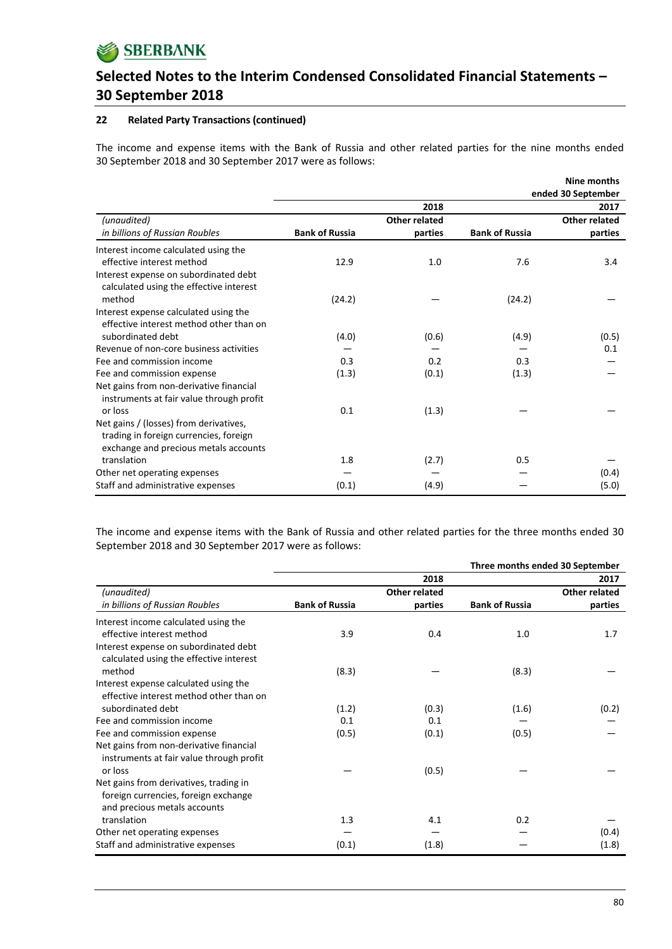

### **22 Related Party Transactions (continued)**

The income and expense items with the Bank of Russia and other related parties for the nine months ended 30 September 2018 and 30 September 2017 were as follows:

|                                          |                       |                      |                       | Nine months        |
|------------------------------------------|-----------------------|----------------------|-----------------------|--------------------|
|                                          |                       |                      |                       | ended 30 September |
|                                          |                       | 2018                 |                       | 2017               |
| (unaudited)                              |                       | <b>Other related</b> |                       | Other related      |
| in billions of Russian Roubles           | <b>Bank of Russia</b> | parties              | <b>Bank of Russia</b> | parties            |
| Interest income calculated using the     |                       |                      |                       |                    |
| effective interest method                | 12.9                  | 1.0                  | 7.6                   | 3.4                |
| Interest expense on subordinated debt    |                       |                      |                       |                    |
| calculated using the effective interest  |                       |                      |                       |                    |
| method                                   | (24.2)                |                      | (24.2)                |                    |
| Interest expense calculated using the    |                       |                      |                       |                    |
| effective interest method other than on  |                       |                      |                       |                    |
| subordinated debt                        | (4.0)                 | (0.6)                | (4.9)                 | (0.5)              |
| Revenue of non-core business activities  |                       |                      |                       | 0.1                |
| Fee and commission income                | 0.3                   | 0.2                  | 0.3                   |                    |
| Fee and commission expense               | (1.3)                 | (0.1)                | (1.3)                 |                    |
| Net gains from non-derivative financial  |                       |                      |                       |                    |
| instruments at fair value through profit |                       |                      |                       |                    |
| or loss                                  | 0.1                   | (1.3)                |                       |                    |
| Net gains / (losses) from derivatives,   |                       |                      |                       |                    |
| trading in foreign currencies, foreign   |                       |                      |                       |                    |
| exchange and precious metals accounts    |                       |                      |                       |                    |
| translation                              | 1.8                   | (2.7)                | 0.5                   |                    |
| Other net operating expenses             |                       |                      |                       | (0.4)              |
| Staff and administrative expenses        | (0.1)                 | (4.9)                |                       | (5.0)              |

The income and expense items with the Bank of Russia and other related parties for the three months ended 30 September 2018 and 30 September 2017 were as follows:

|                                          |                       |                      | Three months ended 30 September |               |
|------------------------------------------|-----------------------|----------------------|---------------------------------|---------------|
|                                          |                       | 2018                 |                                 | 2017          |
| (unaudited)                              |                       | <b>Other related</b> |                                 | Other related |
| in billions of Russian Roubles           | <b>Bank of Russia</b> | parties              | <b>Bank of Russia</b>           | parties       |
| Interest income calculated using the     |                       |                      |                                 |               |
| effective interest method                | 3.9                   | 0.4                  | 1.0                             | 1.7           |
| Interest expense on subordinated debt    |                       |                      |                                 |               |
| calculated using the effective interest  |                       |                      |                                 |               |
| method                                   | (8.3)                 |                      | (8.3)                           |               |
| Interest expense calculated using the    |                       |                      |                                 |               |
| effective interest method other than on  |                       |                      |                                 |               |
| subordinated debt                        | (1.2)                 | (0.3)                | (1.6)                           | (0.2)         |
| Fee and commission income                | 0.1                   | 0.1                  |                                 |               |
| Fee and commission expense               | (0.5)                 | (0.1)                | (0.5)                           |               |
| Net gains from non-derivative financial  |                       |                      |                                 |               |
| instruments at fair value through profit |                       |                      |                                 |               |
| or loss                                  |                       | (0.5)                |                                 |               |
| Net gains from derivatives, trading in   |                       |                      |                                 |               |
| foreign currencies, foreign exchange     |                       |                      |                                 |               |
| and precious metals accounts             |                       |                      |                                 |               |
| translation                              | 1.3                   | 4.1                  | 0.2                             |               |
| Other net operating expenses             |                       |                      |                                 | (0.4)         |
| Staff and administrative expenses        | (0.1)                 | (1.8)                |                                 | (1.8)         |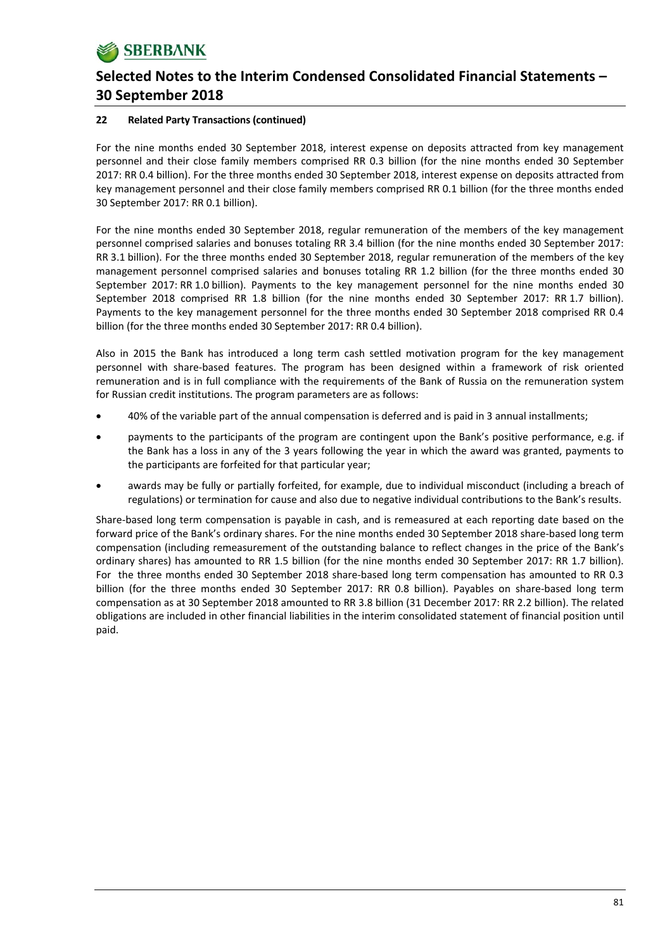### **22 Related Party Transactions (continued)**

For the nine months ended 30 September 2018, interest expense on deposits attracted from key management personnel and their close family members comprised RR 0.3 billion (for the nine months ended 30 September 2017: RR 0.4 billion). For the three months ended 30 September 2018, interest expense on deposits attracted from key management personnel and their close family members comprised RR 0.1 billion (for the three months ended 30 September 2017: RR 0.1 billion).

For the nine months ended 30 September 2018, regular remuneration of the members of the key management personnel comprised salaries and bonuses totaling RR 3.4 billion (for the nine months ended 30 September 2017: RR 3.1 billion). For the three months ended 30 September 2018, regular remuneration of the members of the key management personnel comprised salaries and bonuses totaling RR 1.2 billion (for the three months ended 30 September 2017: RR 1.0 billion). Payments to the key management personnel for the nine months ended 30 September 2018 comprised RR 1.8 billion (for the nine months ended 30 September 2017: RR 1.7 billion). Payments to the key management personnel for the three months ended 30 September 2018 comprised RR 0.4 billion (for the three months ended 30 September 2017: RR 0.4 billion).

Also in 2015 the Bank has introduced a long term cash settled motivation program for the key management personnel with share‐based features. The program has been designed within a framework of risk oriented remuneration and is in full compliance with the requirements of the Bank of Russia on the remuneration system for Russian credit institutions. The program parameters are as follows:

- 40% of the variable part of the annual compensation is deferred and is paid in 3 annual installments;
- payments to the participants of the program are contingent upon the Bank's positive performance, e.g. if the Bank has a loss in any of the 3 years following the year in which the award was granted, payments to the participants are forfeited for that particular year;
- awards may be fully or partially forfeited, for example, due to individual misconduct (including a breach of regulations) or termination for cause and also due to negative individual contributions to the Bank's results.

Share‐based long term compensation is payable in cash, and is remeasured at each reporting date based on the forward price of the Bank's ordinary shares. For the nine months ended 30 September 2018 share-based long term compensation (including remeasurement of the outstanding balance to reflect changes in the price of the Bank's ordinary shares) has amounted to RR 1.5 billion (for the nine months ended 30 September 2017: RR 1.7 billion). For the three months ended 30 September 2018 share‐based long term compensation has amounted to RR 0.3 billion (for the three months ended 30 September 2017: RR 0.8 billion). Payables on share‐based long term compensation as at 30 September 2018 amounted to RR 3.8 billion (31 December 2017: RR 2.2 billion). The related obligations are included in other financial liabilities in the interim consolidated statement of financial position until paid.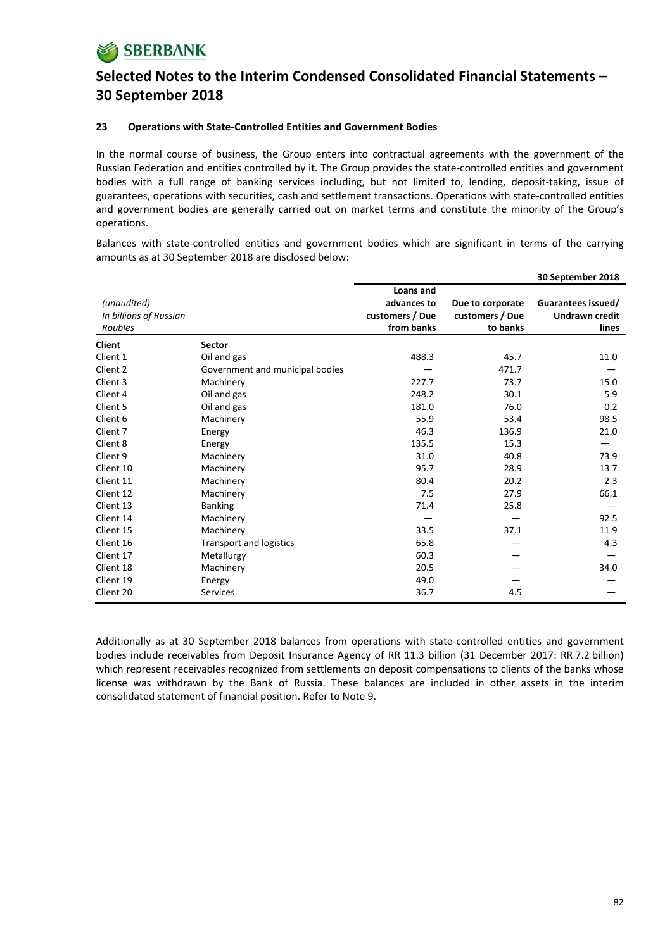#### **23 Operations with State‐Controlled Entities and Government Bodies**

In the normal course of business, the Group enters into contractual agreements with the government of the Russian Federation and entities controlled by it. The Group provides the state‐controlled entities and government bodies with a full range of banking services including, but not limited to, lending, deposit‐taking, issue of guarantees, operations with securities, cash and settlement transactions. Operations with state‐controlled entities and government bodies are generally carried out on market terms and constitute the minority of the Group's operations.

Balances with state‐controlled entities and government bodies which are significant in terms of the carrying amounts as at 30 September 2018 are disclosed below:

|                        |                                 |                 |                  | 30 September 2018     |
|------------------------|---------------------------------|-----------------|------------------|-----------------------|
|                        |                                 | Loans and       |                  |                       |
| (unaudited)            |                                 | advances to     | Due to corporate | Guarantees issued/    |
| In billions of Russian |                                 | customers / Due | customers / Due  | <b>Undrawn credit</b> |
| Roubles                |                                 | from banks      | to banks         | lines                 |
| <b>Client</b>          | <b>Sector</b>                   |                 |                  |                       |
| Client 1               | Oil and gas                     | 488.3           | 45.7             | 11.0                  |
| Client 2               | Government and municipal bodies |                 | 471.7            |                       |
| Client 3               | Machinery                       | 227.7           | 73.7             | 15.0                  |
| Client 4               | Oil and gas                     | 248.2           | 30.1             | 5.9                   |
| Client 5               | Oil and gas                     | 181.0           | 76.0             | 0.2                   |
| Client 6               | Machinery                       | 55.9            | 53.4             | 98.5                  |
| Client 7               | Energy                          | 46.3            | 136.9            | 21.0                  |
| Client 8               | Energy                          | 135.5           | 15.3             |                       |
| Client 9               | Machinery                       | 31.0            | 40.8             | 73.9                  |
| Client 10              | Machinery                       | 95.7            | 28.9             | 13.7                  |
| Client 11              | Machinery                       | 80.4            | 20.2             | 2.3                   |
| Client 12              | Machinery                       | 7.5             | 27.9             | 66.1                  |
| Client 13              | <b>Banking</b>                  | 71.4            | 25.8             |                       |
| Client 14              | Machinery                       |                 |                  | 92.5                  |
| Client 15              | Machinery                       | 33.5            | 37.1             | 11.9                  |
| Client 16              | <b>Transport and logistics</b>  | 65.8            |                  | 4.3                   |
| Client 17              | Metallurgy                      | 60.3            |                  |                       |
| Client 18              | Machinery                       | 20.5            |                  | 34.0                  |
| Client 19              | Energy                          | 49.0            |                  |                       |
| Client 20              | <b>Services</b>                 | 36.7            | 4.5              |                       |

Additionally as at 30 September 2018 balances from operations with state‐controlled entities and government bodies include receivables from Deposit Insurance Agency of RR 11.3 billion (31 December 2017: RR 7.2 billion) which represent receivables recognized from settlements on deposit compensations to clients of the banks whose license was withdrawn by the Bank of Russia. These balances are included in other assets in the interim consolidated statement of financial position. Refer to Note 9.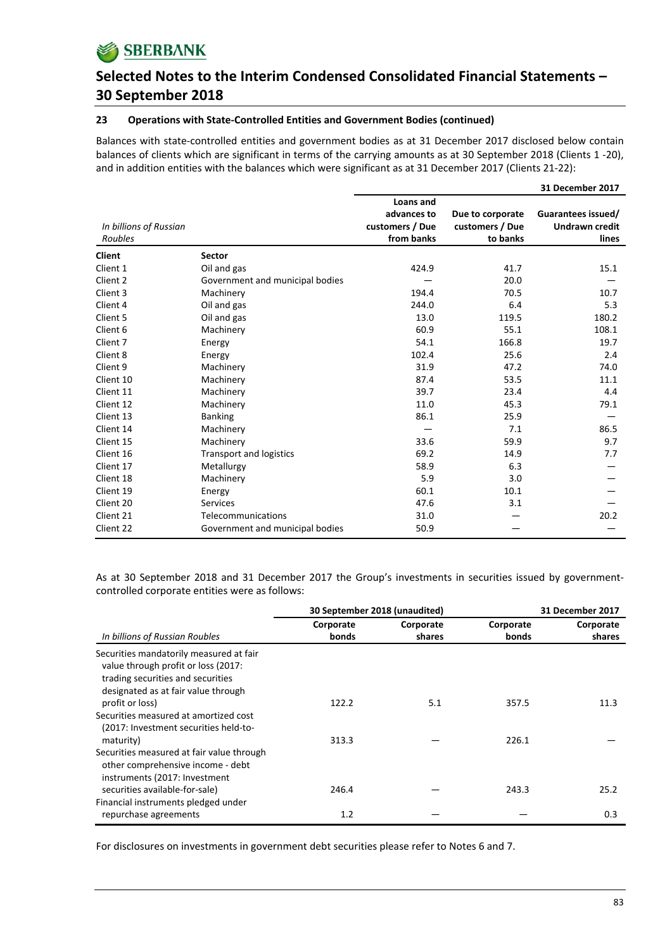

#### **23 Operations with State‐Controlled Entities and Government Bodies (continued)**

Balances with state‐controlled entities and government bodies as at 31 December 2017 disclosed below contain balances of clients which are significant in terms of the carrying amounts as at 30 September 2018 (Clients 1 ‐20), and in addition entities with the balances which were significant as at 31 December 2017 (Clients 21‐22):

|                        |                                 |                 |                  | 31 December 2017      |
|------------------------|---------------------------------|-----------------|------------------|-----------------------|
|                        |                                 | Loans and       |                  |                       |
|                        |                                 | advances to     | Due to corporate | Guarantees issued/    |
| In billions of Russian |                                 | customers / Due | customers / Due  | <b>Undrawn credit</b> |
| Roubles                |                                 | from banks      | to banks         | lines                 |
| <b>Client</b>          | <b>Sector</b>                   |                 |                  |                       |
| Client 1               | Oil and gas                     | 424.9           | 41.7             | 15.1                  |
| Client 2               | Government and municipal bodies |                 | 20.0             |                       |
| Client 3               | Machinery                       | 194.4           | 70.5             | 10.7                  |
| Client 4               | Oil and gas                     | 244.0           | 6.4              | 5.3                   |
| Client 5               | Oil and gas                     | 13.0            | 119.5            | 180.2                 |
| Client 6               | Machinery                       | 60.9            | 55.1             | 108.1                 |
| Client 7               | Energy                          | 54.1            | 166.8            | 19.7                  |
| Client 8               | Energy                          | 102.4           | 25.6             | 2.4                   |
| Client 9               | Machinery                       | 31.9            | 47.2             | 74.0                  |
| Client 10              | Machinery                       | 87.4            | 53.5             | 11.1                  |
| Client 11              | Machinery                       | 39.7            | 23.4             | 4.4                   |
| Client 12              | Machinery                       | 11.0            | 45.3             | 79.1                  |
| Client 13              | <b>Banking</b>                  | 86.1            | 25.9             |                       |
| Client 14              | Machinery                       |                 | 7.1              | 86.5                  |
| Client 15              | Machinery                       | 33.6            | 59.9             | 9.7                   |
| Client 16              | <b>Transport and logistics</b>  | 69.2            | 14.9             | 7.7                   |
| Client 17              | Metallurgy                      | 58.9            | 6.3              |                       |
| Client 18              | Machinery                       | 5.9             | 3.0              |                       |
| Client 19              | Energy                          | 60.1            | 10.1             |                       |
| Client 20              | <b>Services</b>                 | 47.6            | 3.1              |                       |
| Client 21              | Telecommunications              | 31.0            |                  | 20.2                  |
| Client 22              | Government and municipal bodies | 50.9            |                  |                       |

As at 30 September 2018 and 31 December 2017 the Group's investments in securities issued by government‐ controlled corporate entities were as follows:

|                                                                                                                                                            | 30 September 2018 (unaudited) |                     | 31 December 2017   |                     |
|------------------------------------------------------------------------------------------------------------------------------------------------------------|-------------------------------|---------------------|--------------------|---------------------|
| In billions of Russian Roubles                                                                                                                             | Corporate<br>bonds            | Corporate<br>shares | Corporate<br>bonds | Corporate<br>shares |
| Securities mandatorily measured at fair<br>value through profit or loss (2017:<br>trading securities and securities<br>designated as at fair value through |                               |                     |                    |                     |
| profit or loss)<br>Securities measured at amortized cost<br>(2017: Investment securities held-to-                                                          | 122.2                         | 5.1                 | 357.5              | 11.3                |
| maturity)<br>Securities measured at fair value through<br>other comprehensive income - debt<br>instruments (2017: Investment                               | 313.3                         |                     | 226.1              |                     |
| securities available-for-sale)<br>Financial instruments pledged under                                                                                      | 246.4                         |                     | 243.3              | 25.2                |
| repurchase agreements                                                                                                                                      | 1.2                           |                     |                    | 0.3                 |

For disclosures on investments in government debt securities please refer to Notes 6 and 7.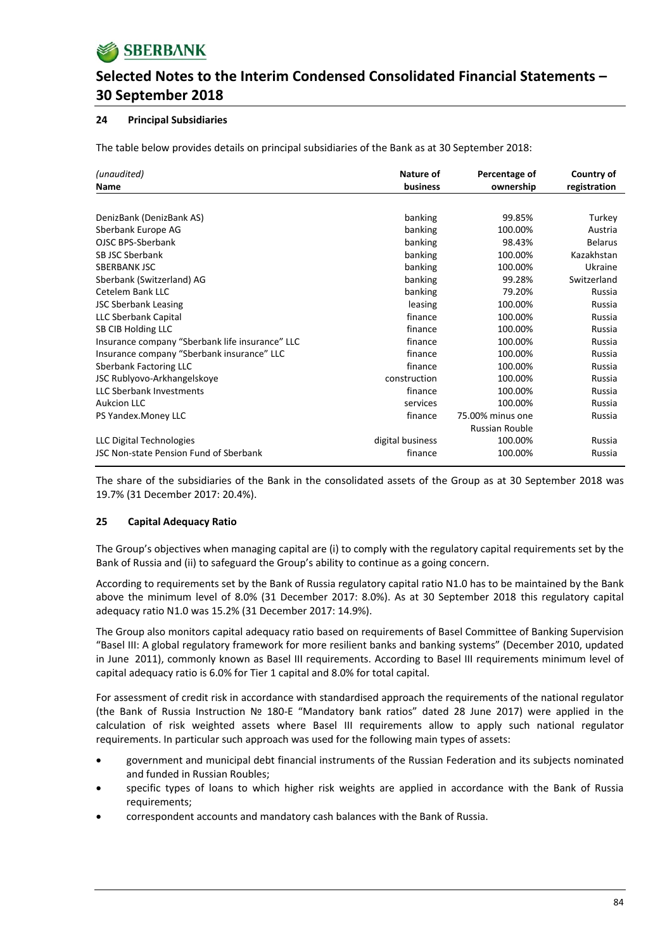

### **24 Principal Subsidiaries**

The table below provides details on principal subsidiaries of the Bank as at 30 September 2018:

| (unaudited)                                     | Nature of        | Percentage of    | Country of     |
|-------------------------------------------------|------------------|------------------|----------------|
| Name                                            | business         | ownership        | registration   |
|                                                 |                  |                  |                |
| DenizBank (DenizBank AS)                        | banking          | 99.85%           | Turkey         |
| Sberbank Europe AG                              | banking          | 100.00%          | Austria        |
| OJSC BPS-Sberbank                               | banking          | 98.43%           | <b>Belarus</b> |
| SB JSC Sberbank                                 | banking          | 100.00%          | Kazakhstan     |
| <b>SBERBANK JSC</b>                             | banking          | 100.00%          | Ukraine        |
| Sberbank (Switzerland) AG                       | banking          | 99.28%           | Switzerland    |
| Cetelem Bank LLC                                | banking          | 79.20%           | Russia         |
| <b>JSC Sberbank Leasing</b>                     | leasing          | 100.00%          | Russia         |
| LLC Sberbank Capital                            | finance          | 100.00%          | Russia         |
| SB CIB Holding LLC                              | finance          | 100.00%          | Russia         |
| Insurance company "Sberbank life insurance" LLC | finance          | 100.00%          | Russia         |
| Insurance company "Sberbank insurance" LLC      | finance          | 100.00%          | Russia         |
| Sberbank Factoring LLC                          | finance          | 100.00%          | Russia         |
| JSC Rublyovo-Arkhangelskoye                     | construction     | 100.00%          | Russia         |
| <b>LLC Sberbank Investments</b>                 | finance          | 100.00%          | Russia         |
| <b>Aukcion LLC</b>                              | services         | 100.00%          | Russia         |
| PS Yandex. Money LLC                            | finance          | 75.00% minus one | Russia         |
|                                                 |                  | Russian Rouble   |                |
| LLC Digital Technologies                        | digital business | 100.00%          | Russia         |
| JSC Non-state Pension Fund of Sberbank          | finance          | 100.00%          | Russia         |

The share of the subsidiaries of the Bank in the consolidated assets of the Group as at 30 September 2018 was 19.7% (31 December 2017: 20.4%).

#### **25 Capital Adequacy Ratio**

The Group's objectives when managing capital are (i) to comply with the regulatory capital requirements set by the Bank of Russia and (ii) to safeguard the Group's ability to continue as a going concern.

According to requirements set by the Bank of Russia regulatory capital ratio N1.0 has to be maintained by the Bank above the minimum level of 8.0% (31 December 2017: 8.0%). As at 30 September 2018 this regulatory capital adequacy ratio N1.0 was 15.2% (31 December 2017: 14.9%).

The Group also monitors capital adequacy ratio based on requirements of Basel Committee of Banking Supervision "Basel III: A global regulatory framework for more resilient banks and banking systems" (December 2010, updated in June 2011), commonly known as Basel III requirements. According to Basel III requirements minimum level of capital adequacy ratio is 6.0% for Tier 1 capital and 8.0% for total capital.

For assessment of credit risk in accordance with standardised approach the requirements of the national regulator (the Bank of Russia Instruction № 180‐E "Mandatory bank ratios" dated 28 June 2017) were applied in the calculation of risk weighted assets where Basel III requirements allow to apply such national regulator requirements. In particular such approach was used for the following main types of assets:

- government and municipal debt financial instruments of the Russian Federation and its subjects nominated and funded in Russian Roubles;
- specific types of loans to which higher risk weights are applied in accordance with the Bank of Russia requirements;
- correspondent accounts and mandatory cash balances with the Bank of Russia.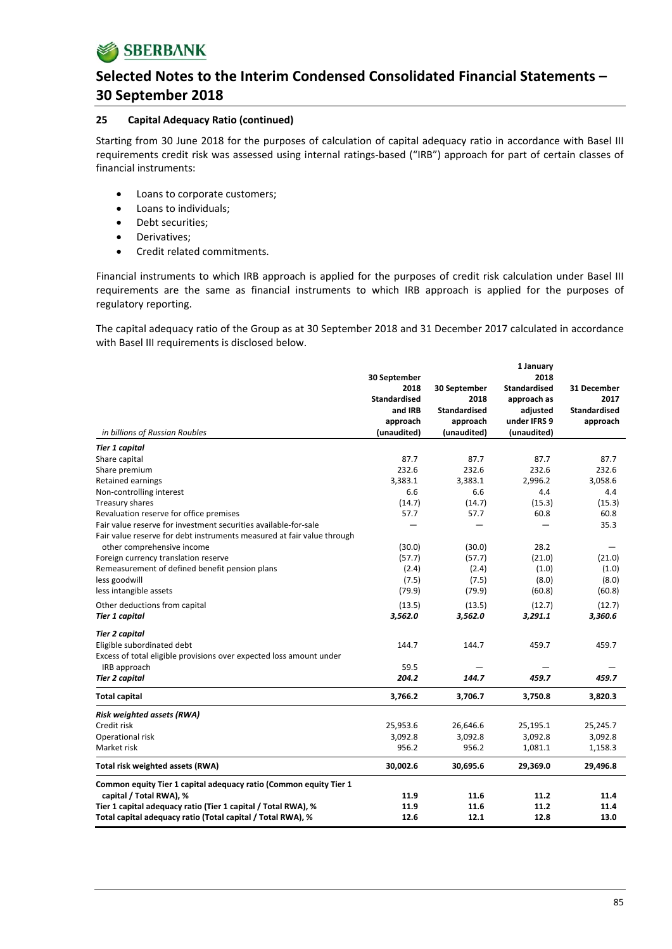

#### **25 Capital Adequacy Ratio (continued)**

Starting from 30 June 2018 for the purposes of calculation of capital adequacy ratio in accordance with Basel III requirements credit risk was assessed using internal ratings‐based ("IRB") approach for part of certain classes of financial instruments:

- Loans to corporate customers;
- Loans to individuals;
- Debt securities;
- Derivatives;
- Credit related commitments.

Financial instruments to which IRB approach is applied for the purposes of credit risk calculation under Basel III requirements are the same as financial instruments to which IRB approach is applied for the purposes of regulatory reporting.

The capital adequacy ratio of the Group as at 30 September 2018 and 31 December 2017 calculated in accordance with Basel III requirements is disclosed below.

|                                                                        |                     |                     | 1 January           |                     |
|------------------------------------------------------------------------|---------------------|---------------------|---------------------|---------------------|
|                                                                        | 30 September        |                     | 2018                |                     |
|                                                                        | 2018                | 30 September        | <b>Standardised</b> | 31 December         |
|                                                                        | <b>Standardised</b> | 2018                | approach as         | 2017                |
|                                                                        | and IRB             | <b>Standardised</b> | adjusted            | <b>Standardised</b> |
|                                                                        | approach            | approach            | under IFRS 9        | approach            |
| in billions of Russian Roubles                                         | (unaudited)         | (unaudited)         | (unaudited)         |                     |
| <b>Tier 1 capital</b>                                                  |                     |                     |                     |                     |
| Share capital                                                          | 87.7                | 87.7                | 87.7                | 87.7                |
| Share premium                                                          | 232.6               | 232.6               | 232.6               | 232.6               |
| Retained earnings                                                      | 3,383.1             | 3,383.1             | 2,996.2             | 3,058.6             |
| Non-controlling interest                                               | 6.6                 | 6.6                 | 4.4                 | 4.4                 |
| Treasury shares                                                        | (14.7)              | (14.7)              | (15.3)              | (15.3)              |
| Revaluation reserve for office premises                                | 57.7                | 57.7                | 60.8                | 60.8                |
| Fair value reserve for investment securities available-for-sale        |                     |                     |                     | 35.3                |
| Fair value reserve for debt instruments measured at fair value through |                     |                     |                     |                     |
| other comprehensive income                                             | (30.0)              | (30.0)              | 28.2                |                     |
| Foreign currency translation reserve                                   | (57.7)              | (57.7)              | (21.0)              | (21.0)              |
| Remeasurement of defined benefit pension plans                         | (2.4)               | (2.4)               | (1.0)               | (1.0)               |
| less goodwill                                                          | (7.5)               | (7.5)               | (8.0)               | (8.0)               |
| less intangible assets                                                 | (79.9)              | (79.9)              | (60.8)              | (60.8)              |
| Other deductions from capital                                          | (13.5)              | (13.5)              | (12.7)              | (12.7)              |
| <b>Tier 1 capital</b>                                                  | 3,562.0             | 3,562.0             | 3,291.1             | 3,360.6             |
| <b>Tier 2 capital</b>                                                  |                     |                     |                     |                     |
| Eligible subordinated debt                                             | 144.7               | 144.7               | 459.7               | 459.7               |
| Excess of total eligible provisions over expected loss amount under    |                     |                     |                     |                     |
| IRB approach                                                           | 59.5                |                     |                     |                     |
| <b>Tier 2 capital</b>                                                  | 204.2               | 144.7               | 459.7               | 459.7               |
| <b>Total capital</b>                                                   | 3,766.2             | 3,706.7             | 3,750.8             | 3,820.3             |
| <b>Risk weighted assets (RWA)</b>                                      |                     |                     |                     |                     |
| Credit risk                                                            | 25,953.6            | 26,646.6            | 25,195.1            | 25,245.7            |
| Operational risk                                                       | 3,092.8             | 3,092.8             | 3,092.8             | 3,092.8             |
| Market risk                                                            | 956.2               | 956.2               | 1,081.1             | 1,158.3             |
| Total risk weighted assets (RWA)                                       | 30,002.6            | 30,695.6            | 29,369.0            | 29,496.8            |
| Common equity Tier 1 capital adequacy ratio (Common equity Tier 1      |                     |                     |                     |                     |
| capital / Total RWA), %                                                | 11.9                | 11.6                | 11.2                | 11.4                |
| Tier 1 capital adequacy ratio (Tier 1 capital / Total RWA), %          | 11.9                | 11.6                | 11.2                | 11.4                |
| Total capital adequacy ratio (Total capital / Total RWA), %            | 12.6                | 12.1                | 12.8                | 13.0                |
|                                                                        |                     |                     |                     |                     |